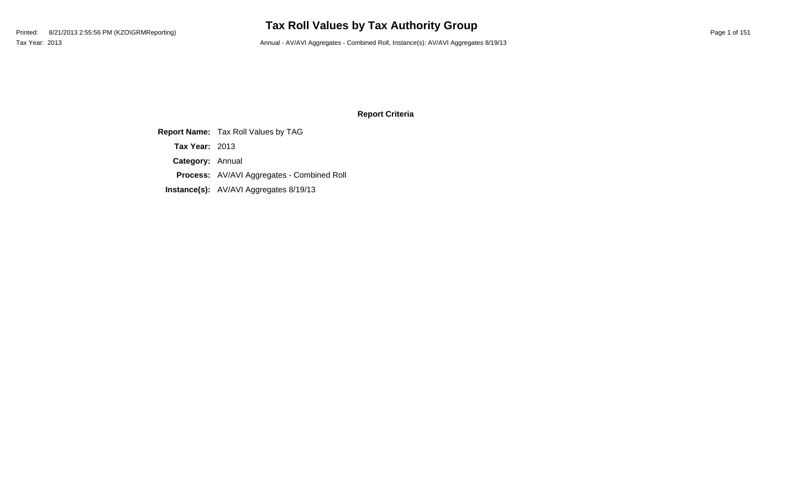# **Tax Roll Values by Tax Authority Group**

Tax Year: 2013 Annual - AV/AVI Aggregates - Combined Roll, Instance(s): AV/AVI Aggregates 8/19/13

### **Report Criteria**

**Report Name:** Tax Roll Values by TAG **Category:** Annual **Process:** AV/AVI Aggregates - Combined Roll **Instance(s):** AV/AVI Aggregates 8/19/13 **Tax Year:** 2013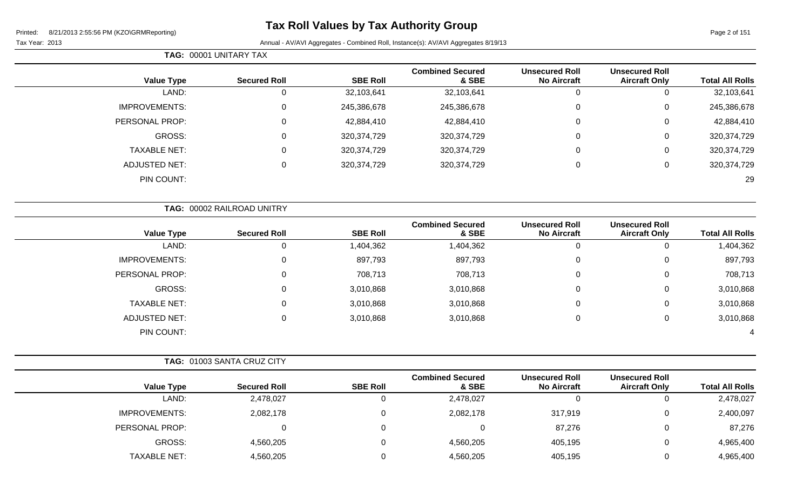Page 2 of 151

|                      | <b>TAG: 00001 UNITARY TAX</b> |                 |                                  |                                             |                                               |                        |
|----------------------|-------------------------------|-----------------|----------------------------------|---------------------------------------------|-----------------------------------------------|------------------------|
| <b>Value Type</b>    | <b>Secured Roll</b>           | <b>SBE Roll</b> | <b>Combined Secured</b><br>& SBE | <b>Unsecured Roll</b><br><b>No Aircraft</b> | <b>Unsecured Roll</b><br><b>Aircraft Only</b> | <b>Total All Rolls</b> |
| LAND:                | 0                             | 32,103,641      | 32,103,641                       | O                                           |                                               | 32,103,641             |
| <b>IMPROVEMENTS:</b> | 0                             | 245,386,678     | 245,386,678                      | 0                                           | 0                                             | 245,386,678            |
| PERSONAL PROP:       | 0                             | 42,884,410      | 42,884,410                       | $\mathbf 0$                                 | 0                                             | 42,884,410             |
| GROSS:               | 0                             | 320, 374, 729   | 320,374,729                      | $\mathbf 0$                                 |                                               | 320,374,729            |
| <b>TAXABLE NET:</b>  | 0                             | 320, 374, 729   | 320,374,729                      | 0                                           | 0                                             | 320, 374, 729          |
| <b>ADJUSTED NET:</b> | 0                             | 320, 374, 729   | 320,374,729                      | $\mathbf 0$                                 |                                               | 320,374,729            |
| PIN COUNT:           |                               |                 |                                  |                                             |                                               | 29                     |

|                      | TAG: 00002 RAILROAD UNITRY |                 |                                  |                                             |                                               |                        |
|----------------------|----------------------------|-----------------|----------------------------------|---------------------------------------------|-----------------------------------------------|------------------------|
| <b>Value Type</b>    | <b>Secured Roll</b>        | <b>SBE Roll</b> | <b>Combined Secured</b><br>& SBE | <b>Unsecured Roll</b><br><b>No Aircraft</b> | <b>Unsecured Roll</b><br><b>Aircraft Only</b> | <b>Total All Rolls</b> |
| LAND:                |                            | 1,404,362       | 1,404,362                        | 0                                           |                                               | 1,404,362              |
| <b>IMPROVEMENTS:</b> | $\Omega$                   | 897,793         | 897,793                          | $\overline{0}$                              | 0                                             | 897,793                |
| PERSONAL PROP:       | $\Omega$                   | 708,713         | 708,713                          | $\overline{0}$                              | 0                                             | 708,713                |
| GROSS:               |                            | 3,010,868       | 3,010,868                        | $\overline{0}$                              | 0                                             | 3,010,868              |
| <b>TAXABLE NET:</b>  |                            | 3,010,868       | 3,010,868                        | $\mathbf 0$                                 | 0                                             | 3,010,868              |
| <b>ADJUSTED NET:</b> |                            | 3,010,868       | 3,010,868                        | $\mathbf 0$                                 | 0                                             | 3,010,868              |
| PIN COUNT:           |                            |                 |                                  |                                             |                                               | 4                      |

|                      | <b>TAG: 01003 SANTA CRUZ CITY</b> |                 |                                  |                                             |                                               |                        |
|----------------------|-----------------------------------|-----------------|----------------------------------|---------------------------------------------|-----------------------------------------------|------------------------|
| <b>Value Type</b>    | <b>Secured Roll</b>               | <b>SBE Roll</b> | <b>Combined Secured</b><br>& SBE | <b>Unsecured Roll</b><br><b>No Aircraft</b> | <b>Unsecured Roll</b><br><b>Aircraft Only</b> | <b>Total All Rolls</b> |
| LAND:                | 2,478,027                         |                 | 2,478,027                        |                                             | 0                                             | 2,478,027              |
| <b>IMPROVEMENTS:</b> | 2,082,178                         |                 | 2,082,178                        | 317,919                                     | 0                                             | 2,400,097              |
| PERSONAL PROP:       |                                   |                 |                                  | 87,276                                      | 0                                             | 87,276                 |
| GROSS:               | 4,560,205                         |                 | 4,560,205                        | 405,195                                     | 0                                             | 4,965,400              |
| <b>TAXABLE NET:</b>  | 4,560,205                         |                 | 4,560,205                        | 405,195                                     | 0                                             | 4,965,400              |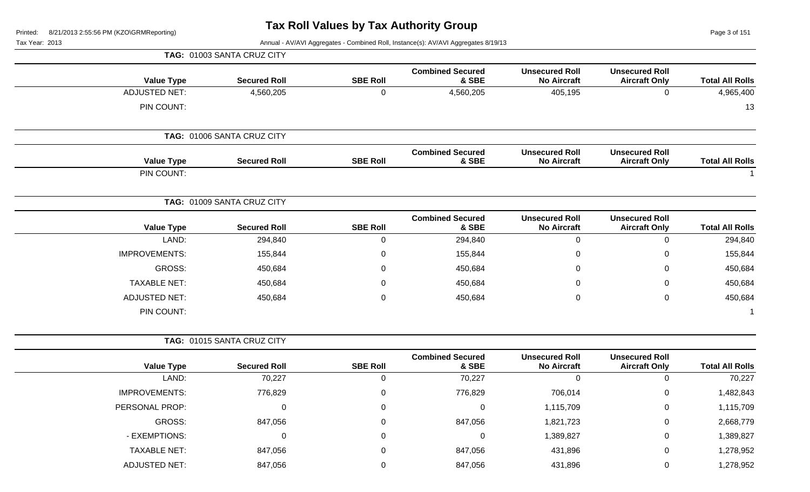Page 3 of 151

|                        |                                               |                                             |                                  |                 | TAG: 01003 SANTA CRUZ CITY |                      |
|------------------------|-----------------------------------------------|---------------------------------------------|----------------------------------|-----------------|----------------------------|----------------------|
| <b>Total All Rolls</b> | <b>Unsecured Roll</b><br><b>Aircraft Only</b> | <b>Unsecured Roll</b><br><b>No Aircraft</b> | <b>Combined Secured</b><br>& SBE | <b>SBE Roll</b> | <b>Secured Roll</b>        | <b>Value Type</b>    |
| 4,965,400              | $\mathbf 0$                                   | 405,195                                     | 4,560,205                        | $\mathbf 0$     | 4,560,205                  | <b>ADJUSTED NET:</b> |
| 13                     |                                               |                                             |                                  |                 |                            | PIN COUNT:           |
|                        |                                               |                                             |                                  |                 | TAG: 01006 SANTA CRUZ CITY |                      |
| <b>Total All Rolls</b> | <b>Unsecured Roll</b><br><b>Aircraft Only</b> | <b>Unsecured Roll</b><br><b>No Aircraft</b> | <b>Combined Secured</b><br>& SBE | <b>SBE Roll</b> | <b>Secured Roll</b>        | <b>Value Type</b>    |
|                        |                                               |                                             |                                  |                 |                            | PIN COUNT:           |
|                        |                                               |                                             |                                  |                 | TAG: 01009 SANTA CRUZ CITY |                      |
| <b>Total All Rolls</b> | <b>Unsecured Roll</b><br><b>Aircraft Only</b> | <b>Unsecured Roll</b><br><b>No Aircraft</b> | <b>Combined Secured</b><br>& SBE | <b>SBE Roll</b> | <b>Secured Roll</b>        | <b>Value Type</b>    |
| 294,840                | $\mathbf 0$                                   | 0                                           | 294,840                          | $\mathbf 0$     | 294,840                    | LAND:                |
| 155,844                | $\mathbf 0$                                   | 0                                           | 155,844                          | 0               | 155,844                    | <b>IMPROVEMENTS:</b> |
| 450,684                | 0                                             | 0                                           | 450,684                          | 0               | 450,684                    | GROSS:               |
| 450,684                | $\mathbf 0$                                   | 0                                           | 450,684                          | 0               | 450,684                    | <b>TAXABLE NET:</b>  |
| 450,684                | $\mathbf 0$                                   | 0                                           | 450,684                          | $\mathbf 0$     | 450,684                    | <b>ADJUSTED NET:</b> |
|                        |                                               |                                             |                                  |                 |                            | PIN COUNT:           |
|                        |                                               |                                             |                                  |                 | TAG: 01015 SANTA CRUZ CITY |                      |
| <b>Total All Rolls</b> | <b>Unsecured Roll</b><br><b>Aircraft Only</b> | <b>Unsecured Roll</b><br><b>No Aircraft</b> | <b>Combined Secured</b><br>& SBE | <b>SBE Roll</b> | <b>Secured Roll</b>        | <b>Value Type</b>    |
| 70,227                 | $\mathbf 0$                                   | $\mathbf 0$                                 | 70,227                           | 0               | 70,227                     | LAND:                |
| 1,482,843              | $\mathbf 0$                                   | 706,014                                     | 776,829                          | 0               | 776,829                    | <b>IMPROVEMENTS:</b> |
| 1,115,709              | $\mathbf 0$                                   | 1,115,709                                   | 0                                | 0               | 0                          | PERSONAL PROP:       |
| 2,668,779              | $\pmb{0}$                                     | 1,821,723                                   | 847,056                          | $\mathbf 0$     | 847,056                    | <b>GROSS:</b>        |
| 1,389,827              | $\boldsymbol{0}$                              | 1,389,827                                   | $\pmb{0}$                        | 0               | $\mathbf 0$                | - EXEMPTIONS:        |
| 1,278,952              | $\boldsymbol{0}$                              | 431,896                                     | 847,056                          | 0               | 847,056                    | <b>TAXABLE NET:</b>  |
| 1,278,952              | $\mathbf 0$                                   | 431,896                                     | 847,056                          | $\mathbf 0$     | 847,056                    | <b>ADJUSTED NET:</b> |
|                        |                                               |                                             |                                  |                 |                            |                      |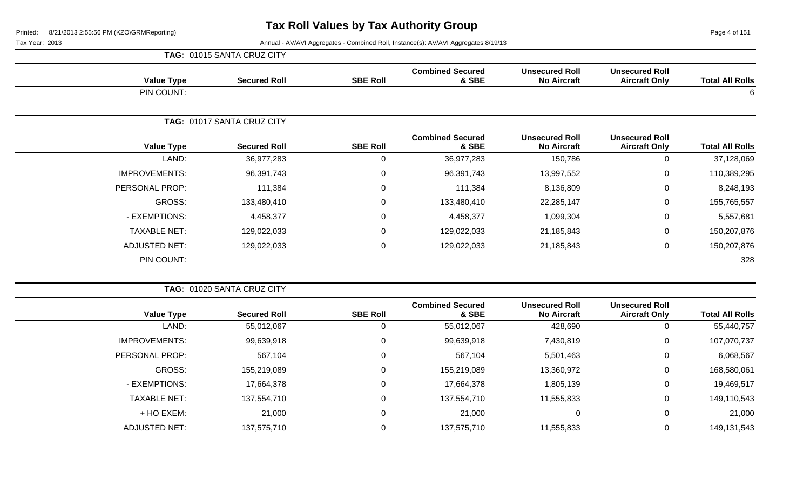Page 4 of 151

|                        |                                               |                                             |                                  |                 | TAG: 01015 SANTA CRUZ CITY |                      |
|------------------------|-----------------------------------------------|---------------------------------------------|----------------------------------|-----------------|----------------------------|----------------------|
| <b>Total All Rolls</b> | <b>Unsecured Roll</b><br><b>Aircraft Only</b> | <b>Unsecured Roll</b><br><b>No Aircraft</b> | <b>Combined Secured</b><br>& SBE | <b>SBE Roll</b> | <b>Secured Roll</b>        | <b>Value Type</b>    |
| 6                      |                                               |                                             |                                  |                 |                            | PIN COUNT:           |
|                        |                                               |                                             |                                  |                 | TAG: 01017 SANTA CRUZ CITY |                      |
| <b>Total All Rolls</b> | <b>Unsecured Roll</b><br><b>Aircraft Only</b> | <b>Unsecured Roll</b><br><b>No Aircraft</b> | <b>Combined Secured</b><br>& SBE | <b>SBE Roll</b> | <b>Secured Roll</b>        | <b>Value Type</b>    |
| 37,128,069             | $\mathbf{0}$                                  | 150,786                                     | 36,977,283                       | 0               | 36,977,283                 | LAND:                |
| 110,389,295            | $\mathbf 0$                                   | 13,997,552                                  | 96,391,743                       | $\mathbf 0$     | 96,391,743                 | <b>IMPROVEMENTS:</b> |
| 8,248,193              | 0                                             | 8,136,809                                   | 111,384                          | $\mathbf 0$     | 111,384                    | PERSONAL PROP:       |
| 155,765,557            | 0                                             | 22,285,147                                  | 133,480,410                      | 0               | 133,480,410                | GROSS:               |
| 5,557,681              | $\mathbf 0$                                   | 1,099,304                                   | 4,458,377                        | $\mathbf 0$     | 4,458,377                  | - EXEMPTIONS:        |
| 150,207,876            | $\mathbf 0$                                   | 21,185,843                                  | 129,022,033                      | $\mathbf 0$     | 129,022,033                | <b>TAXABLE NET:</b>  |
| 150,207,876            | $\mathbf 0$                                   | 21,185,843                                  | 129,022,033                      | $\mathbf 0$     | 129,022,033                | <b>ADJUSTED NET:</b> |
| 328                    |                                               |                                             |                                  |                 |                            | PIN COUNT:           |

|                      | TAG: 01020 SANTA CRUZ CITY |                 |                                  |                                             |                                               |                        |
|----------------------|----------------------------|-----------------|----------------------------------|---------------------------------------------|-----------------------------------------------|------------------------|
| <b>Value Type</b>    | <b>Secured Roll</b>        | <b>SBE Roll</b> | <b>Combined Secured</b><br>& SBE | <b>Unsecured Roll</b><br><b>No Aircraft</b> | <b>Unsecured Roll</b><br><b>Aircraft Only</b> | <b>Total All Rolls</b> |
| LAND:                | 55,012,067                 |                 | 55,012,067                       | 428,690                                     |                                               | 55,440,757             |
| <b>IMPROVEMENTS:</b> | 99,639,918                 | 0               | 99,639,918                       | 7,430,819                                   | 0                                             | 107,070,737            |
| PERSONAL PROP:       | 567,104                    | $\Omega$        | 567,104                          | 5,501,463                                   | 0                                             | 6,068,567              |
| GROSS:               | 155,219,089                | 0               | 155,219,089                      | 13,360,972                                  | 0                                             | 168,580,061            |
| - EXEMPTIONS:        | 17,664,378                 |                 | 17,664,378                       | 1,805,139                                   | 0                                             | 19,469,517             |
| <b>TAXABLE NET:</b>  | 137,554,710                |                 | 137,554,710                      | 11,555,833                                  | 0                                             | 149,110,543            |
| + HO EXEM:           | 21,000                     |                 | 21,000                           | 0                                           | 0                                             | 21,000                 |
| <b>ADJUSTED NET:</b> | 137,575,710                |                 | 137,575,710                      | 11,555,833                                  | 0                                             | 149,131,543            |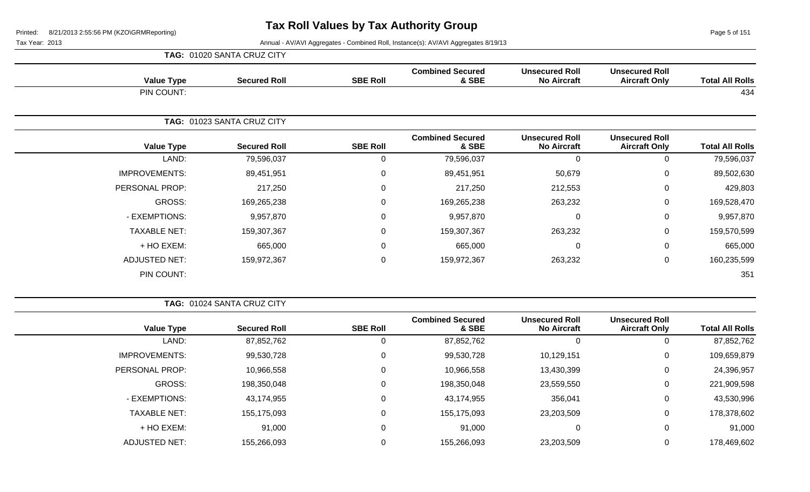**TAG:** 01020 SANTA CRUZ CITY

Page 5 of 151

| <b>Value Type</b>    | <b>Secured Roll</b>        | <b>SBE Roll</b> | <b>Combined Secured</b><br>& SBE | <b>Unsecured Roll</b><br><b>No Aircraft</b> | <b>Unsecured Roll</b><br><b>Aircraft Only</b> | <b>Total All Rolls</b> |
|----------------------|----------------------------|-----------------|----------------------------------|---------------------------------------------|-----------------------------------------------|------------------------|
| PIN COUNT:           |                            |                 |                                  |                                             |                                               | 434                    |
|                      | TAG: 01023 SANTA CRUZ CITY |                 |                                  |                                             |                                               |                        |
| <b>Value Type</b>    | <b>Secured Roll</b>        | <b>SBE Roll</b> | <b>Combined Secured</b><br>& SBE | <b>Unsecured Roll</b><br><b>No Aircraft</b> | <b>Unsecured Roll</b><br><b>Aircraft Only</b> | <b>Total All Rolls</b> |
| LAND:                | 79,596,037                 | $\Omega$        | 79,596,037                       | 0                                           | $\mathbf 0$                                   | 79,596,037             |
| <b>IMPROVEMENTS:</b> | 89,451,951                 | 0               | 89,451,951                       | 50,679                                      | 0                                             | 89,502,630             |
| PERSONAL PROP:       | 217,250                    | $\mathbf 0$     | 217,250                          | 212,553                                     | $\mathbf 0$                                   | 429,803                |
| GROSS:               | 169,265,238                | 0               | 169,265,238                      | 263,232                                     | $\mathbf 0$                                   | 169,528,470            |
| - EXEMPTIONS:        | 9,957,870                  | $\Omega$        | 9,957,870                        | 0                                           | 0                                             | 9,957,870              |
| <b>TAXABLE NET:</b>  | 159,307,367                | 0               | 159,307,367                      | 263,232                                     | $\mathbf 0$                                   | 159,570,599            |
| + HO EXEM:           | 665,000                    | $\Omega$        | 665,000                          | 0                                           | $\Omega$                                      | 665,000                |
| <b>ADJUSTED NET:</b> | 159,972,367                | $\mathbf 0$     | 159,972,367                      | 263,232                                     | 0                                             | 160,235,599            |
| PIN COUNT:           |                            |                 |                                  |                                             |                                               | 351                    |

|                        |                                               |                                             |                                  |                 | TAG: 01024 SANTA CRUZ CITY |                      |
|------------------------|-----------------------------------------------|---------------------------------------------|----------------------------------|-----------------|----------------------------|----------------------|
| <b>Total All Rolls</b> | <b>Unsecured Roll</b><br><b>Aircraft Only</b> | <b>Unsecured Roll</b><br><b>No Aircraft</b> | <b>Combined Secured</b><br>& SBE | <b>SBE Roll</b> | <b>Secured Roll</b>        | <b>Value Type</b>    |
| 87,852,762             | 0                                             |                                             | 87,852,762                       |                 | 87,852,762                 | LAND:                |
| 109,659,879            | 0                                             | 10,129,151                                  | 99,530,728                       | 0               | 99,530,728                 | <b>IMPROVEMENTS:</b> |
| 24,396,957             | 0                                             | 13,430,399                                  | 10,966,558                       | 0               | 10,966,558                 | PERSONAL PROP:       |
| 221,909,598            | 0                                             | 23,559,550                                  | 198,350,048                      | 0               | 198,350,048                | GROSS:               |
| 43,530,996             | 0                                             | 356,041                                     | 43,174,955                       |                 | 43,174,955                 | - EXEMPTIONS:        |
| 178,378,602            | 0                                             | 23,203,509                                  | 155,175,093                      | 0               | 155,175,093                | <b>TAXABLE NET:</b>  |
| 91,000                 | 0                                             | 0                                           | 91,000                           | 0               | 91,000                     | + HO EXEM:           |
| 178,469,602            | 0                                             | 23,203,509                                  | 155,266,093                      |                 | 155,266,093                | <b>ADJUSTED NET:</b> |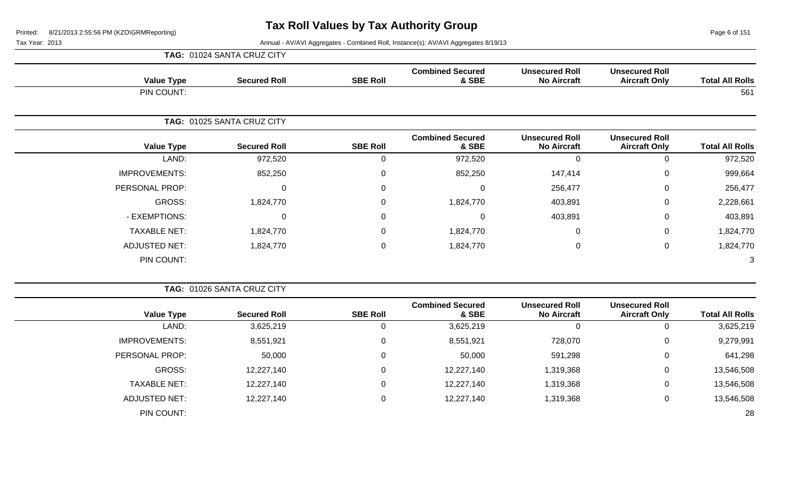| <b>Value Type</b>    | <b>Secured Roll</b>        | <b>SBE Roll</b> | <b>Combined Secured</b><br>& SBE | <b>Unsecured Roll</b><br><b>No Aircraft</b> | <b>Unsecured Roll</b><br><b>Aircraft Only</b> | <b>Total All Rolls</b> |
|----------------------|----------------------------|-----------------|----------------------------------|---------------------------------------------|-----------------------------------------------|------------------------|
| PIN COUNT:           |                            |                 |                                  |                                             |                                               | 561                    |
|                      | TAG: 01025 SANTA CRUZ CITY |                 |                                  |                                             |                                               |                        |
| <b>Value Type</b>    | <b>Secured Roll</b>        | <b>SBE Roll</b> | <b>Combined Secured</b><br>& SBE | <b>Unsecured Roll</b><br><b>No Aircraft</b> | <b>Unsecured Roll</b><br><b>Aircraft Only</b> | <b>Total All Rolls</b> |
| LAND:                | 972,520                    | 0               | 972,520                          | $\Omega$                                    | 0                                             | 972,520                |
| <b>IMPROVEMENTS:</b> | 852,250                    | $\mathbf 0$     | 852,250                          | 147,414                                     | $\mathbf 0$                                   | 999,664                |
| PERSONAL PROP:       | $\mathbf 0$                | $\mathbf 0$     | 0                                | 256,477                                     | $\mathbf 0$                                   | 256,477                |
| GROSS:               | 1,824,770                  | $\mathbf 0$     | 1,824,770                        | 403,891                                     | $\mathbf 0$                                   | 2,228,661              |
| - EXEMPTIONS:        | $\mathbf 0$                | $\mathbf 0$     | 0                                | 403,891                                     | $\mathbf 0$                                   | 403,891                |
| <b>TAXABLE NET:</b>  | 1,824,770                  | $\mathbf 0$     | 1,824,770                        | 0                                           | $\mathbf 0$                                   | 1,824,770              |
| <b>ADJUSTED NET:</b> | 1,824,770                  | $\mathbf 0$     | 1,824,770                        | 0                                           | $\mathbf 0$                                   | 1,824,770              |
| PIN COUNT:           |                            |                 |                                  |                                             |                                               | 3                      |

|                        |                                               |                                             |                                  |                 | TAG: 01026 SANTA CRUZ CITY |                      |
|------------------------|-----------------------------------------------|---------------------------------------------|----------------------------------|-----------------|----------------------------|----------------------|
| <b>Total All Rolls</b> | <b>Unsecured Roll</b><br><b>Aircraft Only</b> | <b>Unsecured Roll</b><br><b>No Aircraft</b> | <b>Combined Secured</b><br>& SBE | <b>SBE Roll</b> | <b>Secured Roll</b>        | <b>Value Type</b>    |
| 3,625,219              |                                               | $\overline{0}$                              | 3,625,219                        | 0               | 3,625,219                  | LAND:                |
| 9,279,991              | 0                                             | 728,070                                     | 8,551,921                        | 0               | 8,551,921                  | <b>IMPROVEMENTS:</b> |
| 641,298                | 0                                             | 591,298                                     | 50,000                           | 0               | 50,000                     | PERSONAL PROP:       |
| 13,546,508             | 0                                             | 1,319,368                                   | 12,227,140                       | 0               | 12,227,140                 | GROSS:               |
| 13,546,508             | 0                                             | 1,319,368                                   | 12,227,140                       | 0               | 12,227,140                 | <b>TAXABLE NET:</b>  |
| 13,546,508             | 0                                             | 1,319,368                                   | 12,227,140                       | 0               | 12,227,140                 | <b>ADJUSTED NET:</b> |
| 28                     |                                               |                                             |                                  |                 |                            | PIN COUNT:           |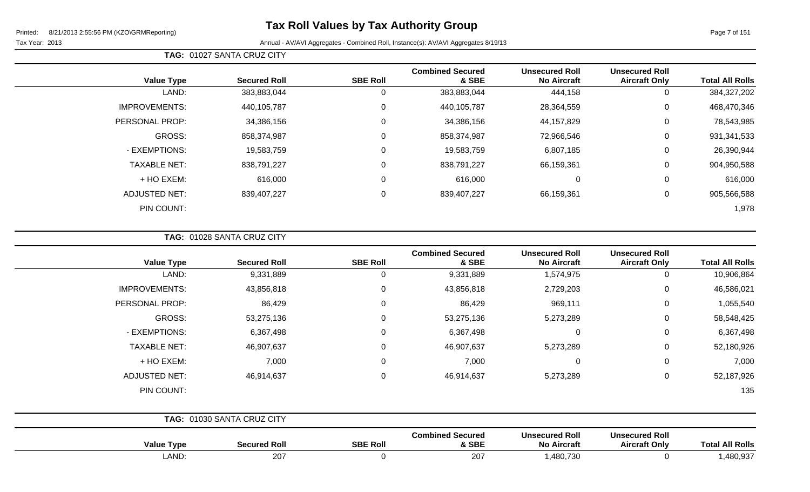Tax Year: 2013 **Annual - AV/AVI Aggregates - Combined Roll**, Instance(s): AV/AVI Aggregates 8/19/13

|                      |                     |                 | <b>Combined Secured</b> | <b>Unsecured Roll</b> | <b>Unsecured Roll</b> |                        |
|----------------------|---------------------|-----------------|-------------------------|-----------------------|-----------------------|------------------------|
| <b>Value Type</b>    | <b>Secured Roll</b> | <b>SBE Roll</b> | & SBE                   | <b>No Aircraft</b>    | <b>Aircraft Only</b>  | <b>Total All Rolls</b> |
| LAND:                | 383,883,044         | 0               | 383,883,044             | 444,158               | U                     | 384,327,202            |
| <b>IMPROVEMENTS:</b> | 440,105,787         | 0               | 440,105,787             | 28,364,559            | 0                     | 468,470,346            |
| PERSONAL PROP:       | 34,386,156          | $\mathbf 0$     | 34,386,156              | 44, 157, 829          | 0                     | 78,543,985             |
| GROSS:               | 858,374,987         | 0               | 858,374,987             | 72,966,546            | 0                     | 931, 341, 533          |
| - EXEMPTIONS:        | 19,583,759          | $\mathbf 0$     | 19,583,759              | 6,807,185             | 0                     | 26,390,944             |
| <b>TAXABLE NET:</b>  | 838,791,227         | $\mathbf 0$     | 838,791,227             | 66,159,361            | 0                     | 904,950,588            |
| + HO EXEM:           | 616,000             | 0               | 616,000                 | 0                     | 0                     | 616,000                |
| <b>ADJUSTED NET:</b> | 839,407,227         | 0               | 839,407,227             | 66,159,361            | 0                     | 905,566,588            |
| PIN COUNT:           |                     |                 |                         |                       |                       | 1,978                  |

**TAG:** 01028 SANTA CRUZ CITY

**TAG:** 01027 SANTA CRUZ CITY

| <b>Total All Rolls</b> | <b>Unsecured Roll</b><br><b>Aircraft Only</b> | <b>Unsecured Roll</b><br><b>No Aircraft</b> | <b>Combined Secured</b><br>& SBE | <b>SBE Roll</b> | <b>Secured Roll</b>        | <b>Value Type</b>    |
|------------------------|-----------------------------------------------|---------------------------------------------|----------------------------------|-----------------|----------------------------|----------------------|
| 10,906,864             | $\mathbf 0$                                   | 1,574,975                                   | 9,331,889                        | 0               | 9,331,889                  | LAND:                |
| 46,586,021             | $\mathbf 0$                                   | 2,729,203                                   | 43,856,818                       | 0               | 43,856,818                 | <b>IMPROVEMENTS:</b> |
| 1,055,540              | $\mathbf 0$                                   | 969,111                                     | 86,429                           | $\mathbf 0$     | 86,429                     | PERSONAL PROP:       |
| 58,548,425             | $\mathbf 0$                                   | 5,273,289                                   | 53,275,136                       | $\mathbf 0$     | 53,275,136                 | GROSS:               |
| 6,367,498              | $\mathbf 0$                                   | $\overline{0}$                              | 6,367,498                        | $\mathbf 0$     | 6,367,498                  | - EXEMPTIONS:        |
| 52,180,926             | 0                                             | 5,273,289                                   | 46,907,637                       | $\mathbf 0$     | 46,907,637                 | <b>TAXABLE NET:</b>  |
| 7,000                  | $\mathbf 0$                                   | $\mathbf 0$                                 | 7,000                            | $\mathbf 0$     | 7,000                      | + HO EXEM:           |
| 52,187,926             | $\mathbf 0$                                   | 5,273,289                                   | 46,914,637                       | $\mathbf 0$     | 46,914,637                 | <b>ADJUSTED NET:</b> |
| 135                    |                                               |                                             |                                  |                 |                            | PIN COUNT:           |
|                        |                                               |                                             |                                  |                 | TAG: 01030 SANTA CRUZ CITY |                      |

| Valu<br>Type | Secured Rol | <b>SBE Roll</b> | Combined Secured<br>& SBE | Unsecured Roll<br><b>No Aircraft</b> | <b>Unsecured Roll</b><br><b>Aircraft Only</b> | <b>All Rolls</b><br>otal |
|--------------|-------------|-----------------|---------------------------|--------------------------------------|-----------------------------------------------|--------------------------|
| <b>LAND</b>  | 207         |                 | 207                       | 480,730                              |                                               | ,480,937                 |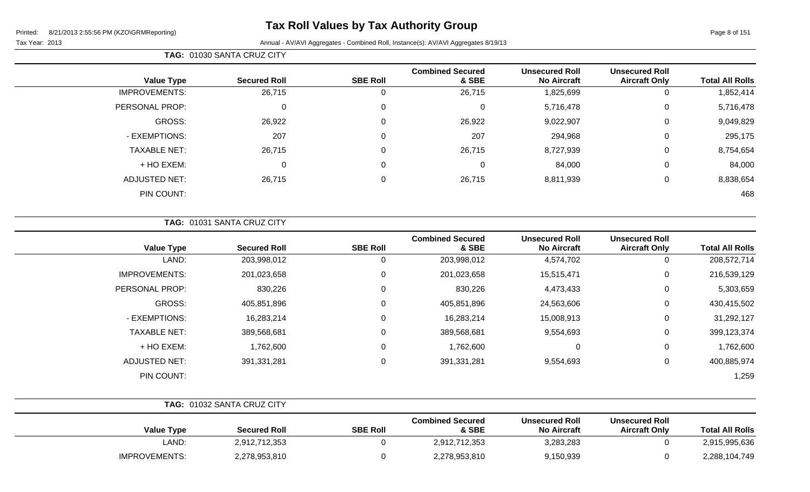# **Tax Roll Values by Tax Authority Group**

|                        |                                               |                                             |                                  |                 | TAG: 01030 SANTA CRUZ CITY |                      |  |
|------------------------|-----------------------------------------------|---------------------------------------------|----------------------------------|-----------------|----------------------------|----------------------|--|
| <b>Total All Rolls</b> | <b>Unsecured Roll</b><br><b>Aircraft Only</b> | <b>Unsecured Roll</b><br><b>No Aircraft</b> | <b>Combined Secured</b><br>& SBE | <b>SBE Roll</b> | <b>Secured Roll</b>        | <b>Value Type</b>    |  |
| 1,852,414              | 0                                             | 1,825,699                                   | 26,715                           | 0               | 26,715                     | <b>IMPROVEMENTS:</b> |  |
| 5,716,478              | 0                                             | 5,716,478                                   | 0                                | 0               | 0                          | PERSONAL PROP:       |  |
| 9,049,829              | 0                                             | 9,022,907                                   | 26,922                           | 0               | 26,922                     | GROSS:               |  |
| 295,175                | 0                                             | 294,968                                     | 207                              | 0               | 207                        | - EXEMPTIONS:        |  |
| 8,754,654              | 0                                             | 8,727,939                                   | 26,715                           | 0               | 26,715                     | <b>TAXABLE NET:</b>  |  |
| 84,000                 | 0                                             | 84,000                                      | 0                                | 0               | 0                          | + HO EXEM:           |  |
| 8,838,654              | 0                                             | 8,811,939                                   | 26,715                           | 0               | 26,715                     | <b>ADJUSTED NET:</b> |  |
| 468                    |                                               |                                             |                                  |                 |                            | PIN COUNT:           |  |

| <b>TAG: 01031 SANTA CRUZ CITY</b> |
|-----------------------------------|
|-----------------------------------|

| <b>Value Type</b>    | <b>Secured Roll</b> | <b>SBE Roll</b> | <b>Combined Secured</b><br>& SBE | <b>Unsecured Roll</b><br><b>No Aircraft</b> | <b>Unsecured Roll</b><br><b>Aircraft Only</b> | <b>Total All Rolls</b> |
|----------------------|---------------------|-----------------|----------------------------------|---------------------------------------------|-----------------------------------------------|------------------------|
| LAND:                | 203,998,012         | 0               | 203,998,012                      | 4,574,702                                   | 0                                             | 208,572,714            |
| <b>IMPROVEMENTS:</b> | 201,023,658         | 0               | 201,023,658                      | 15,515,471                                  | 0                                             | 216,539,129            |
| PERSONAL PROP:       | 830,226             | 0               | 830,226                          | 4,473,433                                   | 0                                             | 5,303,659              |
| GROSS:               | 405,851,896         | 0               | 405,851,896                      | 24,563,606                                  | 0                                             | 430,415,502            |
| - EXEMPTIONS:        | 16,283,214          | 0               | 16,283,214                       | 15,008,913                                  | 0                                             | 31,292,127             |
| <b>TAXABLE NET:</b>  | 389,568,681         | 0               | 389,568,681                      | 9,554,693                                   | 0                                             | 399,123,374            |
| $+$ HO EXEM:         | 1,762,600           | 0               | 1,762,600                        | 0                                           | 0                                             | 1,762,600              |
| <b>ADJUSTED NET:</b> | 391,331,281         | 0               | 391,331,281                      | 9,554,693                                   | 0                                             | 400,885,974            |
| PIN COUNT:           |                     |                 |                                  |                                             |                                               | 1,259                  |

|                      | <b>TAG: 01032 SANTA CRUZ CITY</b> |                 |                                  |                                             |                                               |                        |
|----------------------|-----------------------------------|-----------------|----------------------------------|---------------------------------------------|-----------------------------------------------|------------------------|
| <b>Value Type</b>    | <b>Secured Roll</b>               | <b>SBE Roll</b> | <b>Combined Secured</b><br>& SBE | <b>Unsecured Roll</b><br><b>No Aircraft</b> | <b>Unsecured Roll</b><br><b>Aircraft Only</b> | <b>Total All Rolls</b> |
| LAND:                | 2,912,712,353                     |                 | 2,912,712,353                    | 3,283,283                                   |                                               | 2,915,995,636          |
| <b>IMPROVEMENTS:</b> | 2,278,953,810                     |                 | 2,278,953,810                    | 9,150,939                                   |                                               | 2,288,104,749          |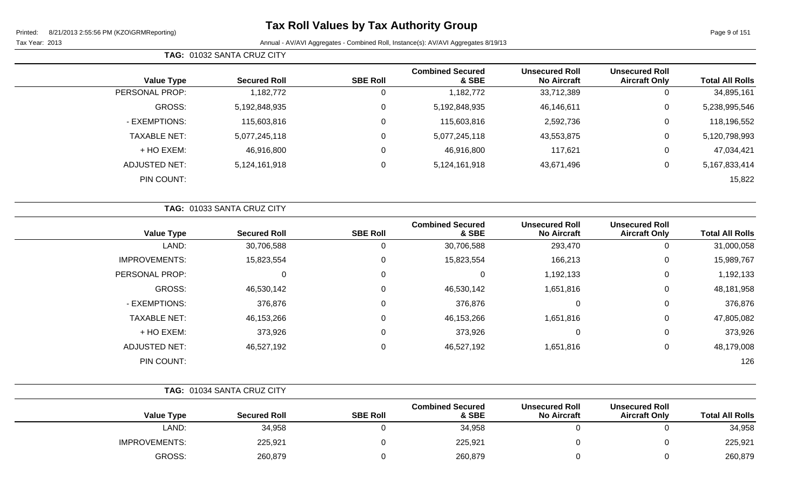Page 9 of 151

|                |                     | TAG: 01032 SANTA CRUZ CITY |                 |                                  |                                             |                                               |                        |
|----------------|---------------------|----------------------------|-----------------|----------------------------------|---------------------------------------------|-----------------------------------------------|------------------------|
|                | <b>Value Type</b>   | <b>Secured Roll</b>        | <b>SBE Roll</b> | <b>Combined Secured</b><br>& SBE | <b>Unsecured Roll</b><br><b>No Aircraft</b> | <b>Unsecured Roll</b><br><b>Aircraft Only</b> | <b>Total All Rolls</b> |
| PERSONAL PROP: |                     | 1,182,772                  | 0               | 1,182,772                        | 33,712,389                                  | 0                                             | 34,895,161             |
|                | GROSS:              | 5,192,848,935              | 0               | 5,192,848,935                    | 46,146,611                                  | 0                                             | 5,238,995,546          |
|                | - EXEMPTIONS:       | 115,603,816                | 0               | 115,603,816                      | 2,592,736                                   | 0                                             | 118,196,552            |
|                | <b>TAXABLE NET:</b> | 5,077,245,118              | $\mathbf 0$     | 5,077,245,118                    | 43,553,875                                  | 0                                             | 5,120,798,993          |
|                | + HO EXEM:          | 46,916,800                 | 0               | 46,916,800                       | 117,621                                     | $\overline{0}$                                | 47,034,421             |
|                | ADJUSTED NET:       | 5,124,161,918              | 0               | 5,124,161,918                    | 43,671,496                                  | 0                                             | 5,167,833,414          |
|                | PIN COUNT:          |                            |                 |                                  |                                             |                                               | 15,822                 |

|                      | TAG: 01033 SANTA CRUZ CITY |                 |                                  |                                             |                                               |                        |  |
|----------------------|----------------------------|-----------------|----------------------------------|---------------------------------------------|-----------------------------------------------|------------------------|--|
| <b>Value Type</b>    | <b>Secured Roll</b>        | <b>SBE Roll</b> | <b>Combined Secured</b><br>& SBE | <b>Unsecured Roll</b><br><b>No Aircraft</b> | <b>Unsecured Roll</b><br><b>Aircraft Only</b> | <b>Total All Rolls</b> |  |
| LAND:                | 30,706,588                 | 0               | 30,706,588                       | 293,470                                     | 0                                             | 31,000,058             |  |
| <b>IMPROVEMENTS:</b> | 15,823,554                 | 0               | 15,823,554                       | 166,213                                     | $\mathbf 0$                                   | 15,989,767             |  |
| PERSONAL PROP:       | 0                          | 0               | 0                                | 1,192,133                                   | $\mathbf 0$                                   | 1,192,133              |  |
| GROSS:               | 46,530,142                 | 0               | 46,530,142                       | 1,651,816                                   | 0                                             | 48,181,958             |  |
| - EXEMPTIONS:        | 376,876                    | 0               | 376,876                          | 0                                           | 0                                             | 376,876                |  |
| <b>TAXABLE NET:</b>  | 46,153,266                 | 0               | 46,153,266                       | 1,651,816                                   | $\mathbf 0$                                   | 47,805,082             |  |
| + HO EXEM:           | 373,926                    | 0               | 373,926                          | 0                                           | $\mathbf 0$                                   | 373,926                |  |
| <b>ADJUSTED NET:</b> | 46,527,192                 | 0               | 46,527,192                       | 1,651,816                                   | $\mathbf 0$                                   | 48,179,008             |  |
| PIN COUNT:           |                            |                 |                                  |                                             |                                               | 126                    |  |

|                        |                                               |                                             |                                  |                 | TAG: 01034 SANTA CRUZ CITY |                      |
|------------------------|-----------------------------------------------|---------------------------------------------|----------------------------------|-----------------|----------------------------|----------------------|
| <b>Total All Rolls</b> | <b>Unsecured Roll</b><br><b>Aircraft Only</b> | <b>Unsecured Roll</b><br><b>No Aircraft</b> | <b>Combined Secured</b><br>& SBE | <b>SBE Roll</b> | <b>Secured Roll</b>        | <b>Value Type</b>    |
| 34,958                 |                                               |                                             | 34,958                           |                 | 34,958                     | LAND:                |
| 225,921                |                                               |                                             | 225,921                          |                 | 225,921                    | <b>IMPROVEMENTS:</b> |
| 260,879                |                                               |                                             | 260,879                          |                 | 260,879                    | GROSS:               |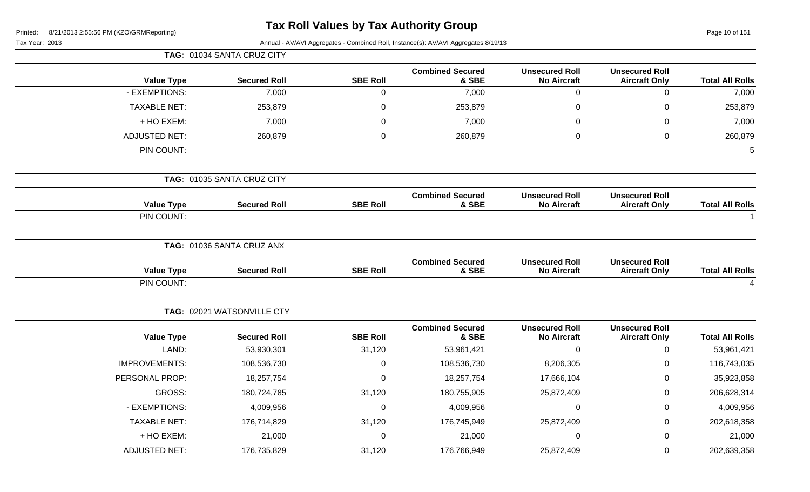| Printed: | 8/21/2013 2:55:56 PM (KZO\GRMReporting) |
|----------|-----------------------------------------|
|----------|-----------------------------------------|

# **Tax Roll Values by Tax Authority Group**

Page 10 of 151

|                        |                                               |                                             |                                  |                  | TAG: 01034 SANTA CRUZ CITY |                      |  |  |
|------------------------|-----------------------------------------------|---------------------------------------------|----------------------------------|------------------|----------------------------|----------------------|--|--|
| <b>Total All Rolls</b> | <b>Unsecured Roll</b><br><b>Aircraft Only</b> | <b>Unsecured Roll</b><br><b>No Aircraft</b> | <b>Combined Secured</b><br>& SBE | <b>SBE Roll</b>  | <b>Secured Roll</b>        | <b>Value Type</b>    |  |  |
| 7,000                  | $\pmb{0}$                                     | $\mathbf 0$                                 | 7,000                            | $\mathbf 0$      | 7,000                      | - EXEMPTIONS:        |  |  |
| 253,879                | $\mathbf 0$                                   | $\mathbf 0$                                 | 253,879                          | $\mathbf 0$      | 253,879                    | <b>TAXABLE NET:</b>  |  |  |
| 7,000                  | $\Omega$                                      | 0                                           | 7,000                            | 0                | 7,000                      | + HO EXEM:           |  |  |
| 260,879                | $\mathbf 0$                                   | $\mathbf 0$                                 | 260,879                          | $\mathbf 0$      | 260,879                    | <b>ADJUSTED NET:</b> |  |  |
| 5                      |                                               |                                             |                                  |                  |                            | PIN COUNT:           |  |  |
|                        |                                               |                                             |                                  |                  | TAG: 01035 SANTA CRUZ CITY |                      |  |  |
| <b>Total All Rolls</b> | <b>Unsecured Roll</b><br><b>Aircraft Only</b> | <b>Unsecured Roll</b><br><b>No Aircraft</b> | <b>Combined Secured</b><br>& SBE | <b>SBE Roll</b>  | <b>Secured Roll</b>        | <b>Value Type</b>    |  |  |
| $\overline{1}$         |                                               |                                             |                                  |                  |                            | PIN COUNT:           |  |  |
|                        |                                               |                                             |                                  |                  | TAG: 01036 SANTA CRUZ ANX  |                      |  |  |
| <b>Total All Rolls</b> | <b>Unsecured Roll</b><br><b>Aircraft Only</b> | <b>Unsecured Roll</b><br><b>No Aircraft</b> | <b>Combined Secured</b><br>& SBE | <b>SBE Roll</b>  | <b>Secured Roll</b>        | <b>Value Type</b>    |  |  |
|                        |                                               |                                             |                                  |                  |                            | PIN COUNT:           |  |  |
|                        |                                               |                                             |                                  |                  | TAG: 02021 WATSONVILLE CTY |                      |  |  |
| <b>Total All Rolls</b> | <b>Unsecured Roll</b><br><b>Aircraft Only</b> | <b>Unsecured Roll</b><br><b>No Aircraft</b> | <b>Combined Secured</b><br>& SBE | <b>SBE Roll</b>  | <b>Secured Roll</b>        | <b>Value Type</b>    |  |  |
| 53,961,421             | $\mathbf 0$                                   | $\mathbf 0$                                 | 53,961,421                       | 31,120           | 53,930,301                 | LAND:                |  |  |
| 116,743,035            | $\mathbf 0$                                   | 8,206,305                                   | 108,536,730                      | $\boldsymbol{0}$ | 108,536,730                | <b>IMPROVEMENTS:</b> |  |  |
| 35,923,858             | $\Omega$                                      | 17,666,104                                  | 18,257,754                       | $\mathbf 0$      | 18,257,754                 | PERSONAL PROP:       |  |  |
| 206,628,314            | $\mathbf 0$                                   | 25,872,409                                  | 180,755,905                      | 31,120           | 180,724,785                | GROSS:               |  |  |
| 4,009,956              | $\mathbf 0$                                   | $\mathbf 0$                                 | 4,009,956                        | $\mathbf 0$      | 4,009,956                  | - EXEMPTIONS:        |  |  |
| 202,618,358            | 0                                             | 25,872,409                                  | 176,745,949                      | 31,120           | 176,714,829                | <b>TAXABLE NET:</b>  |  |  |
| 21,000                 | $\Omega$                                      | $\mathbf 0$                                 | 21,000                           | $\mathbf 0$      | 21,000                     | + HO EXEM:           |  |  |
| 202,639,358            | 0                                             | 25,872,409                                  | 176,766,949                      | 31,120           | 176,735,829                | <b>ADJUSTED NET:</b> |  |  |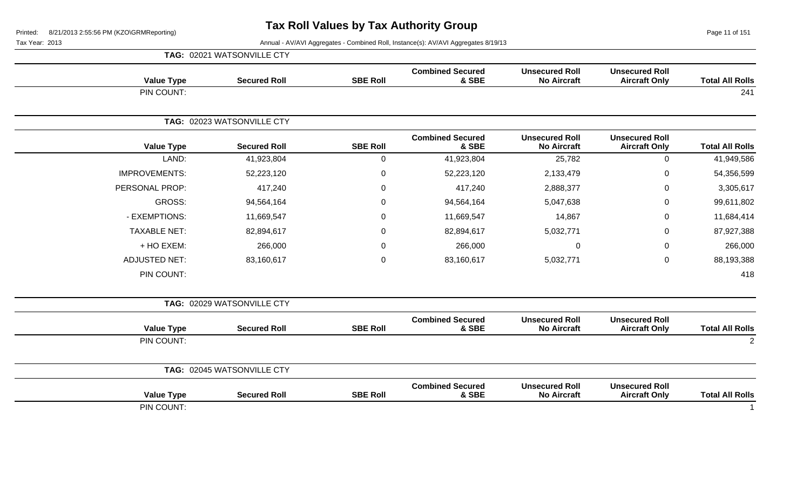Page 11 of 151

|                        |                                               |                                             |                                  |                 | TAG: 02021 WATSONVILLE CTY |                      |
|------------------------|-----------------------------------------------|---------------------------------------------|----------------------------------|-----------------|----------------------------|----------------------|
| <b>Total All Rolls</b> | <b>Unsecured Roll</b><br><b>Aircraft Only</b> | <b>Unsecured Roll</b><br><b>No Aircraft</b> | <b>Combined Secured</b><br>& SBE | <b>SBE Roll</b> | <b>Secured Roll</b>        | <b>Value Type</b>    |
| 241                    |                                               |                                             |                                  |                 |                            | PIN COUNT:           |
|                        |                                               |                                             |                                  |                 | TAG: 02023 WATSONVILLE CTY |                      |
| <b>Total All Rolls</b> | <b>Unsecured Roll</b><br><b>Aircraft Only</b> | <b>Unsecured Roll</b><br><b>No Aircraft</b> | <b>Combined Secured</b><br>& SBE | <b>SBE Roll</b> | <b>Secured Roll</b>        | <b>Value Type</b>    |
| 41,949,586             | $\mathbf 0$                                   | 25,782                                      | 41,923,804                       | $\mathbf 0$     | 41,923,804                 | LAND:                |
| 54,356,599             | 0                                             | 2,133,479                                   | 52,223,120                       | 0               | 52,223,120                 | <b>IMPROVEMENTS:</b> |
| 3,305,617              | $\mathbf 0$                                   | 2,888,377                                   | 417,240                          | 0               | 417,240                    | PERSONAL PROP:       |
| 99,611,802             | 0                                             | 5,047,638                                   | 94,564,164                       | 0               | 94,564,164                 | <b>GROSS:</b>        |
| 11,684,414             | $\mathbf 0$                                   | 14,867                                      | 11,669,547                       | 0               | 11,669,547                 | - EXEMPTIONS:        |
| 87,927,388             | $\mathsf 0$                                   | 5,032,771                                   | 82,894,617                       | 0               | 82,894,617                 | <b>TAXABLE NET:</b>  |
| 266,000                | $\mathbf 0$                                   | 0                                           | 266,000                          | 0               | 266,000                    | + HO EXEM:           |
| 88,193,388             | $\mathsf 0$                                   | 5,032,771                                   | 83,160,617                       | $\mathbf 0$     | 83,160,617                 | <b>ADJUSTED NET:</b> |
| 418                    |                                               |                                             |                                  |                 |                            | PIN COUNT:           |
|                        |                                               |                                             |                                  |                 | TAG: 02029 WATSONVILLE CTY |                      |
| <b>Total All Rolls</b> | <b>Unsecured Roll</b><br><b>Aircraft Only</b> | <b>Unsecured Roll</b><br><b>No Aircraft</b> | <b>Combined Secured</b><br>& SBE | <b>SBE Roll</b> | <b>Secured Roll</b>        | <b>Value Type</b>    |
| $\overline{2}$         |                                               |                                             |                                  |                 |                            | PIN COUNT:           |
|                        |                                               |                                             |                                  |                 | TAG: 02045 WATSONVILLE CTY |                      |
| <b>Total All Rolls</b> | <b>Unsecured Roll</b><br><b>Aircraft Only</b> | <b>Unsecured Roll</b><br><b>No Aircraft</b> | <b>Combined Secured</b><br>& SBE | <b>SBE Roll</b> | <b>Secured Roll</b>        | <b>Value Type</b>    |
|                        |                                               |                                             |                                  |                 |                            | PIN COUNT:           |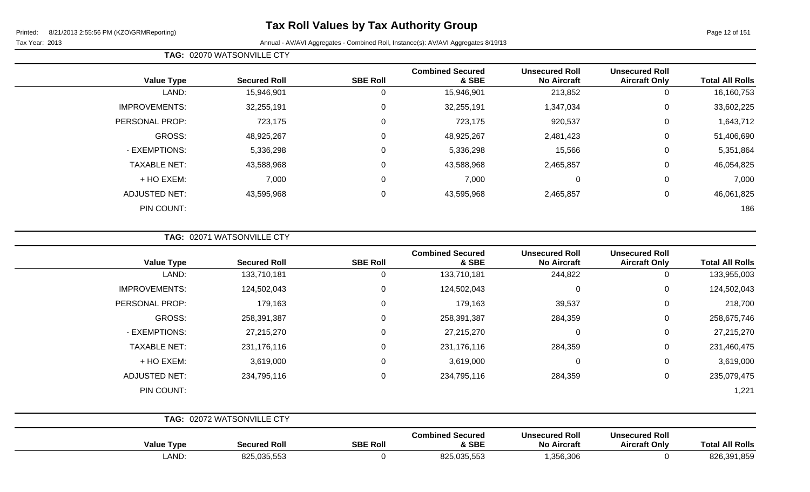# **Tax Roll Values by Tax Authority Group**

Page 12 of 151

### Tax Year: 2013 **Annual - AV/AVI Aggregates - Combined Roll**, Instance(s): AV/AVI Aggregates 8/19/13

|  | <b>TAG: 02070 WATSONVILLE CTY</b> |  |
|--|-----------------------------------|--|
|--|-----------------------------------|--|

| <b>Value Type</b>    | <b>Secured Roll</b> | <b>SBE Roll</b> | <b>Combined Secured</b><br>& SBE | <b>Unsecured Roll</b><br><b>No Aircraft</b> | <b>Unsecured Roll</b><br><b>Aircraft Only</b> | <b>Total All Rolls</b> |
|----------------------|---------------------|-----------------|----------------------------------|---------------------------------------------|-----------------------------------------------|------------------------|
| LAND:                | 15,946,901          | 0               | 15,946,901                       | 213,852                                     | 0                                             | 16,160,753             |
| <b>IMPROVEMENTS:</b> | 32,255,191          | $\mathbf 0$     | 32,255,191                       | 1,347,034                                   | 0                                             | 33,602,225             |
| PERSONAL PROP:       | 723,175             | $\mathbf 0$     | 723,175                          | 920,537                                     | 0                                             | 1,643,712              |
| GROSS:               | 48,925,267          | $\overline{0}$  | 48,925,267                       | 2,481,423                                   | 0                                             | 51,406,690             |
| - EXEMPTIONS:        | 5,336,298           | 0               | 5,336,298                        | 15,566                                      | 0                                             | 5,351,864              |
| <b>TAXABLE NET:</b>  | 43,588,968          | $\mathbf 0$     | 43,588,968                       | 2,465,857                                   | $\Omega$                                      | 46,054,825             |
| + HO EXEM:           | 7,000               | $\mathbf 0$     | 7,000                            | 0                                           | $\Omega$                                      | 7,000                  |
| <b>ADJUSTED NET:</b> | 43,595,968          | 0               | 43,595,968                       | 2,465,857                                   | $\Omega$                                      | 46,061,825             |
| PIN COUNT:           |                     |                 |                                  |                                             |                                               | 186                    |

**TAG:** 02071 WATSONVILLE CTY

| <b>Value Type</b>    | <b>Secured Roll</b>        | <b>SBE Roll</b> | <b>Combined Secured</b><br>& SBE | <b>Unsecured Roll</b><br><b>No Aircraft</b> | <b>Unsecured Roll</b><br><b>Aircraft Only</b> | <b>Total All Rolls</b> |
|----------------------|----------------------------|-----------------|----------------------------------|---------------------------------------------|-----------------------------------------------|------------------------|
| LAND:                | 133,710,181                | 0               | 133,710,181                      | 244,822                                     | 0                                             | 133,955,003            |
| <b>IMPROVEMENTS:</b> | 124,502,043                | 0               | 124,502,043                      | 0                                           | 0                                             | 124,502,043            |
| PERSONAL PROP:       | 179,163                    | $\mathbf 0$     | 179,163                          | 39,537                                      | $\mathbf 0$                                   | 218,700                |
| GROSS:               | 258,391,387                | 0               | 258,391,387                      | 284,359                                     | 0                                             | 258,675,746            |
| - EXEMPTIONS:        | 27,215,270                 | 0               | 27,215,270                       | $\mathbf 0$                                 | 0                                             | 27,215,270             |
| <b>TAXABLE NET:</b>  | 231,176,116                | 0               | 231,176,116                      | 284,359                                     | 0                                             | 231,460,475            |
| + HO EXEM:           | 3,619,000                  | $\mathbf 0$     | 3,619,000                        | $\mathbf 0$                                 | 0                                             | 3,619,000              |
| <b>ADJUSTED NET:</b> | 234,795,116                | $\Omega$        | 234,795,116                      | 284,359                                     | $\mathbf 0$                                   | 235,079,475            |
| PIN COUNT:           |                            |                 |                                  |                                             |                                               | 1,221                  |
|                      | TAG: 02072 WATSONVILLE CTY |                 |                                  |                                             |                                               |                        |

| Value<br>Type | <b>Secured Roll</b>       | <b>SBE Roll</b> | <b>Combined Secured</b><br>& SBE | <b>Unsecured Roll</b><br><b>No Aircraft</b> | <b>Unsecured Roll</b><br><b>Aircraft Only</b> | Tota<br><b>All Rolls</b> |
|---------------|---------------------------|-----------------|----------------------------------|---------------------------------------------|-----------------------------------------------|--------------------------|
| _AND:         | 925035552<br>ັບ∠ບ,ບບບ,ບບບ |                 | 825,035,553                      | 1,356,306                                   |                                               | 826,39<br>,391,859       |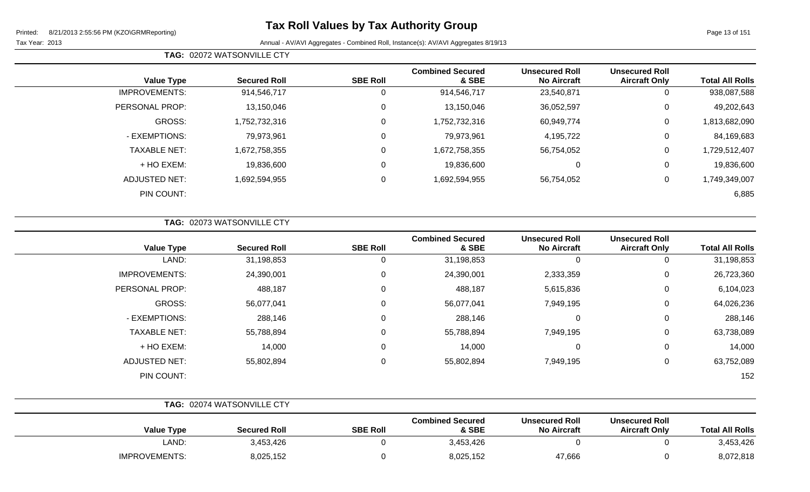**TAG:** 02072 WATSONVILLE CTY

Page 13 of 151

| <b>Total All Rolls</b> | <b>Unsecured Roll</b><br><b>Aircraft Only</b> | <b>Unsecured Roll</b><br><b>No Aircraft</b> | <b>Combined Secured</b><br>& SBE | <b>SBE Roll</b> | <b>Secured Roll</b> | <b>Value Type</b>    |
|------------------------|-----------------------------------------------|---------------------------------------------|----------------------------------|-----------------|---------------------|----------------------|
| 938,087,588            | 0                                             | 23,540,871                                  | 914,546,717                      |                 | 914,546,717         | <b>IMPROVEMENTS:</b> |
| 49,202,643             | 0                                             | 36,052,597                                  | 13,150,046                       | 0               | 13,150,046          | PERSONAL PROP:       |
| 1,813,682,090          | 0                                             | 60,949,774                                  | 1,752,732,316                    | 0               | 1,752,732,316       | GROSS:               |
| 84,169,683             | $\mathbf 0$                                   | 4,195,722                                   | 79,973,961                       | $\Omega$        | 79,973,961          | - EXEMPTIONS:        |
| 1,729,512,407          | 0                                             | 56,754,052                                  | 1,672,758,355                    | $\Omega$        | 1,672,758,355       | <b>TAXABLE NET:</b>  |
| 19,836,600             | 0                                             | 0                                           | 19,836,600                       | 0               | 19,836,600          | + HO EXEM:           |
| 1,749,349,007          | 0                                             | 56,754,052                                  | 1,692,594,955                    |                 | 1,692,594,955       | ADJUSTED NET:        |
| 6,885                  |                                               |                                             |                                  |                 |                     | PIN COUNT:           |

|                      | TAG: 02073 WATSONVILLE CTY |                 |                                  |                                             |                                               |                        |
|----------------------|----------------------------|-----------------|----------------------------------|---------------------------------------------|-----------------------------------------------|------------------------|
| <b>Value Type</b>    | <b>Secured Roll</b>        | <b>SBE Roll</b> | <b>Combined Secured</b><br>& SBE | <b>Unsecured Roll</b><br><b>No Aircraft</b> | <b>Unsecured Roll</b><br><b>Aircraft Only</b> | <b>Total All Rolls</b> |
| LAND:                | 31,198,853                 | 0               | 31,198,853                       | 0                                           | 0                                             | 31,198,853             |
| <b>IMPROVEMENTS:</b> | 24,390,001                 | $\mathbf 0$     | 24,390,001                       | 2,333,359                                   | 0                                             | 26,723,360             |
| PERSONAL PROP:       | 488,187                    | 0               | 488,187                          | 5,615,836                                   | 0                                             | 6,104,023              |
| GROSS:               | 56,077,041                 | 0               | 56,077,041                       | 7,949,195                                   | 0                                             | 64,026,236             |
| - EXEMPTIONS:        | 288,146                    | 0               | 288,146                          | 0                                           | 0                                             | 288,146                |
| <b>TAXABLE NET:</b>  | 55,788,894                 | 0               | 55,788,894                       | 7,949,195                                   | 0                                             | 63,738,089             |
| + HO EXEM:           | 14,000                     | 0               | 14,000                           | $\mathbf 0$                                 | 0                                             | 14,000                 |
| <b>ADJUSTED NET:</b> | 55,802,894                 | 0               | 55,802,894                       | 7,949,195                                   | 0                                             | 63,752,089             |
| PIN COUNT:           |                            |                 |                                  |                                             |                                               | 152                    |

|                      | TAG: 02074 WATSONVILLE CTY |                 |                                  |                                             |                                               |                        |
|----------------------|----------------------------|-----------------|----------------------------------|---------------------------------------------|-----------------------------------------------|------------------------|
| <b>Value Type</b>    | <b>Secured Roll</b>        | <b>SBE Roll</b> | <b>Combined Secured</b><br>& SBE | <b>Unsecured Roll</b><br><b>No Aircraft</b> | <b>Unsecured Roll</b><br><b>Aircraft Only</b> | <b>Total All Rolls</b> |
| _AND:                | 3,453,426                  |                 | 3,453,426                        |                                             |                                               | 3,453,426              |
| <b>IMPROVEMENTS:</b> | 8,025,152                  |                 | 8,025,152                        | 47,666                                      |                                               | 8,072,818              |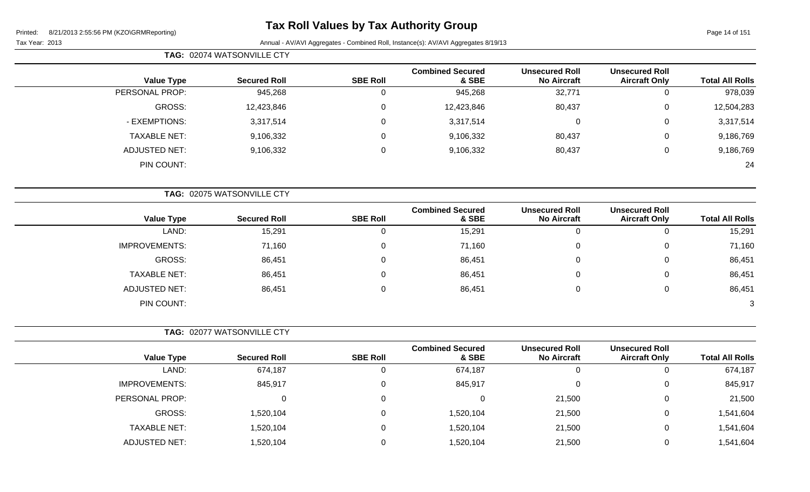# **Tax Roll Values by Tax Authority Group**

|                        |                                               |                                             |                                  |                 | TAG: 02074 WATSONVILLE CTY |                      |
|------------------------|-----------------------------------------------|---------------------------------------------|----------------------------------|-----------------|----------------------------|----------------------|
| <b>Total All Rolls</b> | <b>Unsecured Roll</b><br><b>Aircraft Only</b> | <b>Unsecured Roll</b><br><b>No Aircraft</b> | <b>Combined Secured</b><br>& SBE | <b>SBE Roll</b> | <b>Secured Roll</b>        | <b>Value Type</b>    |
| 978,039                | $\mathbf 0$                                   | 32,771                                      | 945,268                          | $\mathbf 0$     | 945,268                    | PERSONAL PROP:       |
| 12,504,283             | $\boldsymbol{0}$                              | 80,437                                      | 12,423,846                       | $\Omega$        | 12,423,846                 | GROSS:               |
| 3,317,514              | $\mathbf 0$                                   | $\pmb{0}$                                   | 3,317,514                        | 0               | 3,317,514                  | - EXEMPTIONS:        |
| 9,186,769              | $\boldsymbol{0}$                              | 80,437                                      | 9,106,332                        | 0               | 9,106,332                  | <b>TAXABLE NET:</b>  |
| 9,186,769              | 0                                             | 80,437                                      | 9,106,332                        | 0               | 9,106,332                  | <b>ADJUSTED NET:</b> |
| 24                     |                                               |                                             |                                  |                 |                            | PIN COUNT:           |
|                        |                                               |                                             |                                  |                 | TAG: 02075 WATSONVILLE CTY |                      |
| <b>Total All Rolls</b> | <b>Unsecured Roll</b><br><b>Aircraft Only</b> | <b>Unsecured Roll</b><br><b>No Aircraft</b> | <b>Combined Secured</b><br>& SBE | <b>SBE Roll</b> | <b>Secured Roll</b>        | <b>Value Type</b>    |
| 15,291                 | $\boldsymbol{0}$                              | $\overline{0}$                              | 15,291                           | $\mathsf 0$     | 15,291                     | LAND:                |
| 71,160                 | 0                                             | 0                                           | 71,160                           | $\Omega$        | 71,160                     | <b>IMPROVEMENTS:</b> |
| 86,451                 | 0                                             | 0                                           | 86,451                           | 0               | 86,451                     | GROSS:               |
| 86,451                 | 0                                             | 0                                           | 86,451                           | $\Omega$        | 86,451                     | <b>TAXABLE NET:</b>  |
| 86,451                 | $\mathbf 0$                                   | $\mathbf 0$                                 | 86,451                           | $\Omega$        | 86,451                     | <b>ADJUSTED NET:</b> |
| $\sqrt{3}$             |                                               |                                             |                                  |                 |                            | PIN COUNT:           |
|                        |                                               |                                             |                                  |                 | TAG: 02077 WATSONVILLE CTY |                      |
| <b>Total All Rolls</b> | <b>Unsecured Roll</b><br><b>Aircraft Only</b> | <b>Unsecured Roll</b><br><b>No Aircraft</b> | <b>Combined Secured</b><br>& SBE | <b>SBE Roll</b> | <b>Secured Roll</b>        | <b>Value Type</b>    |
| 674,187                | $\mathbf 0$                                   | $\overline{0}$                              | 674,187                          | $\mathbf 0$     | 674,187                    | LAND:                |
| 845,917                | $\boldsymbol{0}$                              | $\mathbf 0$                                 | 845,917                          | 0               | 845,917                    | <b>IMPROVEMENTS:</b> |
| 21,500                 | $\,0\,$                                       | 21,500                                      | $\mathsf 0$                      | 0               | 0                          | PERSONAL PROP:       |
| 1,541,604              | $\boldsymbol{0}$                              | 21,500                                      | 1,520,104                        | $\Omega$        | 1,520,104                  | GROSS:               |
| 1,541,604              | 0                                             | 21,500                                      | 1,520,104                        | $\mathbf 0$     | 1,520,104                  | <b>TAXABLE NET:</b>  |
| 1,541,604              | 0                                             | 21,500                                      | 1,520,104                        | 0               | 1,520,104                  | <b>ADJUSTED NET:</b> |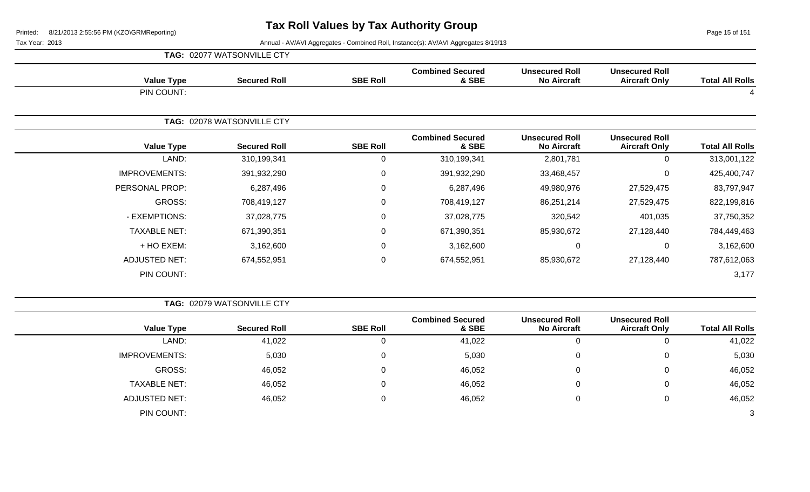Page 15 of 151

|                      | TAG: 02077 WATSONVILLE CTY |                 |                                  |                                             |                                               |                        |
|----------------------|----------------------------|-----------------|----------------------------------|---------------------------------------------|-----------------------------------------------|------------------------|
| <b>Value Type</b>    | <b>Secured Roll</b>        | <b>SBE Roll</b> | <b>Combined Secured</b><br>& SBE | <b>Unsecured Roll</b><br><b>No Aircraft</b> | <b>Unsecured Roll</b><br><b>Aircraft Only</b> | <b>Total All Rolls</b> |
| PIN COUNT:           |                            |                 |                                  |                                             |                                               |                        |
|                      | TAG: 02078 WATSONVILLE CTY |                 |                                  |                                             |                                               |                        |
| <b>Value Type</b>    | <b>Secured Roll</b>        | <b>SBE Roll</b> | <b>Combined Secured</b><br>& SBE | <b>Unsecured Roll</b><br><b>No Aircraft</b> | <b>Unsecured Roll</b><br><b>Aircraft Only</b> | <b>Total All Rolls</b> |
| LAND:                | 310,199,341                | 0               | 310,199,341                      | 2,801,781                                   | 0                                             | 313,001,122            |
| <b>IMPROVEMENTS:</b> | 391,932,290                | $\mathbf 0$     | 391,932,290                      | 33,468,457                                  | 0                                             | 425,400,747            |
| PERSONAL PROP:       | 6,287,496                  | 0               | 6,287,496                        | 49,980,976                                  | 27,529,475                                    | 83,797,947             |
| GROSS:               | 708,419,127                | 0               | 708,419,127                      | 86,251,214                                  | 27,529,475                                    | 822,199,816            |
| - EXEMPTIONS:        | 37,028,775                 | 0               | 37,028,775                       | 320,542                                     | 401,035                                       | 37,750,352             |
| <b>TAXABLE NET:</b>  | 671,390,351                | $\mathsf 0$     | 671,390,351                      | 85,930,672                                  | 27,128,440                                    | 784,449,463            |
| + HO EXEM:           | 3,162,600                  | $\mathbf 0$     | 3,162,600                        | $\overline{0}$                              | 0                                             | 3,162,600              |
| <b>ADJUSTED NET:</b> | 674,552,951                | $\mathbf 0$     | 674,552,951                      | 85,930,672                                  | 27,128,440                                    | 787,612,063            |
| PIN COUNT:           |                            |                 |                                  |                                             |                                               | 3,177                  |

|                        |                                               |                                             |                                  |                 | TAG: 02079 WATSONVILLE CTY |                      |
|------------------------|-----------------------------------------------|---------------------------------------------|----------------------------------|-----------------|----------------------------|----------------------|
| <b>Total All Rolls</b> | <b>Unsecured Roll</b><br><b>Aircraft Only</b> | <b>Unsecured Roll</b><br><b>No Aircraft</b> | <b>Combined Secured</b><br>& SBE | <b>SBE Roll</b> | <b>Secured Roll</b>        | <b>Value Type</b>    |
| 41,022                 | U                                             | 0                                           | 41,022                           | 0               | 41,022                     | LAND:                |
| 5,030                  | 0                                             | 0                                           | 5,030                            | 0               | 5,030                      | <b>IMPROVEMENTS:</b> |
| 46,052                 | $\mathbf{0}$                                  | $\Omega$                                    | 46,052                           | $\Omega$        | 46,052                     | GROSS:               |
| 46,052                 | 0                                             | 0                                           | 46,052                           | 0               | 46,052                     | <b>TAXABLE NET:</b>  |
| 46,052                 | 0                                             | 0                                           | 46,052                           | $\Omega$        | 46,052                     | <b>ADJUSTED NET:</b> |
| 3                      |                                               |                                             |                                  |                 |                            | PIN COUNT:           |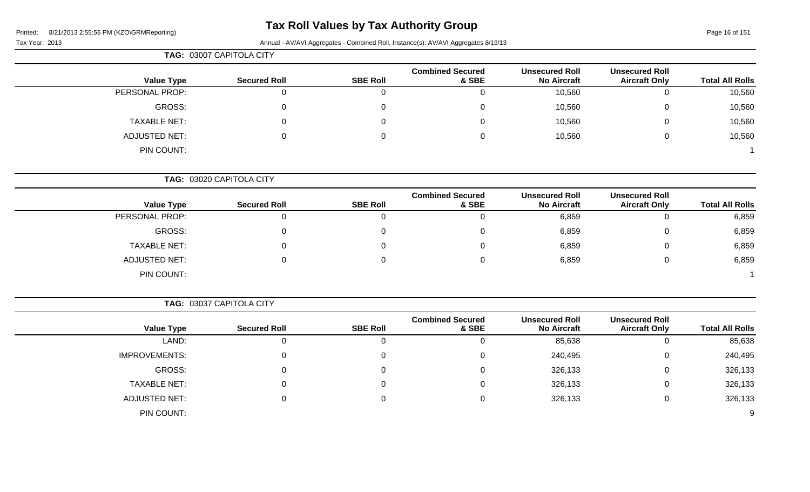# **Tax Roll Values by Tax Authority Group**

### Tax Year: 2013 Annual - AV/AVI Aggregates - Combined Roll, Instance(s): AV/AVI Aggregates 8/19/13

| TAG: 03007 CAPITOLA CITY |
|--------------------------|

| <b>Secured Roll</b> | <b>SBE Roll</b> | <b>Combined Secured</b><br>& SBE | <b>Unsecured Roll</b><br><b>No Aircraft</b> | <b>Unsecured Roll</b><br><b>Aircraft Only</b> | <b>Total All Rolls</b> |
|---------------------|-----------------|----------------------------------|---------------------------------------------|-----------------------------------------------|------------------------|
|                     |                 |                                  | 10,560                                      |                                               | 10,560                 |
|                     |                 |                                  | 10,560                                      |                                               | 10,560                 |
| 0                   |                 |                                  | 10,560                                      |                                               | 10,560                 |
|                     |                 |                                  | 10,560                                      |                                               | 10,560                 |
|                     |                 |                                  |                                             |                                               |                        |
|                     |                 |                                  |                                             |                                               |                        |

**TAG:** 03020 CAPITOLA CITY

| <b>Value Type</b>    | <b>Secured Roll</b> | <b>SBE Roll</b> | <b>Combined Secured</b><br>& SBE | <b>Unsecured Roll</b><br><b>No Aircraft</b> | <b>Unsecured Roll</b><br><b>Aircraft Only</b> | <b>Total All Rolls</b> |
|----------------------|---------------------|-----------------|----------------------------------|---------------------------------------------|-----------------------------------------------|------------------------|
| PERSONAL PROP:       | J.                  | 0               |                                  | 6,859                                       | U                                             | 6,859                  |
| GROSS:               | 0                   | 0               |                                  | 6,859                                       | 0                                             | 6,859                  |
| <b>TAXABLE NET:</b>  | U                   | $\mathbf{0}$    |                                  | 6,859                                       | 0                                             | 6,859                  |
| <b>ADJUSTED NET:</b> | 0                   | 0               |                                  | 6,859                                       | O                                             | 6,859                  |
| PIN COUNT:           |                     |                 |                                  |                                             |                                               |                        |

|                      |                     |                 | <b>Combined Secured</b> | <b>Unsecured Roll</b> | <b>Unsecured Roll</b> |                        |
|----------------------|---------------------|-----------------|-------------------------|-----------------------|-----------------------|------------------------|
| <b>Value Type</b>    | <b>Secured Roll</b> | <b>SBE Roll</b> | & SBE                   | <b>No Aircraft</b>    | <b>Aircraft Only</b>  | <b>Total All Rolls</b> |
| LAND:                |                     |                 |                         | 85,638                |                       | 85,638                 |
| <b>IMPROVEMENTS:</b> |                     |                 |                         | 240,495               |                       | 240,495                |
| GROSS:               |                     |                 |                         | 326,133               |                       | 326,133                |
| <b>TAXABLE NET:</b>  |                     |                 |                         | 326,133               |                       | 326,133                |
| <b>ADJUSTED NET:</b> |                     |                 |                         | 326,133               |                       | 326,133                |
| PIN COUNT:           |                     |                 |                         |                       |                       | 9                      |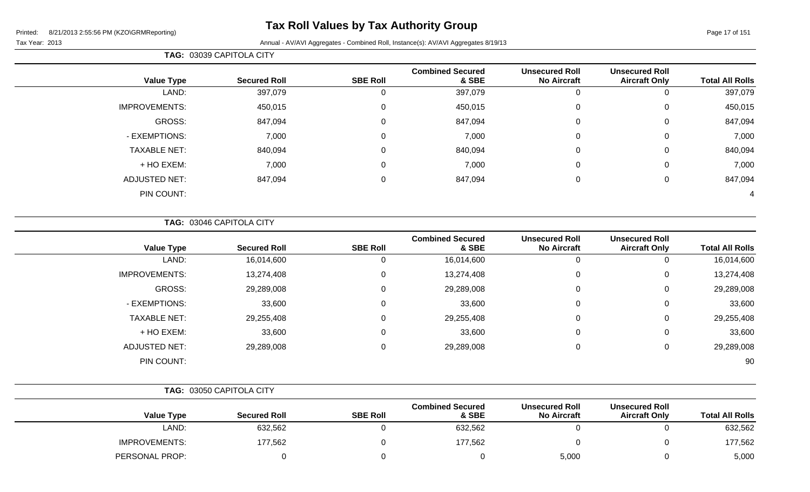Page 17 of 151

Tax Year: 2013 Annual - AV/AVI Aggregates - Combined Roll, Instance(s): AV/AVI Aggregates 8/19/13

|                      | TAG: 03039 CAPITOLA CITY |                 |                                  |                                             |                                               |                        |  |  |  |  |
|----------------------|--------------------------|-----------------|----------------------------------|---------------------------------------------|-----------------------------------------------|------------------------|--|--|--|--|
| <b>Value Type</b>    | <b>Secured Roll</b>      | <b>SBE Roll</b> | <b>Combined Secured</b><br>& SBE | <b>Unsecured Roll</b><br><b>No Aircraft</b> | <b>Unsecured Roll</b><br><b>Aircraft Only</b> | <b>Total All Rolls</b> |  |  |  |  |
| LAND:                | 397,079                  |                 | 397,079                          | $\Omega$                                    |                                               | 397,079                |  |  |  |  |
| <b>IMPROVEMENTS:</b> | 450,015                  | $\Omega$        | 450,015                          | $\mathbf 0$                                 | 0                                             | 450,015                |  |  |  |  |
| GROSS:               | 847,094                  | 0               | 847,094                          | $\mathbf 0$                                 | 0                                             | 847,094                |  |  |  |  |
| - EXEMPTIONS:        | 7,000                    | $\Omega$        | 7,000                            | $\mathbf 0$                                 | 0                                             | 7,000                  |  |  |  |  |
| <b>TAXABLE NET:</b>  | 840,094                  | $\Omega$        | 840,094                          | $\mathbf 0$                                 | 0                                             | 840,094                |  |  |  |  |
| + HO EXEM:           | 7,000                    | $\overline{0}$  | 7,000                            | $\mathbf 0$                                 | $\mathbf 0$                                   | 7,000                  |  |  |  |  |
| <b>ADJUSTED NET:</b> | 847,094                  | $\mathbf 0$     | 847,094                          | $\mathbf 0$                                 | $\mathbf 0$                                   | 847,094                |  |  |  |  |
| PIN COUNT:           |                          |                 |                                  |                                             |                                               | 4                      |  |  |  |  |

**TAG:** 03046 CAPITOLA CITY

| <b>Value Type</b>    | <b>Secured Roll</b> | <b>SBE Roll</b> | <b>Combined Secured</b><br>& SBE | <b>Unsecured Roll</b><br><b>No Aircraft</b> | <b>Unsecured Roll</b><br><b>Aircraft Only</b> | <b>Total All Rolls</b> |
|----------------------|---------------------|-----------------|----------------------------------|---------------------------------------------|-----------------------------------------------|------------------------|
| LAND:                | 16,014,600          |                 | 16,014,600                       | 0                                           | Ü                                             | 16,014,600             |
| <b>IMPROVEMENTS:</b> | 13,274,408          | 0               | 13,274,408                       | 0                                           | 0                                             | 13,274,408             |
| GROSS:               | 29,289,008          | 0               | 29,289,008                       | 0                                           | 0                                             | 29,289,008             |
| - EXEMPTIONS:        | 33,600              | 0               | 33,600                           | 0                                           | 0                                             | 33,600                 |
| <b>TAXABLE NET:</b>  | 29,255,408          | $\Omega$        | 29,255,408                       | 0                                           | 0                                             | 29,255,408             |
| + HO EXEM:           | 33,600              | $\Omega$        | 33,600                           | 0                                           | 0                                             | 33,600                 |
| <b>ADJUSTED NET:</b> | 29,289,008          | 0               | 29,289,008                       | 0                                           | 0                                             | 29,289,008             |
| PIN COUNT:           |                     |                 |                                  |                                             |                                               | 90                     |

|                      | TAG: 03050 CAPITOLA CITY |                 |                                  |                                             |                                               |                        |  |
|----------------------|--------------------------|-----------------|----------------------------------|---------------------------------------------|-----------------------------------------------|------------------------|--|
| <b>Value Type</b>    | <b>Secured Roll</b>      | <b>SBE Roll</b> | <b>Combined Secured</b><br>& SBE | <b>Unsecured Roll</b><br><b>No Aircraft</b> | <b>Unsecured Roll</b><br><b>Aircraft Only</b> | <b>Total All Rolls</b> |  |
| LAND:                | 632,562                  |                 | 632,562                          |                                             |                                               | 632,562                |  |
| <b>IMPROVEMENTS:</b> | 177,562                  |                 | 177,562                          |                                             |                                               | 177,562                |  |
| PERSONAL PROP:       |                          |                 |                                  | 5,000                                       |                                               | 5,000                  |  |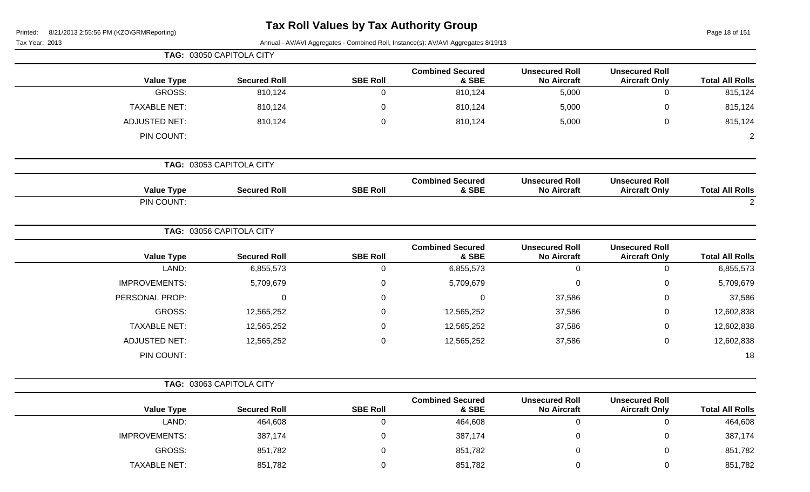| Printed: | 8/21/2013 2:55:56 PM (KZO\GRMReporting) |
|----------|-----------------------------------------|
|          |                                         |

# **Tax Roll Values by Tax Authority Group**

Page 18 of 151

|                        |                                               |                                             |                                  |                 | TAG: 03050 CAPITOLA CITY |                      |
|------------------------|-----------------------------------------------|---------------------------------------------|----------------------------------|-----------------|--------------------------|----------------------|
| <b>Total All Rolls</b> | <b>Unsecured Roll</b><br><b>Aircraft Only</b> | <b>Unsecured Roll</b><br><b>No Aircraft</b> | <b>Combined Secured</b><br>& SBE | <b>SBE Roll</b> | <b>Secured Roll</b>      | <b>Value Type</b>    |
| 815,124                | 0                                             | 5,000                                       | 810,124                          | $\overline{0}$  | 810,124                  | GROSS:               |
| 815,124                | 0                                             | 5,000                                       | 810,124                          | $\mathbf 0$     | 810,124                  | <b>TAXABLE NET:</b>  |
| 815,124                | 0                                             | 5,000                                       | 810,124                          | $\mathbf 0$     | 810,124                  | <b>ADJUSTED NET:</b> |
| $\overline{2}$         |                                               |                                             |                                  |                 |                          | PIN COUNT:           |
|                        |                                               |                                             |                                  |                 | TAG: 03053 CAPITOLA CITY |                      |
| <b>Total All Rolls</b> | <b>Unsecured Roll</b><br><b>Aircraft Only</b> | <b>Unsecured Roll</b><br><b>No Aircraft</b> | <b>Combined Secured</b><br>& SBE | <b>SBE Roll</b> | <b>Secured Roll</b>      | <b>Value Type</b>    |
| $\overline{2}$         |                                               |                                             |                                  |                 |                          | PIN COUNT:           |
|                        |                                               |                                             |                                  |                 | TAG: 03056 CAPITOLA CITY |                      |
| <b>Total All Rolls</b> | <b>Unsecured Roll</b><br><b>Aircraft Only</b> | <b>Unsecured Roll</b><br><b>No Aircraft</b> | <b>Combined Secured</b><br>& SBE | <b>SBE Roll</b> | <b>Secured Roll</b>      | <b>Value Type</b>    |
| 6,855,573              | $\boldsymbol{0}$                              | $\mathbf 0$                                 | 6,855,573                        | $\mathbf 0$     | 6,855,573                | LAND:                |
| 5,709,679              | 0                                             | 0                                           | 5,709,679                        | $\mathbf 0$     | 5,709,679                | <b>IMPROVEMENTS:</b> |
| 37,586                 | 0                                             | 37,586                                      | $\mathsf 0$                      | $\mathbf 0$     | 0                        | PERSONAL PROP:       |
| 12,602,838             | 0                                             | 37,586                                      | 12,565,252                       | $\Omega$        | 12,565,252               | GROSS:               |
| 12,602,838             | 0                                             | 37,586                                      | 12,565,252                       | $\Omega$        | 12,565,252               | <b>TAXABLE NET:</b>  |
| 12,602,838             | 0                                             | 37,586                                      | 12,565,252                       | $\mathbf 0$     | 12,565,252               | <b>ADJUSTED NET:</b> |
| 18                     |                                               |                                             |                                  |                 |                          | PIN COUNT:           |
|                        |                                               |                                             |                                  |                 | TAG: 03063 CAPITOLA CITY |                      |
| <b>Total All Rolls</b> | <b>Unsecured Roll</b><br><b>Aircraft Only</b> | <b>Unsecured Roll</b><br><b>No Aircraft</b> | <b>Combined Secured</b><br>& SBE | <b>SBE Roll</b> | <b>Secured Roll</b>      | <b>Value Type</b>    |
| 464,608                | 0                                             | $\mathbf 0$                                 | 464,608                          | $\overline{0}$  | 464,608                  | LAND:                |
| 387,174                | 0                                             | 0                                           | 387,174                          | 0               | 387,174                  | <b>IMPROVEMENTS:</b> |
| 851,782                | 0                                             | 0                                           | 851,782                          | $\Omega$        | 851,782                  | <b>GROSS:</b>        |
| 851,782                | 0                                             | 0                                           | 851,782                          | 0               | 851,782                  | <b>TAXABLE NET:</b>  |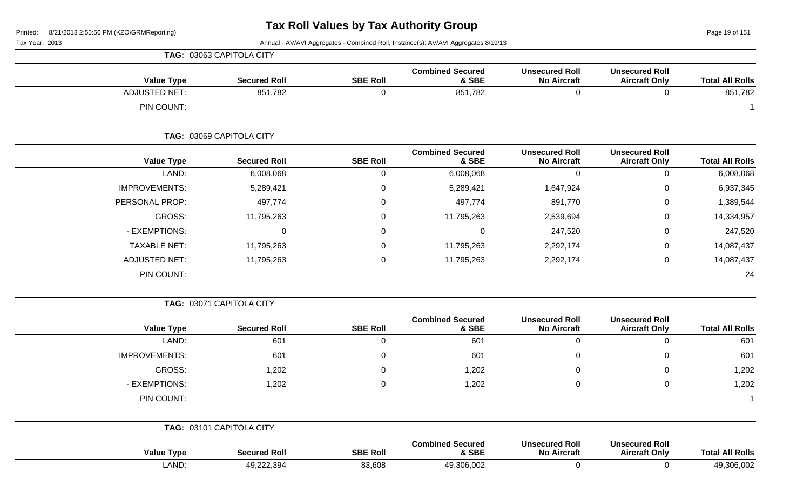Page 19 of 151

|                      | TAG: 03063 CAPITOLA CITY |                 |                                  |                                             |                                               |                        |
|----------------------|--------------------------|-----------------|----------------------------------|---------------------------------------------|-----------------------------------------------|------------------------|
| <b>Value Type</b>    | <b>Secured Roll</b>      | <b>SBE Roll</b> | <b>Combined Secured</b><br>& SBE | <b>Unsecured Roll</b><br><b>No Aircraft</b> | <b>Unsecured Roll</b><br><b>Aircraft Only</b> | <b>Total All Rolls</b> |
| <b>ADJUSTED NET:</b> | 851,782                  | $\mathbf 0$     | 851,782                          | $\mathbf 0$                                 | $\mathbf 0$                                   | 851,782                |
| PIN COUNT:           |                          |                 |                                  |                                             |                                               |                        |
|                      | TAG: 03069 CAPITOLA CITY |                 |                                  |                                             |                                               |                        |
| <b>Value Type</b>    | <b>Secured Roll</b>      | <b>SBE Roll</b> | <b>Combined Secured</b><br>& SBE | <b>Unsecured Roll</b><br><b>No Aircraft</b> | <b>Unsecured Roll</b><br><b>Aircraft Only</b> | <b>Total All Rolls</b> |
| LAND:                | 6,008,068                | $\mathbf 0$     | 6,008,068                        | $\mathbf 0$                                 | $\mathbf 0$                                   | 6,008,068              |
| <b>IMPROVEMENTS:</b> | 5,289,421                | 0               | 5,289,421                        | 1,647,924                                   | 0                                             | 6,937,345              |
| PERSONAL PROP:       | 497,774                  | 0               | 497,774                          | 891,770                                     | 0                                             | 1,389,544              |
| <b>GROSS:</b>        | 11,795,263               | 0               | 11,795,263                       | 2,539,694                                   | 0                                             | 14,334,957             |
| - EXEMPTIONS:        | 0                        | 0               | 0                                | 247,520                                     | 0                                             | 247,520                |
| <b>TAXABLE NET:</b>  | 11,795,263               | 0               | 11,795,263                       | 2,292,174                                   | 0                                             | 14,087,437             |
| <b>ADJUSTED NET:</b> | 11,795,263               | 0               | 11,795,263                       | 2,292,174                                   | 0                                             | 14,087,437             |
| PIN COUNT:           |                          |                 |                                  |                                             |                                               | 24                     |
|                      | TAG: 03071 CAPITOLA CITY |                 |                                  |                                             |                                               |                        |
| <b>Value Type</b>    | <b>Secured Roll</b>      | <b>SBE Roll</b> | <b>Combined Secured</b><br>& SBE | <b>Unsecured Roll</b><br><b>No Aircraft</b> | <b>Unsecured Roll</b><br><b>Aircraft Only</b> | <b>Total All Rolls</b> |
| LAND:                | 601                      | 0               | 601                              | $\mathbf 0$                                 | $\mathbf 0$                                   | 601                    |
| <b>IMPROVEMENTS:</b> | 601                      | 0               | 601                              | $\mathbf 0$                                 | 0                                             | 601                    |
| <b>GROSS:</b>        | 1,202                    | 0               | 1,202                            | 0                                           | $\mathbf 0$                                   | 1,202                  |
| - EXEMPTIONS:        | 1,202                    | 0               | 1,202                            | 0                                           | $\mathbf 0$                                   | 1,202                  |
| PIN COUNT:           |                          |                 |                                  |                                             |                                               |                        |
|                      | TAG: 03101 CAPITOLA CITY |                 |                                  |                                             |                                               |                        |
| <b>Value Type</b>    | <b>Secured Roll</b>      | <b>SBE Roll</b> | <b>Combined Secured</b><br>& SBE | <b>Unsecured Roll</b><br><b>No Aircraft</b> | <b>Unsecured Roll</b><br><b>Aircraft Only</b> | <b>Total All Rolls</b> |
| LAND:                | 49,222,394               | 83,608          | 49,306,002                       | 0                                           | $\mathbf 0$                                   | 49,306,002             |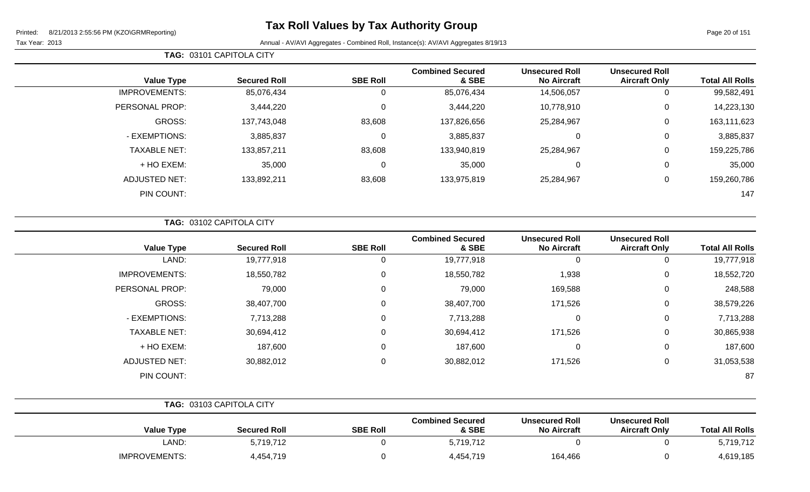Page 20 of 151

÷

|  | <b>TAG: 03101 CAPITOLA CITY</b> |
|--|---------------------------------|
|--|---------------------------------|

| <b>Value Type</b>    | <b>Secured Roll</b> | <b>SBE Roll</b> | <b>Combined Secured</b><br>& SBE | <b>Unsecured Roll</b><br><b>No Aircraft</b> | <b>Unsecured Roll</b><br><b>Aircraft Only</b> | <b>Total All Rolls</b> |
|----------------------|---------------------|-----------------|----------------------------------|---------------------------------------------|-----------------------------------------------|------------------------|
| <b>IMPROVEMENTS:</b> | 85,076,434          | υ               | 85,076,434                       | 14,506,057                                  | 0                                             | 99,582,491             |
| PERSONAL PROP:       | 3,444,220           |                 | 3,444,220                        | 10,778,910                                  | 0                                             | 14,223,130             |
| GROSS:               | 137,743,048         | 83,608          | 137,826,656                      | 25,284,967                                  | 0                                             | 163,111,623            |
| - EXEMPTIONS:        | 3,885,837           |                 | 3,885,837                        | 0                                           | 0                                             | 3,885,837              |
| <b>TAXABLE NET:</b>  | 133,857,211         | 83,608          | 133,940,819                      | 25,284,967                                  | 0                                             | 159,225,786            |
| + HO EXEM:           | 35,000              |                 | 35,000                           | 0                                           | 0                                             | 35,000                 |
| <b>ADJUSTED NET:</b> | 133,892,211         | 83,608          | 133,975,819                      | 25,284,967                                  | 0                                             | 159,260,786            |
| PIN COUNT:           |                     |                 |                                  |                                             |                                               | 147                    |

|                      | TAG: 03102 CAPITOLA CITY |                 |                                  |                                             |                                               |                        |
|----------------------|--------------------------|-----------------|----------------------------------|---------------------------------------------|-----------------------------------------------|------------------------|
| <b>Value Type</b>    | <b>Secured Roll</b>      | <b>SBE Roll</b> | <b>Combined Secured</b><br>& SBE | <b>Unsecured Roll</b><br><b>No Aircraft</b> | <b>Unsecured Roll</b><br><b>Aircraft Only</b> | <b>Total All Rolls</b> |
| LAND:                | 19,777,918               | 0               | 19,777,918                       | 0                                           | 0                                             | 19,777,918             |
| <b>IMPROVEMENTS:</b> | 18,550,782               | 0               | 18,550,782                       | 1,938                                       | 0                                             | 18,552,720             |
| PERSONAL PROP:       | 79,000                   | 0               | 79,000                           | 169,588                                     | $\mathbf 0$                                   | 248,588                |
| GROSS:               | 38,407,700               | 0               | 38,407,700                       | 171,526                                     | 0                                             | 38,579,226             |
| - EXEMPTIONS:        | 7,713,288                | 0               | 7,713,288                        | $\mathbf 0$                                 | 0                                             | 7,713,288              |
| <b>TAXABLE NET:</b>  | 30,694,412               | 0               | 30,694,412                       | 171,526                                     | $\mathbf 0$                                   | 30,865,938             |
| + HO EXEM:           | 187,600                  | 0               | 187,600                          | 0                                           | $\mathbf 0$                                   | 187,600                |
| <b>ADJUSTED NET:</b> | 30,882,012               | 0               | 30,882,012                       | 171,526                                     | $\mathbf 0$                                   | 31,053,538             |
| PIN COUNT:           |                          |                 |                                  |                                             |                                               | 87                     |

|                      | TAG: 03103 CAPITOLA CITY |                 |                                  |                                             |                                               |                        |
|----------------------|--------------------------|-----------------|----------------------------------|---------------------------------------------|-----------------------------------------------|------------------------|
| <b>Value Type</b>    | <b>Secured Roll</b>      | <b>SBE Roll</b> | <b>Combined Secured</b><br>& SBE | <b>Unsecured Roll</b><br><b>No Aircraft</b> | <b>Unsecured Roll</b><br><b>Aircraft Only</b> | <b>Total All Rolls</b> |
| LAND:                | 5,719,712                |                 | 5,719,712                        |                                             |                                               | 5,719,712              |
| <b>IMPROVEMENTS:</b> | 4,454,719                |                 | 4,454,719                        | 164,466                                     |                                               | 4,619,185              |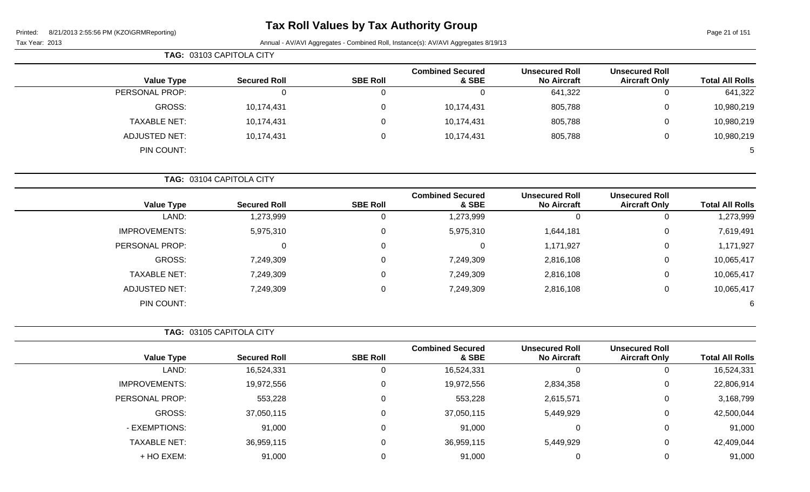# **Tax Roll Values by Tax Authority Group**

Page 21 of 151

|                        |                                               |                                             |                                  |                 | TAG: 03103 CAPITOLA CITY |                      |  |
|------------------------|-----------------------------------------------|---------------------------------------------|----------------------------------|-----------------|--------------------------|----------------------|--|
| <b>Total All Rolls</b> | <b>Unsecured Roll</b><br><b>Aircraft Only</b> | <b>Unsecured Roll</b><br><b>No Aircraft</b> | <b>Combined Secured</b><br>& SBE | <b>SBE Roll</b> | <b>Secured Roll</b>      | <b>Value Type</b>    |  |
| 641,322                | 0                                             | 641,322                                     | 0                                | 0               | 0                        | PERSONAL PROP:       |  |
| 10,980,219             | $\mathbf 0$                                   | 805,788                                     | 10,174,431                       | $\mathbf 0$     | 10,174,431               | GROSS:               |  |
| 10,980,219             | 0                                             | 805,788                                     | 10,174,431                       | 0               | 10,174,431               | <b>TAXABLE NET:</b>  |  |
| 10,980,219             | 0                                             | 805,788                                     | 10,174,431                       | 0               | 10,174,431               | <b>ADJUSTED NET:</b> |  |
| 5                      |                                               |                                             |                                  |                 |                          | PIN COUNT:           |  |
|                        |                                               |                                             |                                  |                 | TAG: 03104 CAPITOLA CITY |                      |  |
| <b>Total All Rolls</b> | <b>Unsecured Roll</b><br><b>Aircraft Only</b> | <b>Unsecured Roll</b><br><b>No Aircraft</b> | <b>Combined Secured</b><br>& SBE | <b>SBE Roll</b> | <b>Secured Roll</b>      | <b>Value Type</b>    |  |

|            | $\sim$ |           |           |           | .                    |
|------------|--------|-----------|-----------|-----------|----------------------|
| 1,273,999  |        |           | 1,273,999 | 1,273,999 | LAND:                |
| 7,619,491  | 0      | 1,644,181 | 5,975,310 | 5,975,310 | <b>IMPROVEMENTS:</b> |
| 1,171,927  | 0      | 1,171,927 |           | 0         | PERSONAL PROP:       |
| 10,065,417 | 0      | 2,816,108 | 7,249,309 | 7,249,309 | GROSS:               |
| 10,065,417 |        | 2,816,108 | 7,249,309 | 7,249,309 | <b>TAXABLE NET:</b>  |
| 10,065,417 |        | 2,816,108 | 7,249,309 | 7,249,309 | <b>ADJUSTED NET:</b> |
| 6          |        |           |           |           | PIN COUNT:           |

|                      |                     |                 | <b>Combined Secured</b> | <b>Unsecured Roll</b> | <b>Unsecured Roll</b> |                        |
|----------------------|---------------------|-----------------|-------------------------|-----------------------|-----------------------|------------------------|
| <b>Value Type</b>    | <b>Secured Roll</b> | <b>SBE Roll</b> | & SBE                   | <b>No Aircraft</b>    | <b>Aircraft Only</b>  | <b>Total All Rolls</b> |
| LAND:                | 16,524,331          | 0               | 16,524,331              | 0                     |                       | 16,524,331             |
| <b>IMPROVEMENTS:</b> | 19,972,556          | 0               | 19,972,556              | 2,834,358             | U                     | 22,806,914             |
| PERSONAL PROP:       | 553,228             | 0               | 553,228                 | 2,615,571             | 0                     | 3,168,799              |
| GROSS:               | 37,050,115          | 0               | 37,050,115              | 5,449,929             |                       | 42,500,044             |
| - EXEMPTIONS:        | 91,000              | 0               | 91,000                  | $\overline{0}$        |                       | 91,000                 |
| <b>TAXABLE NET:</b>  | 36,959,115          | 0               | 36,959,115              | 5,449,929             | U                     | 42,409,044             |
| + HO EXEM:           | 91,000              | 0               | 91,000                  | 0                     |                       | 91,000                 |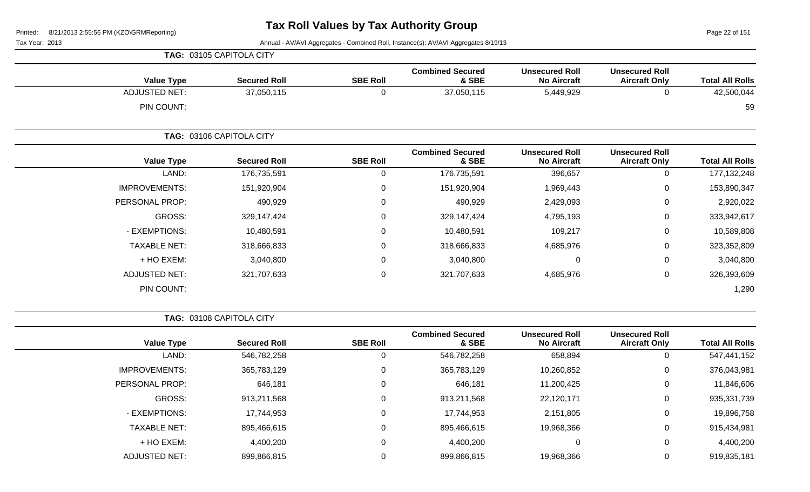Page 22 of 151

Tax Year: 2013 Annual - AV/AVI Aggregates - Combined Roll, Instance(s): AV/AVI Aggregates 8/19/13

|                      | TAG: 03105 CAPITOLA CITY |                 |                                  |                                             |                                               |                        |
|----------------------|--------------------------|-----------------|----------------------------------|---------------------------------------------|-----------------------------------------------|------------------------|
| <b>Value Type</b>    | <b>Secured Roll</b>      | <b>SBE Roll</b> | <b>Combined Secured</b><br>& SBE | <b>Unsecured Roll</b><br><b>No Aircraft</b> | <b>Unsecured Roll</b><br><b>Aircraft Only</b> | <b>Total All Rolls</b> |
| <b>ADJUSTED NET:</b> | 37,050,115               | $\mathbf 0$     | 37,050,115                       | 5,449,929                                   | 0                                             | 42,500,044             |
| PIN COUNT:           |                          |                 |                                  |                                             |                                               | 59                     |
|                      | TAG: 03106 CAPITOLA CITY |                 |                                  |                                             |                                               |                        |
| <b>Value Type</b>    | <b>Secured Roll</b>      | <b>SBE Roll</b> | <b>Combined Secured</b><br>& SBE | <b>Unsecured Roll</b><br><b>No Aircraft</b> | <b>Unsecured Roll</b><br><b>Aircraft Only</b> | <b>Total All Rolls</b> |
| LAND:                | 176,735,591              | $\mathbf 0$     | 176,735,591                      | 396,657                                     | $\mathbf 0$                                   | 177, 132, 248          |
| <b>IMPROVEMENTS:</b> | 151,920,904              | $\mathbf 0$     | 151,920,904                      | 1,969,443                                   | 0                                             | 153,890,347            |
| PERSONAL PROP:       | 490,929                  | 0               | 490,929                          | 2,429,093                                   | 0                                             | 2,920,022              |
| GROSS:               | 329,147,424              | 0               | 329,147,424                      | 4,795,193                                   | 0                                             | 333,942,617            |
| - EXEMPTIONS:        | 10,480,591               | 0               | 10,480,591                       | 109,217                                     | 0                                             | 10,589,808             |
| <b>TAXABLE NET:</b>  | 318,666,833              | $\mathbf 0$     | 318,666,833                      | 4,685,976                                   | $\mathbf 0$                                   | 323,352,809            |
| + HO EXEM:           | 3,040,800                | 0               | 3,040,800                        | 0                                           | 0                                             | 3,040,800              |
| <b>ADJUSTED NET:</b> | 321,707,633              | $\mathbf 0$     | 321,707,633                      | 4,685,976                                   | 0                                             | 326,393,609            |
| PIN COUNT:           |                          |                 |                                  |                                             |                                               | 1,290                  |

**TAG:** 03108 CAPITOLA CITY

|                      |                     |                 | <b>Combined Secured</b> | <b>Unsecured Roll</b> | <b>Unsecured Roll</b> |                        |
|----------------------|---------------------|-----------------|-------------------------|-----------------------|-----------------------|------------------------|
| <b>Value Type</b>    | <b>Secured Roll</b> | <b>SBE Roll</b> | & SBE                   | <b>No Aircraft</b>    | <b>Aircraft Only</b>  | <b>Total All Rolls</b> |
| LAND:                | 546,782,258         | C               | 546,782,258             | 658,894               | $\mathbf{0}$          | 547,441,152            |
| <b>IMPROVEMENTS:</b> | 365,783,129         | 0               | 365,783,129             | 10,260,852            | 0                     | 376,043,981            |
| PERSONAL PROP:       | 646,181             | 0               | 646,181                 | 11,200,425            | 0                     | 11,846,606             |
| GROSS:               | 913,211,568         | 0               | 913,211,568             | 22,120,171            | 0                     | 935,331,739            |
| - EXEMPTIONS:        | 17,744,953          | 0               | 17,744,953              | 2,151,805             | 0                     | 19,896,758             |
| <b>TAXABLE NET:</b>  | 895,466,615         | 0               | 895,466,615             | 19,968,366            | 0                     | 915,434,981            |
| + HO EXEM:           | 4,400,200           | 0               | 4,400,200               | 0                     | 0                     | 4,400,200              |
| <b>ADJUSTED NET:</b> | 899,866,815         | 0               | 899,866,815             | 19,968,366            | 0                     | 919,835,181            |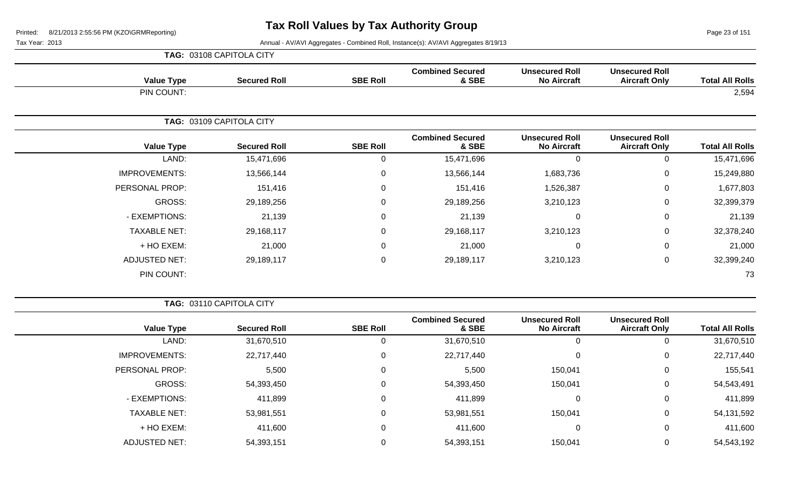Page 23 of 151

 $\overline{\phantom{0}}$ 

|                      | TAG: 03108 CAPITOLA CITY |                 |                                  |                                             |                                               |                        |
|----------------------|--------------------------|-----------------|----------------------------------|---------------------------------------------|-----------------------------------------------|------------------------|
| <b>Value Type</b>    | <b>Secured Roll</b>      | <b>SBE Roll</b> | <b>Combined Secured</b><br>& SBE | <b>Unsecured Roll</b><br><b>No Aircraft</b> | <b>Unsecured Roll</b><br><b>Aircraft Only</b> | <b>Total All Rolls</b> |
| PIN COUNT:           |                          |                 |                                  |                                             |                                               | 2,594                  |
|                      | TAG: 03109 CAPITOLA CITY |                 |                                  |                                             |                                               |                        |
| <b>Value Type</b>    | <b>Secured Roll</b>      | <b>SBE Roll</b> | <b>Combined Secured</b><br>& SBE | <b>Unsecured Roll</b><br><b>No Aircraft</b> | <b>Unsecured Roll</b><br><b>Aircraft Only</b> | <b>Total All Rolls</b> |
| LAND:                | 15,471,696               | 0               | 15,471,696                       | $\Omega$                                    | 0                                             | 15,471,696             |
| <b>IMPROVEMENTS:</b> | 13,566,144               | 0               | 13,566,144                       | 1,683,736                                   | 0                                             | 15,249,880             |
| PERSONAL PROP:       | 151,416                  | 0               | 151,416                          | 1,526,387                                   | 0                                             | 1,677,803              |
| GROSS:               | 29,189,256               | 0               | 29,189,256                       | 3,210,123                                   | $\mathbf 0$                                   | 32,399,379             |
| - EXEMPTIONS:        | 21,139                   | 0               | 21,139                           | $\mathbf 0$                                 | 0                                             | 21,139                 |
| <b>TAXABLE NET:</b>  | 29,168,117               | $\Omega$        | 29,168,117                       | 3,210,123                                   | 0                                             | 32,378,240             |
| + HO EXEM:           | 21,000                   | 0               | 21,000                           | 0                                           | 0                                             | 21,000                 |
| <b>ADJUSTED NET:</b> | 29,189,117               | 0               | 29,189,117                       | 3,210,123                                   | 0                                             | 32,399,240             |
| PIN COUNT:           |                          |                 |                                  |                                             |                                               | 73                     |

| <b>TAG: 03110 CAPITOLA CITY</b> |  |
|---------------------------------|--|
|                                 |  |

| <b>Value Type</b>    | <b>Secured Roll</b> | <b>SBE Roll</b> | <b>Combined Secured</b><br>& SBE | <b>Unsecured Roll</b><br><b>No Aircraft</b> | <b>Unsecured Roll</b><br><b>Aircraft Only</b> | <b>Total All Rolls</b> |
|----------------------|---------------------|-----------------|----------------------------------|---------------------------------------------|-----------------------------------------------|------------------------|
| LAND:                | 31,670,510          | 0               | 31,670,510                       | 0                                           |                                               | 31,670,510             |
| <b>IMPROVEMENTS:</b> | 22,717,440          | $\overline{0}$  | 22,717,440                       | 0                                           | 0                                             | 22,717,440             |
| PERSONAL PROP:       | 5,500               | 0               | 5,500                            | 150,041                                     | 0                                             | 155,541                |
| GROSS:               | 54,393,450          | 0               | 54,393,450                       | 150,041                                     | 0                                             | 54,543,491             |
| - EXEMPTIONS:        | 411,899             | $\Omega$        | 411,899                          | 0                                           | 0                                             | 411,899                |
| <b>TAXABLE NET:</b>  | 53,981,551          | 0               | 53,981,551                       | 150,041                                     | 0                                             | 54,131,592             |
| + HO EXEM:           | 411,600             | 0               | 411,600                          | 0                                           | 0                                             | 411,600                |
| <b>ADJUSTED NET:</b> | 54,393,151          | 0               | 54,393,151                       | 150,041                                     | 0                                             | 54,543,192             |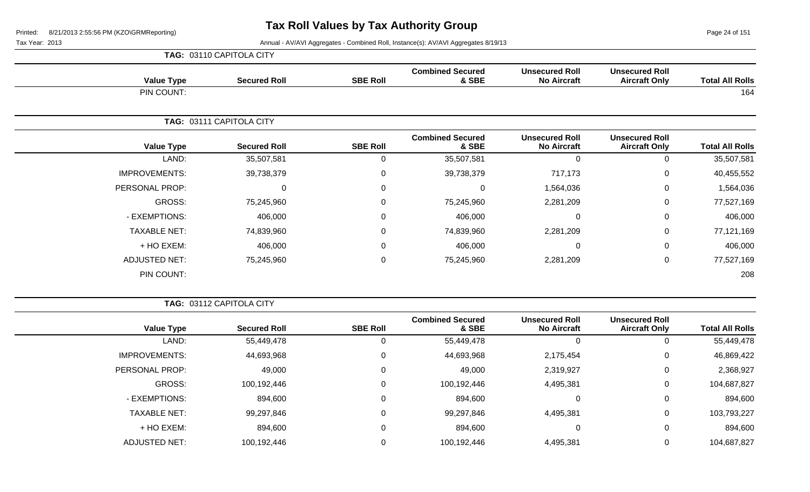Page 24 of 151

|                      | TAG: 03110 CAPITOLA CITY |                 |                                  |                                             |                                               |                        |
|----------------------|--------------------------|-----------------|----------------------------------|---------------------------------------------|-----------------------------------------------|------------------------|
| <b>Value Type</b>    | <b>Secured Roll</b>      | <b>SBE Roll</b> | <b>Combined Secured</b><br>& SBE | <b>Unsecured Roll</b><br><b>No Aircraft</b> | <b>Unsecured Roll</b><br><b>Aircraft Only</b> | <b>Total All Rolls</b> |
| PIN COUNT:           |                          |                 |                                  |                                             |                                               | 164                    |
|                      | TAG: 03111 CAPITOLA CITY |                 |                                  |                                             |                                               |                        |
| <b>Value Type</b>    | <b>Secured Roll</b>      | <b>SBE Roll</b> | <b>Combined Secured</b><br>& SBE | <b>Unsecured Roll</b><br><b>No Aircraft</b> | <b>Unsecured Roll</b><br><b>Aircraft Only</b> | <b>Total All Rolls</b> |
| LAND:                | 35,507,581               | 0               | 35,507,581                       | 0                                           | $\mathbf 0$                                   | 35,507,581             |
| <b>IMPROVEMENTS:</b> | 39,738,379               | 0               | 39,738,379                       | 717,173                                     | $\mathbf 0$                                   | 40,455,552             |
| PERSONAL PROP:       | $\Omega$                 | 0               | 0                                | 1,564,036                                   | $\mathbf 0$                                   | 1,564,036              |
| GROSS:               | 75,245,960               | 0               | 75,245,960                       | 2,281,209                                   | $\mathbf 0$                                   | 77,527,169             |
| - EXEMPTIONS:        | 406,000                  | 0               | 406,000                          | $\mathbf 0$                                 | 0                                             | 406,000                |
| <b>TAXABLE NET:</b>  | 74,839,960               | $\Omega$        | 74,839,960                       | 2,281,209                                   | $\mathbf 0$                                   | 77,121,169             |
| + HO EXEM:           | 406,000                  | 0               | 406,000                          | $\mathbf 0$                                 | $\mathbf 0$                                   | 406,000                |
| <b>ADJUSTED NET:</b> | 75,245,960               | 0               | 75,245,960                       | 2,281,209                                   | $\mathbf 0$                                   | 77,527,169             |
| PIN COUNT:           |                          |                 |                                  |                                             |                                               | 208                    |

| <b>TAG: 03112 CAPITOLA CITY</b> |
|---------------------------------|
|                                 |

| <b>Total All Rolls</b> | <b>Unsecured Roll</b><br><b>Aircraft Only</b> | <b>Unsecured Roll</b><br><b>No Aircraft</b> | <b>Combined Secured</b><br>& SBE | <b>SBE Roll</b> | <b>Secured Roll</b> | <b>Value Type</b>    |
|------------------------|-----------------------------------------------|---------------------------------------------|----------------------------------|-----------------|---------------------|----------------------|
| 55,449,478             |                                               | 0                                           | 55,449,478                       | U               | 55,449,478          | LAND:                |
| 46,869,422             | 0                                             | 2,175,454                                   | 44,693,968                       | 0               | 44,693,968          | <b>IMPROVEMENTS:</b> |
| 2,368,927              | 0                                             | 2,319,927                                   | 49,000                           | 0               | 49,000              | PERSONAL PROP:       |
| 104,687,827            | 0                                             | 4,495,381                                   | 100,192,446                      | 0               | 100,192,446         | GROSS:               |
| 894,600                |                                               | 0                                           | 894,600                          | $\Omega$        | 894,600             | - EXEMPTIONS:        |
| 103,793,227            |                                               | 4,495,381                                   | 99,297,846                       | 0               | 99,297,846          | <b>TAXABLE NET:</b>  |
| 894,600                |                                               | 0                                           | 894,600                          | 0               | 894,600             | + HO EXEM:           |
| 104,687,827            |                                               | 4,495,381                                   | 100,192,446                      |                 | 100,192,446         | <b>ADJUSTED NET:</b> |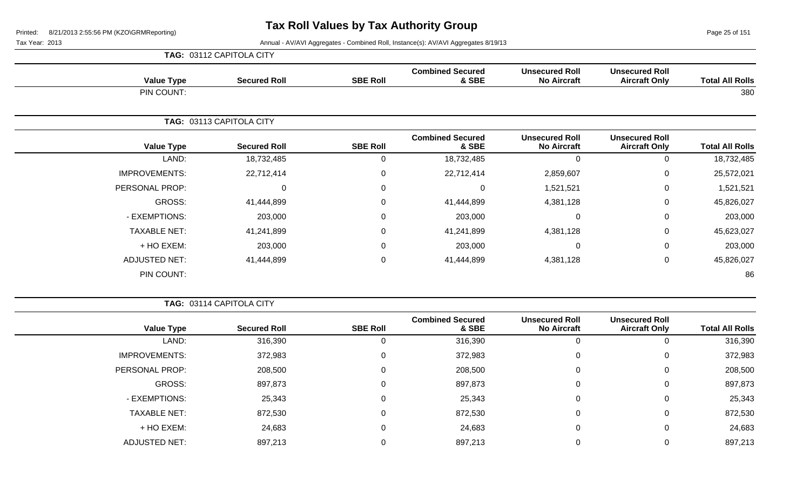Page 25 of 151

| <b>TAG: 03112 CAPITOLA CITY</b> |
|---------------------------------|
|---------------------------------|

| <b>Value Type</b>    | <b>Secured Roll</b>      | <b>SBE Roll</b> | <b>Combined Secured</b><br>& SBE | <b>Unsecured Roll</b><br><b>No Aircraft</b> | <b>Unsecured Roll</b><br><b>Aircraft Only</b> | <b>Total All Rolls</b> |
|----------------------|--------------------------|-----------------|----------------------------------|---------------------------------------------|-----------------------------------------------|------------------------|
| PIN COUNT:           |                          |                 |                                  |                                             |                                               | 380                    |
|                      | TAG: 03113 CAPITOLA CITY |                 |                                  |                                             |                                               |                        |
| <b>Value Type</b>    | <b>Secured Roll</b>      | <b>SBE Roll</b> | <b>Combined Secured</b><br>& SBE | <b>Unsecured Roll</b><br><b>No Aircraft</b> | <b>Unsecured Roll</b><br><b>Aircraft Only</b> | <b>Total All Rolls</b> |
| LAND:                | 18,732,485               | 0               | 18,732,485                       | $\Omega$                                    | 0                                             | 18,732,485             |
| <b>IMPROVEMENTS:</b> | 22,712,414               | 0               | 22,712,414                       | 2,859,607                                   | $\mathbf 0$                                   | 25,572,021             |
| PERSONAL PROP:       | 0                        | $\mathbf 0$     | $\Omega$                         | 1,521,521                                   | $\mathbf 0$                                   | 1,521,521              |
| GROSS:               | 41,444,899               | $\mathbf 0$     | 41,444,899                       | 4,381,128                                   | 0                                             | 45,826,027             |
| - EXEMPTIONS:        | 203,000                  | $\mathbf 0$     | 203,000                          | $\Omega$                                    | $\mathbf 0$                                   | 203,000                |
| <b>TAXABLE NET:</b>  | 41,241,899               | 0               | 41,241,899                       | 4,381,128                                   | $\mathbf 0$                                   | 45,623,027             |
| + HO EXEM:           | 203,000                  | $\mathbf 0$     | 203,000                          | 0                                           | $\mathbf 0$                                   | 203,000                |
| <b>ADJUSTED NET:</b> | 41,444,899               | $\mathbf 0$     | 41,444,899                       | 4,381,128                                   | $\mathbf 0$                                   | 45,826,027             |
| PIN COUNT:           |                          |                 |                                  |                                             |                                               | 86                     |

|                      |       | TAG: 03114 CAPITOLA CITY |                 |                                  |                                             |                                               |                        |
|----------------------|-------|--------------------------|-----------------|----------------------------------|---------------------------------------------|-----------------------------------------------|------------------------|
| <b>Value Type</b>    |       | <b>Secured Roll</b>      | <b>SBE Roll</b> | <b>Combined Secured</b><br>& SBE | <b>Unsecured Roll</b><br><b>No Aircraft</b> | <b>Unsecured Roll</b><br><b>Aircraft Only</b> | <b>Total All Rolls</b> |
|                      | LAND: | 316,390                  | υ               | 316,390                          | U                                           | 0                                             | 316,390                |
| <b>IMPROVEMENTS:</b> |       | 372,983                  | 0               | 372,983                          | 0                                           | 0                                             | 372,983                |
| PERSONAL PROP:       |       | 208,500                  | 0               | 208,500                          | 0                                           | 0                                             | 208,500                |
| GROSS:               |       | 897,873                  | 0               | 897,873                          | $\mathbf 0$                                 | 0                                             | 897,873                |
| - EXEMPTIONS:        |       | 25,343                   | 0               | 25,343                           | 0                                           | 0                                             | 25,343                 |
| <b>TAXABLE NET:</b>  |       | 872,530                  | 0               | 872,530                          | $\mathbf 0$                                 | 0                                             | 872,530                |
| + HO EXEM:           |       | 24,683                   | 0               | 24,683                           | 0                                           | 0                                             | 24,683                 |
| <b>ADJUSTED NET:</b> |       | 897,213                  |                 | 897,213                          |                                             |                                               | 897,213                |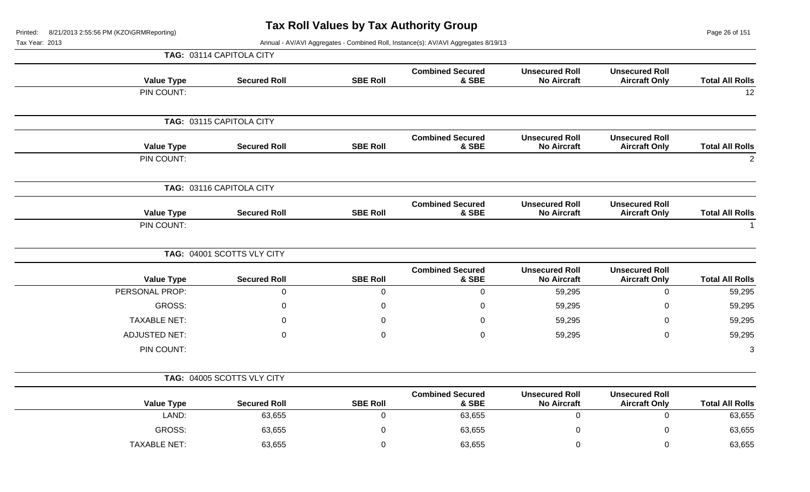Page 26 of 151

| .טו ט |                   |                            |                 | Annual - Av/Avi Agglegates - Combined Roll, mstance(s). Av/Avi Agglegates of 19/13 |                                             |                                               |                        |
|-------|-------------------|----------------------------|-----------------|------------------------------------------------------------------------------------|---------------------------------------------|-----------------------------------------------|------------------------|
|       |                   | TAG: 03114 CAPITOLA CITY   |                 |                                                                                    |                                             |                                               |                        |
|       | <b>Value Type</b> | <b>Secured Roll</b>        | <b>SBE Roll</b> | <b>Combined Secured</b><br>& SBE                                                   | <b>Unsecured Roll</b><br><b>No Aircraft</b> | <b>Unsecured Roll</b><br><b>Aircraft Only</b> | <b>Total All Rolls</b> |
|       | PIN COUNT:        |                            |                 |                                                                                    |                                             |                                               | 12                     |
|       |                   | TAG: 03115 CAPITOLA CITY   |                 |                                                                                    |                                             |                                               |                        |
|       | <b>Value Type</b> | <b>Secured Roll</b>        | <b>SBE Roll</b> | <b>Combined Secured</b><br>& SBE                                                   | <b>Unsecured Roll</b><br><b>No Aircraft</b> | <b>Unsecured Roll</b><br><b>Aircraft Only</b> | <b>Total All Rolls</b> |
|       | PIN COUNT:        |                            |                 |                                                                                    |                                             |                                               | $\overline{2}$         |
|       |                   | TAG: 03116 CAPITOLA CITY   |                 |                                                                                    |                                             |                                               |                        |
|       | <b>Value Type</b> | <b>Secured Roll</b>        | <b>SBE Roll</b> | <b>Combined Secured</b><br>& SBE                                                   | <b>Unsecured Roll</b><br><b>No Aircraft</b> | <b>Unsecured Roll</b><br><b>Aircraft Only</b> | <b>Total All Rolls</b> |
|       | PIN COUNT:        |                            |                 |                                                                                    |                                             |                                               |                        |
|       |                   | TAG: 04001 SCOTTS VLY CITY |                 |                                                                                    |                                             |                                               |                        |
|       |                   |                            |                 |                                                                                    |                                             |                                               |                        |

| <b>Value Type</b>    | <b>Secured Roll</b> | <b>SBE Roll</b> | <b>Combined Secured</b><br>& SBE | <b>Unsecured Roll</b><br><b>No Aircraft</b> | <b>Unsecured Roll</b><br><b>Aircraft Only</b> | <b>Total All Rolls</b> |
|----------------------|---------------------|-----------------|----------------------------------|---------------------------------------------|-----------------------------------------------|------------------------|
| PERSONAL PROP:       |                     |                 |                                  | 59,295                                      |                                               | 59,295                 |
| GROSS:               |                     |                 |                                  | 59,295                                      |                                               | 59,295                 |
| <b>TAXABLE NET:</b>  |                     |                 |                                  | 59,295                                      |                                               | 59,295                 |
| <b>ADJUSTED NET:</b> |                     |                 |                                  | 59,295                                      |                                               | 59,295                 |
| PIN COUNT:           |                     |                 |                                  |                                             |                                               | 3                      |
|                      |                     |                 |                                  |                                             |                                               |                        |

|  | <b>TAG: 04005 SCOTTS VLY CITY</b> |
|--|-----------------------------------|
|--|-----------------------------------|

| <b>Value Type</b> | <b>Secured Roll</b> | <b>SBE Roll</b> | <b>Combined Secured</b><br>& SBE | <b>Unsecured Roll</b><br><b>No Aircraft</b> | <b>Unsecured Roll</b><br><b>Aircraft Only</b> | <b>Total All Rolls</b> |
|-------------------|---------------------|-----------------|----------------------------------|---------------------------------------------|-----------------------------------------------|------------------------|
| LAND:             | 63,655              |                 | 63,655                           |                                             |                                               | 63,655                 |
| <b>GROSS:</b>     | 63,655              |                 | 63,655                           |                                             |                                               | 63,655                 |
| TAXABLE NET:      | 63,655              |                 | 63,655                           |                                             |                                               | 63,655                 |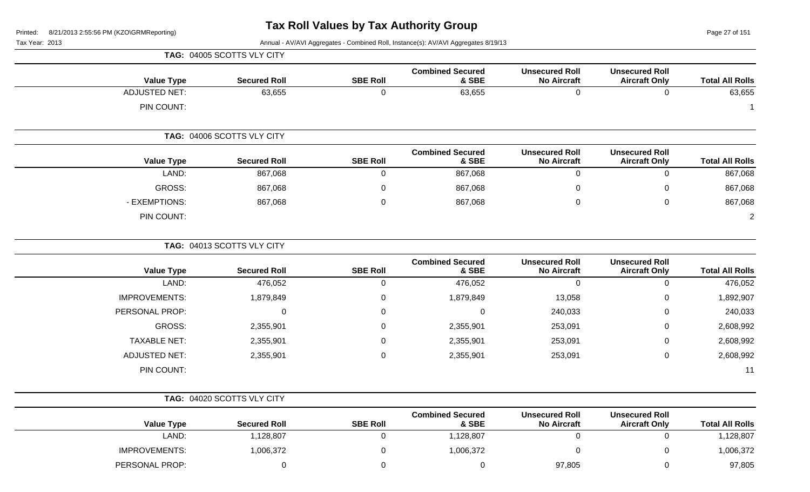Page 27 of 151

Tax Year: 2013 Annual - AV/AVI Aggregates - Combined Roll, Instance(s): AV/AVI Aggregates 8/19/13

|                        |                                               |                                             |                                  |                  | TAG: 04005 SCOTTS VLY CITY |                      |
|------------------------|-----------------------------------------------|---------------------------------------------|----------------------------------|------------------|----------------------------|----------------------|
| <b>Total All Rolls</b> | <b>Unsecured Roll</b><br><b>Aircraft Only</b> | <b>Unsecured Roll</b><br><b>No Aircraft</b> | <b>Combined Secured</b><br>& SBE | <b>SBE Roll</b>  | <b>Secured Roll</b>        | <b>Value Type</b>    |
| 63,655                 | $\mathbf 0$                                   | $\mathbf 0$                                 | 63,655                           | $\mathbf 0$      | 63,655                     | <b>ADJUSTED NET:</b> |
| -1                     |                                               |                                             |                                  |                  |                            | PIN COUNT:           |
|                        |                                               |                                             |                                  |                  | TAG: 04006 SCOTTS VLY CITY |                      |
| <b>Total All Rolls</b> | <b>Unsecured Roll</b><br><b>Aircraft Only</b> | <b>Unsecured Roll</b><br><b>No Aircraft</b> | <b>Combined Secured</b><br>& SBE | <b>SBE Roll</b>  | <b>Secured Roll</b>        | <b>Value Type</b>    |
| 867,068                | $\mathsf 0$                                   | $\pmb{0}$                                   | 867,068                          | $\mathbf 0$      | 867,068                    | LAND:                |
| 867,068                | 0                                             | 0                                           | 867,068                          | $\boldsymbol{0}$ | 867,068                    | <b>GROSS:</b>        |
| 867,068                | $\mathbf 0$                                   | $\Omega$                                    | 867,068                          | $\pmb{0}$        | 867,068                    | - EXEMPTIONS:        |
| $\overline{2}$         |                                               |                                             |                                  |                  |                            | PIN COUNT:           |
|                        |                                               |                                             |                                  |                  | TAG: 04013 SCOTTS VLY CITY |                      |
| <b>Total All Rolls</b> | <b>Unsecured Roll</b><br><b>Aircraft Only</b> | <b>Unsecured Roll</b><br><b>No Aircraft</b> | <b>Combined Secured</b><br>& SBE | <b>SBE Roll</b>  | <b>Secured Roll</b>        | <b>Value Type</b>    |
| 476,052                | $\mathbf 0$                                   | $\mathbf 0$                                 | 476,052                          | $\mathbf 0$      | 476,052                    | LAND:                |
| 1,892,907              | 0                                             | 13,058                                      | 1,879,849                        | $\pmb{0}$        | 1,879,849                  | <b>IMPROVEMENTS:</b> |
| 240,033                | 0                                             | 240,033                                     | 0                                | 0                | 0                          | PERSONAL PROP:       |
| 2,608,992              | 0                                             | 253,091                                     | 2,355,901                        | 0                | 2,355,901                  | <b>GROSS:</b>        |
| 2,608,992              | $\mathbf 0$                                   | 253,091                                     | 2,355,901                        | $\boldsymbol{0}$ | 2,355,901                  | <b>TAXABLE NET:</b>  |
| 2,608,992              | $\mathbf 0$                                   | 253,091                                     | 2,355,901                        | $\mathbf 0$      | 2,355,901                  | <b>ADJUSTED NET:</b> |
| 11                     |                                               |                                             |                                  |                  |                            | PIN COUNT:           |
|                        |                                               |                                             |                                  |                  | TAG: 04020 SCOTTS VLY CITY |                      |
| <b>Total All Rolls</b> | <b>Unsecured Roll</b><br><b>Aircraft Only</b> | <b>Unsecured Roll</b><br><b>No Aircraft</b> | <b>Combined Secured</b><br>& SBE | <b>SBE Roll</b>  | <b>Secured Roll</b>        | <b>Value Type</b>    |
| 1,128,807              | $\mathbf 0$                                   | $\mathbf 0$                                 | 1,128,807                        | $\mathbf 0$      | 1,128,807                  | LAND:                |
| 1,006,372              | 0                                             | $\pmb{0}$                                   | 1,006,372                        | $\mathbf 0$      | 1,006,372                  | <b>IMPROVEMENTS:</b> |

PERSONAL PROP: 0 0 0 97,805 0 97,805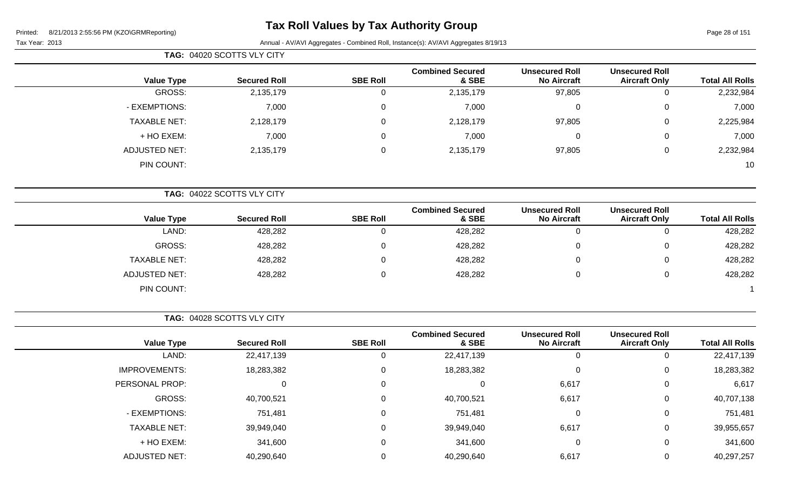# **Tax Roll Values by Tax Authority Group**

Page 28 of 151

Tax Year: 2013 **Annual - AV/AVI Aggregates - Combined Roll**, Instance(s): AV/AVI Aggregates 8/19/13

|                      | TAG: 04020 SCOTTS VLY CITY |                 |                                  |                                             |                                               |                        |
|----------------------|----------------------------|-----------------|----------------------------------|---------------------------------------------|-----------------------------------------------|------------------------|
| <b>Value Type</b>    | <b>Secured Roll</b>        | <b>SBE Roll</b> | <b>Combined Secured</b><br>& SBE | <b>Unsecured Roll</b><br><b>No Aircraft</b> | <b>Unsecured Roll</b><br><b>Aircraft Only</b> | <b>Total All Rolls</b> |
| GROSS:               | 2,135,179                  | υ               | 2,135,179                        | 97,805                                      | 0                                             | 2,232,984              |
| - EXEMPTIONS:        | 7,000                      | $\mathbf 0$     | 7,000                            | $\Omega$                                    | $\mathbf 0$                                   | 7,000                  |
| <b>TAXABLE NET:</b>  | 2,128,179                  | 0               | 2,128,179                        | 97,805                                      | $\mathbf 0$                                   | 2,225,984              |
| + HO EXEM:           | 7,000                      | 0               | 7,000                            | $\Omega$                                    | $\mathbf 0$                                   | 7,000                  |
| <b>ADJUSTED NET:</b> | 2,135,179                  | 0               | 2,135,179                        | 97,805                                      | $\mathbf 0$                                   | 2,232,984              |
| PIN COUNT:           |                            |                 |                                  |                                             |                                               | 10                     |
|                      | TAG: 04022 SCOTTS VLY CITY |                 |                                  |                                             |                                               |                        |

|                     |                     |                 | <b>Combined Secured</b> | <b>Unsecured Roll</b> | <b>Unsecured Roll</b> |                        |
|---------------------|---------------------|-----------------|-------------------------|-----------------------|-----------------------|------------------------|
| <b>Value Type</b>   | <b>Secured Roll</b> | <b>SBE Roll</b> | & SBE                   | <b>No Aircraft</b>    | <b>Aircraft Only</b>  | <b>Total All Rolls</b> |
| LAND:               | 428,282             |                 | 428,282                 | 0                     | ັ                     | 428,282                |
| GROSS:              | 428,282             |                 | 428,282                 | 0                     | ν                     | 428,282                |
| <b>TAXABLE NET:</b> | 428,282             |                 | 428,282                 | 0                     | v                     | 428,282                |
| ADJUSTED NET:       | 428,282             |                 | 428,282                 | 0                     |                       | 428,282                |
| PIN COUNT:          |                     |                 |                         |                       |                       |                        |

**TAG:** 04028 SCOTTS VLY CITY

|                      |                     |                 | <b>Combined Secured</b> | <b>Unsecured Roll</b> | <b>Unsecured Roll</b> |                        |
|----------------------|---------------------|-----------------|-------------------------|-----------------------|-----------------------|------------------------|
| <b>Value Type</b>    | <b>Secured Roll</b> | <b>SBE Roll</b> | & SBE                   | <b>No Aircraft</b>    | <b>Aircraft Only</b>  | <b>Total All Rolls</b> |
| LAND:                | 22,417,139          |                 | 22,417,139              | 0                     | 0                     | 22,417,139             |
| <b>IMPROVEMENTS:</b> | 18,283,382          |                 | 18,283,382              | $\mathbf 0$           | $\overline{0}$        | 18,283,382             |
| PERSONAL PROP:       |                     |                 |                         | 6,617                 | 0                     | 6,617                  |
| GROSS:               | 40,700,521          |                 | 40,700,521              | 6,617                 | 0                     | 40,707,138             |
| - EXEMPTIONS:        | 751,481             |                 | 751,481                 | $\mathbf 0$           | $\mathbf 0$           | 751,481                |
| <b>TAXABLE NET:</b>  | 39,949,040          |                 | 39,949,040              | 6,617                 | 0                     | 39,955,657             |
| + HO EXEM:           | 341,600             |                 | 341,600                 | $\mathbf 0$           | 0                     | 341,600                |
| <b>ADJUSTED NET:</b> | 40,290,640          |                 | 40,290,640              | 6,617                 | 0                     | 40,297,257             |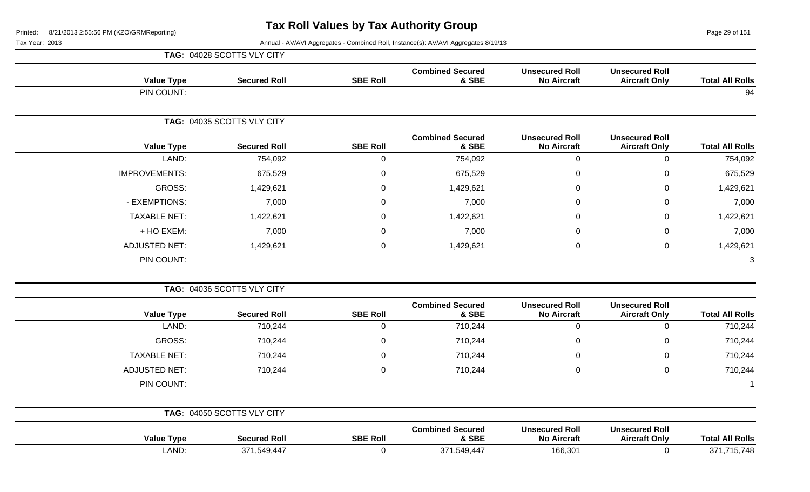Page 29 of 151

|                        |                                               |                                             |                                  |                     | TAG: 04028 SCOTTS VLY CITY |                      |
|------------------------|-----------------------------------------------|---------------------------------------------|----------------------------------|---------------------|----------------------------|----------------------|
| <b>Total All Rolls</b> | <b>Unsecured Roll</b><br><b>Aircraft Only</b> | <b>Unsecured Roll</b><br><b>No Aircraft</b> | <b>Combined Secured</b><br>& SBE | <b>SBE Roll</b>     | <b>Secured Roll</b>        | <b>Value Type</b>    |
| 94                     |                                               |                                             |                                  |                     |                            | PIN COUNT:           |
|                        |                                               |                                             |                                  |                     | TAG: 04035 SCOTTS VLY CITY |                      |
| <b>Total All Rolls</b> | <b>Unsecured Roll</b><br><b>Aircraft Only</b> | <b>Unsecured Roll</b><br><b>No Aircraft</b> | <b>Combined Secured</b><br>& SBE | <b>SBE Roll</b>     | <b>Secured Roll</b>        | <b>Value Type</b>    |
| 754,092                | $\mathbf 0$                                   | $\mathbf 0$                                 | 754,092                          | $\mathsf{O}\xspace$ | 754,092                    | LAND:                |
| 675,529                | $\mathbf 0$                                   | $\mathbf 0$                                 | 675,529                          | 0                   | 675,529                    | <b>IMPROVEMENTS:</b> |
| 1,429,621              | 0                                             | $\Omega$                                    | 1,429,621                        | $\mathbf 0$         | 1,429,621                  | GROSS:               |
| 7,000                  | 0                                             | $\Omega$                                    | 7,000                            | 0                   | 7,000                      | - EXEMPTIONS:        |
| 1,422,621              | 0                                             | $\Omega$                                    | 1,422,621                        | 0                   | 1,422,621                  | <b>TAXABLE NET:</b>  |
| 7,000                  | $\mathbf 0$                                   | $\Omega$                                    | 7,000                            | 0                   | 7,000                      | + HO EXEM:           |
| 1,429,621              | $\mathbf 0$                                   | $\boldsymbol{0}$                            | 1,429,621                        | $\mathbf 0$         | 1,429,621                  | <b>ADJUSTED NET:</b> |
|                        |                                               |                                             |                                  |                     |                            | PIN COUNT:           |
|                        |                                               |                                             |                                  |                     | TAG: 04036 SCOTTS VLY CITY |                      |
| <b>Total All Rolls</b> | <b>Unsecured Roll</b><br><b>Aircraft Only</b> | <b>Unsecured Roll</b><br><b>No Aircraft</b> | <b>Combined Secured</b><br>& SBE | <b>SBE Roll</b>     | <b>Secured Roll</b>        | <b>Value Type</b>    |
| 710,244                | $\pmb{0}$                                     | $\mathbf 0$                                 | 710,244                          | $\mathbf 0$         | 710,244                    | LAND:                |
| 710,244                | $\mathbf 0$                                   | $\mathbf 0$                                 | 710,244                          | $\mathbf 0$         | 710,244                    | <b>GROSS:</b>        |
| 710,244                | $\mathsf 0$                                   | 0                                           | 710,244                          | $\mathbf 0$         | 710,244                    | <b>TAXABLE NET:</b>  |
| 710,244                | $\mathbf 0$                                   | $\mathbf 0$                                 | 710,244                          | $\mathbf 0$         | 710,244                    | <b>ADJUSTED NET:</b> |
|                        |                                               |                                             |                                  |                     |                            | PIN COUNT:           |
|                        |                                               |                                             |                                  |                     | TAG: 04050 SCOTTS VLY CITY |                      |
| <b>Total All Rolls</b> | <b>Unsecured Roll</b><br><b>Aircraft Only</b> | <b>Unsecured Roll</b><br><b>No Aircraft</b> | <b>Combined Secured</b><br>& SBE | <b>SBE Roll</b>     | <b>Secured Roll</b>        | <b>Value Type</b>    |
| 371,715,748            | $\mathsf 0$                                   | 166,301                                     | 371,549,447                      | $\mathbf 0$         | 371,549,447                | LAND:                |
|                        |                                               |                                             |                                  |                     |                            |                      |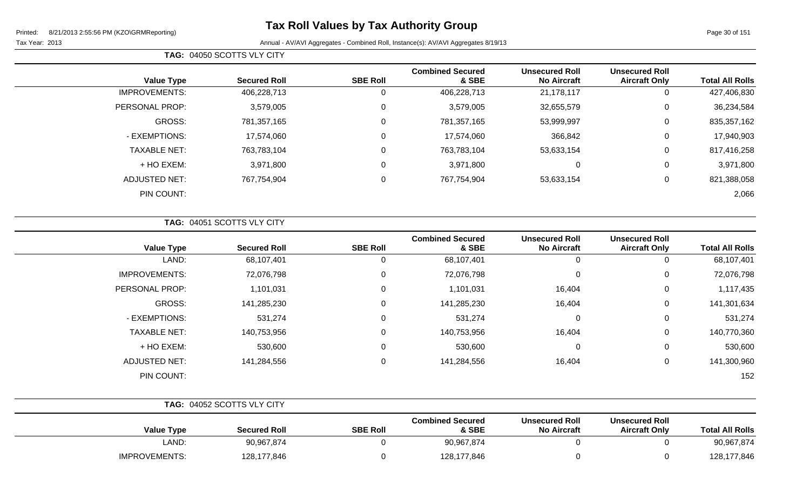# **Tax Roll Values by Tax Authority Group**

Page 30 of 151

|                        |                                               | TAG: 04050 SCOTTS VLY CITY                  |                                  |                 |                     |                      |  |
|------------------------|-----------------------------------------------|---------------------------------------------|----------------------------------|-----------------|---------------------|----------------------|--|
| <b>Total All Rolls</b> | <b>Unsecured Roll</b><br><b>Aircraft Only</b> | <b>Unsecured Roll</b><br><b>No Aircraft</b> | <b>Combined Secured</b><br>& SBE | <b>SBE Roll</b> | <b>Secured Roll</b> | <b>Value Type</b>    |  |
| 427,406,830            | 0                                             | 21,178,117                                  | 406,228,713                      | 0               | 406,228,713         | <b>IMPROVEMENTS:</b> |  |
| 36,234,584             | 0                                             | 32,655,579                                  | 3,579,005                        | 0               | 3,579,005           | PERSONAL PROP:       |  |
| 835, 357, 162          | 0                                             | 53,999,997                                  | 781,357,165                      | 0               | 781,357,165         | GROSS:               |  |
| 17,940,903             | 0                                             | 366,842                                     | 17,574,060                       | $\mathbf 0$     | 17,574,060          | - EXEMPTIONS:        |  |
| 817,416,258            | 0                                             | 53,633,154                                  | 763,783,104                      | 0               | 763,783,104         | <b>TAXABLE NET:</b>  |  |
| 3,971,800              | 0                                             | $\mathbf 0$                                 | 3,971,800                        | 0               | 3,971,800           | + HO EXEM:           |  |
| 821,388,058            | 0                                             | 53,633,154                                  | 767,754,904                      | 0               | 767,754,904         | <b>ADJUSTED NET:</b> |  |
| 2,066                  |                                               |                                             |                                  |                 |                     | PIN COUNT:           |  |
|                        |                                               |                                             |                                  |                 |                     |                      |  |

|  | <b>TAG: 04051 SCOTTS VLY CITY</b> |
|--|-----------------------------------|
|  |                                   |

| <b>Value Type</b>    | <b>Secured Roll</b> | <b>SBE Roll</b> | <b>Combined Secured</b><br>& SBE | <b>Unsecured Roll</b><br><b>No Aircraft</b> | <b>Unsecured Roll</b><br><b>Aircraft Only</b> | <b>Total All Rolls</b> |
|----------------------|---------------------|-----------------|----------------------------------|---------------------------------------------|-----------------------------------------------|------------------------|
| LAND:                | 68,107,401          | 0               | 68,107,401                       | 0                                           | U                                             | 68,107,401             |
| <b>IMPROVEMENTS:</b> | 72,076,798          | 0               | 72,076,798                       | $\pmb{0}$                                   | 0                                             | 72,076,798             |
| PERSONAL PROP:       | 1,101,031           | 0               | 1,101,031                        | 16,404                                      | 0                                             | 1,117,435              |
| GROSS:               | 141,285,230         | 0               | 141,285,230                      | 16,404                                      | 0                                             | 141,301,634            |
| - EXEMPTIONS:        | 531,274             | 0               | 531,274                          | 0                                           | 0                                             | 531,274                |
| <b>TAXABLE NET:</b>  | 140,753,956         | 0               | 140,753,956                      | 16,404                                      | 0                                             | 140,770,360            |
| + HO EXEM:           | 530,600             | 0               | 530,600                          | 0                                           | 0                                             | 530,600                |
| <b>ADJUSTED NET:</b> | 141,284,556         | 0               | 141,284,556                      | 16,404                                      | 0                                             | 141,300,960            |
| PIN COUNT:           |                     |                 |                                  |                                             |                                               | 152                    |

|                      | TAG: 04052 SCOTTS VLY CITY |                 |                                  |                                             |                                               |                        |
|----------------------|----------------------------|-----------------|----------------------------------|---------------------------------------------|-----------------------------------------------|------------------------|
| <b>Value Type</b>    | <b>Secured Roll</b>        | <b>SBE Roll</b> | <b>Combined Secured</b><br>& SBE | <b>Unsecured Roll</b><br><b>No Aircraft</b> | <b>Unsecured Roll</b><br><b>Aircraft Only</b> | <b>Total All Rolls</b> |
| LAND:                | 90,967,874                 |                 | 90,967,874                       |                                             |                                               | 90,967,874             |
| <b>IMPROVEMENTS:</b> | 128,177,846                |                 | 128,177,846                      |                                             |                                               | 128,177,846            |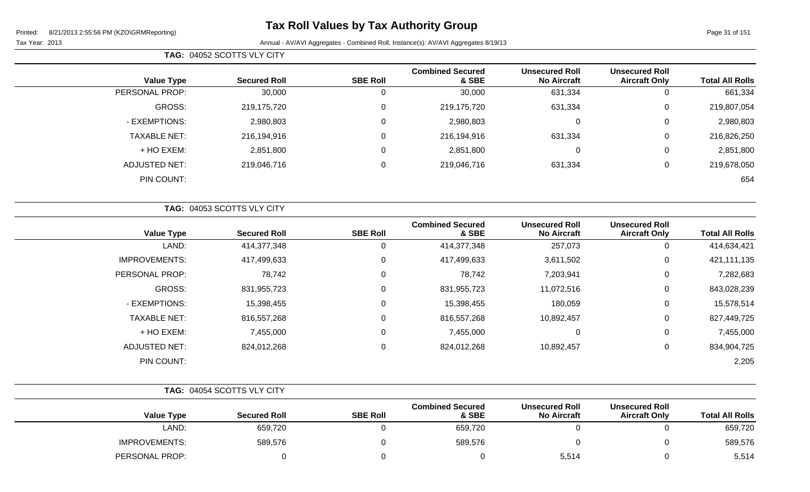Page 31 of 151

| TAG: 04052 SCOTTS VLY CITY |  |                     |                 |                                  |                                             |                                               |                        |
|----------------------------|--|---------------------|-----------------|----------------------------------|---------------------------------------------|-----------------------------------------------|------------------------|
| <b>Value Type</b>          |  | <b>Secured Roll</b> | <b>SBE Roll</b> | <b>Combined Secured</b><br>& SBE | <b>Unsecured Roll</b><br><b>No Aircraft</b> | <b>Unsecured Roll</b><br><b>Aircraft Only</b> | <b>Total All Rolls</b> |
| PERSONAL PROP:             |  | 30,000              | 0               | 30,000                           | 631,334                                     | 0                                             | 661,334                |
| GROSS:                     |  | 219,175,720         | $\mathbf 0$     | 219,175,720                      | 631,334                                     | 0                                             | 219,807,054            |
| - EXEMPTIONS:              |  | 2,980,803           | $\mathbf 0$     | 2,980,803                        | $\mathbf 0$                                 | 0                                             | 2,980,803              |
| <b>TAXABLE NET:</b>        |  | 216,194,916         | 0               | 216,194,916                      | 631,334                                     | 0                                             | 216,826,250            |
| + HO EXEM:                 |  | 2,851,800           | $\mathbf 0$     | 2,851,800                        | 0                                           | 0                                             | 2,851,800              |
| <b>ADJUSTED NET:</b>       |  | 219,046,716         | 0               | 219,046,716                      | 631,334                                     | 0                                             | 219,678,050            |
| PIN COUNT:                 |  |                     |                 |                                  |                                             |                                               | 654                    |

|                      | TAG: 04053 SCOTTS VLY CITY |                 |                                  |                                             |                                               |                        |
|----------------------|----------------------------|-----------------|----------------------------------|---------------------------------------------|-----------------------------------------------|------------------------|
| <b>Value Type</b>    | <b>Secured Roll</b>        | <b>SBE Roll</b> | <b>Combined Secured</b><br>& SBE | <b>Unsecured Roll</b><br><b>No Aircraft</b> | <b>Unsecured Roll</b><br><b>Aircraft Only</b> | <b>Total All Rolls</b> |
| LAND:                | 414,377,348                | 0               | 414,377,348                      | 257,073                                     | 0                                             | 414,634,421            |
| <b>IMPROVEMENTS:</b> | 417,499,633                | 0               | 417,499,633                      | 3,611,502                                   | 0                                             | 421,111,135            |
| PERSONAL PROP:       | 78,742                     | 0               | 78,742                           | 7,203,941                                   | 0                                             | 7,282,683              |
| GROSS:               | 831,955,723                | 0               | 831,955,723                      | 11,072,516                                  | $\mathbf 0$                                   | 843,028,239            |
| - EXEMPTIONS:        | 15,398,455                 | 0               | 15,398,455                       | 180,059                                     | $\mathbf 0$                                   | 15,578,514             |
| <b>TAXABLE NET:</b>  | 816,557,268                | 0               | 816,557,268                      | 10,892,457                                  | $\mathbf 0$                                   | 827,449,725            |
| + HO EXEM:           | 7,455,000                  | 0               | 7,455,000                        | 0                                           | $\mathbf 0$                                   | 7,455,000              |
| <b>ADJUSTED NET:</b> | 824,012,268                | 0               | 824,012,268                      | 10,892,457                                  | $\mathbf 0$                                   | 834,904,725            |
| PIN COUNT:           |                            |                 |                                  |                                             |                                               | 2,205                  |

|                      | TAG: 04054 SCOTTS VLY CITY |                 |                                  |                                             |                                               |                        |
|----------------------|----------------------------|-----------------|----------------------------------|---------------------------------------------|-----------------------------------------------|------------------------|
| <b>Value Type</b>    | <b>Secured Roll</b>        | <b>SBE Roll</b> | <b>Combined Secured</b><br>& SBE | <b>Unsecured Roll</b><br><b>No Aircraft</b> | <b>Unsecured Roll</b><br><b>Aircraft Only</b> | <b>Total All Rolls</b> |
| LAND:                | 659,720                    |                 | 659,720                          |                                             |                                               | 659,720                |
| <b>IMPROVEMENTS:</b> | 589,576                    |                 | 589,576                          |                                             |                                               | 589,576                |
| PERSONAL PROP:       |                            |                 |                                  | 5,514                                       |                                               | 5,514                  |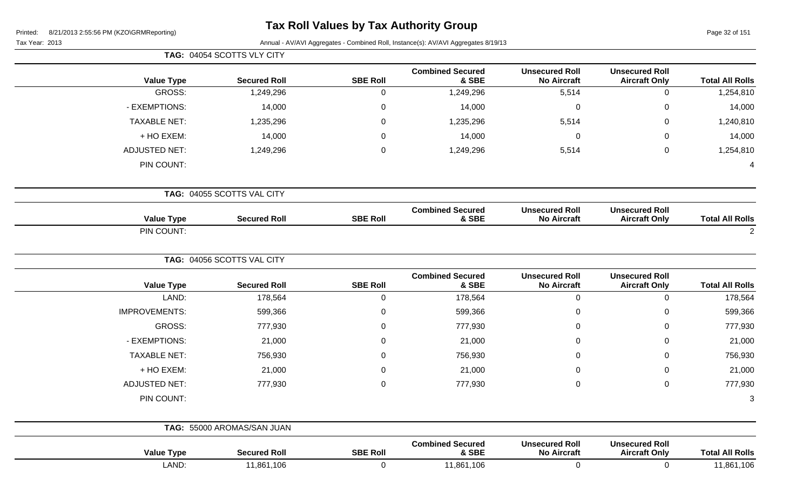# **Tax Roll Values by Tax Authority Group**

Page 32 of 151

|                           |                                               |                                             |                                  |                  | TAG: 04054 SCOTTS VLY CITY |                      |
|---------------------------|-----------------------------------------------|---------------------------------------------|----------------------------------|------------------|----------------------------|----------------------|
| <b>Total All Rolls</b>    | <b>Unsecured Roll</b><br><b>Aircraft Only</b> | <b>Unsecured Roll</b><br><b>No Aircraft</b> | <b>Combined Secured</b><br>& SBE | <b>SBE Roll</b>  | <b>Secured Roll</b>        | <b>Value Type</b>    |
| $\mathbf 0$<br>1,254,810  |                                               | 5,514                                       | 1,249,296                        | $\mathbf 0$      | 1,249,296                  | <b>GROSS:</b>        |
| $\mathbf 0$<br>14,000     |                                               | $\mathbf 0$                                 | 14,000                           | $\pmb{0}$        | 14,000                     | - EXEMPTIONS:        |
| 1,240,810<br>$\mathbf 0$  |                                               | 5,514                                       | 1,235,296                        | $\boldsymbol{0}$ | 1,235,296                  | <b>TAXABLE NET:</b>  |
| 14,000<br>0               |                                               | $\overline{0}$                              | 14,000                           | 0                | 14,000                     | + HO EXEM:           |
| $\pmb{0}$<br>1,254,810    |                                               | 5,514                                       | 1,249,296                        | $\mathbf 0$      | 1,249,296                  | <b>ADJUSTED NET:</b> |
| $\overline{\mathcal{A}}$  |                                               |                                             |                                  |                  |                            | PIN COUNT:           |
|                           |                                               |                                             |                                  |                  | TAG: 04055 SCOTTS VAL CITY |                      |
| <b>Total All Rolls</b>    | <b>Unsecured Roll</b><br><b>Aircraft Only</b> | <b>Unsecured Roll</b><br><b>No Aircraft</b> | <b>Combined Secured</b><br>& SBE | <b>SBE Roll</b>  | <b>Secured Roll</b>        | <b>Value Type</b>    |
| $\overline{2}$            |                                               |                                             |                                  |                  |                            | PIN COUNT:           |
|                           |                                               |                                             |                                  |                  | TAG: 04056 SCOTTS VAL CITY |                      |
| <b>Total All Rolls</b>    | <b>Unsecured Roll</b><br><b>Aircraft Only</b> | <b>Unsecured Roll</b><br><b>No Aircraft</b> | <b>Combined Secured</b><br>& SBE | <b>SBE Roll</b>  | <b>Secured Roll</b>        | <b>Value Type</b>    |
| 178,564<br>$\mathbf 0$    |                                               | $\mathbf 0$                                 | 178,564                          | $\mathbf 0$      | 178,564                    | LAND:                |
| $\mathbf 0$<br>599,366    |                                               | 0                                           | 599,366                          | $\boldsymbol{0}$ | 599,366                    | <b>IMPROVEMENTS:</b> |
| $\mathbf 0$<br>777,930    |                                               | $\Omega$                                    | 777,930                          | $\mathbf 0$      | 777,930                    | GROSS:               |
| $\mathbf 0$<br>21,000     |                                               | $\Omega$                                    | 21,000                           | $\mathbf 0$      | 21,000                     | - EXEMPTIONS:        |
| 756,930<br>$\Omega$       |                                               | 0                                           | 756,930                          | $\mathbf 0$      | 756,930                    | <b>TAXABLE NET:</b>  |
| 21,000<br>0               |                                               | $\Omega$                                    | 21,000                           | $\mathbf 0$      | 21,000                     | + HO EXEM:           |
| $\mathbf 0$<br>777,930    |                                               | $\mathbf 0$                                 | 777,930                          | $\mathbf 0$      | 777,930                    | <b>ADJUSTED NET:</b> |
| 3                         |                                               |                                             |                                  |                  |                            | PIN COUNT:           |
|                           |                                               |                                             |                                  |                  | TAG: 55000 AROMAS/SAN JUAN |                      |
| <b>Total All Rolls</b>    | <b>Unsecured Roll</b><br><b>Aircraft Only</b> | <b>Unsecured Roll</b><br><b>No Aircraft</b> | <b>Combined Secured</b><br>& SBE | <b>SBE Roll</b>  | <b>Secured Roll</b>        | <b>Value Type</b>    |
| $\mathbf 0$<br>11,861,106 |                                               | $\mathbf 0$                                 | 11,861,106                       | $\mathbf 0$      | 11,861,106                 | LAND:                |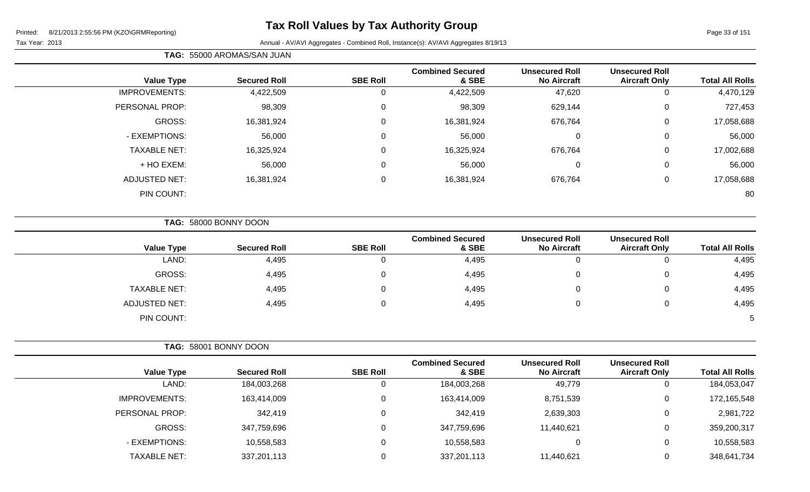Tax Year: 2013 **Annual - AV/AVI Aggregates - Combined Roll**, Instance(s): AV/AVI Aggregates 8/19/13

|                      | TAG: 55000 AROMAS/SAN JUAN |                 |                                  |                                             |                                               |                        |
|----------------------|----------------------------|-----------------|----------------------------------|---------------------------------------------|-----------------------------------------------|------------------------|
| <b>Value Type</b>    | <b>Secured Roll</b>        | <b>SBE Roll</b> | <b>Combined Secured</b><br>& SBE | <b>Unsecured Roll</b><br><b>No Aircraft</b> | <b>Unsecured Roll</b><br><b>Aircraft Only</b> | <b>Total All Rolls</b> |
| <b>IMPROVEMENTS:</b> | 4,422,509                  | 0               | 4,422,509                        | 47,620                                      | 0                                             | 4,470,129              |
| PERSONAL PROP:       | 98,309                     | 0               | 98,309                           | 629,144                                     | 0                                             | 727,453                |
| GROSS:               | 16,381,924                 | 0               | 16,381,924                       | 676,764                                     | 0                                             | 17,058,688             |
| - EXEMPTIONS:        | 56,000                     | 0               | 56,000                           | 0                                           | 0                                             | 56,000                 |
| <b>TAXABLE NET:</b>  | 16,325,924                 | 0               | 16,325,924                       | 676,764                                     | 0                                             | 17,002,688             |
| + HO EXEM:           | 56,000                     | 0               | 56,000                           | 0                                           | 0                                             | 56,000                 |
| <b>ADJUSTED NET:</b> | 16,381,924                 | 0               | 16,381,924                       | 676,764                                     | 0                                             | 17,058,688             |
| PIN COUNT:           |                            |                 |                                  |                                             |                                               | 80                     |

**TAG:** 58000 BONNY DOON

|                      |                     |                 | <b>Combined Secured</b> | <b>Unsecured Roll</b> | <b>Unsecured Roll</b> |                        |
|----------------------|---------------------|-----------------|-------------------------|-----------------------|-----------------------|------------------------|
| <b>Value Type</b>    | <b>Secured Roll</b> | <b>SBE Roll</b> | & SBE                   | <b>No Aircraft</b>    | <b>Aircraft Only</b>  | <b>Total All Rolls</b> |
| LAND:                | 4,495               | 0               | 4,495                   |                       | 0                     | 4,495                  |
| GROSS:               | 4,495               | 0               | 4,495                   |                       | 0                     | 4,495                  |
| <b>TAXABLE NET:</b>  | 4,495               | 0               | 4,495                   |                       | 0                     | 4,495                  |
| <b>ADJUSTED NET:</b> | 4,495               | 0               | 4,495                   |                       | 0                     | 4,495                  |
| PIN COUNT:           |                     |                 |                         |                       |                       | 5                      |

|                     | TAG: 58001 BONNY DOON |                 |                                  |                                             |                                               |                        |
|---------------------|-----------------------|-----------------|----------------------------------|---------------------------------------------|-----------------------------------------------|------------------------|
| <b>Value Type</b>   | <b>Secured Roll</b>   | <b>SBE Roll</b> | <b>Combined Secured</b><br>& SBE | <b>Unsecured Roll</b><br><b>No Aircraft</b> | <b>Unsecured Roll</b><br><b>Aircraft Only</b> | <b>Total All Rolls</b> |
| LAND:               | 184,003,268           | 0               | 184,003,268                      | 49,779                                      | 0                                             | 184,053,047            |
| IMPROVEMENTS:       | 163,414,009           | 0               | 163,414,009                      | 8,751,539                                   | 0                                             | 172,165,548            |
| PERSONAL PROP:      | 342,419               | 0               | 342,419                          | 2,639,303                                   | $\mathbf 0$                                   | 2,981,722              |
| GROSS:              | 347,759,696           | 0               | 347,759,696                      | 11,440,621                                  | 0                                             | 359,200,317            |
| - EXEMPTIONS:       | 10,558,583            | $\Omega$        | 10,558,583                       |                                             | 0                                             | 10,558,583             |
| <b>TAXABLE NET:</b> | 337,201,113           | 0               | 337,201,113                      | 11,440,621                                  | 0                                             | 348,641,734            |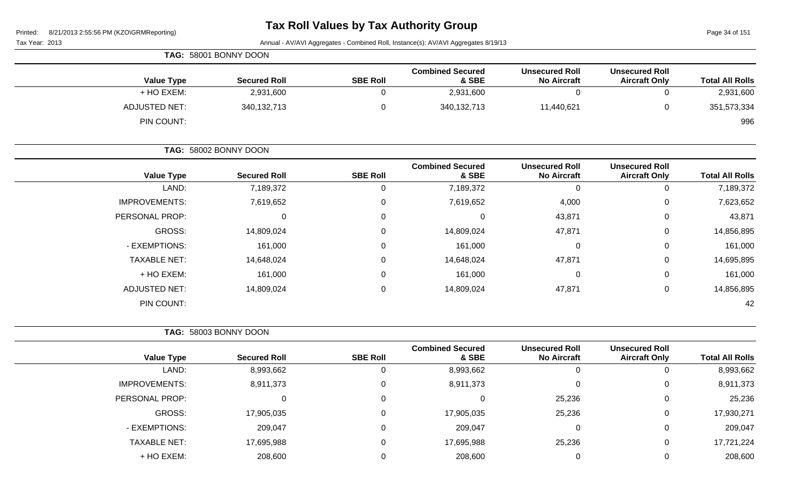Page 34 of 151

|                      | TAG: 58001 BONNY DOON |                 |                                  |                                             |                                               |                        |
|----------------------|-----------------------|-----------------|----------------------------------|---------------------------------------------|-----------------------------------------------|------------------------|
| <b>Value Type</b>    | <b>Secured Roll</b>   | <b>SBE Roll</b> | <b>Combined Secured</b><br>& SBE | <b>Unsecured Roll</b><br><b>No Aircraft</b> | <b>Unsecured Roll</b><br><b>Aircraft Only</b> | <b>Total All Rolls</b> |
| + HO EXEM:           | 2,931,600             |                 | 2,931,600                        |                                             |                                               | 2,931,600              |
| <b>ADJUSTED NET:</b> | 340,132,713           |                 | 340,132,713                      | 11,440,621                                  |                                               | 351,573,334            |
| PIN COUNT:           |                       |                 |                                  |                                             |                                               | 996                    |

|                      | TAG: 58002 BONNY DOON |                  |                                  |                                             |                                               |                        |
|----------------------|-----------------------|------------------|----------------------------------|---------------------------------------------|-----------------------------------------------|------------------------|
| <b>Value Type</b>    | <b>Secured Roll</b>   | <b>SBE Roll</b>  | <b>Combined Secured</b><br>& SBE | <b>Unsecured Roll</b><br><b>No Aircraft</b> | <b>Unsecured Roll</b><br><b>Aircraft Only</b> | <b>Total All Rolls</b> |
| LAND:                | 7,189,372             | 0                | 7,189,372                        |                                             | 0                                             | 7,189,372              |
| <b>IMPROVEMENTS:</b> | 7,619,652             | $\mathbf 0$      | 7,619,652                        | 4,000                                       | $\mathbf 0$                                   | 7,623,652              |
| PERSONAL PROP:       | 0                     | $\mathbf 0$      | 0                                | 43,871                                      | $\mathbf 0$                                   | 43,871                 |
| GROSS:               | 14,809,024            | $\mathbf 0$      | 14,809,024                       | 47,871                                      | $\mathbf 0$                                   | 14,856,895             |
| - EXEMPTIONS:        | 161,000               | $\boldsymbol{0}$ | 161,000                          | 0                                           | $\mathbf 0$                                   | 161,000                |
| <b>TAXABLE NET:</b>  | 14,648,024            | $\mathbf 0$      | 14,648,024                       | 47,871                                      | $\mathbf 0$                                   | 14,695,895             |
| + HO EXEM:           | 161,000               | $\pmb{0}$        | 161,000                          | 0                                           | $\mathbf 0$                                   | 161,000                |
| <b>ADJUSTED NET:</b> | 14,809,024            | $\mathbf 0$      | 14,809,024                       | 47,871                                      | $\mathbf 0$                                   | 14,856,895             |
| PIN COUNT:           |                       |                  |                                  |                                             |                                               | 42                     |

|                        |                                               |                                             |                                  |                 | TAG: 58003 BONNY DOON |                      |
|------------------------|-----------------------------------------------|---------------------------------------------|----------------------------------|-----------------|-----------------------|----------------------|
| <b>Total All Rolls</b> | <b>Unsecured Roll</b><br><b>Aircraft Only</b> | <b>Unsecured Roll</b><br><b>No Aircraft</b> | <b>Combined Secured</b><br>& SBE | <b>SBE Roll</b> | <b>Secured Roll</b>   | <b>Value Type</b>    |
| 8,993,662              | 0                                             | U                                           | 8,993,662                        | 0               | 8,993,662             | LAND:                |
| 8,911,373              | 0                                             |                                             | 8,911,373                        | 0               | 8,911,373             | <b>IMPROVEMENTS:</b> |
| 25,236                 | 0                                             | 25,236                                      | 0                                | 0               |                       | PERSONAL PROP:       |
| 17,930,271             | 0                                             | 25,236                                      | 17,905,035                       | 0               | 17,905,035            | GROSS:               |
| 209,047                | 0                                             |                                             | 209,047                          | 0               | 209,047               | - EXEMPTIONS:        |
| 17,721,224             | 0                                             | 25,236                                      | 17,695,988                       | 0               | 17,695,988            | <b>TAXABLE NET:</b>  |
| 208,600                | 0                                             | 0                                           | 208,600                          | $\mathbf 0$     | 208,600               | + HO EXEM:           |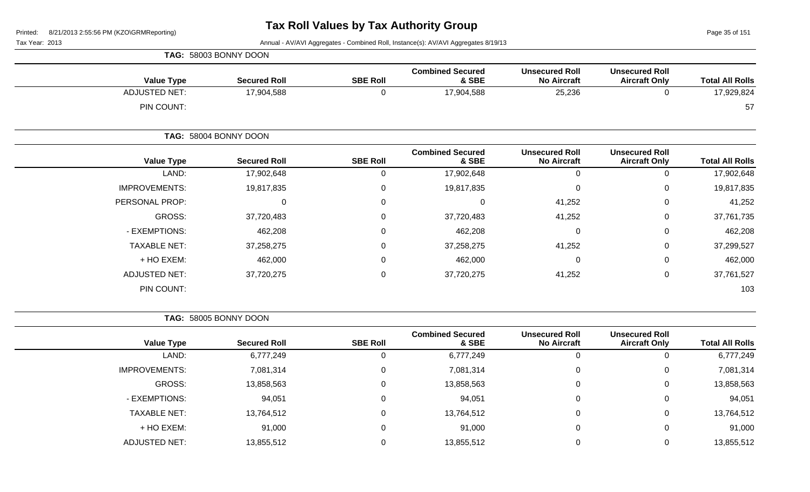Page 35 of 151

Tax Year: 2013 Annual - AV/AVI Aggregates - Combined Roll, Instance(s): AV/AVI Aggregates 8/19/13

|                      | TAG: 58003 BONNY DOON |                 |                                  |                                             |                                               |                        |
|----------------------|-----------------------|-----------------|----------------------------------|---------------------------------------------|-----------------------------------------------|------------------------|
| <b>Value Type</b>    | <b>Secured Roll</b>   | <b>SBE Roll</b> | <b>Combined Secured</b><br>& SBE | <b>Unsecured Roll</b><br><b>No Aircraft</b> | <b>Unsecured Roll</b><br><b>Aircraft Only</b> | <b>Total All Rolls</b> |
| <b>ADJUSTED NET:</b> | 17,904,588            | $\mathbf 0$     | 17,904,588                       | 25,236                                      | $\mathbf 0$                                   | 17,929,824             |
| PIN COUNT:           |                       |                 |                                  |                                             |                                               | 57                     |
|                      | TAG: 58004 BONNY DOON |                 |                                  |                                             |                                               |                        |
| <b>Value Type</b>    | <b>Secured Roll</b>   | <b>SBE Roll</b> | <b>Combined Secured</b><br>& SBE | <b>Unsecured Roll</b><br><b>No Aircraft</b> | <b>Unsecured Roll</b><br><b>Aircraft Only</b> | <b>Total All Rolls</b> |
| LAND:                | 17,902,648            | 0               | 17,902,648                       | $\mathbf 0$                                 | 0                                             | 17,902,648             |
| <b>IMPROVEMENTS:</b> | 19,817,835            | 0               | 19,817,835                       | $\mathbf 0$                                 | 0                                             | 19,817,835             |
| PERSONAL PROP:       | $\mathbf 0$           | 0               | 0                                | 41,252                                      | 0                                             | 41,252                 |
| GROSS:               | 37,720,483            | $\Omega$        | 37,720,483                       | 41,252                                      | $\mathbf 0$                                   | 37,761,735             |
| - EXEMPTIONS:        | 462,208               | 0               | 462,208                          | $\mathbf 0$                                 | $\mathbf 0$                                   | 462,208                |
| <b>TAXABLE NET:</b>  | 37,258,275            | 0               | 37,258,275                       | 41,252                                      | 0                                             | 37,299,527             |
| + HO EXEM:           | 462,000               | 0               | 462,000                          | $\mathbf 0$                                 | $\mathbf 0$                                   | 462,000                |
| <b>ADJUSTED NET:</b> | 37,720,275            | 0               | 37,720,275                       | 41,252                                      | 0                                             | 37,761,527             |
| PIN COUNT:           |                       |                 |                                  |                                             |                                               | 103                    |

**TAG:** 58005 BONNY DOON

|                      |                     |                 | <b>Combined Secured</b> | <b>Unsecured Roll</b> | <b>Unsecured Roll</b> |                        |
|----------------------|---------------------|-----------------|-------------------------|-----------------------|-----------------------|------------------------|
| <b>Value Type</b>    | <b>Secured Roll</b> | <b>SBE Roll</b> | & SBE                   | <b>No Aircraft</b>    | <b>Aircraft Only</b>  | <b>Total All Rolls</b> |
| LAND:                | 6,777,249           |                 | 6,777,249               | 0                     | U                     | 6,777,249              |
| <b>IMPROVEMENTS:</b> | 7,081,314           |                 | 7,081,314               | 0                     | $\overline{0}$        | 7,081,314              |
| GROSS:               | 13,858,563          |                 | 13,858,563              | 0                     | $\overline{0}$        | 13,858,563             |
| - EXEMPTIONS:        | 94,051              |                 | 94,051                  | $\Omega$              | $\Omega$              | 94,051                 |
| <b>TAXABLE NET:</b>  | 13,764,512          |                 | 13,764,512              | 0                     | 0                     | 13,764,512             |
| + HO EXEM:           | 91,000              |                 | 91,000                  | 0                     | 0                     | 91,000                 |
| <b>ADJUSTED NET:</b> | 13,855,512          |                 | 13,855,512              | 0                     | 0                     | 13,855,512             |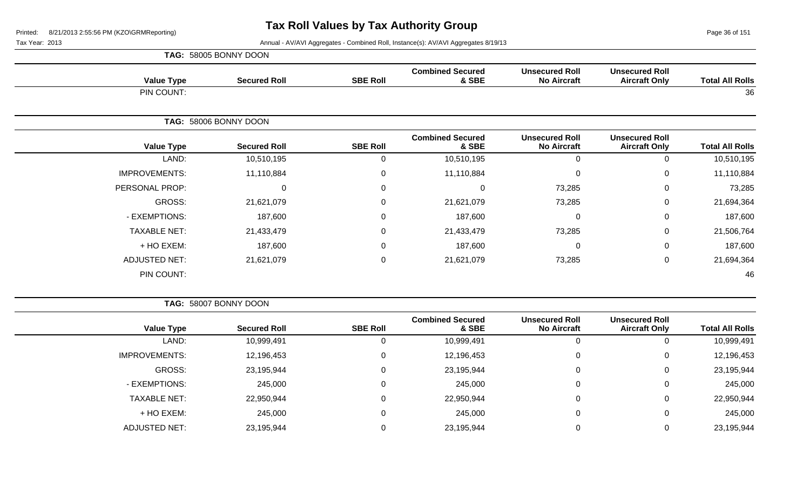Page 36 of 151

|                      | TAG: 58005 BONNY DOON |                  |                                  |                                             |                                               |                        |
|----------------------|-----------------------|------------------|----------------------------------|---------------------------------------------|-----------------------------------------------|------------------------|
| <b>Value Type</b>    | <b>Secured Roll</b>   | <b>SBE Roll</b>  | <b>Combined Secured</b><br>& SBE | <b>Unsecured Roll</b><br><b>No Aircraft</b> | <b>Unsecured Roll</b><br><b>Aircraft Only</b> | <b>Total All Rolls</b> |
| PIN COUNT:           |                       |                  |                                  |                                             |                                               | 36                     |
|                      | TAG: 58006 BONNY DOON |                  |                                  |                                             |                                               |                        |
| <b>Value Type</b>    | <b>Secured Roll</b>   | <b>SBE Roll</b>  | <b>Combined Secured</b><br>& SBE | <b>Unsecured Roll</b><br><b>No Aircraft</b> | <b>Unsecured Roll</b><br><b>Aircraft Only</b> | <b>Total All Rolls</b> |
| LAND:                | 10,510,195            | $\mathbf{0}$     | 10,510,195                       | 0                                           | 0                                             | 10,510,195             |
| <b>IMPROVEMENTS:</b> | 11,110,884            | 0                | 11,110,884                       | $\mathbf 0$                                 | 0                                             | 11,110,884             |
| PERSONAL PROP:       | $\mathbf 0$           | $\Omega$         | 0                                | 73,285                                      | $\mathbf 0$                                   | 73,285                 |
| GROSS:               | 21,621,079            | 0                | 21,621,079                       | 73,285                                      | 0                                             | 21,694,364             |
| - EXEMPTIONS:        | 187,600               | 0                | 187,600                          | $\mathbf 0$                                 | $\pmb{0}$                                     | 187,600                |
| <b>TAXABLE NET:</b>  | 21,433,479            | $\Omega$         | 21,433,479                       | 73,285                                      | $\mathbf 0$                                   | 21,506,764             |
| + HO EXEM:           | 187,600               | 0                | 187,600                          | $\mathbf 0$                                 | $\mathbf 0$                                   | 187,600                |
| <b>ADJUSTED NET:</b> | 21,621,079            | $\boldsymbol{0}$ | 21,621,079                       | 73,285                                      | $\mathbf 0$                                   | 21,694,364             |
| PIN COUNT:           |                       |                  |                                  |                                             |                                               | 46                     |

|                        |   | <b>Unsecured Roll</b><br><b>Unsecured Roll</b><br><b>No Aircraft</b><br>& SBE<br><b>Aircraft Only</b><br>10,999,491<br>0<br>U<br>12,196,453<br>0<br>0 |                         |                 | TAG: 58007 BONNY DOON |                      |
|------------------------|---|-------------------------------------------------------------------------------------------------------------------------------------------------------|-------------------------|-----------------|-----------------------|----------------------|
| <b>Total All Rolls</b> |   |                                                                                                                                                       | <b>Combined Secured</b> | <b>SBE Roll</b> | <b>Secured Roll</b>   | <b>Value Type</b>    |
| 10,999,491             |   |                                                                                                                                                       |                         | 0               | 10,999,491            | LAND:                |
| 12,196,453             |   |                                                                                                                                                       |                         | 0               | 12,196,453            | <b>IMPROVEMENTS:</b> |
| 23,195,944             | 0 | 0                                                                                                                                                     | 23,195,944              | 0               | 23,195,944            | GROSS:               |
| 245,000                | 0 | 0                                                                                                                                                     | 245,000                 | 0               | 245,000               | - EXEMPTIONS:        |
| 22,950,944             | 0 | 0                                                                                                                                                     | 22,950,944              | 0               | 22,950,944            | <b>TAXABLE NET:</b>  |
| 245,000                | 0 | 0                                                                                                                                                     | 245,000                 | 0               | 245,000               | + HO EXEM:           |
| 23,195,944             |   | 0                                                                                                                                                     | 23,195,944              | 0               | 23,195,944            | ADJUSTED NET:        |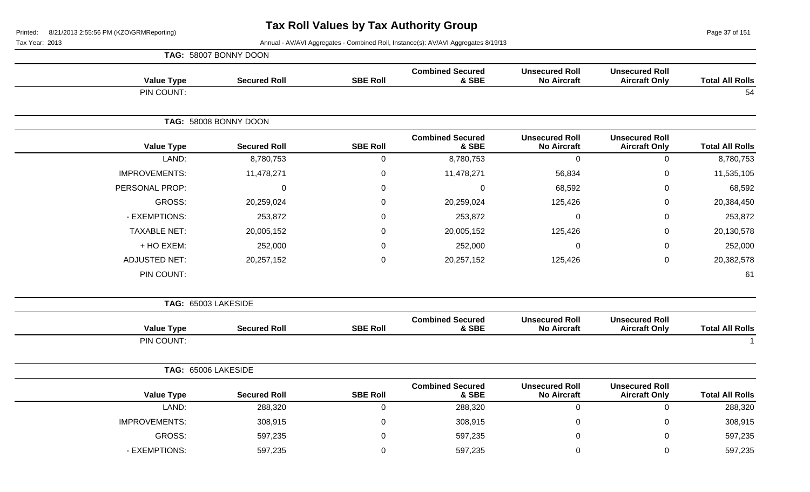Page 37 of 151

|                        |                                               |                                             |                                  |                 | TAG: 58007 BONNY DOON |                      |
|------------------------|-----------------------------------------------|---------------------------------------------|----------------------------------|-----------------|-----------------------|----------------------|
| <b>Total All Rolls</b> | <b>Unsecured Roll</b><br><b>Aircraft Only</b> | <b>Unsecured Roll</b><br><b>No Aircraft</b> | <b>Combined Secured</b><br>& SBE | <b>SBE Roll</b> | <b>Secured Roll</b>   | <b>Value Type</b>    |
| 54                     |                                               |                                             |                                  |                 |                       | PIN COUNT:           |
|                        |                                               |                                             |                                  |                 | TAG: 58008 BONNY DOON |                      |
| <b>Total All Rolls</b> | <b>Unsecured Roll</b><br><b>Aircraft Only</b> | <b>Unsecured Roll</b><br><b>No Aircraft</b> | <b>Combined Secured</b><br>& SBE | <b>SBE Roll</b> | <b>Secured Roll</b>   | <b>Value Type</b>    |
| 8,780,753              | $\mathbf 0$                                   | $\mathbf 0$                                 | 8,780,753                        | $\mathbf 0$     | 8,780,753             | LAND:                |
| 11,535,105             | $\overline{0}$                                | 56,834                                      | 11,478,271                       | $\mathbf 0$     | 11,478,271            | <b>IMPROVEMENTS:</b> |
| 68,592                 | $\overline{0}$                                | 68,592                                      | $\mathbf 0$                      | $\Omega$        | $\mathbf 0$           | PERSONAL PROP:       |
| 20,384,450             | $\mathbf 0$                                   | 125,426                                     | 20,259,024                       | $\mathbf 0$     | 20,259,024            | GROSS:               |
| 253,872                | $\mathbf 0$                                   | 0                                           | 253,872                          | $\mathbf 0$     | 253,872               | - EXEMPTIONS:        |
| 20,130,578             | 0                                             | 125,426                                     | 20,005,152                       | $\Omega$        | 20,005,152            | <b>TAXABLE NET:</b>  |
| 252,000                | $\overline{0}$                                | $\Omega$                                    | 252,000                          | $\mathbf 0$     | 252,000               | + HO EXEM:           |
| 20,382,578             | $\pmb{0}$                                     | 125,426                                     | 20,257,152                       | $\mathbf 0$     | 20,257,152            | <b>ADJUSTED NET:</b> |
| 61                     |                                               |                                             |                                  |                 |                       | PIN COUNT:           |
|                        |                                               |                                             |                                  |                 |                       | TAG: 65003 LAKESIDE  |
| <b>Total All Rolls</b> | <b>Unsecured Roll</b><br><b>Aircraft Only</b> | <b>Unsecured Roll</b><br><b>No Aircraft</b> | <b>Combined Secured</b><br>& SBE | <b>SBE Roll</b> | <b>Secured Roll</b>   | <b>Value Type</b>    |
| $\overline{1}$         |                                               |                                             |                                  |                 |                       | PIN COUNT:           |
|                        |                                               |                                             |                                  |                 |                       | TAG: 65006 LAKESIDE  |
| <b>Total All Rolls</b> | <b>Unsecured Roll</b><br><b>Aircraft Only</b> | <b>Unsecured Roll</b><br><b>No Aircraft</b> | <b>Combined Secured</b><br>& SBE | <b>SBE Roll</b> | <b>Secured Roll</b>   | <b>Value Type</b>    |
| 288,320                | $\pmb{0}$                                     | $\mathbf 0$                                 | 288,320                          | $\pmb{0}$       | 288,320               | LAND:                |
| 308,915                | $\mathbf 0$                                   | $\Omega$                                    | 308,915                          | $\mathbf 0$     | 308,915               | <b>IMPROVEMENTS:</b> |
| 597,235                | $\mathbf 0$                                   | 0                                           | 597,235                          | $\mathbf 0$     | 597,235               | GROSS:               |
| 597,235                | 0                                             | $\Omega$                                    | 597,235                          | $\mathbf 0$     | 597,235               | - EXEMPTIONS:        |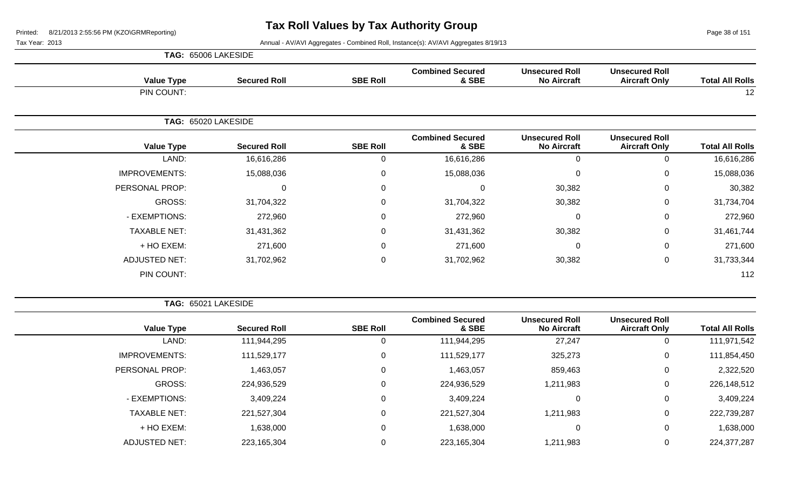Page 38 of 151

Tax Year: 2013 **Annual - AV/AVI Aggregates - Combined Roll**, Instance(s): AV/AVI Aggregates 8/19/13

| TAG: 65006 LAKESIDE |
|---------------------|
|                     |

| <b>Total All Rolls</b>                                                                                                                                                                                                                                                                                    | <b>Unsecured Roll</b><br><b>Aircraft Only</b> | <b>Unsecured Roll</b><br><b>No Aircraft</b> | <b>Combined Secured</b><br>& SBE | <b>SBE Roll</b> | <b>Secured Roll</b> | <b>Value Type</b>    |
|-----------------------------------------------------------------------------------------------------------------------------------------------------------------------------------------------------------------------------------------------------------------------------------------------------------|-----------------------------------------------|---------------------------------------------|----------------------------------|-----------------|---------------------|----------------------|
| 12<br><b>Unsecured Roll</b><br><b>Unsecured Roll</b><br><b>Total All Rolls</b><br><b>No Aircraft</b><br><b>Aircraft Only</b><br>$\mathbf 0$<br>16,616,286<br>0<br>15,088,036<br>$\mathbf 0$<br>0<br>30,382<br>30,382<br>0<br>30,382<br>$\mathbf 0$<br>31,734,704<br>$\mathbf 0$<br>272,960<br>$\mathbf 0$ |                                               |                                             |                                  |                 | PIN COUNT:          |                      |
|                                                                                                                                                                                                                                                                                                           |                                               |                                             |                                  |                 |                     | TAG: 65020 LAKESIDE  |
|                                                                                                                                                                                                                                                                                                           |                                               |                                             | <b>Combined Secured</b><br>& SBE | <b>SBE Roll</b> | <b>Secured Roll</b> | <b>Value Type</b>    |
|                                                                                                                                                                                                                                                                                                           |                                               |                                             | 16,616,286                       | 0               | 16,616,286          | LAND:                |
|                                                                                                                                                                                                                                                                                                           |                                               |                                             | 15,088,036                       | 0               | 15,088,036          | <b>IMPROVEMENTS:</b> |
|                                                                                                                                                                                                                                                                                                           |                                               |                                             | $\Omega$                         | 0               | 0                   | PERSONAL PROP:       |
|                                                                                                                                                                                                                                                                                                           |                                               |                                             | 31,704,322                       | 0               | 31,704,322          | GROSS:               |
|                                                                                                                                                                                                                                                                                                           |                                               |                                             | 272,960                          | 0               | 272,960             | - EXEMPTIONS:        |
| 31,461,744                                                                                                                                                                                                                                                                                                | 0                                             | 30,382                                      | 31,431,362                       | 0               | 31,431,362          | <b>TAXABLE NET:</b>  |
| 271,600                                                                                                                                                                                                                                                                                                   | 0                                             | $\mathbf 0$                                 | 271,600                          | 0               | 271,600             | + HO EXEM:           |
| 31,733,344                                                                                                                                                                                                                                                                                                | $\mathbf 0$                                   | 30,382                                      | 31,702,962                       | 0               | 31,702,962          | <b>ADJUSTED NET:</b> |
| 112                                                                                                                                                                                                                                                                                                       |                                               |                                             |                                  |                 |                     | PIN COUNT:           |

**TAG:** 65021 LAKESIDE

| <b>Total All Rolls</b> | <b>Unsecured Roll</b><br><b>Aircraft Only</b> | <b>Unsecured Roll</b><br><b>No Aircraft</b> | <b>Combined Secured</b><br>& SBE | <b>SBE Roll</b> | <b>Secured Roll</b> | <b>Value Type</b>    |
|------------------------|-----------------------------------------------|---------------------------------------------|----------------------------------|-----------------|---------------------|----------------------|
| 111,971,542            |                                               | 27,247                                      | 111,944,295                      |                 | 111,944,295         | LAND:                |
| 111,854,450            | 0                                             | 325,273                                     | 111,529,177                      |                 | 111,529,177         | <b>IMPROVEMENTS:</b> |
| 2,322,520              | 0                                             | 859,463                                     | 1,463,057                        |                 | 1,463,057           | PERSONAL PROP:       |
| 226,148,512            | 0                                             | 1,211,983                                   | 224,936,529                      |                 | 224,936,529         | GROSS:               |
| 3,409,224              | 0                                             | 0                                           | 3,409,224                        |                 | 3,409,224           | - EXEMPTIONS:        |
| 222,739,287            | 0                                             | 1,211,983                                   | 221,527,304                      |                 | 221,527,304         | <b>TAXABLE NET:</b>  |
| 1,638,000              | 0                                             | 0                                           | 1,638,000                        |                 | 1,638,000           | + HO EXEM:           |
| 224, 377, 287          |                                               | 1,211,983                                   | 223,165,304                      |                 | 223,165,304         | <b>ADJUSTED NET:</b> |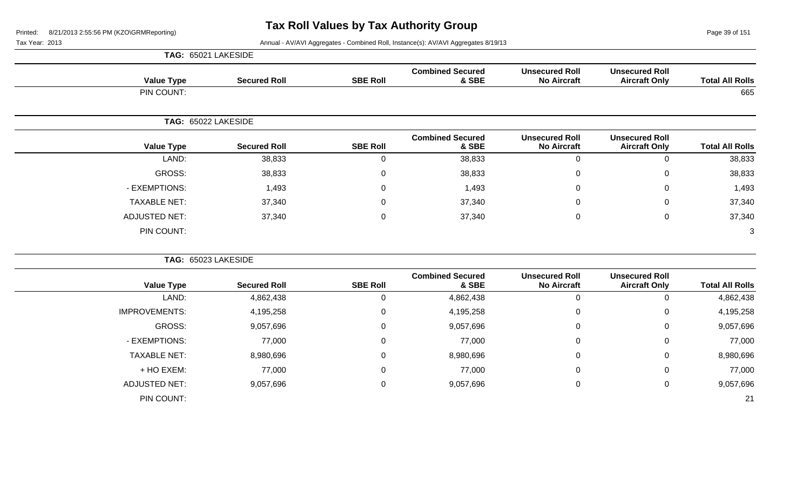Page 39 of 151

Tax Year: 2013 Annual - AV/AVI Aggregates - Combined Roll, Instance(s): AV/AVI Aggregates 8/19/13

|                          |                                               |                                             |                                  |                 |                     | TAG: 65021 LAKESIDE  |
|--------------------------|-----------------------------------------------|---------------------------------------------|----------------------------------|-----------------|---------------------|----------------------|
| <b>Total All Rolls</b>   | <b>Unsecured Roll</b><br><b>Aircraft Only</b> | <b>Unsecured Roll</b><br><b>No Aircraft</b> | <b>Combined Secured</b><br>& SBE | <b>SBE Roll</b> | <b>Secured Roll</b> | <b>Value Type</b>    |
| 665                      |                                               |                                             |                                  |                 |                     | PIN COUNT:           |
|                          |                                               |                                             |                                  |                 |                     | TAG: 65022 LAKESIDE  |
| <b>Total All Rolls</b>   | <b>Unsecured Roll</b><br><b>Aircraft Only</b> | <b>Unsecured Roll</b><br><b>No Aircraft</b> | <b>Combined Secured</b><br>& SBE | <b>SBE Roll</b> | <b>Secured Roll</b> | <b>Value Type</b>    |
| $\mathbf 0$<br>38,833    |                                               | $\mathbf 0$                                 | 38,833                           | $\mathbf 0$     | 38,833              | LAND:                |
| $\mathbf 0$<br>38,833    |                                               | 0                                           | 38,833                           | 0               | 38,833              | GROSS:               |
| $\mathbf 0$<br>1,493     |                                               | 0                                           | 1,493                            | $\mathbf 0$     | 1,493               | - EXEMPTIONS:        |
| 37,340<br>0              |                                               | 0                                           | 37,340                           | 0               | 37,340              | <b>TAXABLE NET:</b>  |
| $\mathbf 0$<br>37,340    |                                               | 0                                           | 37,340                           | 0               | 37,340              | <b>ADJUSTED NET:</b> |
| 3                        |                                               |                                             |                                  |                 |                     | PIN COUNT:           |
|                          |                                               |                                             |                                  |                 |                     | TAG: 65023 LAKESIDE  |
| <b>Total All Rolls</b>   | <b>Unsecured Roll</b><br><b>Aircraft Only</b> | <b>Unsecured Roll</b><br><b>No Aircraft</b> | <b>Combined Secured</b><br>& SBE | <b>SBE Roll</b> | <b>Secured Roll</b> | <b>Value Type</b>    |
| 4,862,438<br>$\mathbf 0$ |                                               | $\mathbf 0$                                 | 4,862,438                        | $\mathbf 0$     | 4,862,438           | LAND:                |
| $\mathbf 0$<br>4,195,258 |                                               | 0                                           | 4,195,258                        | 0               | 4,195,258           | <b>IMPROVEMENTS:</b> |
| 9,057,696<br>0           |                                               | 0                                           | 9,057,696                        | 0               | 9,057,696           | GROSS:               |
| $\mathbf 0$<br>77,000    |                                               | 0                                           | 77,000                           | 0               | 77,000              | - EXEMPTIONS:        |
| 8,980,696<br>$\mathbf 0$ |                                               | 0                                           | 8,980,696                        | $\mathsf 0$     | 8,980,696           | <b>TAXABLE NET:</b>  |
| $\mathbf 0$<br>77,000    |                                               | 0                                           | 77,000                           | 0               | 77,000              | + HO EXEM:           |
| $\mathbf 0$<br>9,057,696 |                                               | 0                                           | 9,057,696                        | 0               | 9,057,696           | <b>ADJUSTED NET:</b> |

PIN COUNT: 21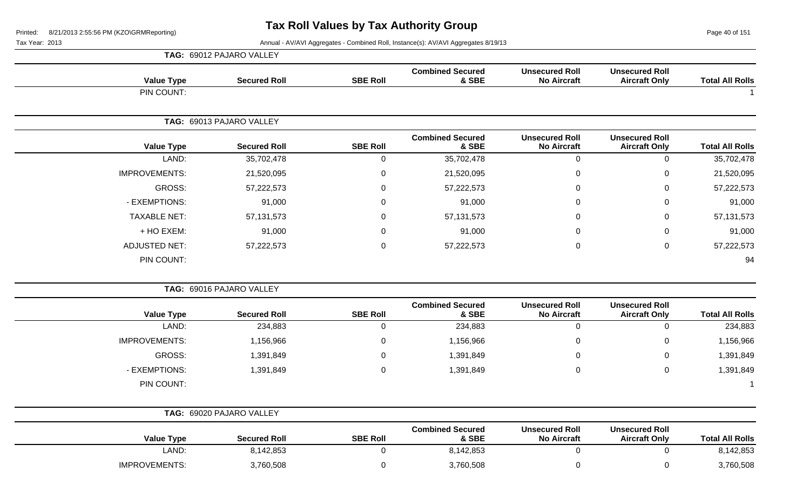Page 40 of 151

|                        |                                               |                                             |                                  |                  | TAG: 69012 PAJARO VALLEY |                      |
|------------------------|-----------------------------------------------|---------------------------------------------|----------------------------------|------------------|--------------------------|----------------------|
| <b>Total All Rolls</b> | <b>Unsecured Roll</b><br><b>Aircraft Only</b> | <b>Unsecured Roll</b><br><b>No Aircraft</b> | <b>Combined Secured</b><br>& SBE | <b>SBE Roll</b>  | <b>Secured Roll</b>      | <b>Value Type</b>    |
|                        |                                               |                                             |                                  |                  |                          | PIN COUNT:           |
|                        |                                               |                                             |                                  |                  | TAG: 69013 PAJARO VALLEY |                      |
| <b>Total All Rolls</b> | <b>Unsecured Roll</b><br><b>Aircraft Only</b> | <b>Unsecured Roll</b><br><b>No Aircraft</b> | <b>Combined Secured</b><br>& SBE | <b>SBE Roll</b>  | <b>Secured Roll</b>      | <b>Value Type</b>    |
| 35,702,478             | $\pmb{0}$                                     | $\mathbf 0$                                 | 35,702,478                       | $\mathbf 0$      | 35,702,478               | LAND:                |
| 21,520,095             | $\pmb{0}$                                     | 0                                           | 21,520,095                       | $\pmb{0}$        | 21,520,095               | <b>IMPROVEMENTS:</b> |
| 57,222,573             | $\mathbf 0$                                   | $\Omega$                                    | 57,222,573                       | $\mathbf 0$      | 57,222,573               | <b>GROSS:</b>        |
| 91,000                 | $\mathbf 0$                                   | $\mathbf{0}$                                | 91,000                           | $\mathbf 0$      | 91,000                   | - EXEMPTIONS:        |
| 57, 131, 573           | $\mathbf 0$                                   | $\Omega$                                    | 57, 131, 573                     | $\mathbf 0$      | 57, 131, 573             | <b>TAXABLE NET:</b>  |
| 91,000                 | $\mathbf 0$                                   | $\Omega$                                    | 91,000                           | $\overline{0}$   | 91,000                   | + HO EXEM:           |
| 57,222,573             | $\pmb{0}$                                     | $\boldsymbol{0}$                            | 57,222,573                       | $\boldsymbol{0}$ | 57,222,573               | <b>ADJUSTED NET:</b> |
| 94                     |                                               |                                             |                                  |                  |                          | PIN COUNT:           |
|                        |                                               |                                             |                                  |                  | TAG: 69016 PAJARO VALLEY |                      |
| <b>Total All Rolls</b> | <b>Unsecured Roll</b><br><b>Aircraft Only</b> | <b>Unsecured Roll</b><br><b>No Aircraft</b> | <b>Combined Secured</b><br>& SBE | <b>SBE Roll</b>  | <b>Secured Roll</b>      | <b>Value Type</b>    |
| 234,883                | $\pmb{0}$                                     | $\pmb{0}$                                   | 234,883                          | $\mathbf 0$      | 234,883                  | LAND:                |
| 1,156,966              | $\mathbf 0$                                   | $\mathbf 0$                                 | 1,156,966                        | $\pmb{0}$        | 1,156,966                | <b>IMPROVEMENTS:</b> |
| 1,391,849              | $\mathsf 0$                                   | 0                                           | 1,391,849                        | $\mathbf 0$      | 1,391,849                | <b>GROSS:</b>        |
| 1,391,849              | $\mathsf 0$                                   | $\mathbf{0}$                                | 1,391,849                        | $\mathbf 0$      | 1,391,849                | - EXEMPTIONS:        |
| -1                     |                                               |                                             |                                  |                  |                          | PIN COUNT:           |
|                        |                                               |                                             |                                  |                  | TAG: 69020 PAJARO VALLEY |                      |
| <b>Total All Rolls</b> | <b>Unsecured Roll</b><br><b>Aircraft Only</b> | <b>Unsecured Roll</b><br><b>No Aircraft</b> | <b>Combined Secured</b><br>& SBE | <b>SBE Roll</b>  | <b>Secured Roll</b>      | <b>Value Type</b>    |
| 8,142,853              | $\mathbf 0$                                   | $\mathbf 0$                                 | 8,142,853                        | $\boldsymbol{0}$ | 8,142,853                | LAND:                |
| 3,760,508              | $\mathbf 0$                                   | $\boldsymbol{0}$                            | 3,760,508                        | $\mathbf 0$      | 3,760,508                | <b>IMPROVEMENTS:</b> |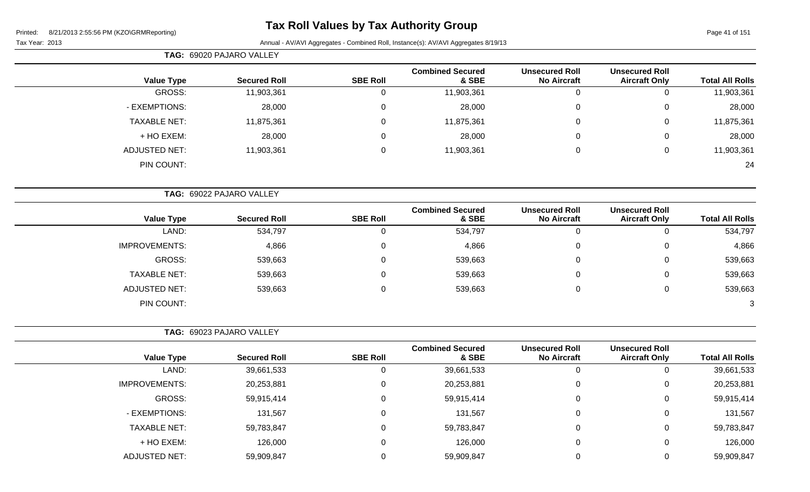|                        | <b>Unsecured Roll</b>                         | <b>Unsecured Roll</b>                       | <b>Combined Secured</b>          |                  |                          |                      |
|------------------------|-----------------------------------------------|---------------------------------------------|----------------------------------|------------------|--------------------------|----------------------|
| <b>Total All Rolls</b> | <b>Aircraft Only</b>                          | <b>No Aircraft</b>                          | & SBE                            | <b>SBE Roll</b>  | <b>Secured Roll</b>      | <b>Value Type</b>    |
| 11,903,361             | $\mathbf 0$                                   | $\mathbf 0$                                 | 11,903,361                       | $\mathbf 0$      | 11,903,361               | GROSS:               |
| 28,000                 | $\mathbf 0$                                   | 0                                           | 28,000                           | $\mathbf 0$      | 28,000                   | - EXEMPTIONS:        |
| 11,875,361             | 0                                             | 0                                           | 11,875,361                       | $\mathbf 0$      | 11,875,361               | <b>TAXABLE NET:</b>  |
| 28,000                 | $\mathbf 0$                                   | 0                                           | 28,000                           | 0                | 28,000                   | + HO EXEM:           |
| 11,903,361             | $\mathbf 0$                                   | 0                                           | 11,903,361                       | $\pmb{0}$        | 11,903,361               | <b>ADJUSTED NET:</b> |
| 24                     |                                               |                                             |                                  |                  |                          | PIN COUNT:           |
|                        |                                               |                                             |                                  |                  | TAG: 69022 PAJARO VALLEY |                      |
| <b>Total All Rolls</b> | <b>Unsecured Roll</b><br><b>Aircraft Only</b> | <b>Unsecured Roll</b><br><b>No Aircraft</b> | <b>Combined Secured</b><br>& SBE | <b>SBE Roll</b>  | <b>Secured Roll</b>      | <b>Value Type</b>    |
| 534,797                | $\mathbf 0$                                   | $\pmb{0}$                                   | 534,797                          | $\mathbf 0$      | 534,797                  | LAND:                |
| 4,866                  | $\mathbf 0$                                   | 0                                           | 4,866                            | 0                | 4,866                    | <b>IMPROVEMENTS:</b> |
| 539,663                | 0                                             | 0                                           | 539,663                          | 0                | 539,663                  | <b>GROSS:</b>        |
| 539,663                | 0                                             | 0                                           | 539,663                          | 0                | 539,663                  | <b>TAXABLE NET:</b>  |
| 539,663                | $\boldsymbol{0}$                              | 0                                           | 539,663                          | $\mathbf 0$      | 539,663                  | <b>ADJUSTED NET:</b> |
| 3                      |                                               |                                             |                                  |                  |                          | PIN COUNT:           |
|                        |                                               |                                             |                                  |                  | TAG: 69023 PAJARO VALLEY |                      |
| <b>Total All Rolls</b> | <b>Unsecured Roll</b><br><b>Aircraft Only</b> | <b>Unsecured Roll</b><br><b>No Aircraft</b> | <b>Combined Secured</b><br>& SBE | <b>SBE Roll</b>  | <b>Secured Roll</b>      | <b>Value Type</b>    |
| 39,661,533             | 0                                             | $\Omega$                                    | 39,661,533                       | $\mathbf 0$      | 39,661,533               | LAND:                |
| 20,253,881             | 0                                             | 0                                           | 20,253,881                       | 0                | 20,253,881               | <b>IMPROVEMENTS:</b> |
| 59,915,414             | 0                                             | 0                                           | 59,915,414                       | 0                | 59,915,414               | GROSS:               |
| 131,567                | 0                                             | 0                                           | 131,567                          | 0                | 131,567                  | - EXEMPTIONS:        |
| 59,783,847             | $\mathbf 0$                                   | 0                                           | 59,783,847                       | $\boldsymbol{0}$ | 59,783,847               | TAXABLE NET:         |
| 126,000                | $\boldsymbol{0}$                              | 0                                           | 126,000                          | $\mathbf 0$      | 126,000                  | + HO EXEM:           |
| 59,909,847             | $\pmb{0}$                                     | 0                                           | 59,909,847                       | $\overline{0}$   | 59,909,847               | ADJUSTED NET:        |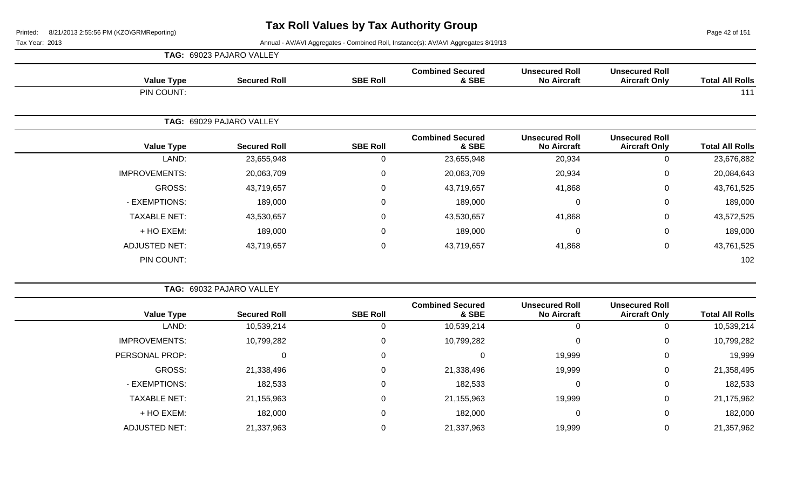Page 42 of 151

| <b>Value Type</b>    | <b>Secured Roll</b>      | <b>SBE Roll</b> | <b>Combined Secured</b><br>& SBE | <b>Unsecured Roll</b><br><b>No Aircraft</b> | <b>Unsecured Roll</b><br><b>Aircraft Only</b> | <b>Total All Rolls</b>                                                                                                                                                |
|----------------------|--------------------------|-----------------|----------------------------------|---------------------------------------------|-----------------------------------------------|-----------------------------------------------------------------------------------------------------------------------------------------------------------------------|
| PIN COUNT:           |                          |                 |                                  |                                             |                                               | 111<br><b>Total All Rolls</b><br><b>Aircraft Only</b><br>23,676,882<br>0<br>20,084,643<br>0<br>43,761,525<br>0<br>$\mathbf 0$<br>189,000<br>$\mathbf 0$<br>43,572,525 |
|                      | TAG: 69029 PAJARO VALLEY |                 |                                  |                                             |                                               |                                                                                                                                                                       |
| <b>Value Type</b>    | <b>Secured Roll</b>      | <b>SBE Roll</b> | <b>Combined Secured</b><br>& SBE | <b>Unsecured Roll</b><br><b>No Aircraft</b> | <b>Unsecured Roll</b>                         |                                                                                                                                                                       |
| LAND:                | 23,655,948               | 0               | 23,655,948                       | 20,934                                      |                                               |                                                                                                                                                                       |
| <b>IMPROVEMENTS:</b> | 20,063,709               | 0               | 20,063,709                       | 20,934                                      |                                               |                                                                                                                                                                       |
| GROSS:               | 43,719,657               | 0               | 43,719,657                       | 41,868                                      |                                               |                                                                                                                                                                       |
| - EXEMPTIONS:        | 189,000                  | 0               | 189,000                          | $\mathbf 0$                                 |                                               |                                                                                                                                                                       |
| <b>TAXABLE NET:</b>  | 43,530,657               | $\mathbf 0$     | 43,530,657                       | 41,868                                      |                                               |                                                                                                                                                                       |
| + HO EXEM:           | 189,000                  | $\mathbf 0$     | 189,000                          | $\mathbf 0$                                 | $\mathbf 0$                                   | 189,000                                                                                                                                                               |
| <b>ADJUSTED NET:</b> | 43,719,657               | 0               | 43,719,657                       | 41,868                                      | 0                                             | 43,761,525                                                                                                                                                            |
| PIN COUNT:           |                          |                 |                                  |                                             |                                               | 102                                                                                                                                                                   |

|                      | TAG: 69032 PAJARO VALLEY |                 |                                  |                                             |                                               |                        |
|----------------------|--------------------------|-----------------|----------------------------------|---------------------------------------------|-----------------------------------------------|------------------------|
| <b>Value Type</b>    | <b>Secured Roll</b>      | <b>SBE Roll</b> | <b>Combined Secured</b><br>& SBE | <b>Unsecured Roll</b><br><b>No Aircraft</b> | <b>Unsecured Roll</b><br><b>Aircraft Only</b> | <b>Total All Rolls</b> |
| LAND:                | 10,539,214               | 0               | 10,539,214                       |                                             | 0                                             | 10,539,214             |
| <b>IMPROVEMENTS:</b> | 10,799,282               | 0               | 10,799,282                       |                                             | 0                                             | 10,799,282             |
| PERSONAL PROP:       | 0                        | 0               | 0                                | 19,999                                      | 0                                             | 19,999                 |
| GROSS:               | 21,338,496               | 0               | 21,338,496                       | 19,999                                      | 0                                             | 21,358,495             |
| - EXEMPTIONS:        | 182,533                  | 0               | 182,533                          |                                             | 0                                             | 182,533                |
| <b>TAXABLE NET:</b>  | 21,155,963               | 0               | 21,155,963                       | 19,999                                      | 0                                             | 21,175,962             |
| + HO EXEM:           | 182,000                  | 0               | 182,000                          |                                             | 0                                             | 182,000                |
| <b>ADJUSTED NET:</b> | 21,337,963               | 0               | 21,337,963                       | 19,999                                      | 0                                             | 21,357,962             |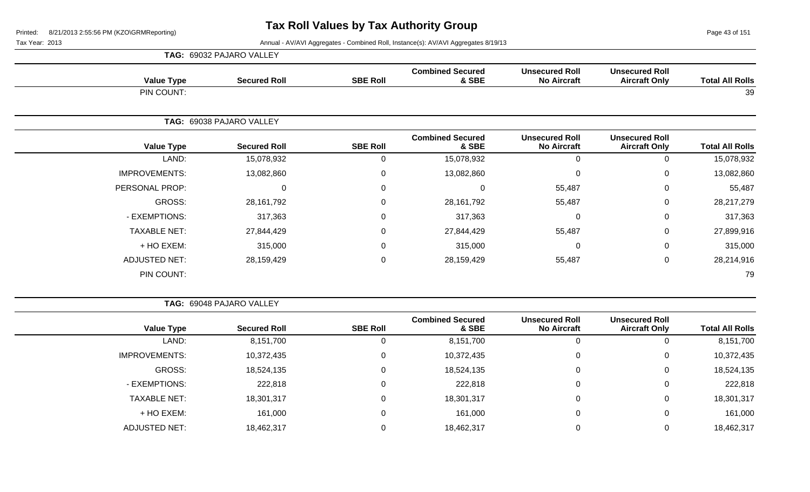Page 43 of 151

|                      | TAG: 69032 PAJARO VALLEY |                 |                                  |                                             |                                               |                        |
|----------------------|--------------------------|-----------------|----------------------------------|---------------------------------------------|-----------------------------------------------|------------------------|
| <b>Value Type</b>    | <b>Secured Roll</b>      | <b>SBE Roll</b> | <b>Combined Secured</b><br>& SBE | <b>Unsecured Roll</b><br><b>No Aircraft</b> | <b>Unsecured Roll</b><br><b>Aircraft Only</b> | <b>Total All Rolls</b> |
| PIN COUNT:           |                          |                 |                                  |                                             |                                               | 39                     |
|                      | TAG: 69038 PAJARO VALLEY |                 |                                  |                                             |                                               |                        |
| <b>Value Type</b>    | <b>Secured Roll</b>      | <b>SBE Roll</b> | <b>Combined Secured</b><br>& SBE | <b>Unsecured Roll</b><br><b>No Aircraft</b> | <b>Unsecured Roll</b><br><b>Aircraft Only</b> | <b>Total All Rolls</b> |
| LAND:                | 15,078,932               | 0               | 15,078,932                       | 0                                           | $\mathbf 0$                                   | 15,078,932             |
| <b>IMPROVEMENTS:</b> | 13,082,860               | 0               | 13,082,860                       | $\Omega$                                    | $\mathbf 0$                                   | 13,082,860             |
| PERSONAL PROP:       | 0                        | $\mathbf 0$     | 0                                | 55,487                                      | $\mathbf 0$                                   | 55,487                 |
| GROSS:               | 28,161,792               | $\mathbf 0$     | 28, 161, 792                     | 55,487                                      | $\mathbf 0$                                   | 28,217,279             |
| - EXEMPTIONS:        | 317,363                  | $\mathbf 0$     | 317,363                          | $\mathbf 0$                                 | $\mathbf 0$                                   | 317,363                |
| <b>TAXABLE NET:</b>  | 27,844,429               | $\overline{0}$  | 27,844,429                       | 55,487                                      | $\mathbf 0$                                   | 27,899,916             |
| + HO EXEM:           | 315,000                  | $\mathbf 0$     | 315,000                          | 0                                           | $\mathbf 0$                                   | 315,000                |
| <b>ADJUSTED NET:</b> | 28,159,429               | $\mathbf 0$     | 28,159,429                       | 55,487                                      | $\mathbf 0$                                   | 28,214,916             |
| PIN COUNT:           |                          |                 |                                  |                                             |                                               | 79                     |

|                        |                                               |                                             |                                  |                 | TAG: 69048 PAJARO VALLEY |                      |  |  |
|------------------------|-----------------------------------------------|---------------------------------------------|----------------------------------|-----------------|--------------------------|----------------------|--|--|
| <b>Total All Rolls</b> | <b>Unsecured Roll</b><br><b>Aircraft Only</b> | <b>Unsecured Roll</b><br><b>No Aircraft</b> | <b>Combined Secured</b><br>& SBE | <b>SBE Roll</b> | <b>Secured Roll</b>      | <b>Value Type</b>    |  |  |
| 8,151,700              |                                               | U                                           | 8,151,700                        | 0               | 8,151,700                | LAND:                |  |  |
| 10,372,435             | 0                                             | 0                                           | 10,372,435                       | $\Omega$        | 10,372,435               | <b>IMPROVEMENTS:</b> |  |  |
| 18,524,135             | 0                                             | 0                                           | 18,524,135                       | $\Omega$        | 18,524,135               | GROSS:               |  |  |
| 222,818                |                                               | υ                                           | 222,818                          | 0               | 222,818                  | - EXEMPTIONS:        |  |  |
| 18,301,317             | 0                                             | U                                           | 18,301,317                       | 0               | 18,301,317               | <b>TAXABLE NET:</b>  |  |  |
| 161,000                | $\mathbf 0$                                   | U                                           | 161,000                          | 0               | 161,000                  | + HO EXEM:           |  |  |
| 18,462,317             |                                               | ν                                           | 18,462,317                       |                 | 18,462,317               | <b>ADJUSTED NET:</b> |  |  |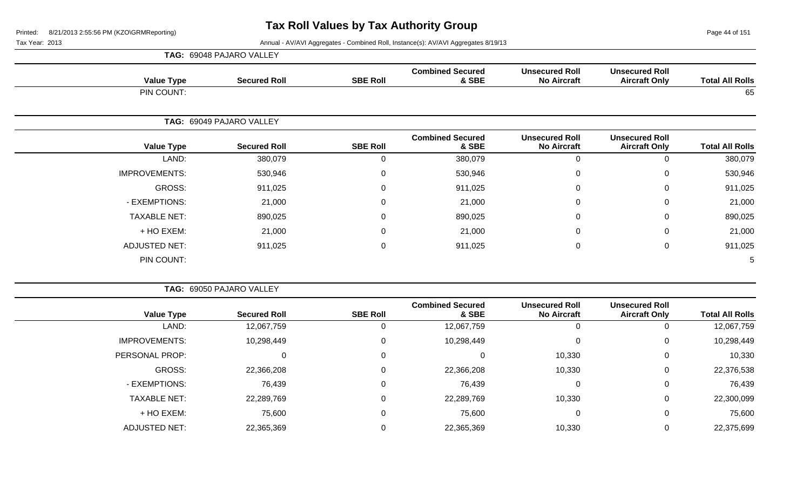Page 44 of 151

|                      | TAG: 69048 PAJARO VALLEY |                 |                                  |                                             |                                               |                        |
|----------------------|--------------------------|-----------------|----------------------------------|---------------------------------------------|-----------------------------------------------|------------------------|
| <b>Value Type</b>    | <b>Secured Roll</b>      | <b>SBE Roll</b> | <b>Combined Secured</b><br>& SBE | <b>Unsecured Roll</b><br><b>No Aircraft</b> | <b>Unsecured Roll</b><br><b>Aircraft Only</b> | <b>Total All Rolls</b> |
| PIN COUNT:           |                          |                 |                                  |                                             |                                               | 65                     |
|                      | TAG: 69049 PAJARO VALLEY |                 |                                  |                                             |                                               |                        |
| <b>Value Type</b>    | <b>Secured Roll</b>      | <b>SBE Roll</b> | <b>Combined Secured</b><br>& SBE | <b>Unsecured Roll</b><br><b>No Aircraft</b> | <b>Unsecured Roll</b><br><b>Aircraft Only</b> | <b>Total All Rolls</b> |
| LAND:                | 380,079                  | 0               | 380,079                          | 0                                           | $\mathbf 0$                                   | 380,079                |
| <b>IMPROVEMENTS:</b> | 530,946                  | 0               | 530,946                          | 0                                           | $\mathbf 0$                                   | 530,946                |
| GROSS:               | 911,025                  | 0               | 911,025                          | $\mathbf{0}$                                | $\mathbf 0$                                   | 911,025                |
| - EXEMPTIONS:        | 21,000                   | 0               | 21,000                           | $\Omega$                                    | $\mathbf 0$                                   | 21,000                 |
| <b>TAXABLE NET:</b>  | 890,025                  | 0               | 890,025                          | 0                                           | $\mathbf 0$                                   | 890,025                |
| + HO EXEM:           | 21,000                   | 0               | 21,000                           | 0                                           | 0                                             | 21,000                 |
| <b>ADJUSTED NET:</b> | 911,025                  | 0               | 911,025                          | 0                                           | $\mathbf 0$                                   | 911,025                |
| PIN COUNT:           |                          |                 |                                  |                                             |                                               | 5                      |

| TAG: 69050 PAJARO VALLEY |                     |                 |                                  |                                             |                                               |                        |  |  |  |  |
|--------------------------|---------------------|-----------------|----------------------------------|---------------------------------------------|-----------------------------------------------|------------------------|--|--|--|--|
| <b>Value Type</b>        | <b>Secured Roll</b> | <b>SBE Roll</b> | <b>Combined Secured</b><br>& SBE | <b>Unsecured Roll</b><br><b>No Aircraft</b> | <b>Unsecured Roll</b><br><b>Aircraft Only</b> | <b>Total All Rolls</b> |  |  |  |  |
| LAND:                    | 12,067,759          |                 | 12,067,759                       |                                             | 0                                             | 12,067,759             |  |  |  |  |
| <b>IMPROVEMENTS:</b>     | 10,298,449          | 0               | 10,298,449                       | 0                                           | $\overline{0}$                                | 10,298,449             |  |  |  |  |
| <b>PERSONAL PROP:</b>    | 0                   | 0               | 0                                | 10,330                                      | $\overline{0}$                                | 10,330                 |  |  |  |  |
| GROSS:                   | 22,366,208          |                 | 22,366,208                       | 10,330                                      | 0                                             | 22,376,538             |  |  |  |  |
| - EXEMPTIONS:            | 76,439              |                 | 76,439                           | 0                                           | 0                                             | 76,439                 |  |  |  |  |
| <b>TAXABLE NET:</b>      | 22,289,769          |                 | 22,289,769                       | 10,330                                      | 0                                             | 22,300,099             |  |  |  |  |
| + HO EXEM:               | 75,600              | $\Omega$        | 75,600                           | 0                                           | 0                                             | 75,600                 |  |  |  |  |
| <b>ADJUSTED NET:</b>     | 22,365,369          |                 | 22,365,369                       | 10,330                                      | 0                                             | 22,375,699             |  |  |  |  |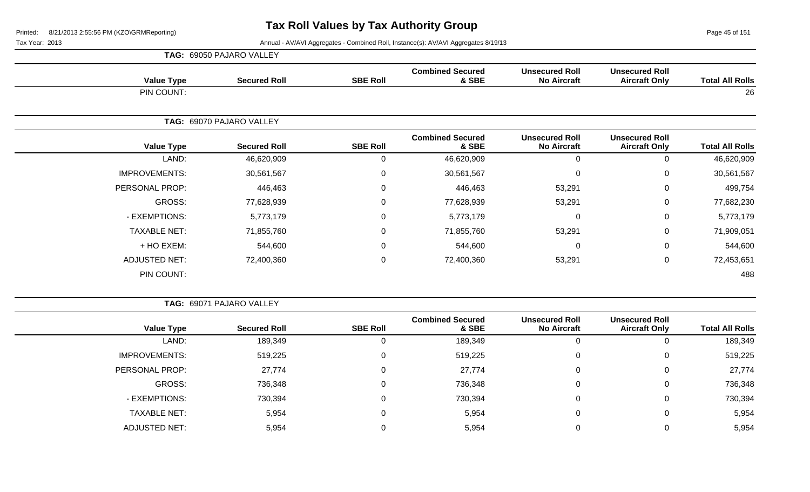Page 45 of 151

Tax Year: 2013 **Annual - AV/AVI Aggregates - Combined Roll**, Instance(s): AV/AVI Aggregates 8/19/13

|                      |        | <b>TAG: 69050 PAJARO VALLEY</b> |                  |                                  |                                             |                                               |                        |
|----------------------|--------|---------------------------------|------------------|----------------------------------|---------------------------------------------|-----------------------------------------------|------------------------|
| <b>Value Type</b>    |        | <b>Secured Roll</b>             | <b>SBE Roll</b>  | <b>Combined Secured</b><br>& SBE | <b>Unsecured Roll</b><br><b>No Aircraft</b> | <b>Unsecured Roll</b><br><b>Aircraft Only</b> | <b>Total All Rolls</b> |
| PIN COUNT:           |        |                                 |                  |                                  |                                             |                                               | 26                     |
|                      |        | TAG: 69070 PAJARO VALLEY        |                  |                                  |                                             |                                               |                        |
| <b>Value Type</b>    |        | <b>Secured Roll</b>             | <b>SBE Roll</b>  | <b>Combined Secured</b><br>& SBE | <b>Unsecured Roll</b><br><b>No Aircraft</b> | <b>Unsecured Roll</b><br><b>Aircraft Only</b> | <b>Total All Rolls</b> |
|                      | LAND:  | 46,620,909                      | 0                | 46,620,909                       | $\Omega$                                    | 0                                             | 46,620,909             |
| <b>IMPROVEMENTS:</b> |        | 30,561,567                      | $\mathbf 0$      | 30,561,567                       | 0                                           | $\mathbf 0$                                   | 30,561,567             |
| PERSONAL PROP:       |        | 446,463                         | $\mathbf 0$      | 446,463                          | 53,291                                      | $\mathbf 0$                                   | 499,754                |
|                      | GROSS: | 77,628,939                      | $\mathbf 0$      | 77,628,939                       | 53,291                                      | $\mathbf 0$                                   | 77,682,230             |
| - EXEMPTIONS:        |        | 5,773,179                       | $\mathbf 0$      | 5,773,179                        | $\mathbf 0$                                 | $\mathbf 0$                                   | 5,773,179              |
| <b>TAXABLE NET:</b>  |        | 71,855,760                      | $\mathbf 0$      | 71,855,760                       | 53,291                                      | $\mathbf 0$                                   | 71,909,051             |
| + HO EXEM:           |        | 544,600                         | $\mathbf 0$      | 544,600                          | 0                                           | $\mathbf 0$                                   | 544,600                |
| <b>ADJUSTED NET:</b> |        | 72,400,360                      | $\boldsymbol{0}$ | 72,400,360                       | 53,291                                      | $\mathbf 0$                                   | 72,453,651             |
| PIN COUNT:           |        |                                 |                  |                                  |                                             |                                               | 488                    |

**TAG:** 69071 PAJARO VALLEY

| <b>Value Type</b>    | <b>Secured Roll</b> | <b>SBE Roll</b> | <b>Combined Secured</b><br>& SBE | <b>Unsecured Roll</b><br><b>No Aircraft</b> | <b>Unsecured Roll</b><br><b>Aircraft Only</b> | <b>Total All Rolls</b> |
|----------------------|---------------------|-----------------|----------------------------------|---------------------------------------------|-----------------------------------------------|------------------------|
| LAND:                | 189,349             | 0               | 189,349                          |                                             |                                               | 189,349                |
| <b>IMPROVEMENTS:</b> | 519,225             | 0               | 519,225                          |                                             | 0                                             | 519,225                |
| PERSONAL PROP:       | 27,774              | 0               | 27,774                           |                                             | 0                                             | 27,774                 |
| GROSS:               | 736,348             | 0               | 736,348                          |                                             | 0                                             | 736,348                |
| - EXEMPTIONS:        | 730,394             | 0               | 730,394                          |                                             | 0                                             | 730,394                |
| <b>TAXABLE NET:</b>  | 5,954               | 0               | 5,954                            |                                             | 0                                             | 5,954                  |
| ADJUSTED NET:        | 5,954               |                 | 5,954                            |                                             |                                               | 5,954                  |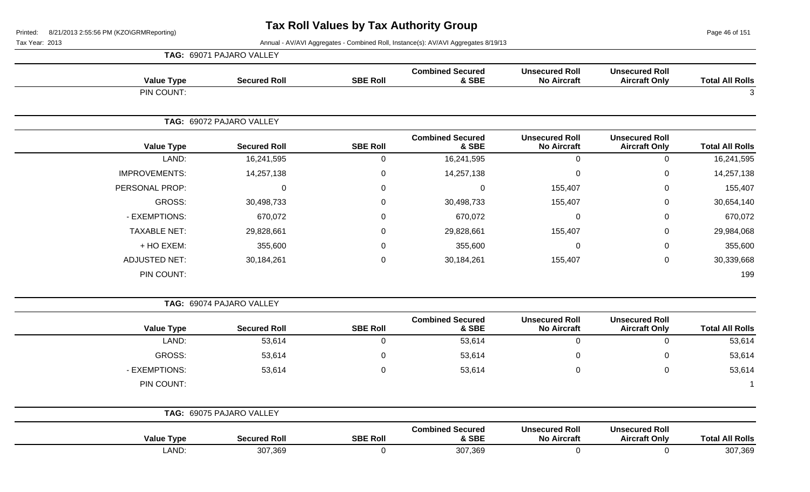Page 46 of 151

| <b>Total All Rolls</b> | <b>Unsecured Roll</b><br><b>Aircraft Only</b> | <b>Unsecured Roll</b><br><b>No Aircraft</b> | <b>Combined Secured</b><br>& SBE | <b>SBE Roll</b>  | <b>Secured Roll</b>      | <b>Value Type</b>    |
|------------------------|-----------------------------------------------|---------------------------------------------|----------------------------------|------------------|--------------------------|----------------------|
| 3                      |                                               |                                             |                                  |                  |                          | PIN COUNT:           |
|                        |                                               |                                             |                                  |                  | TAG: 69072 PAJARO VALLEY |                      |
| <b>Total All Rolls</b> | <b>Unsecured Roll</b><br><b>Aircraft Only</b> | <b>Unsecured Roll</b><br><b>No Aircraft</b> | <b>Combined Secured</b><br>& SBE | <b>SBE Roll</b>  | <b>Secured Roll</b>      | <b>Value Type</b>    |
| 16,241,595             | $\mathbf 0$                                   | $\mathbf 0$                                 | 16,241,595                       | $\mathbf 0$      | 16,241,595               | LAND:                |
| 14,257,138             | $\mathbf 0$                                   | $\mathbf 0$                                 | 14,257,138                       | $\mathbf 0$      | 14,257,138               | <b>IMPROVEMENTS:</b> |
| 155,407                | $\,0\,$                                       | 155,407                                     | $\mathbf 0$                      | $\boldsymbol{0}$ | $\boldsymbol{0}$         | PERSONAL PROP:       |
| 30,654,140             | $\boldsymbol{0}$                              | 155,407                                     | 30,498,733                       | $\mathbf 0$      | 30,498,733               | GROSS:               |
| 670,072                | $\boldsymbol{0}$                              | $\boldsymbol{0}$                            | 670,072                          | $\mathbf 0$      | 670,072                  | - EXEMPTIONS:        |
| 29,984,068             | $\boldsymbol{0}$                              | 155,407                                     | 29,828,661                       | $\mathbf 0$      | 29,828,661               | <b>TAXABLE NET:</b>  |
| 355,600                | $\boldsymbol{0}$                              | $\mathbf 0$                                 | 355,600                          | $\mathbf 0$      | 355,600                  | + HO EXEM:           |
| 30,339,668             | $\mathbf 0$                                   | 155,407                                     | 30,184,261                       | $\boldsymbol{0}$ | 30,184,261               | <b>ADJUSTED NET:</b> |
| 199                    |                                               |                                             |                                  |                  |                          | PIN COUNT:           |
|                        |                                               |                                             |                                  |                  | TAG: 69074 PAJARO VALLEY |                      |
| <b>Total All Rolls</b> | <b>Unsecured Roll</b><br><b>Aircraft Only</b> | <b>Unsecured Roll</b><br><b>No Aircraft</b> | <b>Combined Secured</b><br>& SBE | <b>SBE Roll</b>  | <b>Secured Roll</b>      | <b>Value Type</b>    |
| 53,614                 | $\mathbf 0$                                   | $\overline{0}$                              | 53,614                           | $\mathbf 0$      | 53,614                   | LAND:                |
| 53,614                 | $\pmb{0}$                                     | $\mathbf 0$                                 | 53,614                           | $\boldsymbol{0}$ | 53,614                   | GROSS:               |
| 53,614                 | $\pmb{0}$                                     | 0                                           | 53,614                           | $\mathsf 0$      | 53,614                   | - EXEMPTIONS:        |
|                        |                                               |                                             |                                  |                  |                          | PIN COUNT:           |
|                        |                                               |                                             |                                  |                  | TAG: 69075 PAJARO VALLEY |                      |
| <b>Total All Rolls</b> | <b>Unsecured Roll</b><br><b>Aircraft Only</b> | <b>Unsecured Roll</b><br><b>No Aircraft</b> | <b>Combined Secured</b><br>& SBE | <b>SBE Roll</b>  | <b>Secured Roll</b>      | <b>Value Type</b>    |
| 307,369                | $\mathbf 0$                                   | $\mathbf 0$                                 | 307,369                          | $\mathbf 0$      | 307,369                  | LAND:                |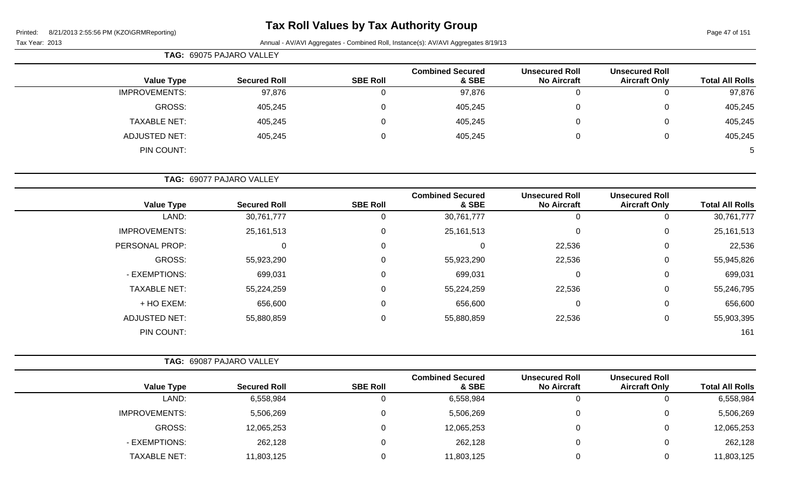# **Tax Roll Values by Tax Authority Group**

|                      | TAG: 69075 PAJARO VALLEY |                 |                                  |                                             |                                               |                        |  |  |  |  |
|----------------------|--------------------------|-----------------|----------------------------------|---------------------------------------------|-----------------------------------------------|------------------------|--|--|--|--|
| <b>Value Type</b>    | <b>Secured Roll</b>      | <b>SBE Roll</b> | <b>Combined Secured</b><br>& SBE | <b>Unsecured Roll</b><br><b>No Aircraft</b> | <b>Unsecured Roll</b><br><b>Aircraft Only</b> | <b>Total All Rolls</b> |  |  |  |  |
| <b>IMPROVEMENTS:</b> | 97,876                   |                 | 97,876                           | 0                                           | O                                             | 97,876                 |  |  |  |  |
| GROSS:               | 405,245                  |                 | 405,245                          | 0                                           | 0                                             | 405,245                |  |  |  |  |
| <b>TAXABLE NET:</b>  | 405,245                  |                 | 405,245                          | 0                                           | 0                                             | 405,245                |  |  |  |  |
| ADJUSTED NET:        | 405,245                  |                 | 405,245                          | 0                                           | $\mathbf{0}$                                  | 405,245                |  |  |  |  |
| PIN COUNT:           |                          |                 |                                  |                                             |                                               | 5                      |  |  |  |  |

| <b>TAG: 69077 PAJARO VALLEY</b> |  |
|---------------------------------|--|
|                                 |  |

| <b>Value Type</b>    | <b>Secured Roll</b> | <b>SBE Roll</b> | <b>Combined Secured</b><br>& SBE | <b>Unsecured Roll</b><br><b>No Aircraft</b> | <b>Unsecured Roll</b><br><b>Aircraft Only</b> | <b>Total All Rolls</b> |
|----------------------|---------------------|-----------------|----------------------------------|---------------------------------------------|-----------------------------------------------|------------------------|
| LAND:                | 30,761,777          | 0               | 30,761,777                       | 0                                           | U                                             | 30,761,777             |
| <b>IMPROVEMENTS:</b> | 25, 161, 513        | $\mathbf 0$     | 25,161,513                       | 0                                           | 0                                             | 25,161,513             |
| PERSONAL PROP:       | $\mathbf 0$         | 0               | 0                                | 22,536                                      | 0                                             | 22,536                 |
| GROSS:               | 55,923,290          | 0               | 55,923,290                       | 22,536                                      | 0                                             | 55,945,826             |
| - EXEMPTIONS:        | 699,031             | 0               | 699,031                          | 0                                           | 0                                             | 699,031                |
| <b>TAXABLE NET:</b>  | 55,224,259          | 0               | 55,224,259                       | 22,536                                      | 0                                             | 55,246,795             |
| + HO EXEM:           | 656,600             | $\mathbf 0$     | 656,600                          | 0                                           | 0                                             | 656,600                |
| <b>ADJUSTED NET:</b> | 55,880,859          | 0               | 55,880,859                       | 22,536                                      | 0                                             | 55,903,395             |
| PIN COUNT:           |                     |                 |                                  |                                             |                                               | 161                    |

|                      | <b>TAG: 69087 PAJARO VALLEY</b> |                 |                                  |                                             |                                               |                        |
|----------------------|---------------------------------|-----------------|----------------------------------|---------------------------------------------|-----------------------------------------------|------------------------|
| <b>Value Type</b>    | <b>Secured Roll</b>             | <b>SBE Roll</b> | <b>Combined Secured</b><br>& SBE | <b>Unsecured Roll</b><br><b>No Aircraft</b> | <b>Unsecured Roll</b><br><b>Aircraft Only</b> | <b>Total All Rolls</b> |
| LAND:                | 6,558,984                       |                 | 6,558,984                        | O                                           |                                               | 6,558,984              |
| <b>IMPROVEMENTS:</b> | 5,506,269                       |                 | 5,506,269                        | 0                                           |                                               | 5,506,269              |
| GROSS:               | 12,065,253                      |                 | 12,065,253                       | 0                                           |                                               | 12,065,253             |
| - EXEMPTIONS:        | 262,128                         |                 | 262,128                          | 0                                           |                                               | 262,128                |
| <b>TAXABLE NET:</b>  | 11,803,125                      |                 | 11,803,125                       |                                             |                                               | 11,803,125             |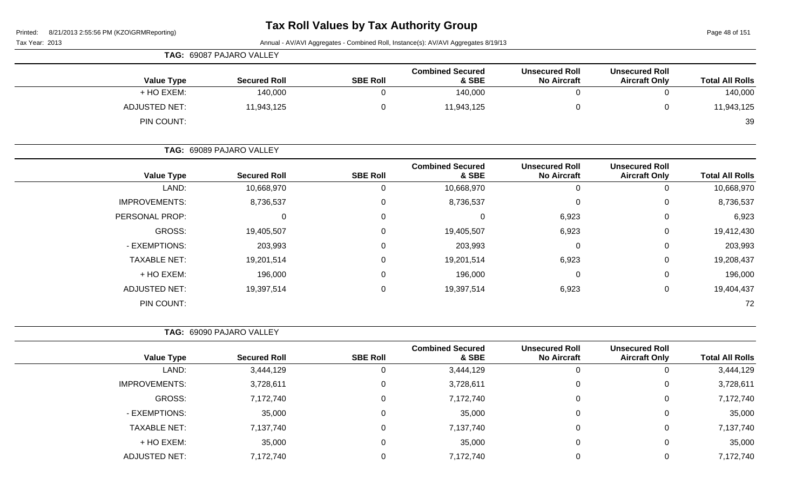Page 48 of 151

|                             | TAG: 69087 PAJARO VALLEY |                 |                                  |                                             |                                               |                        |
|-----------------------------|--------------------------|-----------------|----------------------------------|---------------------------------------------|-----------------------------------------------|------------------------|
| <b>Value Type</b>           | <b>Secured Roll</b>      | <b>SBE Roll</b> | <b>Combined Secured</b><br>& SBE | <b>Unsecured Roll</b><br><b>No Aircraft</b> | <b>Unsecured Roll</b><br><b>Aircraft Only</b> | <b>Total All Rolls</b> |
| + HO EXEM:                  | 140,000                  |                 | 140,000                          |                                             | 0                                             | 140,000                |
| ADJUSTED NET:<br>PIN COUNT: | 11,943,125               |                 | 11,943,125                       |                                             | 0                                             | 11,943,125<br>39       |
|                             |                          |                 |                                  |                                             |                                               |                        |

|                      | TAG: 69089 PAJARO VALLEY |                 |                                  |                                             |                                               |                        |
|----------------------|--------------------------|-----------------|----------------------------------|---------------------------------------------|-----------------------------------------------|------------------------|
| <b>Value Type</b>    | <b>Secured Roll</b>      | <b>SBE Roll</b> | <b>Combined Secured</b><br>& SBE | <b>Unsecured Roll</b><br><b>No Aircraft</b> | <b>Unsecured Roll</b><br><b>Aircraft Only</b> | <b>Total All Rolls</b> |
| LAND:                | 10,668,970               | $\Omega$        | 10,668,970                       | 0                                           | 0                                             | 10,668,970             |
| <b>IMPROVEMENTS:</b> | 8,736,537                | 0               | 8,736,537                        | 0                                           | 0                                             | 8,736,537              |
| PERSONAL PROP:       | 0                        | 0               |                                  | 6,923                                       | 0                                             | 6,923                  |
| GROSS:               | 19,405,507               | $\Omega$        | 19,405,507                       | 6,923                                       | 0                                             | 19,412,430             |
| - EXEMPTIONS:        | 203,993                  | 0               | 203,993                          | 0                                           | 0                                             | 203,993                |
| <b>TAXABLE NET:</b>  | 19,201,514               | $\Omega$        | 19,201,514                       | 6,923                                       | 0                                             | 19,208,437             |
| + HO EXEM:           | 196,000                  | 0               | 196,000                          | 0                                           | 0                                             | 196,000                |
| <b>ADJUSTED NET:</b> | 19,397,514               | 0               | 19,397,514                       | 6,923                                       | 0                                             | 19,404,437             |
| PIN COUNT:           |                          |                 |                                  |                                             |                                               | 72                     |

|                      | TAG: 69090 PAJARO VALLEY |                 |                                  |                                             |                                               |                        |  |  |  |
|----------------------|--------------------------|-----------------|----------------------------------|---------------------------------------------|-----------------------------------------------|------------------------|--|--|--|
| <b>Value Type</b>    | <b>Secured Roll</b>      | <b>SBE Roll</b> | <b>Combined Secured</b><br>& SBE | <b>Unsecured Roll</b><br><b>No Aircraft</b> | <b>Unsecured Roll</b><br><b>Aircraft Only</b> | <b>Total All Rolls</b> |  |  |  |
| LAND:                | 3,444,129                | U               | 3,444,129                        | 0                                           |                                               | 3,444,129              |  |  |  |
| <b>IMPROVEMENTS:</b> | 3,728,611                | 0               | 3,728,611                        | 0                                           | 0                                             | 3,728,611              |  |  |  |
| GROSS:               | 7,172,740                | $\Omega$        | 7,172,740                        | 0                                           | 0                                             | 7,172,740              |  |  |  |
| - EXEMPTIONS:        | 35,000                   | $\Omega$        | 35,000                           | 0                                           |                                               | 35,000                 |  |  |  |
| <b>TAXABLE NET:</b>  | 7,137,740                | $\Omega$        | 7,137,740                        | 0                                           | $\Omega$                                      | 7,137,740              |  |  |  |
| + HO EXEM:           | 35,000                   | $\Omega$        | 35,000                           | 0                                           | $\Omega$                                      | 35,000                 |  |  |  |
| ADJUSTED NET:        | 7,172,740                |                 | 7,172,740                        |                                             | 0                                             | 7,172,740              |  |  |  |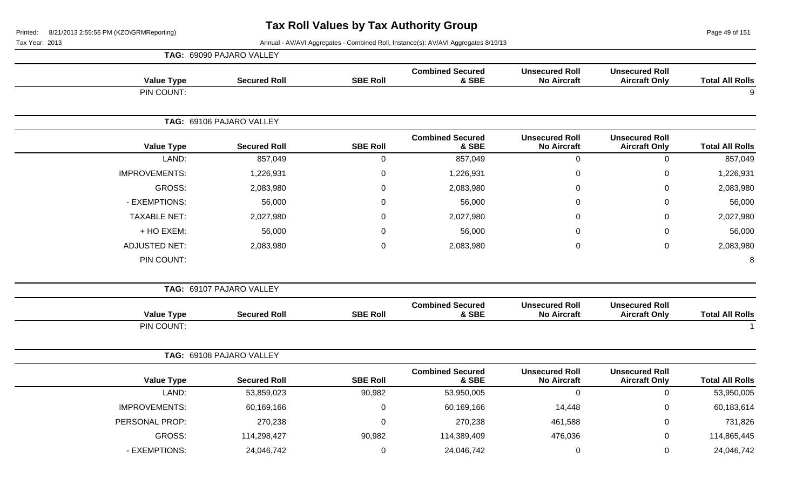Page 49 of 151

|                        |                                               |                                             |                                  |                 | TAG: 69090 PAJARO VALLEY |                      |
|------------------------|-----------------------------------------------|---------------------------------------------|----------------------------------|-----------------|--------------------------|----------------------|
| <b>Total All Rolls</b> | <b>Unsecured Roll</b><br><b>Aircraft Only</b> | <b>Unsecured Roll</b><br><b>No Aircraft</b> | <b>Combined Secured</b><br>& SBE | <b>SBE Roll</b> | <b>Secured Roll</b>      | <b>Value Type</b>    |
| 9                      |                                               |                                             |                                  |                 |                          | PIN COUNT:           |
|                        |                                               |                                             |                                  |                 | TAG: 69106 PAJARO VALLEY |                      |
| <b>Total All Rolls</b> | <b>Unsecured Roll</b><br><b>Aircraft Only</b> | <b>Unsecured Roll</b><br><b>No Aircraft</b> | <b>Combined Secured</b><br>& SBE | <b>SBE Roll</b> | <b>Secured Roll</b>      | <b>Value Type</b>    |
| 857,049                | $\pmb{0}$                                     | $\overline{0}$                              | 857,049                          | 0               | 857,049                  | LAND:                |
| 1,226,931              | $\mathbf 0$                                   | 0                                           | 1,226,931                        | 0               | 1,226,931                | <b>IMPROVEMENTS:</b> |
| 2,083,980              | $\Omega$                                      | $\Omega$                                    | 2,083,980                        | 0               | 2,083,980                | GROSS:               |
| 56,000                 | $\mathbf 0$                                   | 0                                           | 56,000                           | 0               | 56,000                   | - EXEMPTIONS:        |
| 2,027,980              | $\mathbf 0$                                   | 0                                           | 2,027,980                        | 0               | 2,027,980                | <b>TAXABLE NET:</b>  |
| 56,000                 | 0                                             | $\Omega$                                    | 56,000                           | 0               | 56,000                   | + HO EXEM:           |
| 2,083,980              | $\pmb{0}$                                     | $\pmb{0}$                                   | 2,083,980                        | 0               | 2,083,980                | <b>ADJUSTED NET:</b> |
| 8                      |                                               |                                             |                                  |                 |                          | PIN COUNT:           |
|                        |                                               |                                             |                                  |                 | TAG: 69107 PAJARO VALLEY |                      |
| <b>Total All Rolls</b> | <b>Unsecured Roll</b><br><b>Aircraft Only</b> | <b>Unsecured Roll</b><br><b>No Aircraft</b> | <b>Combined Secured</b><br>& SBE | <b>SBE Roll</b> | <b>Secured Roll</b>      | <b>Value Type</b>    |
| -1                     |                                               |                                             |                                  |                 |                          | PIN COUNT:           |
|                        |                                               |                                             |                                  |                 | TAG: 69108 PAJARO VALLEY |                      |
| <b>Total All Rolls</b> | <b>Unsecured Roll</b><br><b>Aircraft Only</b> | <b>Unsecured Roll</b><br><b>No Aircraft</b> | <b>Combined Secured</b><br>& SBE | <b>SBE Roll</b> | <b>Secured Roll</b>      | <b>Value Type</b>    |
| 53,950,005             | $\pmb{0}$                                     | $\overline{0}$                              | 53,950,005                       | 90,982          | 53,859,023               | LAND:                |
| 60,183,614             | $\mathbf 0$                                   | 14,448                                      | 60,169,166                       | 0               | 60,169,166               | <b>IMPROVEMENTS:</b> |
| 731,826                | $\pmb{0}$                                     | 461,588                                     | 270,238                          | 0               | 270,238                  | PERSONAL PROP:       |
| 114,865,445            | $\mathbf 0$                                   | 476,036                                     | 114,389,409                      | 90,982          | 114,298,427              | GROSS:               |
| 24,046,742             | $\mathbf 0$                                   | $\pmb{0}$                                   | 24,046,742                       | 0               | 24,046,742               | - EXEMPTIONS:        |
|                        |                                               |                                             |                                  |                 |                          |                      |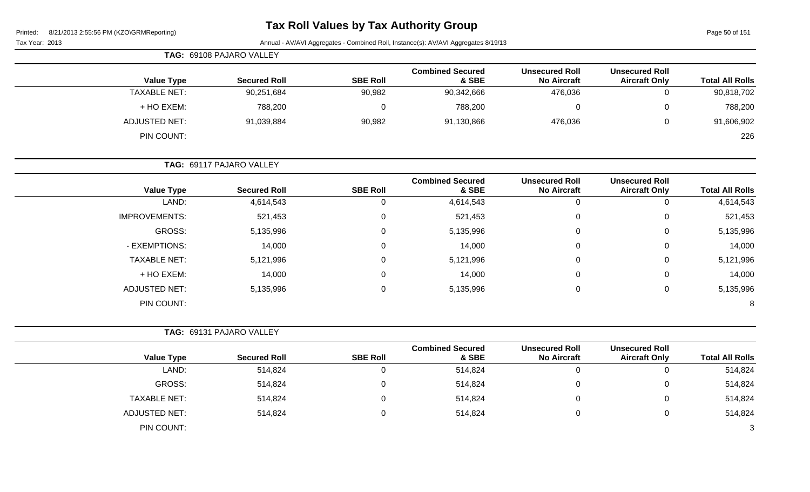Page 50 of 151

|                        |                                               |                                             |                                  |                 | TAG: 69108 PAJARO VALLEY        |                      |  |
|------------------------|-----------------------------------------------|---------------------------------------------|----------------------------------|-----------------|---------------------------------|----------------------|--|
| <b>Total All Rolls</b> | <b>Unsecured Roll</b><br><b>Aircraft Only</b> | <b>Unsecured Roll</b><br><b>No Aircraft</b> | <b>Combined Secured</b><br>& SBE | <b>SBE Roll</b> | <b>Secured Roll</b>             | <b>Value Type</b>    |  |
| 90,818,702             | 0                                             | 476,036                                     | 90,342,666                       | 90,982          | 90,251,684                      | <b>TAXABLE NET:</b>  |  |
| 788,200                | $\mathbf 0$                                   | 0                                           | 788,200                          | 0               | 788,200                         | + HO EXEM:           |  |
| 91,606,902             | $\mathbf 0$                                   | 476,036                                     | 91,130,866                       | 90,982          | 91,039,884                      | <b>ADJUSTED NET:</b> |  |
| 226                    |                                               |                                             |                                  |                 |                                 | PIN COUNT:           |  |
|                        |                                               |                                             |                                  |                 | <b>TAG: 69117 PAJARO VALLEY</b> |                      |  |
| <b>Total All Rolls</b> | <b>Unsecured Roll</b><br><b>Aircraft Only</b> | <b>Unsecured Roll</b><br><b>No Aircraft</b> | <b>Combined Secured</b><br>& SBE | <b>SBE Roll</b> | <b>Secured Roll</b>             | <b>Value Type</b>    |  |
| 4,614,543              | $\mathbf 0$                                   | $\Omega$                                    | 4,614,543                        | 0               | 4,614,543                       | LAND:                |  |
| 521 453                | $\Omega$                                      | $\Omega$                                    | 521 453                          | $\Omega$        | 521 453                         | IMPROVEMENTS:        |  |

| 4,614,543 | 0              | 4,614,543 |   | 4,614,543 | LAND:                |
|-----------|----------------|-----------|---|-----------|----------------------|
| 521,453   | $\mathbf{0}$   | 521,453   |   | 521,453   | <b>IMPROVEMENTS:</b> |
| 5,135,996 | $\overline{0}$ | 5,135,996 | 0 | 5,135,996 | GROSS:               |
| 14,000    | $\overline{0}$ | 14,000    |   | 14,000    | - EXEMPTIONS:        |
| 5,121,996 | $\overline{0}$ | 5,121,996 |   | 5,121,996 | <b>TAXABLE NET:</b>  |
| 14,000    | $\mathbf 0$    | 14,000    |   | 14,000    | + HO EXEM:           |
| 5,135,996 | $\overline{0}$ | 5,135,996 |   | 5,135,996 | <b>ADJUSTED NET:</b> |
| 8         |                |           |   |           | PIN COUNT:           |

|                      | TAG: 69131 PAJARO VALLEY |                 |                                  |                                             |                                               |                        |
|----------------------|--------------------------|-----------------|----------------------------------|---------------------------------------------|-----------------------------------------------|------------------------|
| <b>Value Type</b>    | <b>Secured Roll</b>      | <b>SBE Roll</b> | <b>Combined Secured</b><br>& SBE | <b>Unsecured Roll</b><br><b>No Aircraft</b> | <b>Unsecured Roll</b><br><b>Aircraft Only</b> | <b>Total All Rolls</b> |
| LAND:                | 514,824                  | 0               | 514,824                          |                                             | 0                                             | 514,824                |
| GROSS:               | 514,824                  | 0               | 514,824                          | 0                                           | 0                                             | 514,824                |
| <b>TAXABLE NET:</b>  | 514,824                  | 0               | 514,824                          | 0                                           | 0                                             | 514,824                |
| <b>ADJUSTED NET:</b> | 514,824                  | 0               | 514,824                          | 0                                           | 0                                             | 514,824                |
| PIN COUNT:           |                          |                 |                                  |                                             |                                               | 3                      |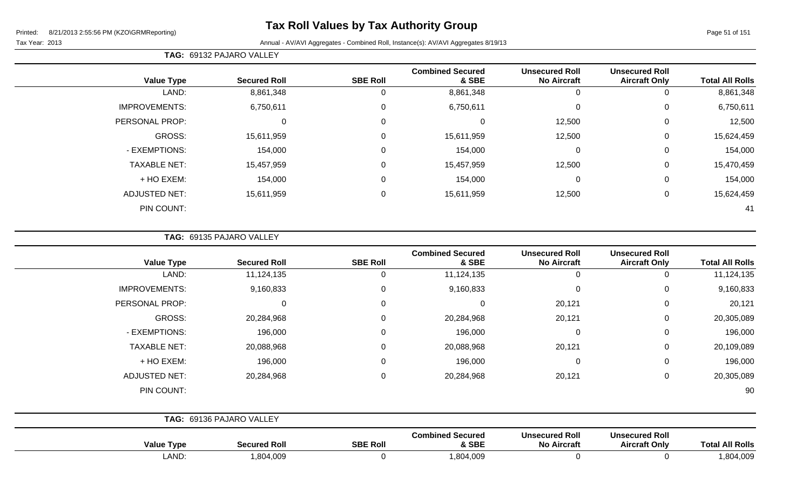Tax Year: 2013 Annual - AV/AVI Aggregates - Combined Roll, Instance(s): AV/AVI Aggregates 8/19/13

| <b>TAG: 69132 PAJARO VALLEY</b> |  |
|---------------------------------|--|
|---------------------------------|--|

| <b>Value Type</b>    | <b>Secured Roll</b> | <b>SBE Roll</b>  | <b>Combined Secured</b><br>& SBE | <b>Unsecured Roll</b><br><b>No Aircraft</b> | <b>Unsecured Roll</b><br><b>Aircraft Only</b> | <b>Total All Rolls</b> |
|----------------------|---------------------|------------------|----------------------------------|---------------------------------------------|-----------------------------------------------|------------------------|
| LAND:                | 8,861,348           | 0                | 8,861,348                        | 0                                           |                                               | 8,861,348              |
| <b>IMPROVEMENTS:</b> | 6,750,611           | 0                | 6,750,611                        | $\mathbf 0$                                 | $\Omega$                                      | 6,750,611              |
| PERSONAL PROP:       | 0                   | $\mathbf 0$      |                                  | 12,500                                      | 0                                             | 12,500                 |
| GROSS:               | 15,611,959          | $\mathsf 0$      | 15,611,959                       | 12,500                                      | 0                                             | 15,624,459             |
| - EXEMPTIONS:        | 154,000             | $\mathbf 0$      | 154,000                          | 0                                           | 0                                             | 154,000                |
| <b>TAXABLE NET:</b>  | 15,457,959          | $\mathbf 0$      | 15,457,959                       | 12,500                                      | 0                                             | 15,470,459             |
| + HO EXEM:           | 154,000             | 0                | 154,000                          | 0                                           | 0                                             | 154,000                |
| <b>ADJUSTED NET:</b> | 15,611,959          | $\boldsymbol{0}$ | 15,611,959                       | 12,500                                      | 0                                             | 15,624,459             |
| PIN COUNT:           |                     |                  |                                  |                                             |                                               | 41                     |

**TAG:** 69135 PAJARO VALLEY

| <b>Value Type</b>    | <b>Secured Roll</b>      | <b>SBE Roll</b> | <b>Combined Secured</b><br>& SBE | <b>Unsecured Roll</b><br><b>No Aircraft</b> | <b>Unsecured Roll</b><br><b>Aircraft Only</b> | <b>Total All Rolls</b> |
|----------------------|--------------------------|-----------------|----------------------------------|---------------------------------------------|-----------------------------------------------|------------------------|
| LAND:                | 11,124,135               | 0               | 11,124,135                       | $\Omega$                                    | 0                                             | 11,124,135             |
| <b>IMPROVEMENTS:</b> | 9,160,833                | 0               | 9,160,833                        | 0                                           | 0                                             | 9,160,833              |
| PERSONAL PROP:       | $\Omega$                 | 0               | 0                                | 20,121                                      | 0                                             | 20,121                 |
| <b>GROSS:</b>        | 20,284,968               | 0               | 20,284,968                       | 20,121                                      | 0                                             | 20,305,089             |
| - EXEMPTIONS:        | 196,000                  | 0               | 196,000                          | $\mathbf 0$                                 | 0                                             | 196,000                |
| <b>TAXABLE NET:</b>  | 20,088,968               | 0               | 20,088,968                       | 20,121                                      | 0                                             | 20,109,089             |
| + HO EXEM:           | 196,000                  | $\mathbf 0$     | 196,000                          | 0                                           | 0                                             | 196,000                |
| <b>ADJUSTED NET:</b> | 20,284,968               | 0               | 20,284,968                       | 20,121                                      | 0                                             | 20,305,089             |
| PIN COUNT:           |                          |                 |                                  |                                             |                                               | 90                     |
|                      | TAG: 69136 PAJARO VALLEY |                 |                                  |                                             |                                               |                        |
| <b>Value Type</b>    | <b>Secured Roll</b>      | <b>SBE Roll</b> | <b>Combined Secured</b><br>& SBE | <b>Unsecured Roll</b><br><b>No Aircraft</b> | <b>Unsecured Roll</b><br><b>Aircraft Only</b> | <b>Total All Rolls</b> |
| LAND:                | 1,804,009                | 0               | 1,804,009                        | 0                                           | 0                                             | 1,804,009              |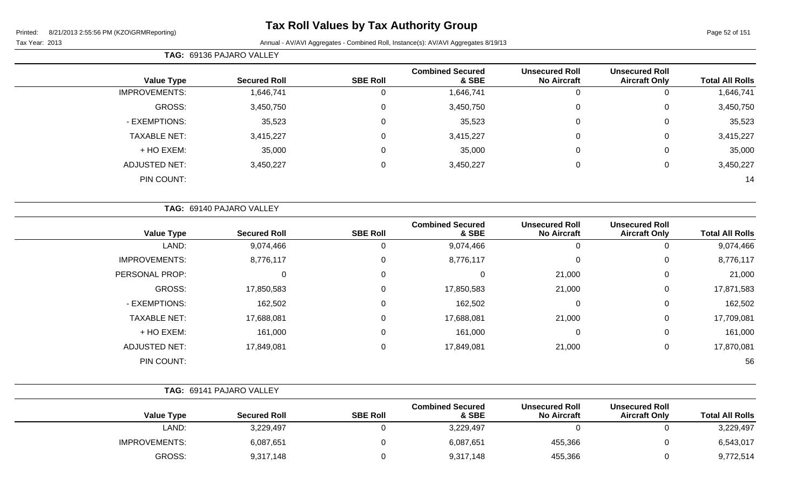# **Tax Roll Values by Tax Authority Group**

### Tax Year: 2013 Annual - AV/AVI Aggregates - Combined Roll, Instance(s): AV/AVI Aggregates 8/19/13

**TAG:** 69136 PAJARO VALLEY

| <b>Total All Rolls</b> | <b>Unsecured Roll</b><br><b>Aircraft Only</b> | <b>Unsecured Roll</b><br><b>No Aircraft</b> | <b>Combined Secured</b><br>& SBE | <b>SBE Roll</b> | <b>Secured Roll</b> | <b>Value Type</b>    |
|------------------------|-----------------------------------------------|---------------------------------------------|----------------------------------|-----------------|---------------------|----------------------|
| 1,646,741              | 0                                             |                                             | 1,646,741                        | 0               | 1,646,741           | <b>IMPROVEMENTS:</b> |
| 3,450,750              | 0                                             | 0                                           | 3,450,750                        | 0               | 3,450,750           | GROSS:               |
| 35,523                 | 0                                             | 0                                           | 35,523                           | 0               | 35,523              | - EXEMPTIONS:        |
| 3,415,227              | 0                                             | 0                                           | 3,415,227                        | 0               | 3,415,227           | <b>TAXABLE NET:</b>  |
| 35,000                 | 0                                             | 0                                           | 35,000                           | 0               | 35,000              | + HO EXEM:           |
| 3,450,227              | 0                                             |                                             | 3,450,227                        | 0               | 3,450,227           | <b>ADJUSTED NET:</b> |
| 14                     |                                               |                                             |                                  |                 |                     | PIN COUNT:           |

|                      | TAG: 69140 PAJARO VALLEY |                 |                                  |                                             |                                               |                        |
|----------------------|--------------------------|-----------------|----------------------------------|---------------------------------------------|-----------------------------------------------|------------------------|
| <b>Value Type</b>    | <b>Secured Roll</b>      | <b>SBE Roll</b> | <b>Combined Secured</b><br>& SBE | <b>Unsecured Roll</b><br><b>No Aircraft</b> | <b>Unsecured Roll</b><br><b>Aircraft Only</b> | <b>Total All Rolls</b> |
| LAND:                | 9,074,466                |                 | 9,074,466                        | 0                                           | υ                                             | 9,074,466              |
| <b>IMPROVEMENTS:</b> | 8,776,117                | 0               | 8,776,117                        | 0                                           | 0                                             | 8,776,117              |
| PERSONAL PROP:       | 0                        | 0               | $\Omega$                         | 21,000                                      | 0                                             | 21,000                 |
| GROSS:               | 17,850,583               | 0               | 17,850,583                       | 21,000                                      | 0                                             | 17,871,583             |
| - EXEMPTIONS:        | 162,502                  | 0               | 162,502                          | 0                                           | 0                                             | 162,502                |
| <b>TAXABLE NET:</b>  | 17,688,081               | 0               | 17,688,081                       | 21,000                                      | 0                                             | 17,709,081             |
| + HO EXEM:           | 161,000                  | 0               | 161,000                          | 0                                           | 0                                             | 161,000                |
| <b>ADJUSTED NET:</b> | 17,849,081               | 0               | 17,849,081                       | 21,000                                      | 0                                             | 17,870,081             |
| PIN COUNT:           |                          |                 |                                  |                                             |                                               | 56                     |

|                      | TAG: 69141 PAJARO VALLEY |                                                     |                                             |                                               |                        |           |  |
|----------------------|--------------------------|-----------------------------------------------------|---------------------------------------------|-----------------------------------------------|------------------------|-----------|--|
| <b>Value Type</b>    | <b>Secured Roll</b>      | <b>Combined Secured</b><br><b>SBE Roll</b><br>& SBE | <b>Unsecured Roll</b><br><b>No Aircraft</b> | <b>Unsecured Roll</b><br><b>Aircraft Only</b> | <b>Total All Rolls</b> |           |  |
| LAND:                | 3,229,497                |                                                     | 3,229,497                                   |                                               |                        | 3,229,497 |  |
| <b>IMPROVEMENTS:</b> | 6,087,651                |                                                     | 6,087,651                                   | 455,366                                       | 0                      | 6,543,017 |  |
| GROSS:               | 9,317,148                |                                                     | 9,317,148                                   | 455,366                                       | O                      | 9,772,514 |  |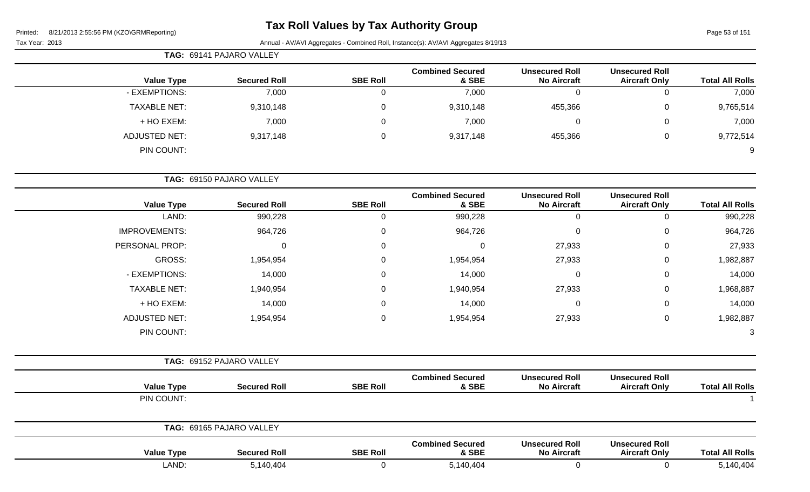# **Tax Roll Values by Tax Authority Group**

Page 53 of 151

|                        |                                               |                                             |                                  |                 | TAG: 69141 PAJARO VALLEY |                      |
|------------------------|-----------------------------------------------|---------------------------------------------|----------------------------------|-----------------|--------------------------|----------------------|
| <b>Total All Rolls</b> | <b>Unsecured Roll</b><br><b>Aircraft Only</b> | <b>Unsecured Roll</b><br><b>No Aircraft</b> | <b>Combined Secured</b><br>& SBE | <b>SBE Roll</b> | <b>Secured Roll</b>      | <b>Value Type</b>    |
| 7,000                  | 0                                             | $\mathbf 0$                                 | 7,000                            | 0               | 7,000                    | - EXEMPTIONS:        |
| 9,765,514              | 0                                             | 455,366                                     | 9,310,148                        | 0               | 9,310,148                | <b>TAXABLE NET:</b>  |
| 7,000                  | 0                                             | $\pmb{0}$                                   | 7,000                            | 0               | 7,000                    | + HO EXEM:           |
| 9,772,514              | $\mathbf 0$                                   | 455,366                                     | 9,317,148                        | 0               | 9,317,148                | <b>ADJUSTED NET:</b> |
| 9                      |                                               |                                             |                                  |                 |                          | PIN COUNT:           |
|                        |                                               |                                             |                                  |                 | TAG: 69150 PAJARO VALLEY |                      |
| <b>Total All Rolls</b> | <b>Unsecured Roll</b><br><b>Aircraft Only</b> | <b>Unsecured Roll</b><br><b>No Aircraft</b> | <b>Combined Secured</b><br>& SBE | <b>SBE Roll</b> | <b>Secured Roll</b>      | <b>Value Type</b>    |
| 990,228                | $\mathbf 0$                                   | $\mathbf 0$                                 | 990,228                          | $\overline{0}$  | 990,228                  | LAND:                |
| 964,726                | 0                                             | 0                                           | 964,726                          |                 | 964,726                  | <b>IMPROVEMENTS:</b> |
| 27,933                 | 0                                             | 27,933                                      | 0                                | 0               | 0                        | PERSONAL PROP:       |
| 1,982,887              | 0                                             | 27,933                                      | 1,954,954                        | 0               | 1,954,954                | <b>GROSS:</b>        |
| 14,000                 | 0                                             | $\pmb{0}$                                   | 14,000                           | 0               | 14,000                   | - EXEMPTIONS:        |
| 1,968,887              | 0                                             | 27,933                                      | 1,940,954                        | 0               | 1,940,954                | <b>TAXABLE NET:</b>  |
| 14,000                 | 0                                             | $\pmb{0}$                                   | 14,000                           | 0               | 14,000                   | + HO EXEM:           |
| 1,982,887              | 0                                             | 27,933                                      | 1,954,954                        | $\Omega$        | 1,954,954                | <b>ADJUSTED NET:</b> |
| 3                      |                                               |                                             |                                  |                 |                          | PIN COUNT:           |
|                        |                                               |                                             |                                  |                 | TAG: 69152 PAJARO VALLEY |                      |
| <b>Total All Rolls</b> | <b>Unsecured Roll</b><br><b>Aircraft Only</b> | <b>Unsecured Roll</b><br><b>No Aircraft</b> | <b>Combined Secured</b><br>& SBE | <b>SBE Roll</b> | <b>Secured Roll</b>      | <b>Value Type</b>    |
|                        |                                               |                                             |                                  |                 |                          | PIN COUNT:           |

| 69165 PAJARO VALLEY<br>TAG: |                   |                     |                 |                                  |                                             |                                               |                        |  |
|-----------------------------|-------------------|---------------------|-----------------|----------------------------------|---------------------------------------------|-----------------------------------------------|------------------------|--|
|                             | <b>Value Type</b> | <b>Secured Roll</b> | <b>SBE Roll</b> | <b>Combined Secured</b><br>& SBE | <b>Unsecured Roll</b><br><b>No Aircraft</b> | <b>Unsecured Roll</b><br><b>Aircraft Only</b> | <b>Total All Rolls</b> |  |
|                             | .AND:             | 5,140,404           |                 | 5,140,404                        |                                             |                                               | 5,140,404              |  |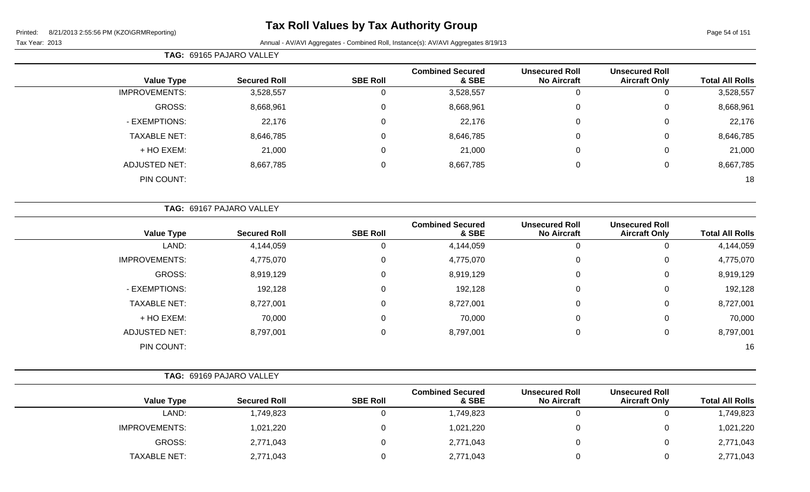Page 54 of 151

|                      | TAG: 69165 PAJARO VALLEY |                 |                                  |                                             |                                               |                        |
|----------------------|--------------------------|-----------------|----------------------------------|---------------------------------------------|-----------------------------------------------|------------------------|
| <b>Value Type</b>    | <b>Secured Roll</b>      | <b>SBE Roll</b> | <b>Combined Secured</b><br>& SBE | <b>Unsecured Roll</b><br><b>No Aircraft</b> | <b>Unsecured Roll</b><br><b>Aircraft Only</b> | <b>Total All Rolls</b> |
| <b>IMPROVEMENTS:</b> | 3,528,557                | 0               | 3,528,557                        | 0                                           | 0                                             | 3,528,557              |
| GROSS:               | 8,668,961                | 0               | 8,668,961                        | $\mathbf 0$                                 | $\mathbf 0$                                   | 8,668,961              |
| - EXEMPTIONS:        | 22,176                   | $\mathbf 0$     | 22,176                           | $\mathbf 0$                                 | $\mathbf 0$                                   | 22,176                 |
| <b>TAXABLE NET:</b>  | 8,646,785                | $\mathbf 0$     | 8,646,785                        | $\mathbf 0$                                 | 0                                             | 8,646,785              |
| + HO EXEM:           | 21,000                   | 0               | 21,000                           | $\mathbf 0$                                 | $\mathbf 0$                                   | 21,000                 |
| <b>ADJUSTED NET:</b> | 8,667,785                | 0               | 8,667,785                        | $\overline{0}$                              | 0                                             | 8,667,785              |
| PIN COUNT:           |                          |                 |                                  |                                             |                                               | 18                     |

|                        |                                               |                                             |                                  |                 | TAG: 69167 PAJARO VALLEY |                      |
|------------------------|-----------------------------------------------|---------------------------------------------|----------------------------------|-----------------|--------------------------|----------------------|
| <b>Total All Rolls</b> | <b>Unsecured Roll</b><br><b>Aircraft Only</b> | <b>Unsecured Roll</b><br><b>No Aircraft</b> | <b>Combined Secured</b><br>& SBE | <b>SBE Roll</b> | <b>Secured Roll</b>      | <b>Value Type</b>    |
| 4,144,059              | 0                                             | 0                                           | 4,144,059                        | 0               | 4,144,059                | LAND:                |
| 4,775,070              | 0                                             | $\mathbf 0$                                 | 4,775,070                        | $\mathbf 0$     | 4,775,070                | <b>IMPROVEMENTS:</b> |
| 8,919,129              | 0                                             | $\mathbf 0$                                 | 8,919,129                        | $\mathbf 0$     | 8,919,129                | GROSS:               |
| 192,128                | 0                                             | $\mathbf 0$                                 | 192,128                          | $\mathbf 0$     | 192,128                  | - EXEMPTIONS:        |
| 8,727,001              | 0                                             | $\mathbf 0$                                 | 8,727,001                        | $\mathbf 0$     | 8,727,001                | <b>TAXABLE NET:</b>  |
| 70,000                 | 0                                             | $\mathbf 0$                                 | 70,000                           | $\mathbf 0$     | 70,000                   | + HO EXEM:           |
| 8,797,001              | $\mathbf 0$                                   | $\mathbf 0$                                 | 8,797,001                        | $\mathbf 0$     | 8,797,001                | <b>ADJUSTED NET:</b> |
| 16                     |                                               |                                             |                                  |                 |                          | PIN COUNT:           |

|                      | TAG: 69169 PAJARO VALLEY |                 |                                  |                                             |                                               |                        |
|----------------------|--------------------------|-----------------|----------------------------------|---------------------------------------------|-----------------------------------------------|------------------------|
| <b>Value Type</b>    | <b>Secured Roll</b>      | <b>SBE Roll</b> | <b>Combined Secured</b><br>& SBE | <b>Unsecured Roll</b><br><b>No Aircraft</b> | <b>Unsecured Roll</b><br><b>Aircraft Only</b> | <b>Total All Rolls</b> |
| LAND:                | 1,749,823                |                 | 1,749,823                        |                                             |                                               | 1,749,823              |
| <b>IMPROVEMENTS:</b> | 1,021,220                |                 | 1,021,220                        |                                             |                                               | 1,021,220              |
| GROSS:               | 2,771,043                |                 | 2,771,043                        |                                             |                                               | 2,771,043              |
| <b>TAXABLE NET:</b>  | 2,771,043                |                 | 2,771,043                        |                                             |                                               | 2,771,043              |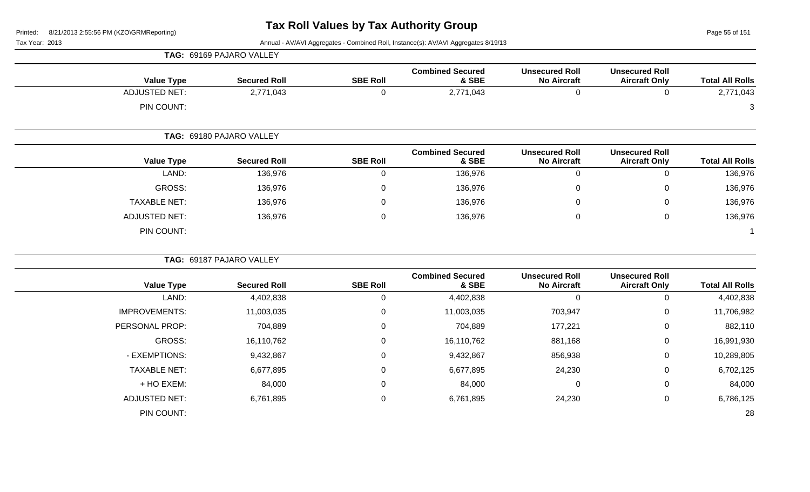**TAG:** 69169 PAJARO VALLEY

Page 55 of 151

| <b>Value Type</b>    | <b>Secured Roll</b>      | <b>SBE Roll</b> | <b>Combined Secured</b><br>& SBE | <b>Unsecured Roll</b><br><b>No Aircraft</b> | <b>Unsecured Roll</b><br><b>Aircraft Only</b> | <b>Total All Rolls</b> |
|----------------------|--------------------------|-----------------|----------------------------------|---------------------------------------------|-----------------------------------------------|------------------------|
| <b>ADJUSTED NET:</b> | 2,771,043                | $\mathbf 0$     | 2,771,043                        | $\mathbf 0$                                 | $\mathbf 0$                                   | 2,771,043              |
| PIN COUNT:           |                          |                 |                                  |                                             |                                               | 3                      |
|                      | TAG: 69180 PAJARO VALLEY |                 |                                  |                                             |                                               |                        |
| <b>Value Type</b>    | <b>Secured Roll</b>      | <b>SBE Roll</b> | <b>Combined Secured</b><br>& SBE | <b>Unsecured Roll</b><br><b>No Aircraft</b> | <b>Unsecured Roll</b><br><b>Aircraft Only</b> | <b>Total All Rolls</b> |
| LAND:                | 136,976                  | $\mathbf 0$     | 136,976                          | $\mathbf 0$                                 | $\mathbf 0$                                   | 136,976                |
| GROSS:               | 136,976                  | $\Omega$        | 136,976                          | $\Omega$                                    | $\pmb{0}$                                     | 136,976                |
| <b>TAXABLE NET:</b>  | 136,976                  | $\Omega$        | 136,976                          | $\Omega$                                    | $\pmb{0}$                                     | 136,976                |
| <b>ADJUSTED NET:</b> | 136,976                  | $\mathbf 0$     | 136,976                          | $\mathbf 0$                                 | $\mathbf 0$                                   | 136,976                |
| PIN COUNT:           |                          |                 |                                  |                                             |                                               | $\mathbf 1$            |
|                      | TAG: 69187 PAJARO VALLEY |                 |                                  |                                             |                                               |                        |
| <b>Value Type</b>    | <b>Secured Roll</b>      | <b>SBE Roll</b> | <b>Combined Secured</b><br>& SBE | <b>Unsecured Roll</b><br><b>No Aircraft</b> | <b>Unsecured Roll</b><br><b>Aircraft Only</b> | <b>Total All Rolls</b> |
| LAND:                | 4,402,838                | $\mathbf 0$     | 4,402,838                        | $\overline{0}$                              | $\mathbf 0$                                   | 4,402,838              |
| <b>IMPROVEMENTS:</b> | 11,003,035               | 0               | 11,003,035                       | 703,947                                     | $\pmb{0}$                                     | 11,706,982             |
| PERSONAL PROP:       | 704,889                  | 0               | 704,889                          | 177,221                                     | $\pmb{0}$                                     | 882,110                |
| <b>GROSS:</b>        | 16,110,762               | 0               | 16,110,762                       | 881,168                                     | $\pmb{0}$                                     | 16,991,930             |
| - EXEMPTIONS:        | 9,432,867                | 0               | 9,432,867                        | 856,938                                     | 0                                             | 10,289,805             |
| <b>TAXABLE NET:</b>  | 6,677,895                | 0               | 6,677,895                        | 24,230                                      | $\pmb{0}$                                     | 6,702,125              |
| + HO EXEM:           | 84,000                   | 0               | 84,000                           | 0                                           | 0                                             | 84,000                 |
| <b>ADJUSTED NET:</b> | 6,761,895                | 0               | 6,761,895                        | 24,230                                      | $\mathbf 0$                                   | 6,786,125              |
| PIN COUNT:           |                          |                 |                                  |                                             |                                               | 28                     |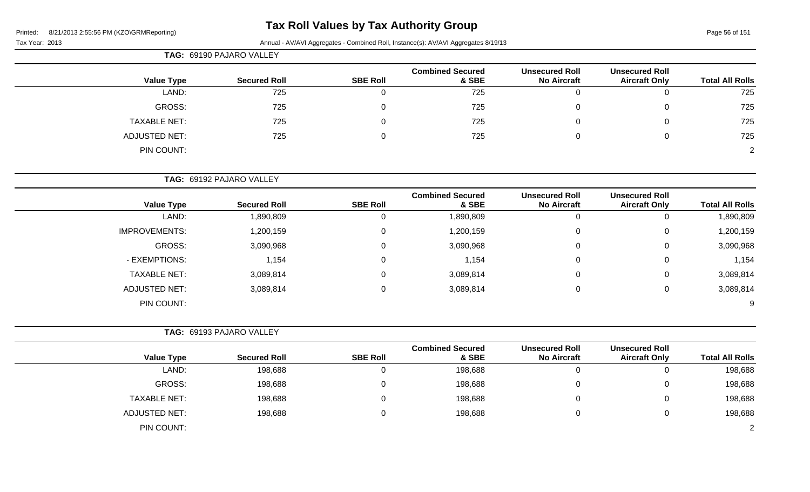# **Tax Roll Values by Tax Authority Group**

Tax Year: 2013 Annual - AV/AVI Aggregates - Combined Roll, Instance(s): AV/AVI Aggregates 8/19/13

| ear: 2013 |  |
|-----------|--|

| TAG: 69190 PAJARO VALLEY |                     |                 |                                  |                                             |                                               |                        |
|--------------------------|---------------------|-----------------|----------------------------------|---------------------------------------------|-----------------------------------------------|------------------------|
| <b>Value Type</b>        | <b>Secured Roll</b> | <b>SBE Roll</b> | <b>Combined Secured</b><br>& SBE | <b>Unsecured Roll</b><br><b>No Aircraft</b> | <b>Unsecured Roll</b><br><b>Aircraft Only</b> | <b>Total All Rolls</b> |
| LAND:                    | 725                 | U               | 725                              | U                                           | Ü                                             | 725                    |
| GROSS:                   | 725                 | $\Omega$        | 725                              | 0                                           | 0                                             | 725                    |
| <b>TAXABLE NET:</b>      | 725                 | 0               | 725                              | 0                                           | 0                                             | 725                    |
| <b>ADJUSTED NET:</b>     | 725                 | 0               | 725                              | 0                                           | 0                                             | 725                    |
| PIN COUNT:               |                     |                 |                                  |                                             |                                               | 2                      |

**TAG:** 69192 PAJARO VALLEY

| <b>Value Type</b>    | <b>Secured Roll</b> | <b>SBE Roll</b> | <b>Combined Secured</b><br>& SBE | <b>Unsecured Roll</b><br><b>No Aircraft</b> | <b>Unsecured Roll</b><br><b>Aircraft Only</b> | <b>Total All Rolls</b> |
|----------------------|---------------------|-----------------|----------------------------------|---------------------------------------------|-----------------------------------------------|------------------------|
|                      |                     |                 |                                  |                                             |                                               |                        |
| LAND:                | 1,890,809           |                 | 1,890,809                        | U                                           |                                               | 1,890,809              |
| <b>IMPROVEMENTS:</b> | 1,200,159           | 0               | 1,200,159                        | 0                                           | 0                                             | 1,200,159              |
| GROSS:               | 3,090,968           | 0               | 3,090,968                        | 0                                           | 0                                             | 3,090,968              |
| - EXEMPTIONS:        | 1,154               | 0               | 1,154                            | 0                                           | 0                                             | 1,154                  |
| <b>TAXABLE NET:</b>  | 3,089,814           | 0               | 3,089,814                        | 0                                           | 0                                             | 3,089,814              |
| <b>ADJUSTED NET:</b> | 3,089,814           | 0               | 3,089,814                        | 0                                           | 0                                             | 3,089,814              |
| PIN COUNT:           |                     |                 |                                  |                                             |                                               | 9                      |

**TAG:** 69193 PAJARO VALLEY

| <b>Value Type</b>    | <b>Secured Roll</b> | <b>SBE Roll</b> | <b>Combined Secured</b><br>& SBE | <b>Unsecured Roll</b><br><b>No Aircraft</b> | <b>Unsecured Roll</b><br><b>Aircraft Only</b> | <b>Total All Rolls</b> |
|----------------------|---------------------|-----------------|----------------------------------|---------------------------------------------|-----------------------------------------------|------------------------|
| LAND:                | 198,688             |                 | 198,688                          |                                             | ν                                             | 198,688                |
| GROSS:               | 198,688             |                 | 198,688                          |                                             | ν                                             | 198,688                |
| <b>TAXABLE NET:</b>  | 198,688             |                 | 198,688                          |                                             | ັ                                             | 198,688                |
| <b>ADJUSTED NET:</b> | 198,688             |                 | 198,688                          |                                             | ັ                                             | 198,688                |
| PIN COUNT:           |                     |                 |                                  |                                             |                                               | ົ                      |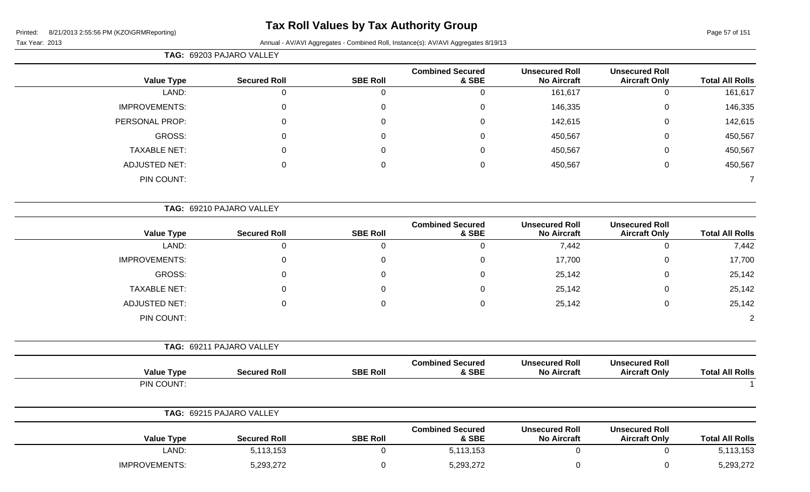# **Tax Roll Values by Tax Authority Group**

|                                               |                                             |                                  |                 | TAG: 69203 PAJARO VALLEY |                                                      |
|-----------------------------------------------|---------------------------------------------|----------------------------------|-----------------|--------------------------|------------------------------------------------------|
| <b>Unsecured Roll</b><br><b>Aircraft Only</b> | <b>Unsecured Roll</b><br><b>No Aircraft</b> | <b>Combined Secured</b><br>& SBE | <b>SBE Roll</b> | <b>Secured Roll</b>      | <b>Value Type</b>                                    |
| $\mathbf 0$                                   | 161,617                                     | 0                                | $\mathbf 0$     | $\mathbf 0$              | LAND:                                                |
| $\pmb{0}$                                     | 146,335                                     | 0                                | 0               | $\mathbf 0$              | <b>IMPROVEMENTS:</b>                                 |
| $\mathbf 0$                                   | 142,615                                     | 0                                | 0               | 0                        | PERSONAL PROP:                                       |
| $\mathbf 0$                                   | 450,567                                     | $\Omega$                         | $\Omega$        | $\Omega$                 | <b>GROSS:</b>                                        |
| $\mathbf 0$                                   | 450,567                                     | 0                                | 0               | 0                        | <b>TAXABLE NET:</b>                                  |
| $\mathbf 0$                                   | 450,567                                     | 0                                | 0               | $\mathbf 0$              | <b>ADJUSTED NET:</b>                                 |
|                                               |                                             |                                  |                 |                          | PIN COUNT:                                           |
|                                               |                                             |                                  |                 |                          |                                                      |
| <b>Unsecured Roll</b><br><b>Aircraft Only</b> | <b>Unsecured Roll</b><br><b>No Aircraft</b> | <b>Combined Secured</b><br>& SBE | <b>SBE Roll</b> | <b>Secured Roll</b>      | <b>Value Type</b>                                    |
| $\mathbf 0$                                   | 7,442                                       | $\mathbf 0$                      | $\overline{0}$  | $\mathsf{O}\xspace$      | LAND:                                                |
| $\pmb{0}$                                     | 17,700                                      | 0                                | $\Omega$        | $\mathbf 0$              | <b>IMPROVEMENTS:</b>                                 |
| $\pmb{0}$                                     | 25,142                                      | 0                                | 0               | 0                        | <b>GROSS:</b>                                        |
| $\pmb{0}$                                     | 25,142                                      | 0                                | $\Omega$        | $\Omega$                 | <b>TAXABLE NET:</b>                                  |
| $\mathbf 0$                                   | 25,142                                      | 0                                | 0               | $\mathbf 0$              | <b>ADJUSTED NET:</b>                                 |
|                                               |                                             |                                  |                 |                          | PIN COUNT:                                           |
|                                               |                                             |                                  |                 |                          |                                                      |
| <b>Unsecured Roll</b><br><b>Aircraft Only</b> | <b>Unsecured Roll</b><br><b>No Aircraft</b> | <b>Combined Secured</b><br>& SBE | <b>SBE Roll</b> | <b>Secured Roll</b>      | <b>Value Type</b>                                    |
|                                               |                                             |                                  |                 |                          | TAG: 69210 PAJARO VALLEY<br>TAG: 69211 PAJARO VALLEY |

|                      | TAG: 69215 PAJARO VALLEY |                 |                                  |                                             |                                               |                        |
|----------------------|--------------------------|-----------------|----------------------------------|---------------------------------------------|-----------------------------------------------|------------------------|
| <b>Value Type</b>    | <b>Secured Roll</b>      | <b>SBE Roll</b> | <b>Combined Secured</b><br>& SBE | <b>Unsecured Roll</b><br><b>No Aircraft</b> | <b>Unsecured Roll</b><br><b>Aircraft Only</b> | <b>Total All Rolls</b> |
| LAND:                | 5,113,153                |                 | 5,113,153                        |                                             |                                               | 5,113,153              |
| <b>IMPROVEMENTS:</b> | 5,293,272                |                 | 5,293,272                        |                                             |                                               | 5,293,272              |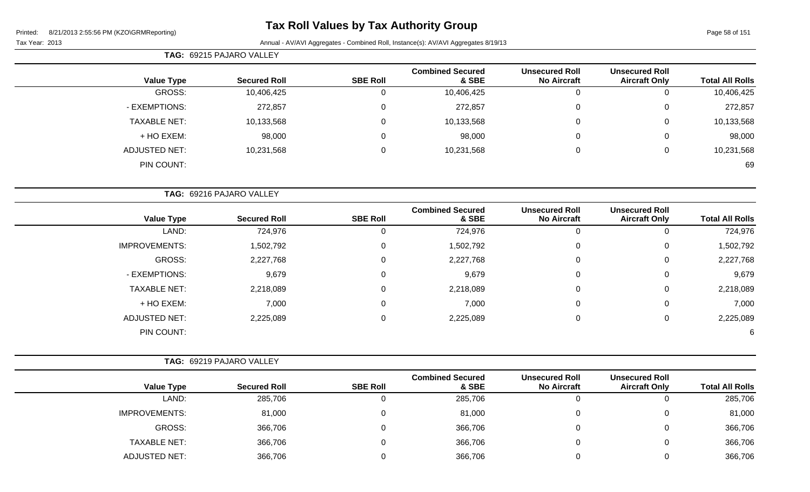-

# **Tax Roll Values by Tax Authority Group**

| <b>U ZUULUU I IVI (INZUNUINIV</b> |  |  |  |
|-----------------------------------|--|--|--|
|                                   |  |  |  |

|                        |                                               |                                             |                                  |                 | <b>TAG: 69215 PAJARO VALLEY</b> |                      |
|------------------------|-----------------------------------------------|---------------------------------------------|----------------------------------|-----------------|---------------------------------|----------------------|
| <b>Total All Rolls</b> | <b>Unsecured Roll</b><br><b>Aircraft Only</b> | <b>Unsecured Roll</b><br><b>No Aircraft</b> | <b>Combined Secured</b><br>& SBE | <b>SBE Roll</b> | <b>Secured Roll</b>             | <b>Value Type</b>    |
| 10,406,425             | 0                                             | 0                                           | 10,406,425                       | 0               | 10,406,425                      | GROSS:               |
| 272,857                | $\mathbf 0$                                   | 0                                           | 272,857                          | 0               | 272,857                         | - EXEMPTIONS:        |
| 10,133,568             | 0                                             | 0                                           | 10,133,568                       | 0               | 10,133,568                      | <b>TAXABLE NET:</b>  |
| 98,000                 | 0                                             | 0                                           | 98,000                           | 0               | 98,000                          | + HO EXEM:           |
| 10,231,568             | 0                                             | 0                                           | 10,231,568                       | $\Omega$        | 10,231,568                      | <b>ADJUSTED NET:</b> |
| 69                     |                                               |                                             |                                  |                 |                                 | PIN COUNT:           |
|                        |                                               |                                             |                                  |                 | TAG: 69216 PAJARO VALLEY        |                      |
| <b>Total All Rolls</b> | <b>Unsecured Roll</b><br><b>Aircraft Only</b> | <b>Unsecured Roll</b><br>No Aircraft        | <b>Combined Secured</b><br>& SBE | <b>SBE Roll</b> | <b>Secured Roll</b>             | <b>Value Type</b>    |

| <b>Value Type</b>    | <b>Secured Roll</b> | <b>SBE Roll</b> | & SBE     | <b>No Aircraft</b> | <b>Aircraft Only</b> | <b>Total All Rolls</b> |
|----------------------|---------------------|-----------------|-----------|--------------------|----------------------|------------------------|
| LAND:                | 724,976             | 0               | 724,976   | 0                  |                      | 724,976                |
| <b>IMPROVEMENTS:</b> | 1,502,792           | 0               | 1,502,792 | 0                  | 0                    | 1,502,792              |
| GROSS:               | 2,227,768           | $\mathbf{0}$    | 2,227,768 | 0                  | 0                    | 2,227,768              |
| - EXEMPTIONS:        | 9,679               | $\mathbf 0$     | 9,679     | 0                  |                      | 9,679                  |
| <b>TAXABLE NET:</b>  | 2,218,089           | 0               | 2,218,089 | 0                  |                      | 2,218,089              |
| + HO EXEM:           | 7,000               | 0               | 7,000     | 0                  | 0                    | 7,000                  |
| <b>ADJUSTED NET:</b> | 2,225,089           | 0               | 2,225,089 | 0                  |                      | 2,225,089              |
| PIN COUNT:           |                     |                 |           |                    |                      | 6                      |

|                      | TAG: 69219 PAJARO VALLEY |                 |                                  |                                             |                                               |                        |
|----------------------|--------------------------|-----------------|----------------------------------|---------------------------------------------|-----------------------------------------------|------------------------|
| <b>Value Type</b>    | <b>Secured Roll</b>      | <b>SBE Roll</b> | <b>Combined Secured</b><br>& SBE | <b>Unsecured Roll</b><br><b>No Aircraft</b> | <b>Unsecured Roll</b><br><b>Aircraft Only</b> | <b>Total All Rolls</b> |
| LAND:                | 285,706                  | 0               | 285,706                          |                                             | $\mathbf{0}$                                  | 285,706                |
| <b>IMPROVEMENTS:</b> | 81,000                   | 0               | 81,000                           |                                             | $\mathbf{0}$                                  | 81,000                 |
| GROSS:               | 366,706                  | 0               | 366,706                          |                                             | 0                                             | 366,706                |
| <b>TAXABLE NET:</b>  | 366,706                  | 0               | 366,706                          |                                             | 0                                             | 366,706                |
| ADJUSTED NET:        | 366,706                  | 0               | 366,706                          |                                             | 0                                             | 366,706                |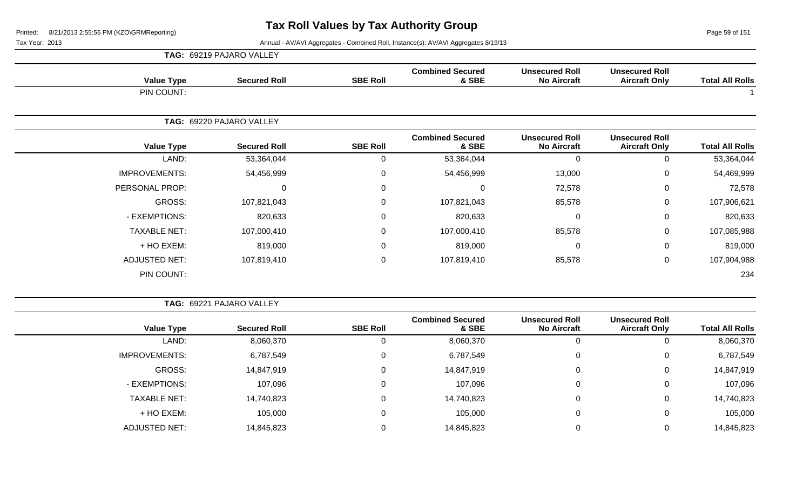Page 59 of 151

Tax Year: 2013 Annual - AV/AVI Aggregates - Combined Roll, Instance(s): AV/AVI Aggregates 8/19/13

|                      | TAG: 69219 PAJARO VALLEY |                 |                                  |                                             |                                               |                        |
|----------------------|--------------------------|-----------------|----------------------------------|---------------------------------------------|-----------------------------------------------|------------------------|
| <b>Value Type</b>    | <b>Secured Roll</b>      | <b>SBE Roll</b> | <b>Combined Secured</b><br>& SBE | <b>Unsecured Roll</b><br><b>No Aircraft</b> | <b>Unsecured Roll</b><br><b>Aircraft Only</b> | <b>Total All Rolls</b> |
| PIN COUNT:           |                          |                 |                                  |                                             |                                               |                        |
|                      | TAG: 69220 PAJARO VALLEY |                 |                                  |                                             |                                               |                        |
| <b>Value Type</b>    | <b>Secured Roll</b>      | <b>SBE Roll</b> | <b>Combined Secured</b><br>& SBE | <b>Unsecured Roll</b><br><b>No Aircraft</b> | <b>Unsecured Roll</b><br><b>Aircraft Only</b> | <b>Total All Rolls</b> |
| LAND:                | 53,364,044               | 0               | 53,364,044                       | $\overline{0}$                              | 0                                             | 53,364,044             |
| <b>IMPROVEMENTS:</b> | 54,456,999               | $\mathbf 0$     | 54,456,999                       | 13,000                                      | $\mathbf 0$                                   | 54,469,999             |
| PERSONAL PROP:       | 0                        | $\mathbf 0$     | $\Omega$                         | 72,578                                      | 0                                             | 72,578                 |
| GROSS:               | 107,821,043              | $\mathbf 0$     | 107,821,043                      | 85,578                                      | 0                                             | 107,906,621            |
| - EXEMPTIONS:        | 820,633                  | $\mathbf 0$     | 820,633                          | $\Omega$                                    | 0                                             | 820,633                |
| <b>TAXABLE NET:</b>  | 107,000,410              | $\mathbf 0$     | 107,000,410                      | 85,578                                      | 0                                             | 107,085,988            |
| + HO EXEM:           | 819,000                  | $\overline{0}$  | 819,000                          | $\mathbf 0$                                 | $\mathbf 0$                                   | 819,000                |
| <b>ADJUSTED NET:</b> | 107,819,410              | $\mathbf 0$     | 107,819,410                      | 85,578                                      | $\mathbf 0$                                   | 107,904,988            |
| PIN COUNT:           |                          |                 |                                  |                                             |                                               | 234                    |

**TAG:** 69221 PAJARO VALLEY

| <b>Value Type</b>    | <b>Secured Roll</b> | <b>SBE Roll</b> | <b>Combined Secured</b><br>& SBE | <b>Unsecured Roll</b><br><b>No Aircraft</b> | <b>Unsecured Roll</b><br><b>Aircraft Only</b> | <b>Total All Rolls</b> |
|----------------------|---------------------|-----------------|----------------------------------|---------------------------------------------|-----------------------------------------------|------------------------|
| LAND:                | 8,060,370           |                 | 8,060,370                        | O                                           | 0                                             | 8,060,370              |
| <b>IMPROVEMENTS:</b> | 6,787,549           | $\Omega$        | 6,787,549                        | 0                                           | 0                                             | 6,787,549              |
| GROSS:               | 14,847,919          | $\Omega$        | 14,847,919                       | 0                                           | 0                                             | 14,847,919             |
| - EXEMPTIONS:        | 107,096             | 0               | 107,096                          | 0                                           | 0                                             | 107,096                |
| <b>TAXABLE NET:</b>  | 14,740,823          | 0               | 14,740,823                       | 0                                           | 0                                             | 14,740,823             |
| + HO EXEM:           | 105,000             | 0               | 105,000                          | 0                                           | 0                                             | 105,000                |
| ADJUSTED NET:        | 14,845,823          |                 | 14,845,823                       |                                             | 0                                             | 14,845,823             |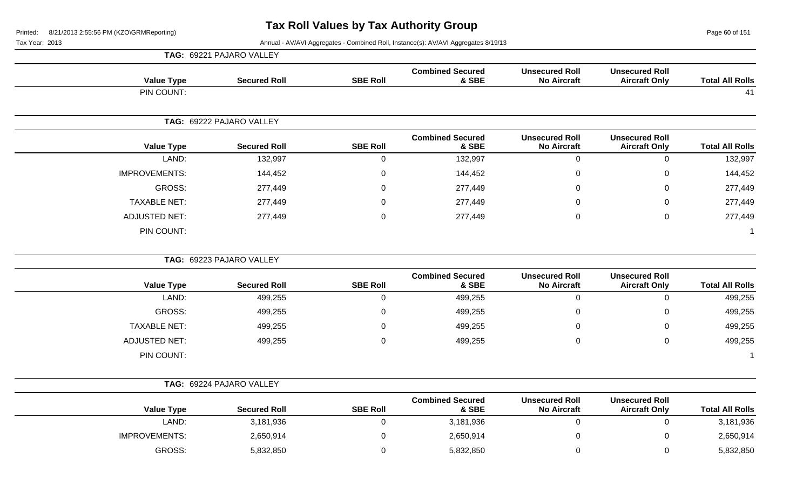Page 60 of 151

|                      | TAG: 69221 PAJARO VALLEY |                 |                                  |                                             |                                               |                        |
|----------------------|--------------------------|-----------------|----------------------------------|---------------------------------------------|-----------------------------------------------|------------------------|
| <b>Value Type</b>    | <b>Secured Roll</b>      | <b>SBE Roll</b> | <b>Combined Secured</b><br>& SBE | <b>Unsecured Roll</b><br><b>No Aircraft</b> | <b>Unsecured Roll</b><br><b>Aircraft Only</b> | <b>Total All Rolls</b> |
| PIN COUNT:           |                          |                 |                                  |                                             |                                               | 41                     |
|                      | TAG: 69222 PAJARO VALLEY |                 |                                  |                                             |                                               |                        |
| <b>Value Type</b>    | <b>Secured Roll</b>      | <b>SBE Roll</b> | <b>Combined Secured</b><br>& SBE | <b>Unsecured Roll</b><br><b>No Aircraft</b> | <b>Unsecured Roll</b><br><b>Aircraft Only</b> | <b>Total All Rolls</b> |
| LAND:                | 132,997                  | 0               | 132,997                          | $\mathbf 0$                                 | $\mathbf 0$                                   | 132,997                |
| <b>IMPROVEMENTS:</b> | 144,452                  | 0               | 144,452                          | $\mathbf 0$                                 | $\mathbf 0$                                   | 144,452                |
| <b>GROSS:</b>        | 277,449                  | 0               | 277,449                          | $\Omega$                                    | $\mathbf 0$                                   | 277,449                |
| <b>TAXABLE NET:</b>  | 277,449                  | 0               | 277,449                          | $\Omega$                                    | $\mathbf 0$                                   | 277,449                |
| <b>ADJUSTED NET:</b> | 277,449                  | 0               | 277,449                          | 0                                           | $\mathbf 0$                                   | 277,449                |
| PIN COUNT:           |                          |                 |                                  |                                             |                                               | $\mathbf 1$            |
|                      | TAG: 69223 PAJARO VALLEY |                 |                                  |                                             |                                               |                        |
| <b>Value Type</b>    | <b>Secured Roll</b>      | <b>SBE Roll</b> | <b>Combined Secured</b><br>& SBE | <b>Unsecured Roll</b><br><b>No Aircraft</b> | <b>Unsecured Roll</b><br><b>Aircraft Only</b> | <b>Total All Rolls</b> |
| LAND:                | 499,255                  | $\mathbf 0$     | 499,255                          | $\mathbf 0$                                 | $\mathbf 0$                                   | 499,255                |
| GROSS:               | 499,255                  | 0               | 499,255                          | $\mathbf{0}$                                | $\mathbf 0$                                   | 499,255                |
| <b>TAXABLE NET:</b>  | 499,255                  | 0               | 499,255                          | 0                                           | $\mathbf 0$                                   | 499,255                |
| <b>ADJUSTED NET:</b> | 499,255                  | 0               | 499,255                          | $\mathbf{0}$                                | $\mathbf 0$                                   | 499,255                |
| PIN COUNT:           |                          |                 |                                  |                                             |                                               | $\mathbf{1}$           |
|                      | TAG: 69224 PAJARO VALLEY |                 |                                  |                                             |                                               |                        |
| <b>Value Type</b>    | <b>Secured Roll</b>      | <b>SBE Roll</b> | <b>Combined Secured</b><br>& SBE | <b>Unsecured Roll</b><br><b>No Aircraft</b> | <b>Unsecured Roll</b><br><b>Aircraft Only</b> | <b>Total All Rolls</b> |
| LAND:                | 3,181,936                | $\mathbf 0$     | 3,181,936                        | $\mathbf 0$                                 | $\mathbf 0$                                   | 3,181,936              |
| <b>IMPROVEMENTS:</b> | 2,650,914                | 0               | 2,650,914                        | $\mathbf{0}$                                | $\mathbf 0$                                   | 2,650,914              |
| GROSS:               | 5,832,850                | 0               | 5,832,850                        | $\mathbf 0$                                 | $\mathbf 0$                                   | 5,832,850              |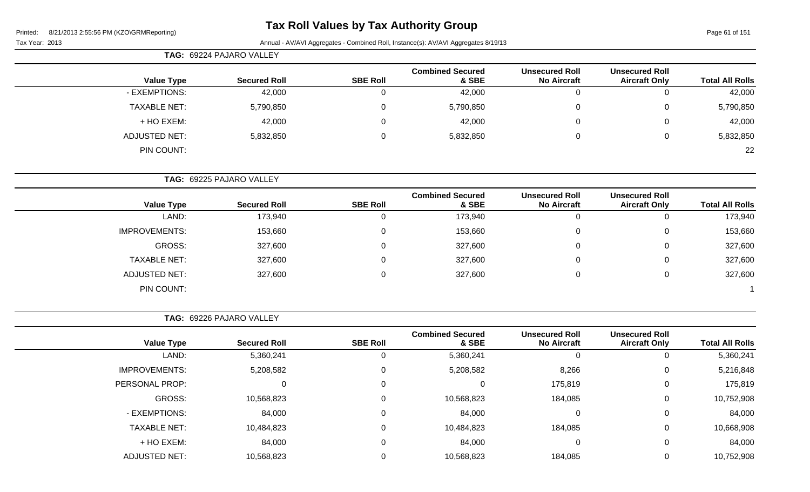Page 61 of 151

Tax Year: 2013 Annual - AV/AVI Aggregates - Combined Roll, Instance(s): AV/AVI Aggregates 8/19/13

|                     | TAG: 69224 PAJARO VALLEY |                 |                                  |                                             |                                               |                        |
|---------------------|--------------------------|-----------------|----------------------------------|---------------------------------------------|-----------------------------------------------|------------------------|
| <b>Value Type</b>   | <b>Secured Roll</b>      | <b>SBE Roll</b> | <b>Combined Secured</b><br>& SBE | <b>Unsecured Roll</b><br><b>No Aircraft</b> | <b>Unsecured Roll</b><br><b>Aircraft Only</b> | <b>Total All Rolls</b> |
| - EXEMPTIONS:       | 42,000                   | υ               | 42,000                           |                                             |                                               | 42,000                 |
| <b>TAXABLE NET:</b> | 5,790,850                | 0               | 5,790,850                        | 0                                           |                                               | 5,790,850              |
| + HO EXEM:          | 42,000                   | 0               | 42,000                           | 0                                           |                                               | 42,000                 |
| ADJUSTED NET:       | 5,832,850                | 0               | 5,832,850                        | 0                                           |                                               | 5,832,850              |
| PIN COUNT:          |                          |                 |                                  |                                             |                                               | 22                     |

**TAG:** 69225 PAJARO VALLEY

|                      |                     |                 | <b>Combined Secured</b> | <b>Unsecured Roll</b> | <b>Unsecured Roll</b> |                        |
|----------------------|---------------------|-----------------|-------------------------|-----------------------|-----------------------|------------------------|
| <b>Value Type</b>    | <b>Secured Roll</b> | <b>SBE Roll</b> | & SBE                   | <b>No Aircraft</b>    | <b>Aircraft Only</b>  | <b>Total All Rolls</b> |
| LAND:                | 173,940             |                 | 173,940                 | U                     |                       | 173,940                |
| <b>IMPROVEMENTS:</b> | 153,660             |                 | 153,660                 | U                     | 0                     | 153,660                |
| GROSS:               | 327,600             |                 | 327,600                 | U                     |                       | 327,600                |
| <b>TAXABLE NET:</b>  | 327,600             |                 | 327,600                 | U                     |                       | 327,600                |
| <b>ADJUSTED NET:</b> | 327,600             |                 | 327,600                 | 0                     | 0                     | 327,600                |
| PIN COUNT:           |                     |                 |                         |                       |                       |                        |

**TAG:** 69226 PAJARO VALLEY

|                      |                     |                 | <b>Combined Secured</b> | <b>Unsecured Roll</b> | <b>Unsecured Roll</b> |                        |
|----------------------|---------------------|-----------------|-------------------------|-----------------------|-----------------------|------------------------|
| <b>Value Type</b>    | <b>Secured Roll</b> | <b>SBE Roll</b> | & SBE                   | <b>No Aircraft</b>    | <b>Aircraft Only</b>  | <b>Total All Rolls</b> |
| LAND:                | 5,360,241           | υ               | 5,360,241               |                       | 0                     | 5,360,241              |
| <b>IMPROVEMENTS:</b> | 5,208,582           | 0               | 5,208,582               | 8,266                 | 0                     | 5,216,848              |
| PERSONAL PROP:       | 0                   | 0               |                         | 175,819               | 0                     | 175,819                |
| GROSS:               | 10,568,823          | 0               | 10,568,823              | 184,085               | 0                     | 10,752,908             |
| - EXEMPTIONS:        | 84,000              |                 | 84,000                  |                       | 0                     | 84,000                 |
| <b>TAXABLE NET:</b>  | 10,484,823          | 0               | 10,484,823              | 184,085               | 0                     | 10,668,908             |
| + HO EXEM:           | 84,000              | 0               | 84,000                  |                       | 0                     | 84,000                 |
| <b>ADJUSTED NET:</b> | 10,568,823          |                 | 10,568,823              | 184,085               | 0                     | 10,752,908             |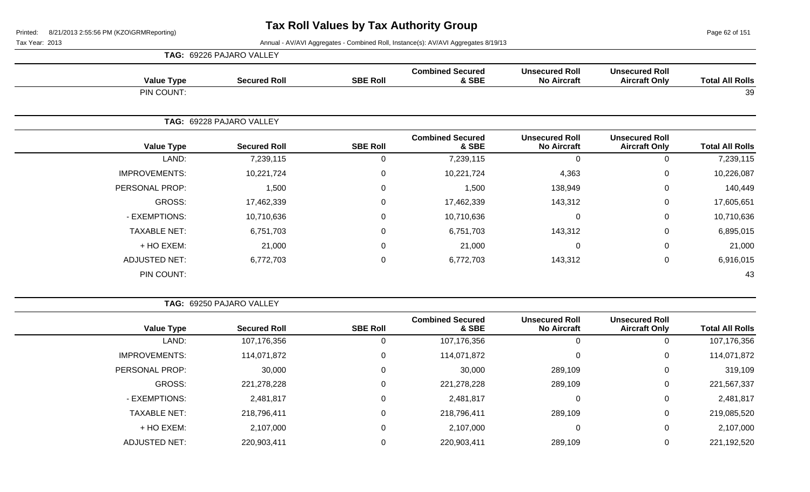Page 62 of 151

| <b>TAG: 69226 PAJARO VALLEY</b> |
|---------------------------------|
|---------------------------------|

| <b>Value Type</b>    | <b>Secured Roll</b>      | <b>SBE Roll</b>  | <b>Combined Secured</b><br>& SBE | <b>Unsecured Roll</b><br><b>No Aircraft</b> | <b>Unsecured Roll</b><br><b>Aircraft Only</b>                                                                                                                                                                                                                                                         |           |
|----------------------|--------------------------|------------------|----------------------------------|---------------------------------------------|-------------------------------------------------------------------------------------------------------------------------------------------------------------------------------------------------------------------------------------------------------------------------------------------------------|-----------|
| PIN COUNT:           |                          |                  |                                  |                                             | <b>Total All Rolls</b><br>39<br><b>Unsecured Roll</b><br><b>Total All Rolls</b><br><b>Aircraft Only</b><br>7,239,115<br>$\mathbf{0}$<br>0<br>0<br>10,226,087<br>$\mathbf 0$<br>140,449<br>0<br>17,605,651<br>$\mathbf 0$<br>$\mathbf 0$<br>10,710,636<br>6,895,015<br>$\mathbf 0$<br>21,000<br>0<br>0 |           |
|                      | TAG: 69228 PAJARO VALLEY |                  |                                  |                                             |                                                                                                                                                                                                                                                                                                       |           |
| <b>Value Type</b>    | <b>Secured Roll</b>      | <b>SBE Roll</b>  | <b>Combined Secured</b><br>& SBE | <b>Unsecured Roll</b><br><b>No Aircraft</b> |                                                                                                                                                                                                                                                                                                       |           |
| LAND:                | 7,239,115                | $\Omega$         | 7,239,115                        |                                             |                                                                                                                                                                                                                                                                                                       |           |
| <b>IMPROVEMENTS:</b> | 10,221,724               | 0                | 10,221,724                       | 4,363                                       |                                                                                                                                                                                                                                                                                                       |           |
| PERSONAL PROP:       | 1,500                    | 0                | 1,500                            | 138,949                                     |                                                                                                                                                                                                                                                                                                       |           |
| GROSS:               | 17,462,339               | 0                | 17,462,339                       | 143,312                                     |                                                                                                                                                                                                                                                                                                       |           |
| - EXEMPTIONS:        | 10,710,636               | 0                | 10,710,636                       |                                             |                                                                                                                                                                                                                                                                                                       |           |
| <b>TAXABLE NET:</b>  | 6,751,703                | $\overline{0}$   | 6,751,703                        | 143,312                                     |                                                                                                                                                                                                                                                                                                       |           |
| + HO EXEM:           | 21,000                   | $\boldsymbol{0}$ | 21,000                           |                                             |                                                                                                                                                                                                                                                                                                       |           |
| <b>ADJUSTED NET:</b> | 6,772,703                | $\Omega$         | 6,772,703                        | 143,312                                     | $\mathbf 0$                                                                                                                                                                                                                                                                                           | 6,916,015 |
| PIN COUNT:           |                          |                  |                                  |                                             |                                                                                                                                                                                                                                                                                                       | 43        |

|                        |                                               |                                             |                                  |                 | TAG: 69250 PAJARO VALLEY |                      |
|------------------------|-----------------------------------------------|---------------------------------------------|----------------------------------|-----------------|--------------------------|----------------------|
| <b>Total All Rolls</b> | <b>Unsecured Roll</b><br><b>Aircraft Only</b> | <b>Unsecured Roll</b><br><b>No Aircraft</b> | <b>Combined Secured</b><br>& SBE | <b>SBE Roll</b> | <b>Secured Roll</b>      | <b>Value Type</b>    |
| 107,176,356            |                                               | 0                                           | 107,176,356                      |                 | 107,176,356              | LAND:                |
| 114,071,872            | 0                                             | $\mathbf 0$                                 | 114,071,872                      |                 | 114,071,872              | <b>IMPROVEMENTS:</b> |
| 319,109                | 0                                             | 289,109                                     | 30,000                           |                 | 30,000                   | PERSONAL PROP:       |
| 221,567,337            | 0                                             | 289,109                                     | 221,278,228                      |                 | 221,278,228              | GROSS:               |
| 2,481,817              | 0                                             | 0                                           | 2,481,817                        |                 | 2,481,817                | - EXEMPTIONS:        |
| 219,085,520            | 0                                             | 289,109                                     | 218,796,411                      |                 | 218,796,411              | <b>TAXABLE NET:</b>  |
| 2,107,000              | 0                                             | $\boldsymbol{0}$                            | 2,107,000                        | $\Omega$        | 2,107,000                | + HO EXEM:           |
| 221,192,520            |                                               | 289,109                                     | 220,903,411                      |                 | 220,903,411              | <b>ADJUSTED NET:</b> |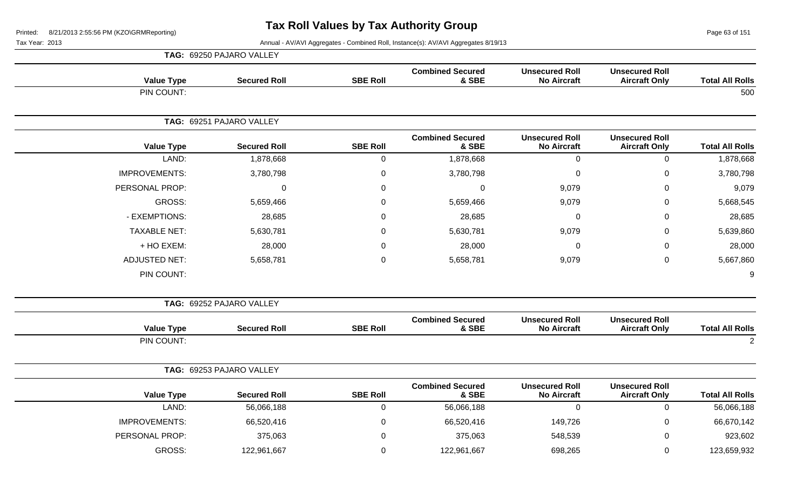Page 63 of 151

|                        |                                               |                                             |                                  |                 | TAG: 69250 PAJARO VALLEY |                      |
|------------------------|-----------------------------------------------|---------------------------------------------|----------------------------------|-----------------|--------------------------|----------------------|
| <b>Total All Rolls</b> | <b>Unsecured Roll</b><br><b>Aircraft Only</b> | <b>Unsecured Roll</b><br><b>No Aircraft</b> | <b>Combined Secured</b><br>& SBE | <b>SBE Roll</b> | <b>Secured Roll</b>      | <b>Value Type</b>    |
| 500                    |                                               |                                             |                                  |                 |                          | PIN COUNT:           |
|                        |                                               |                                             |                                  |                 | TAG: 69251 PAJARO VALLEY |                      |
| <b>Total All Rolls</b> | <b>Unsecured Roll</b><br><b>Aircraft Only</b> | <b>Unsecured Roll</b><br><b>No Aircraft</b> | <b>Combined Secured</b><br>& SBE | <b>SBE Roll</b> | <b>Secured Roll</b>      | <b>Value Type</b>    |
| 1,878,668              | $\mathsf 0$                                   | $\mathbf 0$                                 | 1,878,668                        | $\pmb{0}$       | 1,878,668                | LAND:                |
| 3,780,798              | $\mathbf 0$                                   | $\pmb{0}$                                   | 3,780,798                        | $\mathbf 0$     | 3,780,798                | <b>IMPROVEMENTS:</b> |
| 9,079                  | $\mathbf 0$                                   | 9,079                                       | 0                                | 0               | $\Omega$                 | PERSONAL PROP:       |
| 5,668,545              | $\pmb{0}$                                     | 9,079                                       | 5,659,466                        | $\mathbf 0$     | 5,659,466                | <b>GROSS:</b>        |
| 28,685                 | $\overline{0}$                                | $\pmb{0}$                                   | 28,685                           | $\overline{0}$  | 28,685                   | - EXEMPTIONS:        |
| 5,639,860              | 0                                             | 9,079                                       | 5,630,781                        | $\Omega$        | 5,630,781                | <b>TAXABLE NET:</b>  |
| 28,000                 | $\mathbf 0$                                   | 0                                           | 28,000                           | $\mathbf 0$     | 28,000                   | + HO EXEM:           |
| 5,667,860              | $\mathbf 0$                                   | 9,079                                       | 5,658,781                        | $\mathbf 0$     | 5,658,781                | <b>ADJUSTED NET:</b> |
| 9                      |                                               |                                             |                                  |                 |                          | PIN COUNT:           |
|                        |                                               |                                             |                                  |                 | TAG: 69252 PAJARO VALLEY |                      |
| <b>Total All Rolls</b> | <b>Unsecured Roll</b><br><b>Aircraft Only</b> | <b>Unsecured Roll</b><br><b>No Aircraft</b> | <b>Combined Secured</b><br>& SBE | <b>SBE Roll</b> | <b>Secured Roll</b>      | <b>Value Type</b>    |
| $\overline{2}$         |                                               |                                             |                                  |                 |                          | PIN COUNT:           |
|                        |                                               |                                             |                                  |                 | TAG: 69253 PAJARO VALLEY |                      |
| <b>Total All Rolls</b> | <b>Unsecured Roll</b><br><b>Aircraft Only</b> | <b>Unsecured Roll</b><br><b>No Aircraft</b> | <b>Combined Secured</b><br>& SBE | <b>SBE Roll</b> | <b>Secured Roll</b>      | <b>Value Type</b>    |
| 56,066,188             | $\mathbf 0$                                   | $\overline{0}$                              | 56,066,188                       | $\pmb{0}$       | 56,066,188               | LAND:                |
| 66,670,142             | $\mathbf 0$                                   | 149,726                                     | 66,520,416                       | $\mathbf 0$     | 66,520,416               | <b>IMPROVEMENTS:</b> |
| 923,602                | $\mathbf 0$                                   | 548,539                                     | 375,063                          | $\mathbf 0$     | 375,063                  | PERSONAL PROP:       |
| 123,659,932            | 0                                             | 698,265                                     | 122,961,667                      | $\mathbf 0$     | 122,961,667              | GROSS:               |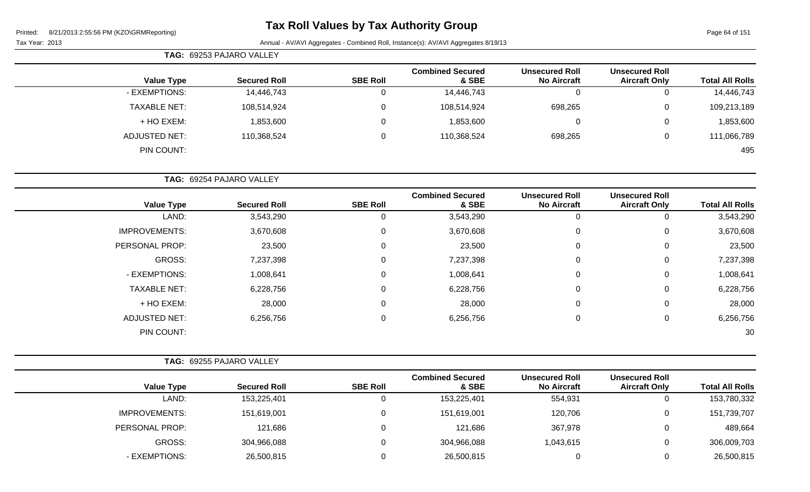# **Tax Roll Values by Tax Authority Group**

Page 64 of 151

|                      | <b>TAG: 69253 PAJARO VALLEY</b> |                 |                                  |                                             |                                               |                        |
|----------------------|---------------------------------|-----------------|----------------------------------|---------------------------------------------|-----------------------------------------------|------------------------|
| <b>Value Type</b>    | <b>Secured Roll</b>             | <b>SBE Roll</b> | <b>Combined Secured</b><br>& SBE | <b>Unsecured Roll</b><br><b>No Aircraft</b> | <b>Unsecured Roll</b><br><b>Aircraft Only</b> | <b>Total All Rolls</b> |
| - EXEMPTIONS:        | 14,446,743                      | υ               | 14,446,743                       | $\overline{0}$                              | 0                                             | 14,446,743             |
| <b>TAXABLE NET:</b>  | 108,514,924                     | 0               | 108,514,924                      | 698,265                                     | 0                                             | 109,213,189            |
| + HO EXEM:           | 1,853,600                       |                 | 1,853,600                        | 0                                           | 0                                             | 1,853,600              |
| <b>ADJUSTED NET:</b> | 110,368,524                     |                 | 110,368,524                      | 698,265                                     | 0                                             | 111,066,789            |
| PIN COUNT:           |                                 |                 |                                  |                                             |                                               | 495                    |

|                        |                                               |                                             |                                  |                 | TAG: 69254 PAJARO VALLEY |                      |  |
|------------------------|-----------------------------------------------|---------------------------------------------|----------------------------------|-----------------|--------------------------|----------------------|--|
| <b>Total All Rolls</b> | <b>Unsecured Roll</b><br><b>Aircraft Only</b> | <b>Unsecured Roll</b><br><b>No Aircraft</b> | <b>Combined Secured</b><br>& SBE | <b>SBE Roll</b> | <b>Secured Roll</b>      | <b>Value Type</b>    |  |
| 3,543,290              | 0                                             | 0                                           | 3,543,290                        | 0               | 3,543,290                | LAND:                |  |
| 3,670,608              | 0                                             | 0                                           | 3,670,608                        | 0               | 3,670,608                | <b>IMPROVEMENTS:</b> |  |
| 23,500                 | 0                                             | 0                                           | 23,500                           | 0               | 23,500                   | PERSONAL PROP:       |  |
| 7,237,398              | 0                                             | 0                                           | 7,237,398                        | 0               | 7,237,398                | GROSS:               |  |
| 1,008,641              | 0                                             | 0                                           | 1,008,641                        | 0               | 1,008,641                | - EXEMPTIONS:        |  |
| 6,228,756              | 0                                             | 0                                           | 6,228,756                        | 0               | 6,228,756                | <b>TAXABLE NET:</b>  |  |
| 28,000                 | 0                                             | 0                                           | 28,000                           | 0               | 28,000                   | + HO EXEM:           |  |
| 6,256,756              | 0                                             | 0                                           | 6,256,756                        | 0               | 6,256,756                | <b>ADJUSTED NET:</b> |  |
| 30                     |                                               |                                             |                                  |                 |                          | PIN COUNT:           |  |

|                      | TAG: 69255 PAJARO VALLEY |                 |                                  |                                             |                                               |                        |
|----------------------|--------------------------|-----------------|----------------------------------|---------------------------------------------|-----------------------------------------------|------------------------|
| <b>Value Type</b>    | <b>Secured Roll</b>      | <b>SBE Roll</b> | <b>Combined Secured</b><br>& SBE | <b>Unsecured Roll</b><br><b>No Aircraft</b> | <b>Unsecured Roll</b><br><b>Aircraft Only</b> | <b>Total All Rolls</b> |
| LAND:                | 153,225,401              |                 | 153,225,401                      | 554,931                                     | 0                                             | 153,780,332            |
| <b>IMPROVEMENTS:</b> | 151,619,001              |                 | 151,619,001                      | 120,706                                     | $\overline{0}$                                | 151,739,707            |
| PERSONAL PROP:       | 121,686                  |                 | 121,686                          | 367,978                                     | $\overline{0}$                                | 489,664                |
| GROSS:               | 304,966,088              |                 | 304,966,088                      | 1,043,615                                   | $\mathbf 0$                                   | 306,009,703            |
| - EXEMPTIONS:        | 26,500,815               |                 | 26,500,815                       |                                             | 0                                             | 26,500,815             |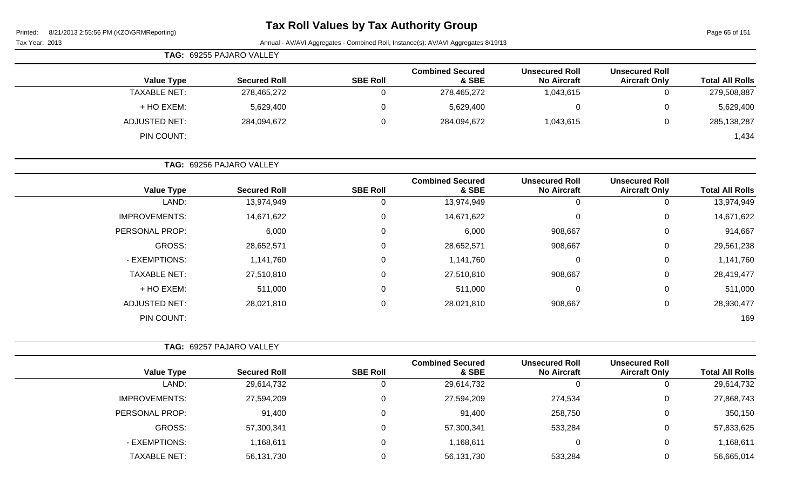# **Tax Roll Values by Tax Authority Group**

Page 65 of 151

| TAG: 69255 PAJARO VALLEY |                          |                 |                                  |                                             |                                               |                        |
|--------------------------|--------------------------|-----------------|----------------------------------|---------------------------------------------|-----------------------------------------------|------------------------|
| <b>Value Type</b>        | <b>Secured Roll</b>      | <b>SBE Roll</b> | <b>Combined Secured</b><br>& SBE | <b>Unsecured Roll</b><br><b>No Aircraft</b> | <b>Unsecured Roll</b><br><b>Aircraft Only</b> | <b>Total All Rolls</b> |
| <b>TAXABLE NET:</b>      | 278,465,272              |                 | 278,465,272                      | 1,043,615                                   | 0                                             | 279,508,887            |
| + HO EXEM:               | 5,629,400                | 0               | 5,629,400                        |                                             | 0                                             | 5,629,400              |
| ADJUSTED NET:            | 284,094,672              | 0               | 284,094,672                      | 1,043,615                                   | 0                                             | 285, 138, 287          |
| PIN COUNT:               |                          |                 |                                  |                                             |                                               | 1,434                  |
|                          | TAG: 69256 PAJARO VALLEY |                 |                                  |                                             |                                               |                        |

| <b>Total All Rolls</b> | <b>Unsecured Roll</b><br><b>Aircraft Only</b> | <b>Unsecured Roll</b><br><b>No Aircraft</b> | <b>Combined Secured</b><br>& SBE | <b>SBE Roll</b> | <b>Secured Roll</b> | <b>Value Type</b>    |
|------------------------|-----------------------------------------------|---------------------------------------------|----------------------------------|-----------------|---------------------|----------------------|
| 13,974,949             | 0                                             |                                             | 13,974,949                       |                 | 13,974,949          | LAND:                |
| 14,671,622             | 0                                             | $\Omega$                                    | 14,671,622                       | $\Omega$        | 14,671,622          | <b>IMPROVEMENTS:</b> |
| 914,667                | 0                                             | 908,667                                     | 6,000                            | $\Omega$        | 6,000               | PERSONAL PROP:       |
| 29,561,238             | 0                                             | 908,667                                     | 28,652,571                       | $\Omega$        | 28,652,571          | <b>GROSS:</b>        |
| 1,141,760              | 0                                             | $\Omega$                                    | 1,141,760                        | $\Omega$        | 1,141,760           | - EXEMPTIONS:        |
| 28,419,477             | 0                                             | 908,667                                     | 27,510,810                       | $\mathbf{0}$    | 27,510,810          | <b>TAXABLE NET:</b>  |
| 511,000                | 0                                             | 0                                           | 511,000                          | $\Omega$        | 511,000             | + HO EXEM:           |
| 28,930,477             | 0                                             | 908,667                                     | 28,021,810                       | $\mathbf{0}$    | 28,021,810          | <b>ADJUSTED NET:</b> |
| 169                    |                                               |                                             |                                  |                 |                     | PIN COUNT:           |
|                        |                                               |                                             |                                  |                 |                     |                      |

|                      | TAG: 69257 PAJARO VALLEY |                 |                                  |                                             |                                               |                        |
|----------------------|--------------------------|-----------------|----------------------------------|---------------------------------------------|-----------------------------------------------|------------------------|
| <b>Value Type</b>    | <b>Secured Roll</b>      | <b>SBE Roll</b> | <b>Combined Secured</b><br>& SBE | <b>Unsecured Roll</b><br><b>No Aircraft</b> | <b>Unsecured Roll</b><br><b>Aircraft Only</b> | <b>Total All Rolls</b> |
| LAND:                | 29,614,732               |                 | 29,614,732                       |                                             | 0                                             | 29,614,732             |
| <b>IMPROVEMENTS:</b> | 27,594,209               | $\Omega$        | 27,594,209                       | 274,534                                     | 0                                             | 27,868,743             |
| PERSONAL PROP:       | 91,400                   |                 | 91,400                           | 258,750                                     | 0                                             | 350,150                |
| GROSS:               | 57,300,341               |                 | 57,300,341                       | 533,284                                     | 0                                             | 57,833,625             |
| - EXEMPTIONS:        | 1,168,611                | 0               | 1,168,611                        |                                             | 0                                             | 1,168,611              |
| <b>TAXABLE NET:</b>  | 56,131,730               |                 | 56,131,730                       | 533,284                                     | 0                                             | 56,665,014             |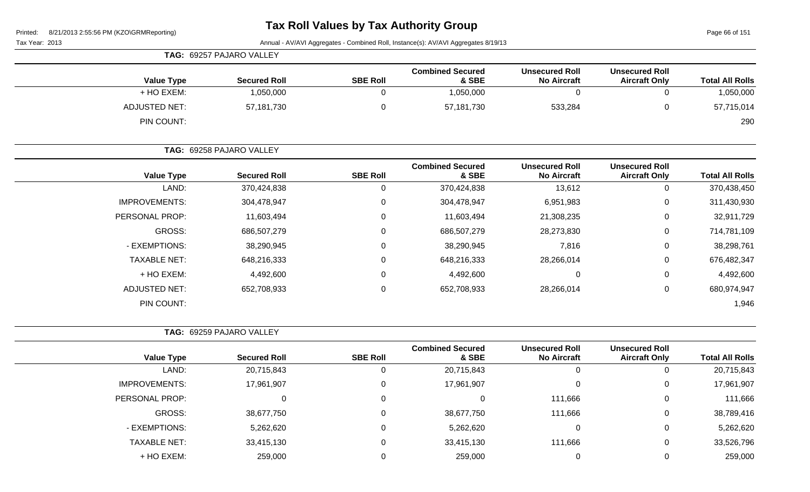Page 66 of 151

|                      | TAG: 69257 PAJARO VALLEY |                 |                                  |                                             |                                               |                        |
|----------------------|--------------------------|-----------------|----------------------------------|---------------------------------------------|-----------------------------------------------|------------------------|
| <b>Value Type</b>    | <b>Secured Roll</b>      | <b>SBE Roll</b> | <b>Combined Secured</b><br>& SBE | <b>Unsecured Roll</b><br><b>No Aircraft</b> | <b>Unsecured Roll</b><br><b>Aircraft Only</b> | <b>Total All Rolls</b> |
| + HO EXEM:           | 1,050,000                |                 | 1,050,000                        |                                             | 0                                             | 1,050,000              |
| <b>ADJUSTED NET:</b> | 57,181,730               |                 | 57,181,730                       | 533,284                                     | 0                                             | 57,715,014             |
| PIN COUNT:           |                          |                 |                                  |                                             |                                               | 290                    |

|                      | TAG: 69258 PAJARO VALLEY |                 |                                  |                                             |                                               |                        |  |
|----------------------|--------------------------|-----------------|----------------------------------|---------------------------------------------|-----------------------------------------------|------------------------|--|
| <b>Value Type</b>    | <b>Secured Roll</b>      | <b>SBE Roll</b> | <b>Combined Secured</b><br>& SBE | <b>Unsecured Roll</b><br><b>No Aircraft</b> | <b>Unsecured Roll</b><br><b>Aircraft Only</b> | <b>Total All Rolls</b> |  |
| LAND:                | 370,424,838              | 0               | 370,424,838                      | 13,612                                      | 0                                             | 370,438,450            |  |
| <b>IMPROVEMENTS:</b> | 304,478,947              | 0               | 304,478,947                      | 6,951,983                                   | 0                                             | 311,430,930            |  |
| PERSONAL PROP:       | 11,603,494               | 0               | 11,603,494                       | 21,308,235                                  | 0                                             | 32,911,729             |  |
| GROSS:               | 686,507,279              | 0               | 686,507,279                      | 28,273,830                                  | 0                                             | 714,781,109            |  |
| - EXEMPTIONS:        | 38,290,945               | 0               | 38,290,945                       | 7,816                                       | 0                                             | 38,298,761             |  |
| <b>TAXABLE NET:</b>  | 648,216,333              | 0               | 648,216,333                      | 28,266,014                                  | 0                                             | 676,482,347            |  |
| + HO EXEM:           | 4,492,600                | 0               | 4,492,600                        | 0                                           | 0                                             | 4,492,600              |  |
| ADJUSTED NET:        | 652,708,933              | $\mathbf 0$     | 652,708,933                      | 28,266,014                                  | 0                                             | 680,974,947            |  |
| PIN COUNT:           |                          |                 |                                  |                                             |                                               | 1,946                  |  |

| <b>TAG: 69259 PAJARO VALLEY</b> |
|---------------------------------|

| <b>Total All Rolls</b> | <b>Unsecured Roll</b><br><b>Aircraft Only</b> | <b>Unsecured Roll</b><br><b>No Aircraft</b> | <b>Combined Secured</b><br>& SBE | <b>SBE Roll</b> | <b>Secured Roll</b> | <b>Value Type</b>    |
|------------------------|-----------------------------------------------|---------------------------------------------|----------------------------------|-----------------|---------------------|----------------------|
| 20,715,843             |                                               | 0                                           | 20,715,843                       |                 | 20,715,843          | LAND:                |
| 17,961,907             | 0                                             | $\overline{0}$                              | 17,961,907                       | 0               | 17,961,907          | <b>IMPROVEMENTS:</b> |
| 111,666                |                                               | 111,666                                     |                                  |                 |                     | PERSONAL PROP:       |
| 38,789,416             | U                                             | 111,666                                     | 38,677,750                       |                 | 38,677,750          | GROSS:               |
| 5,262,620              | 0                                             | 0                                           | 5,262,620                        |                 | 5,262,620           | - EXEMPTIONS:        |
| 33,526,796             | 0                                             | 111,666                                     | 33,415,130                       | $\Omega$        | 33,415,130          | <b>TAXABLE NET:</b>  |
| 259,000                |                                               | 0                                           | 259,000                          |                 | 259,000             | + HO EXEM:           |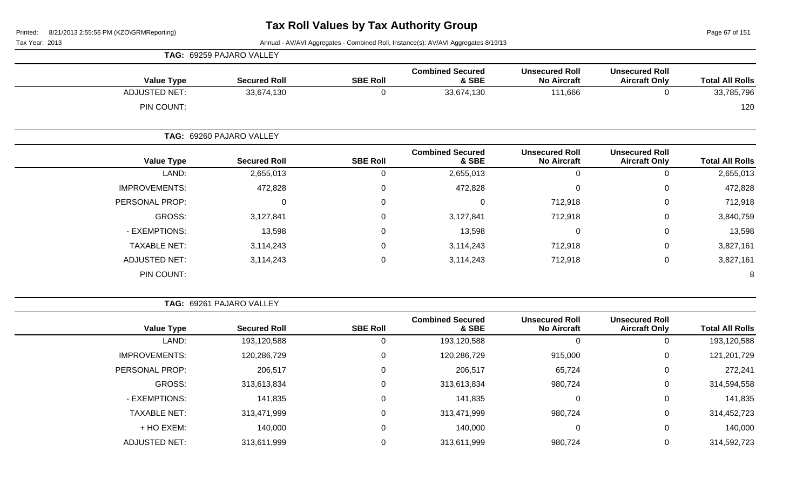Page 67 of 151

Tax Year: 2013 Annual - AV/AVI Aggregates - Combined Roll, Instance(s): AV/AVI Aggregates 8/19/13

|                      | TAG: 69259 PAJARO VALLEY |                 |                                  |                                             |                                               |                        |
|----------------------|--------------------------|-----------------|----------------------------------|---------------------------------------------|-----------------------------------------------|------------------------|
| <b>Value Type</b>    | <b>Secured Roll</b>      | <b>SBE Roll</b> | <b>Combined Secured</b><br>& SBE | <b>Unsecured Roll</b><br><b>No Aircraft</b> | <b>Unsecured Roll</b><br><b>Aircraft Only</b> | <b>Total All Rolls</b> |
| <b>ADJUSTED NET:</b> | 33,674,130               | 0               | 33,674,130                       | 111,666                                     | 0                                             | 33,785,796             |
| PIN COUNT:           |                          |                 |                                  |                                             |                                               | 120                    |
|                      | TAG: 69260 PAJARO VALLEY |                 |                                  |                                             |                                               |                        |
| <b>Value Type</b>    | <b>Secured Roll</b>      | <b>SBE Roll</b> | <b>Combined Secured</b><br>& SBE | <b>Unsecured Roll</b><br><b>No Aircraft</b> | <b>Unsecured Roll</b><br><b>Aircraft Only</b> | <b>Total All Rolls</b> |
| LAND:                | 2,655,013                | 0               | 2,655,013                        | $\mathbf 0$                                 | 0                                             | 2,655,013              |
| <b>IMPROVEMENTS:</b> | 472,828                  | 0               | 472,828                          | 0                                           | 0                                             | 472,828                |
| PERSONAL PROP:       | 0                        | $\Omega$        | 0                                | 712,918                                     | 0                                             | 712,918                |
| GROSS:               | 3,127,841                | 0               | 3,127,841                        | 712,918                                     | 0                                             | 3,840,759              |
| - EXEMPTIONS:        | 13,598                   | 0               | 13,598                           | $\mathbf 0$                                 | 0                                             | 13,598                 |
| <b>TAXABLE NET:</b>  | 3,114,243                | $\Omega$        | 3,114,243                        | 712,918                                     | 0                                             | 3,827,161              |
| <b>ADJUSTED NET:</b> | 3,114,243                | 0               | 3,114,243                        | 712,918                                     | 0                                             | 3,827,161              |
| PIN COUNT:           |                          |                 |                                  |                                             |                                               | 8                      |

**TAG:** 69261 PAJARO VALLEY

| <b>Total All Rolls</b> | <b>Unsecured Roll</b><br><b>Aircraft Only</b> | <b>Unsecured Roll</b><br><b>No Aircraft</b> | <b>Combined Secured</b><br>& SBE | <b>SBE Roll</b> | <b>Secured Roll</b> | <b>Value Type</b>    |
|------------------------|-----------------------------------------------|---------------------------------------------|----------------------------------|-----------------|---------------------|----------------------|
| 193,120,588            |                                               | 0                                           | 193,120,588                      | O               | 193,120,588         | LAND:                |
| 121,201,729            | 0                                             | 915,000                                     | 120,286,729                      | 0               | 120,286,729         | <b>IMPROVEMENTS:</b> |
| 272,241                | 0                                             | 65,724                                      | 206,517                          | 0               | 206,517             | PERSONAL PROP:       |
| 314,594,558            |                                               | 980,724                                     | 313,613,834                      | 0               | 313,613,834         | GROSS:               |
| 141,835                |                                               | 0                                           | 141,835                          | 0               | 141,835             | - EXEMPTIONS:        |
| 314,452,723            |                                               | 980,724                                     | 313,471,999                      | 0               | 313,471,999         | <b>TAXABLE NET:</b>  |
| 140,000                |                                               | 0                                           | 140,000                          | 0               | 140,000             | + HO EXEM:           |
| 314,592,723            |                                               | 980,724                                     | 313,611,999                      | 0               | 313,611,999         | <b>ADJUSTED NET:</b> |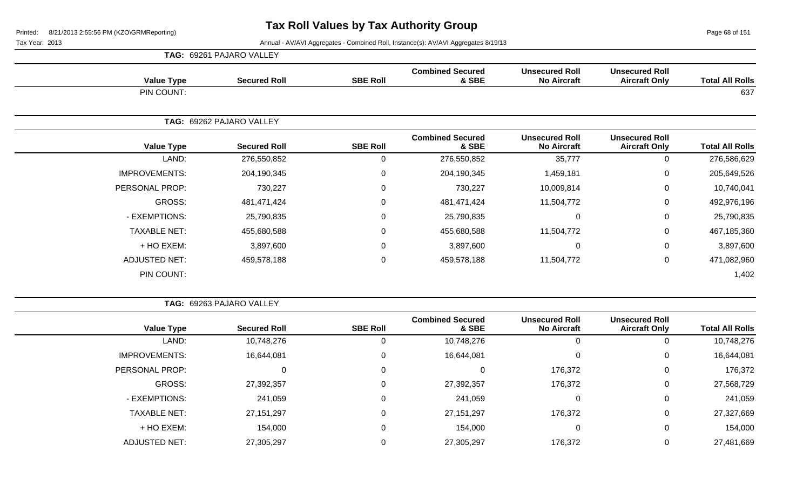Page 68 of 151

Tax Year: 2013 **Annual - AV/AVI Aggregates - Combined Roll**, Instance(s): AV/AVI Aggregates 8/19/13

|                      | <b>Value Type</b> | <b>Secured Roll</b>      | <b>SBE Roll</b> | <b>Combined Secured</b><br>& SBE | <b>Unsecured Roll</b><br><b>No Aircraft</b> | <b>Unsecured Roll</b><br><b>Aircraft Only</b> | <b>Total All Rolls</b> |
|----------------------|-------------------|--------------------------|-----------------|----------------------------------|---------------------------------------------|-----------------------------------------------|------------------------|
| PIN COUNT:           |                   |                          |                 |                                  |                                             |                                               | 637                    |
|                      |                   | TAG: 69262 PAJARO VALLEY |                 |                                  |                                             |                                               |                        |
|                      | <b>Value Type</b> | <b>Secured Roll</b>      | <b>SBE Roll</b> | <b>Combined Secured</b><br>& SBE | <b>Unsecured Roll</b><br><b>No Aircraft</b> | <b>Unsecured Roll</b><br><b>Aircraft Only</b> | <b>Total All Rolls</b> |
|                      | LAND:             | 276,550,852              | 0               | 276,550,852                      | 35,777                                      | 0                                             | 276,586,629            |
| <b>IMPROVEMENTS:</b> |                   | 204,190,345              | $\mathbf 0$     | 204,190,345                      | 1,459,181                                   | $\mathbf 0$                                   | 205,649,526            |
| PERSONAL PROP:       |                   | 730,227                  | $\mathbf 0$     | 730,227                          | 10,009,814                                  | $\mathbf 0$                                   | 10,740,041             |
|                      | GROSS:            | 481,471,424              | $\mathbf 0$     | 481,471,424                      | 11,504,772                                  | $\mathbf 0$                                   | 492,976,196            |
| - EXEMPTIONS:        |                   | 25,790,835               | $\mathbf 0$     | 25,790,835                       | $\Omega$                                    | $\mathbf 0$                                   | 25,790,835             |
| <b>TAXABLE NET:</b>  |                   | 455,680,588              | $\mathsf 0$     | 455,680,588                      | 11,504,772                                  | 0                                             | 467,185,360            |
| + HO EXEM:           |                   | 3,897,600                | $\mathbf 0$     | 3,897,600                        | 0                                           | $\mathbf 0$                                   | 3,897,600              |
| <b>ADJUSTED NET:</b> |                   | 459,578,188              | $\overline{0}$  | 459,578,188                      | 11,504,772                                  | $\mathbf 0$                                   | 471,082,960            |
| PIN COUNT:           |                   |                          |                 |                                  |                                             |                                               | 1,402                  |

| <b>TAG: 69263 PAJARO VALLEY</b> |  |
|---------------------------------|--|
|                                 |  |

**TAG:** 69261 PAJARO VALLEY

| <b>Total All Rolls</b> | <b>Unsecured Roll</b><br><b>Aircraft Only</b> | <b>Unsecured Roll</b><br><b>No Aircraft</b> | <b>Combined Secured</b><br>& SBE | <b>SBE Roll</b> | <b>Secured Roll</b> | <b>Value Type</b>    |  |
|------------------------|-----------------------------------------------|---------------------------------------------|----------------------------------|-----------------|---------------------|----------------------|--|
| 10,748,276             | U                                             | U                                           | 10,748,276                       |                 | 10,748,276          | LAND:                |  |
| 16,644,081             | 0                                             | υ                                           | 16,644,081                       | 0               | 16,644,081          | <b>IMPROVEMENTS:</b> |  |
| 176,372                | 0                                             | 176,372                                     |                                  | 0               |                     | PERSONAL PROP:       |  |
| 27,568,729             | 0                                             | 176,372                                     | 27,392,357                       |                 | 27,392,357          | GROSS:               |  |
| 241,059                | 0                                             | υ                                           | 241,059                          | $\Omega$        | 241,059             | - EXEMPTIONS:        |  |
| 27,327,669             | 0                                             | 176,372                                     | 27, 151, 297                     | 0               | 27, 151, 297        | <b>TAXABLE NET:</b>  |  |
| 154,000                | 0                                             | υ                                           | 154,000                          | 0               | 154,000             | + HO EXEM:           |  |
| 27,481,669             | 0                                             | 176,372                                     | 27,305,297                       |                 | 27,305,297          | <b>ADJUSTED NET:</b> |  |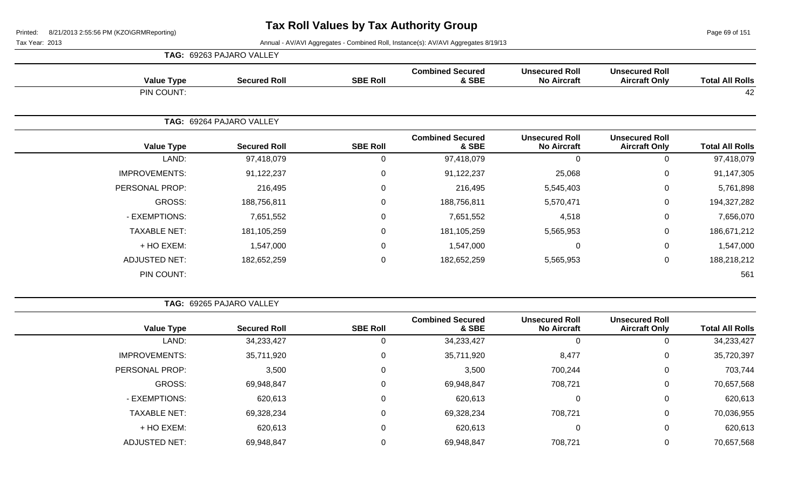Page 69 of 151

|                      | TAG: 69263 PAJARO VALLEY |                                                                                                                                                                                                                                                                                     |                                  |                                             |                                               |                        |
|----------------------|--------------------------|-------------------------------------------------------------------------------------------------------------------------------------------------------------------------------------------------------------------------------------------------------------------------------------|----------------------------------|---------------------------------------------|-----------------------------------------------|------------------------|
| <b>Value Type</b>    | <b>Secured Roll</b>      | <b>SBE Roll</b>                                                                                                                                                                                                                                                                     | <b>Combined Secured</b><br>& SBE | <b>Unsecured Roll</b><br><b>No Aircraft</b> | <b>Unsecured Roll</b><br><b>Aircraft Only</b> | <b>Total All Rolls</b> |
| PIN COUNT:           |                          | <b>Combined Secured</b><br><b>Unsecured Roll</b><br><b>Unsecured Roll</b><br><b>SBE Roll</b><br>& SBE<br><b>No Aircraft</b><br><b>Secured Roll</b><br><b>Aircraft Only</b><br>$\Omega$<br>97,418,079<br>$\Omega$<br>97,418,079<br>0<br>91,122,237<br>91,122,237<br>25,068<br>0<br>0 | 42                               |                                             |                                               |                        |
|                      | TAG: 69264 PAJARO VALLEY |                                                                                                                                                                                                                                                                                     |                                  |                                             |                                               |                        |
| <b>Value Type</b>    |                          |                                                                                                                                                                                                                                                                                     |                                  |                                             |                                               | <b>Total All Rolls</b> |
| LAND:                |                          |                                                                                                                                                                                                                                                                                     |                                  |                                             |                                               | 97,418,079             |
| <b>IMPROVEMENTS:</b> |                          |                                                                                                                                                                                                                                                                                     |                                  |                                             |                                               | 91,147,305             |
| PERSONAL PROP:       | 216,495                  | $\Omega$                                                                                                                                                                                                                                                                            | 216,495                          | 5,545,403                                   | 0                                             | 5,761,898              |
| GROSS:               | 188,756,811              | 0                                                                                                                                                                                                                                                                                   | 188,756,811                      | 5,570,471                                   | 0                                             | 194,327,282            |
| - EXEMPTIONS:        | 7,651,552                | 0                                                                                                                                                                                                                                                                                   | 7,651,552                        | 4,518                                       | 0                                             | 7,656,070              |
| <b>TAXABLE NET:</b>  | 181,105,259              | $\Omega$                                                                                                                                                                                                                                                                            | 181,105,259                      | 5,565,953                                   | 0                                             | 186,671,212            |
| + HO EXEM:           | 1,547,000                | 0                                                                                                                                                                                                                                                                                   | 1,547,000                        | 0                                           | 0                                             | 1,547,000              |
| <b>ADJUSTED NET:</b> | 182,652,259              | $\boldsymbol{0}$                                                                                                                                                                                                                                                                    | 182,652,259                      | 5,565,953                                   | $\pmb{0}$                                     | 188,218,212            |
| PIN COUNT:           |                          |                                                                                                                                                                                                                                                                                     |                                  |                                             |                                               | 561                    |

|                        |                                               |                                             |                                  |                 | TAG: 69265 PAJARO VALLEY |                      |
|------------------------|-----------------------------------------------|---------------------------------------------|----------------------------------|-----------------|--------------------------|----------------------|
| <b>Total All Rolls</b> | <b>Unsecured Roll</b><br><b>Aircraft Only</b> | <b>Unsecured Roll</b><br><b>No Aircraft</b> | <b>Combined Secured</b><br>& SBE | <b>SBE Roll</b> | <b>Secured Roll</b>      | <b>Value Type</b>    |
| 34,233,427             | 0                                             | 0                                           | 34,233,427                       | 0               | 34,233,427               | LAND:                |
| 35,720,397             | 0                                             | 8,477                                       | 35,711,920                       | 0               | 35,711,920               | <b>IMPROVEMENTS:</b> |
| 703,744                | $\mathbf 0$                                   | 700,244                                     | 3,500                            | 0               | 3,500                    | PERSONAL PROP:       |
| 70,657,568             | $\mathbf 0$                                   | 708,721                                     | 69,948,847                       | 0               | 69,948,847               | GROSS:               |
| 620,613                | 0                                             | 0                                           | 620,613                          | 0               | 620,613                  | - EXEMPTIONS:        |
| 70,036,955             | 0                                             | 708,721                                     | 69,328,234                       | 0               | 69,328,234               | <b>TAXABLE NET:</b>  |
| 620,613                | $\mathbf 0$                                   | 0                                           | 620,613                          | 0               | 620,613                  | + HO EXEM:           |
| 70,657,568             | 0                                             | 708,721                                     | 69,948,847                       | 0               | 69,948,847               | <b>ADJUSTED NET:</b> |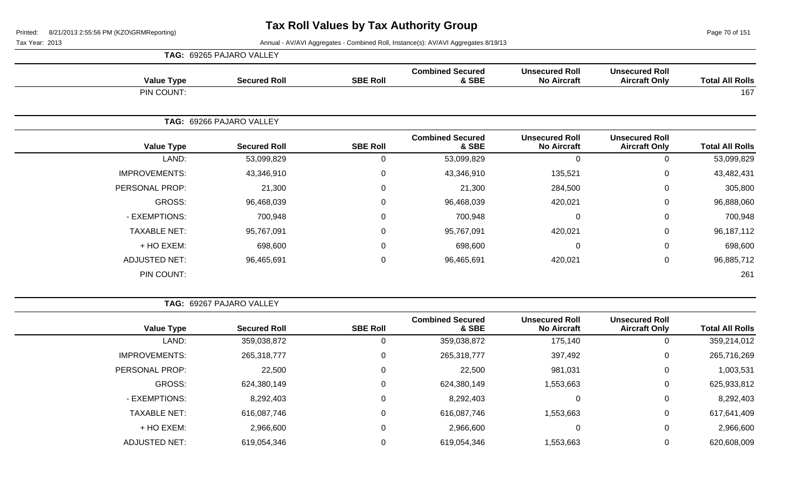Page 70 of 151

|                      | <b>TAG: 69265 PAJARO VALLEY</b> |                 |                                  |                                             |                                               |                        |
|----------------------|---------------------------------|-----------------|----------------------------------|---------------------------------------------|-----------------------------------------------|------------------------|
| <b>Value Type</b>    | <b>Secured Roll</b>             | <b>SBE Roll</b> | <b>Combined Secured</b><br>& SBE | <b>Unsecured Roll</b><br><b>No Aircraft</b> | <b>Unsecured Roll</b><br><b>Aircraft Only</b> | <b>Total All Rolls</b> |
| PIN COUNT:           |                                 |                 |                                  |                                             |                                               | 167                    |
|                      | TAG: 69266 PAJARO VALLEY        |                 |                                  |                                             |                                               |                        |
| <b>Value Type</b>    | <b>Secured Roll</b>             | <b>SBE Roll</b> | <b>Combined Secured</b><br>& SBE | <b>Unsecured Roll</b><br><b>No Aircraft</b> | <b>Unsecured Roll</b><br><b>Aircraft Only</b> | <b>Total All Rolls</b> |
| LAND:                | 53,099,829                      | 0               | 53,099,829                       | 0                                           | 0                                             | 53,099,829             |
| <b>IMPROVEMENTS:</b> | 43,346,910                      | 0               | 43,346,910                       | 135,521                                     | 0                                             | 43,482,431             |
| PERSONAL PROP:       | 21,300                          | 0               | 21,300                           | 284,500                                     | 0                                             | 305,800                |
| GROSS:               | 96,468,039                      | 0               | 96,468,039                       | 420,021                                     | 0                                             | 96,888,060             |
| - EXEMPTIONS:        | 700,948                         | 0               | 700,948                          | 0                                           | 0                                             | 700,948                |
| <b>TAXABLE NET:</b>  | 95,767,091                      | 0               | 95,767,091                       | 420,021                                     | $\Omega$                                      | 96,187,112             |
| + HO EXEM:           | 698,600                         | 0               | 698,600                          | 0                                           | 0                                             | 698,600                |
| <b>ADJUSTED NET:</b> | 96,465,691                      | 0               | 96,465,691                       | 420,021                                     | 0                                             | 96,885,712             |
| PIN COUNT:           |                                 |                 |                                  |                                             |                                               | 261                    |

|                      | TAG: 69267 PAJARO VALLEY |                 |                                  |                                             |                                               |                        |
|----------------------|--------------------------|-----------------|----------------------------------|---------------------------------------------|-----------------------------------------------|------------------------|
| <b>Value Type</b>    | <b>Secured Roll</b>      | <b>SBE Roll</b> | <b>Combined Secured</b><br>& SBE | <b>Unsecured Roll</b><br><b>No Aircraft</b> | <b>Unsecured Roll</b><br><b>Aircraft Only</b> | <b>Total All Rolls</b> |
| LAND:                | 359,038,872              | 0               | 359,038,872                      | 175,140                                     | 0                                             | 359,214,012            |
| <b>IMPROVEMENTS:</b> | 265,318,777              | 0               | 265,318,777                      | 397,492                                     | 0                                             | 265,716,269            |
| PERSONAL PROP:       | 22,500                   | 0               | 22,500                           | 981,031                                     | 0                                             | 1,003,531              |
| GROSS:               | 624,380,149              | 0               | 624,380,149                      | 1,553,663                                   | 0                                             | 625,933,812            |
| - EXEMPTIONS:        | 8,292,403                | 0               | 8,292,403                        | 0                                           | 0                                             | 8,292,403              |
| <b>TAXABLE NET:</b>  | 616,087,746              | 0               | 616,087,746                      | 1,553,663                                   | 0                                             | 617,641,409            |
| + HO EXEM:           | 2,966,600                | 0               | 2,966,600                        | 0                                           | 0                                             | 2,966,600              |
| <b>ADJUSTED NET:</b> | 619,054,346              | 0               | 619,054,346                      | 1,553,663                                   | 0                                             | 620,608,009            |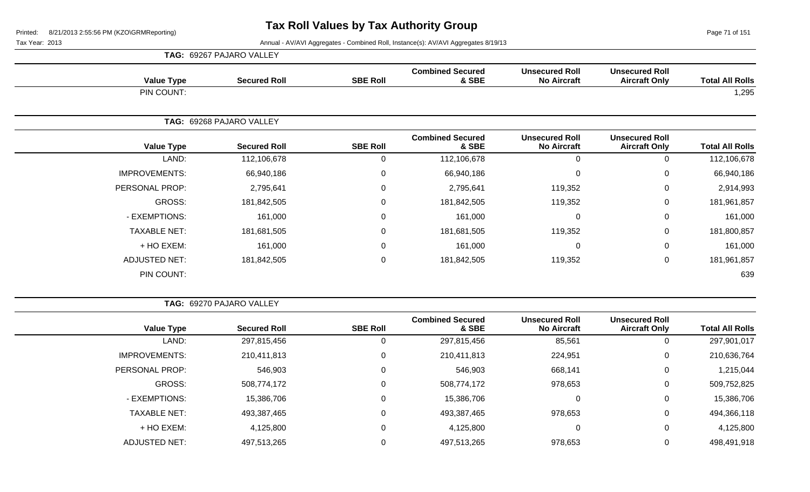Page 71 of 151

|                      | TAG: 69267 PAJARO VALLEY |                 |                                  |                                             |                                               |                        |
|----------------------|--------------------------|-----------------|----------------------------------|---------------------------------------------|-----------------------------------------------|------------------------|
| <b>Value Type</b>    | <b>Secured Roll</b>      | <b>SBE Roll</b> | <b>Combined Secured</b><br>& SBE | <b>Unsecured Roll</b><br><b>No Aircraft</b> | <b>Unsecured Roll</b><br><b>Aircraft Only</b> | <b>Total All Rolls</b> |
| PIN COUNT:           |                          |                 |                                  |                                             |                                               | 1,295                  |
|                      | TAG: 69268 PAJARO VALLEY |                 |                                  |                                             |                                               |                        |
| <b>Value Type</b>    | <b>Secured Roll</b>      | <b>SBE Roll</b> | <b>Combined Secured</b><br>& SBE | <b>Unsecured Roll</b><br><b>No Aircraft</b> | <b>Unsecured Roll</b><br><b>Aircraft Only</b> | <b>Total All Rolls</b> |
| LAND:                | 112,106,678              | 0               | 112,106,678                      | 0                                           | 0                                             | 112,106,678            |
| <b>IMPROVEMENTS:</b> | 66,940,186               | $\mathbf 0$     | 66,940,186                       | $\mathbf 0$                                 | 0                                             | 66,940,186             |
| PERSONAL PROP:       | 2,795,641                | 0               | 2,795,641                        | 119,352                                     | 0                                             | 2,914,993              |
| GROSS:               | 181,842,505              | 0               | 181,842,505                      | 119,352                                     | 0                                             | 181,961,857            |
| - EXEMPTIONS:        | 161,000                  | $\mathbf 0$     | 161,000                          | $\pmb{0}$                                   | 0                                             | 161,000                |
| <b>TAXABLE NET:</b>  | 181,681,505              | 0               | 181,681,505                      | 119,352                                     | 0                                             | 181,800,857            |
| + HO EXEM:           | 161,000                  | 0               | 161,000                          | $\mathbf 0$                                 | 0                                             | 161,000                |
| <b>ADJUSTED NET:</b> | 181,842,505              | $\mathbf 0$     | 181,842,505                      | 119,352                                     | $\mathbf 0$                                   | 181,961,857            |
| PIN COUNT:           |                          |                 |                                  |                                             |                                               | 639                    |

|                        |                                               |                                             |                                  |                 | TAG: 69270 PAJARO VALLEY |                      |
|------------------------|-----------------------------------------------|---------------------------------------------|----------------------------------|-----------------|--------------------------|----------------------|
| <b>Total All Rolls</b> | <b>Unsecured Roll</b><br><b>Aircraft Only</b> | <b>Unsecured Roll</b><br><b>No Aircraft</b> | <b>Combined Secured</b><br>& SBE | <b>SBE Roll</b> | <b>Secured Roll</b>      | <b>Value Type</b>    |
| 297,901,017            | 0                                             | 85,561                                      | 297,815,456                      | 0               | 297,815,456              | LAND:                |
| 210,636,764            | 0                                             | 224,951                                     | 210,411,813                      | 0               | 210,411,813              | <b>IMPROVEMENTS:</b> |
| 1,215,044              | 0                                             | 668,141                                     | 546,903                          | 0               | 546,903                  | PERSONAL PROP:       |
| 509,752,825            | 0                                             | 978,653                                     | 508,774,172                      | 0               | 508,774,172              | GROSS:               |
| 15,386,706             | 0                                             |                                             | 15,386,706                       | 0               | 15,386,706               | - EXEMPTIONS:        |
| 494,366,118            | 0                                             | 978,653                                     | 493,387,465                      | 0               | 493,387,465              | <b>TAXABLE NET:</b>  |
| 4,125,800              | 0                                             | 0                                           | 4,125,800                        | 0               | 4,125,800                | + HO EXEM:           |
| 498,491,918            |                                               | 978,653                                     | 497,513,265                      | 0               | 497,513,265              | <b>ADJUSTED NET:</b> |
|                        |                                               |                                             |                                  |                 |                          |                      |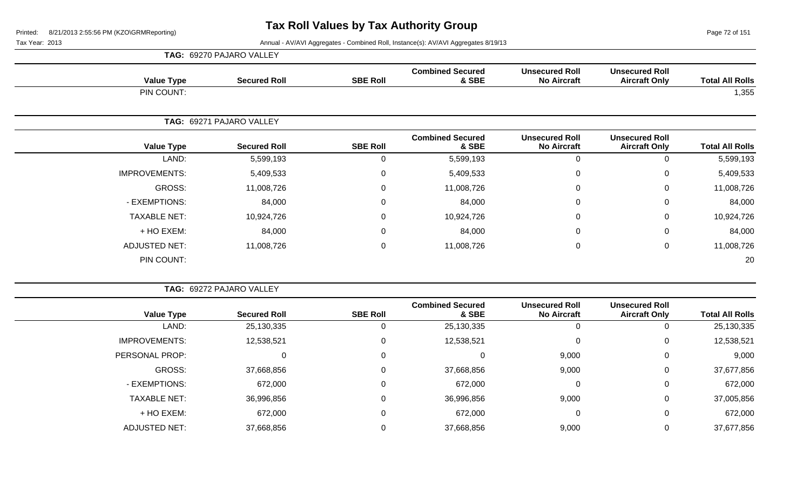Page 72 of 151

| <b>TAG: 69270 PAJARO VALLEY</b> |  |  |  |  |  |
|---------------------------------|--|--|--|--|--|
|---------------------------------|--|--|--|--|--|

| <b>Value Type</b>    | <b>Secured Roll</b>      | <b>SBE Roll</b> | <b>Combined Secured</b><br>& SBE | <b>Unsecured Roll</b><br><b>No Aircraft</b> | <b>Unsecured Roll</b><br><b>Aircraft Only</b> | <b>Total All Rolls</b> |
|----------------------|--------------------------|-----------------|----------------------------------|---------------------------------------------|-----------------------------------------------|------------------------|
| PIN COUNT:           |                          |                 |                                  |                                             |                                               | 1,355                  |
|                      | TAG: 69271 PAJARO VALLEY |                 |                                  |                                             |                                               |                        |
| <b>Value Type</b>    | <b>Secured Roll</b>      | <b>SBE Roll</b> | <b>Combined Secured</b><br>& SBE | <b>Unsecured Roll</b><br><b>No Aircraft</b> | <b>Unsecured Roll</b><br><b>Aircraft Only</b> | <b>Total All Rolls</b> |
| LAND:                | 5,599,193                | 0               | 5,599,193                        | $\mathbf 0$                                 | $\Omega$                                      | 5,599,193              |
| <b>IMPROVEMENTS:</b> | 5,409,533                | $\mathbf 0$     | 5,409,533                        | 0                                           | 0                                             | 5,409,533              |
| GROSS:               | 11,008,726               | $\mathbf 0$     | 11,008,726                       | $\mathbf 0$                                 | $\mathbf 0$                                   | 11,008,726             |
| - EXEMPTIONS:        | 84,000                   | $\mathbf 0$     | 84,000                           | 0                                           | $\mathbf 0$                                   | 84,000                 |
| <b>TAXABLE NET:</b>  | 10,924,726               | $\mathbf 0$     | 10,924,726                       | $\mathbf 0$                                 | $\mathbf 0$                                   | 10,924,726             |
| + HO EXEM:           | 84,000                   | $\mathbf 0$     | 84,000                           | 0                                           | $\mathbf 0$                                   | 84,000                 |
| <b>ADJUSTED NET:</b> | 11,008,726               | $\mathbf 0$     | 11,008,726                       | $\mathbf 0$                                 | $\mathbf 0$                                   | 11,008,726             |
| PIN COUNT:           |                          |                 |                                  |                                             |                                               | 20                     |

|                        |                                               |                                             |                                  |                 | TAG: 69272 PAJARO VALLEY |                      |
|------------------------|-----------------------------------------------|---------------------------------------------|----------------------------------|-----------------|--------------------------|----------------------|
| <b>Total All Rolls</b> | <b>Unsecured Roll</b><br><b>Aircraft Only</b> | <b>Unsecured Roll</b><br><b>No Aircraft</b> | <b>Combined Secured</b><br>& SBE | <b>SBE Roll</b> | <b>Secured Roll</b>      | <b>Value Type</b>    |
| 25,130,335             | Ü                                             |                                             | 25,130,335                       |                 | 25,130,335               | LAND:                |
| 12,538,521             | 0                                             |                                             | 12,538,521                       | 0               | 12,538,521               | <b>IMPROVEMENTS:</b> |
| 9,000                  | $\mathbf 0$                                   | 9,000                                       |                                  | 0               |                          | PERSONAL PROP:       |
| 37,677,856             | $\mathbf 0$                                   | 9,000                                       | 37,668,856                       | 0               | 37,668,856               | GROSS:               |
| 672,000                | $\mathbf 0$                                   |                                             | 672,000                          | 0               | 672,000                  | - EXEMPTIONS:        |
| 37,005,856             | $\mathbf 0$                                   | 9,000                                       | 36,996,856                       | $\Omega$        | 36,996,856               | <b>TAXABLE NET:</b>  |
| 672,000                | $\mathbf 0$                                   | $\Omega$                                    | 672,000                          | 0               | 672,000                  | + HO EXEM:           |
| 37,677,856             | 0                                             | 9,000                                       | 37,668,856                       |                 | 37,668,856               | <b>ADJUSTED NET:</b> |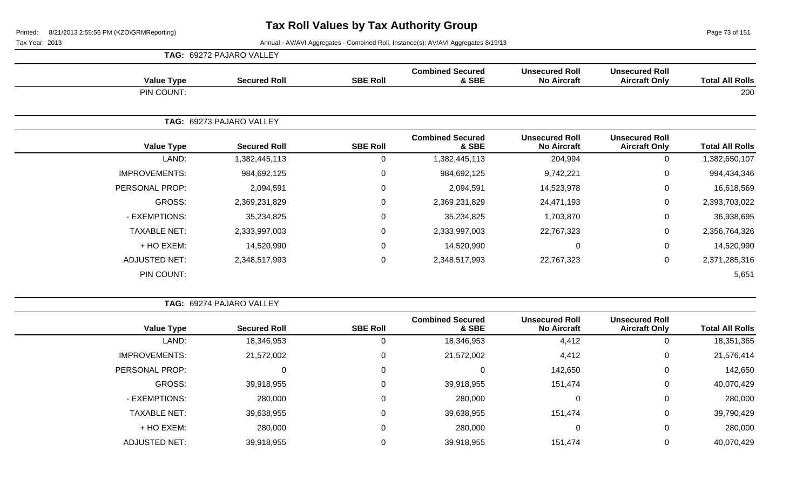Page 73 of 151

|                      | <b>TAG: 69272 PAJARO VALLEY</b> | <b>Combined Secured</b><br><b>Unsecured Roll</b><br><b>Unsecured Roll</b><br><b>SBE Roll</b><br>& SBE<br><b>No Aircraft</b><br><b>Aircraft Only</b> |                                  |                                             |                                               |                        |
|----------------------|---------------------------------|-----------------------------------------------------------------------------------------------------------------------------------------------------|----------------------------------|---------------------------------------------|-----------------------------------------------|------------------------|
| <b>Value Type</b>    | <b>Secured Roll</b>             |                                                                                                                                                     |                                  |                                             |                                               | <b>Total All Rolls</b> |
| PIN COUNT:           |                                 |                                                                                                                                                     |                                  |                                             |                                               | 200                    |
|                      | TAG: 69273 PAJARO VALLEY        |                                                                                                                                                     |                                  |                                             |                                               |                        |
| <b>Value Type</b>    | <b>Secured Roll</b>             | <b>SBE Roll</b>                                                                                                                                     | <b>Combined Secured</b><br>& SBE | <b>Unsecured Roll</b><br><b>No Aircraft</b> | <b>Unsecured Roll</b><br><b>Aircraft Only</b> | <b>Total All Rolls</b> |
| LAND:                | 1,382,445,113                   | $\mathbf 0$                                                                                                                                         | 1,382,445,113                    | 204,994                                     | 0                                             | 1,382,650,107          |
| <b>IMPROVEMENTS:</b> | 984,692,125                     | $\mathbf 0$                                                                                                                                         | 984,692,125                      | 9,742,221                                   | $\mathbf 0$                                   | 994,434,346            |
| PERSONAL PROP:       | 2,094,591                       | $\mathbf 0$                                                                                                                                         | 2,094,591                        | 14,523,978                                  | $\mathbf 0$                                   | 16,618,569             |
| GROSS:               | 2,369,231,829                   | $\mathbf 0$                                                                                                                                         | 2,369,231,829                    | 24,471,193                                  | $\mathbf 0$                                   | 2,393,703,022          |
| - EXEMPTIONS:        | 35,234,825                      | $\mathbf 0$                                                                                                                                         | 35,234,825                       | 1,703,870                                   | $\mathbf 0$                                   | 36,938,695             |
| <b>TAXABLE NET:</b>  | 2,333,997,003                   | $\mathbf 0$                                                                                                                                         | 2,333,997,003                    | 22,767,323                                  | $\mathbf 0$                                   | 2,356,764,326          |
| + HO EXEM:           | 14,520,990                      | $\mathbf 0$                                                                                                                                         | 14,520,990                       | $\Omega$                                    | $\mathbf 0$                                   | 14,520,990             |
| <b>ADJUSTED NET:</b> | 2,348,517,993                   | $\mathbf 0$                                                                                                                                         | 2,348,517,993                    | 22,767,323                                  | $\mathbf 0$                                   | 2,371,285,316          |
| PIN COUNT:           |                                 |                                                                                                                                                     |                                  |                                             |                                               | 5,651                  |

|                      | TAG: 69274 PAJARO VALLEY |                 |                                  |                                             |                                               |                        |
|----------------------|--------------------------|-----------------|----------------------------------|---------------------------------------------|-----------------------------------------------|------------------------|
| <b>Value Type</b>    | <b>Secured Roll</b>      | <b>SBE Roll</b> | <b>Combined Secured</b><br>& SBE | <b>Unsecured Roll</b><br><b>No Aircraft</b> | <b>Unsecured Roll</b><br><b>Aircraft Only</b> | <b>Total All Rolls</b> |
| LAND:                | 18,346,953               |                 | 18,346,953                       | 4,412                                       | 0                                             | 18,351,365             |
| <b>IMPROVEMENTS:</b> | 21,572,002               | 0               | 21,572,002                       | 4,412                                       | 0                                             | 21,576,414             |
| PERSONAL PROP:       | 0                        | $\mathbf 0$     |                                  | 142,650                                     | $\mathbf 0$                                   | 142,650                |
| GROSS:               | 39,918,955               | $\mathbf 0$     | 39,918,955                       | 151,474                                     | 0                                             | 40,070,429             |
| - EXEMPTIONS:        | 280,000                  | 0               | 280,000                          |                                             | 0                                             | 280,000                |
| <b>TAXABLE NET:</b>  | 39,638,955               | $\mathbf 0$     | 39,638,955                       | 151,474                                     | 0                                             | 39,790,429             |
| + HO EXEM:           | 280,000                  | 0               | 280,000                          |                                             | 0                                             | 280,000                |
| <b>ADJUSTED NET:</b> | 39,918,955               | 0               | 39,918,955                       | 151,474                                     | 0                                             | 40,070,429             |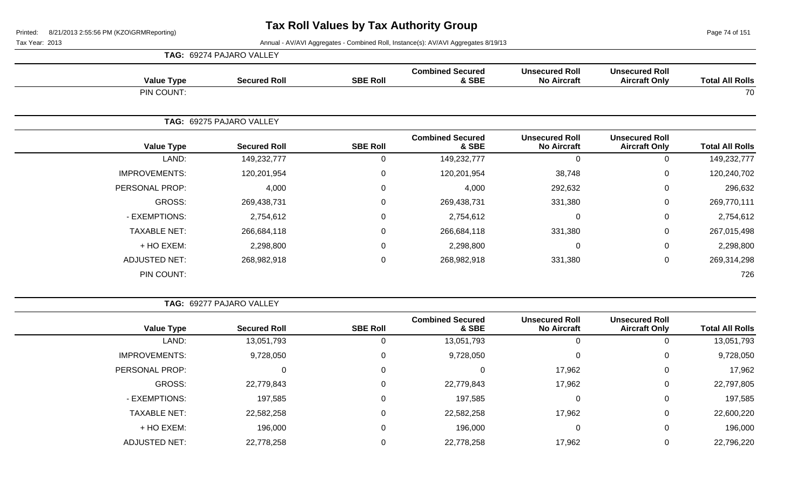Page 74 of 151

 $\overline{\phantom{a}}$ 

Tax Year: 2013 Annual - AV/AVI Aggregates - Combined Roll, Instance(s): AV/AVI Aggregates 8/19/13

|                      | <b>TAG: 69274 PAJARO VALLEY</b> |                 |                                  |                                             |                                               |                        |
|----------------------|---------------------------------|-----------------|----------------------------------|---------------------------------------------|-----------------------------------------------|------------------------|
| <b>Value Type</b>    | <b>Secured Roll</b>             | <b>SBE Roll</b> | <b>Combined Secured</b><br>& SBE | <b>Unsecured Roll</b><br><b>No Aircraft</b> | <b>Unsecured Roll</b><br><b>Aircraft Only</b> | <b>Total All Rolls</b> |
| PIN COUNT:           |                                 |                 |                                  |                                             |                                               | 70                     |
|                      | TAG: 69275 PAJARO VALLEY        |                 |                                  |                                             |                                               |                        |
| <b>Value Type</b>    | <b>Secured Roll</b>             | <b>SBE Roll</b> | <b>Combined Secured</b><br>& SBE | <b>Unsecured Roll</b><br><b>No Aircraft</b> | <b>Unsecured Roll</b><br><b>Aircraft Only</b> | <b>Total All Rolls</b> |
| LAND:                | 149,232,777                     | 0               | 149,232,777                      | $\mathbf 0$                                 | 0                                             | 149,232,777            |
| <b>IMPROVEMENTS:</b> | 120,201,954                     | 0               | 120,201,954                      | 38,748                                      | 0                                             | 120,240,702            |
| PERSONAL PROP:       | 4,000                           | $\mathbf{0}$    | 4,000                            | 292,632                                     | 0                                             | 296,632                |
| GROSS:               | 269,438,731                     | 0               | 269,438,731                      | 331,380                                     | 0                                             | 269,770,111            |
| - EXEMPTIONS:        | 2,754,612                       | $\mathbf 0$     | 2,754,612                        | $\mathbf 0$                                 | 0                                             | 2,754,612              |
| <b>TAXABLE NET:</b>  | 266,684,118                     | 0               | 266,684,118                      | 331,380                                     | 0                                             | 267,015,498            |
| + HO EXEM:           | 2,298,800                       | 0               | 2,298,800                        | $\mathbf 0$                                 | 0                                             | 2,298,800              |
| <b>ADJUSTED NET:</b> | 268,982,918                     | $\mathbf 0$     | 268,982,918                      | 331,380                                     | 0                                             | 269,314,298            |
| PIN COUNT:           |                                 |                 |                                  |                                             |                                               | 726                    |

**TAG:** 69277 PAJARO VALLEY

| <b>Total All Rolls</b> | <b>Unsecured Roll</b><br><b>Aircraft Only</b> | <b>Unsecured Roll</b><br><b>No Aircraft</b> | <b>Combined Secured</b><br>& SBE | <b>SBE Roll</b> | <b>Secured Roll</b> | <b>Value Type</b>    |
|------------------------|-----------------------------------------------|---------------------------------------------|----------------------------------|-----------------|---------------------|----------------------|
| 13,051,793             |                                               |                                             | 13,051,793                       |                 | 13,051,793          | LAND:                |
| 9,728,050              | 0                                             | 0                                           | 9,728,050                        |                 | 9,728,050           | <b>IMPROVEMENTS:</b> |
| 17,962                 | 0                                             | 17,962                                      |                                  |                 | 0                   | PERSONAL PROP:       |
| 22,797,805             | 0                                             | 17,962                                      | 22,779,843                       |                 | 22,779,843          | GROSS:               |
| 197,585                | 0                                             |                                             | 197,585                          |                 | 197,585             | - EXEMPTIONS:        |
| 22,600,220             | 0                                             | 17,962                                      | 22,582,258                       |                 | 22,582,258          | <b>TAXABLE NET:</b>  |
| 196,000                | 0                                             | 0                                           | 196,000                          |                 | 196,000             | + HO EXEM:           |
| 22,796,220             |                                               | 17,962                                      | 22,778,258                       |                 | 22,778,258          | <b>ADJUSTED NET:</b> |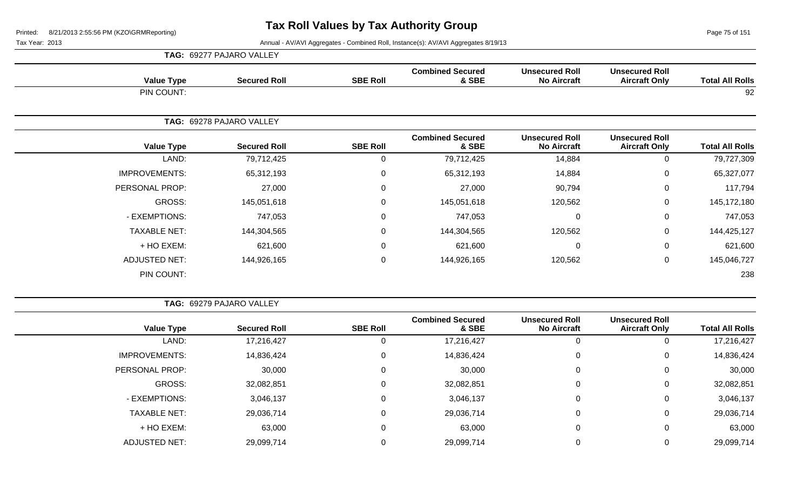$\overline{\phantom{a}}$ 

|                        |                                               |                                             |                                  |                 | TAG: 69277 PAJARO VALLEY |                      |
|------------------------|-----------------------------------------------|---------------------------------------------|----------------------------------|-----------------|--------------------------|----------------------|
| <b>Total All Rolls</b> | <b>Unsecured Roll</b><br><b>Aircraft Only</b> | <b>Unsecured Roll</b><br><b>No Aircraft</b> | <b>Combined Secured</b><br>& SBE | <b>SBE Roll</b> | <b>Secured Roll</b>      | <b>Value Type</b>    |
| 92                     |                                               |                                             |                                  |                 |                          | PIN COUNT:           |
|                        |                                               |                                             |                                  |                 | TAG: 69278 PAJARO VALLEY |                      |
| <b>Total All Rolls</b> | <b>Unsecured Roll</b><br><b>Aircraft Only</b> | <b>Unsecured Roll</b><br><b>No Aircraft</b> | <b>Combined Secured</b><br>& SBE | <b>SBE Roll</b> | <b>Secured Roll</b>      | <b>Value Type</b>    |
| 79,727,309             | $\mathsf 0$                                   | 14,884                                      | 79,712,425                       | 0               | 79,712,425               | LAND:                |
| 65,327,077             | $\pmb{0}$                                     | 14,884                                      | 65,312,193                       | $\mathbf 0$     | 65,312,193               | <b>IMPROVEMENTS:</b> |
| 117,794                | 0                                             | 90,794                                      | 27,000                           | $\mathbf 0$     | 27,000                   | PERSONAL PROP:       |
| 145, 172, 180          | $\mathbf 0$                                   | 120,562                                     | 145,051,618                      | 0               | 145,051,618              | GROSS:               |
| 747,053                | $\pmb{0}$                                     | $\overline{0}$                              | 747,053                          | $\mathbf 0$     | 747,053                  | - EXEMPTIONS:        |
| 144,425,127            | $\mathbf 0$                                   | 120,562                                     | 144,304,565                      | 0               | 144,304,565              | <b>TAXABLE NET:</b>  |
| 621,600                | $\mathsf 0$                                   | $\mathbf 0$                                 | 621,600                          | $\mathbf 0$     | 621,600                  | + HO EXEM:           |
| 145,046,727            | $\mathbf 0$                                   | 120,562                                     | 144,926,165                      | $\mathbf 0$     | 144,926,165              | ADJUSTED NET:        |
|                        |                                               |                                             |                                  |                 |                          | PIN COUNT:           |

| <b>Total All Rolls</b> | <b>Unsecured Roll</b><br><b>Aircraft Only</b> | <b>Unsecured Roll</b><br><b>No Aircraft</b> | <b>Combined Secured</b><br>& SBE | <b>SBE Roll</b> | <b>Secured Roll</b> | <b>Value Type</b>    |
|------------------------|-----------------------------------------------|---------------------------------------------|----------------------------------|-----------------|---------------------|----------------------|
| 17,216,427             | 0                                             | 0                                           | 17,216,427                       | 0               | 17,216,427          | LAND:                |
| 14,836,424             | 0                                             | 0                                           | 14,836,424                       | 0               | 14,836,424          | <b>IMPROVEMENTS:</b> |
| 30,000                 | 0                                             | 0                                           | 30,000                           | 0               | 30,000              | PERSONAL PROP:       |
| 32,082,851             | 0                                             | 0                                           | 32,082,851                       | 0               | 32,082,851          | GROSS:               |
| 3,046,137              | 0                                             | 0                                           | 3,046,137                        | $\mathbf 0$     | 3,046,137           | - EXEMPTIONS:        |
| 29,036,714             | 0                                             | 0                                           | 29,036,714                       | 0               | 29,036,714          | <b>TAXABLE NET:</b>  |
| 63,000                 | 0                                             | 0                                           | 63,000                           | 0               | 63,000              | + HO EXEM:           |
| 29,099,714             | 0                                             | 0                                           | 29,099,714                       |                 | 29,099,714          | <b>ADJUSTED NET:</b> |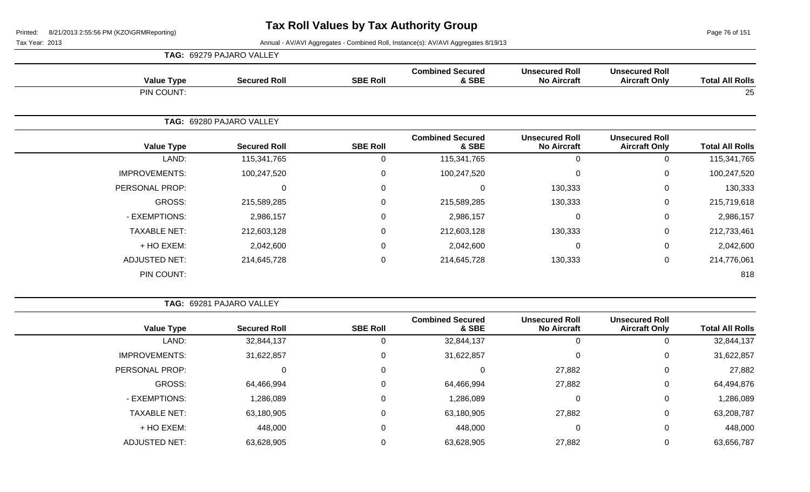Page 76 of 151

|                      | TAG: 69279 PAJARO VALLEY |                 |                                  |                                             |                                               |                        |
|----------------------|--------------------------|-----------------|----------------------------------|---------------------------------------------|-----------------------------------------------|------------------------|
| <b>Value Type</b>    | <b>Secured Roll</b>      | <b>SBE Roll</b> | <b>Combined Secured</b><br>& SBE | <b>Unsecured Roll</b><br><b>No Aircraft</b> | <b>Unsecured Roll</b><br><b>Aircraft Only</b> | <b>Total All Rolls</b> |
| PIN COUNT:           |                          |                 |                                  |                                             |                                               | 25                     |
|                      | TAG: 69280 PAJARO VALLEY |                 |                                  |                                             |                                               |                        |
| <b>Value Type</b>    | <b>Secured Roll</b>      | <b>SBE Roll</b> | <b>Combined Secured</b><br>& SBE | <b>Unsecured Roll</b><br><b>No Aircraft</b> | <b>Unsecured Roll</b><br><b>Aircraft Only</b> | <b>Total All Rolls</b> |
| LAND:                | 115,341,765              | 0               | 115,341,765                      | $\Omega$                                    | 0                                             | 115,341,765            |
| <b>IMPROVEMENTS:</b> | 100,247,520              | $\mathbf 0$     | 100,247,520                      | $\Omega$                                    | 0                                             | 100,247,520            |
| PERSONAL PROP:       | 0                        | 0               | $\Omega$                         | 130,333                                     | 0                                             | 130,333                |
| GROSS:               | 215,589,285              | $\Omega$        | 215,589,285                      | 130,333                                     | 0                                             | 215,719,618            |
| - EXEMPTIONS:        | 2,986,157                | 0               | 2,986,157                        | $\Omega$                                    | $\mathbf 0$                                   | 2,986,157              |
| <b>TAXABLE NET:</b>  | 212,603,128              | $\mathbf 0$     | 212,603,128                      | 130,333                                     | $\mathbf 0$                                   | 212,733,461            |
| + HO EXEM:           | 2,042,600                | $\mathbf 0$     | 2,042,600                        |                                             | $\mathbf 0$                                   | 2,042,600              |
| <b>ADJUSTED NET:</b> | 214,645,728              | $\pmb{0}$       | 214,645,728                      | 130,333                                     | $\mathbf 0$                                   | 214,776,061            |
| PIN COUNT:           |                          |                 |                                  |                                             |                                               | 818                    |

| <b>TAG: 69281 PAJARO VALLEY</b> |  |
|---------------------------------|--|
|                                 |  |

| <b>Total All Rolls</b> | <b>Unsecured Roll</b><br><b>Aircraft Only</b> | <b>Unsecured Roll</b><br><b>No Aircraft</b> | <b>Combined Secured</b><br>& SBE | <b>SBE Roll</b> | <b>Secured Roll</b> | <b>Value Type</b>    |
|------------------------|-----------------------------------------------|---------------------------------------------|----------------------------------|-----------------|---------------------|----------------------|
| 32,844,137             |                                               |                                             | 32,844,137                       |                 | 32,844,137          | LAND:                |
| 31,622,857             | 0                                             |                                             | 31,622,857                       | 0               | 31,622,857          | <b>IMPROVEMENTS:</b> |
| 27,882                 | 0                                             | 27,882                                      |                                  | 0               |                     | PERSONAL PROP:       |
| 64,494,876             | 0                                             | 27,882                                      | 64,466,994                       | 0               | 64,466,994          | GROSS:               |
| 1,286,089              | 0                                             |                                             | 1,286,089                        | 0               | 1,286,089           | - EXEMPTIONS:        |
| 63,208,787             | 0                                             | 27,882                                      | 63,180,905                       | 0               | 63,180,905          | <b>TAXABLE NET:</b>  |
| 448,000                |                                               |                                             | 448,000                          | 0               | 448,000             | + HO EXEM:           |
| 63,656,787             |                                               | 27,882                                      | 63,628,905                       |                 | 63,628,905          | <b>ADJUSTED NET:</b> |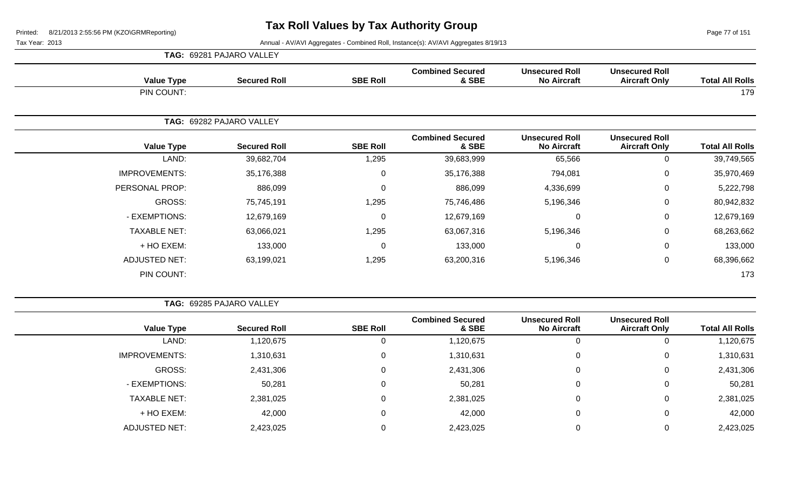Page 77 of 151

Tax Year: 2013 Annual - AV/AVI Aggregates - Combined Roll, Instance(s): AV/AVI Aggregates 8/19/13

| <b>Total All Rolls</b> | <b>Unsecured Roll</b><br><b>Aircraft Only</b> | <b>Unsecured Roll</b><br><b>No Aircraft</b> | <b>Combined Secured</b><br>& SBE | <b>SBE Roll</b> | <b>Secured Roll</b>                                                                                                                                                                                                                                       | <b>Value Type</b>    |  |
|------------------------|-----------------------------------------------|---------------------------------------------|----------------------------------|-----------------|-----------------------------------------------------------------------------------------------------------------------------------------------------------------------------------------------------------------------------------------------------------|----------------------|--|
| 179                    |                                               |                                             |                                  |                 | TAG: 69281 PAJARO VALLEY<br>PIN COUNT:<br>TAG: 69282 PAJARO VALLEY<br><b>Value Type</b><br><b>Secured Roll</b><br>LAND:<br>39,682,704<br>35,176,388<br>886,099<br>GROSS:<br>75,745,191<br>12,679,169<br>63,066,021<br>+ HO EXEM:<br>133,000<br>63,199,021 |                      |  |
|                        |                                               |                                             |                                  |                 |                                                                                                                                                                                                                                                           |                      |  |
| <b>Total All Rolls</b> | <b>Unsecured Roll</b><br><b>Aircraft Only</b> | <b>Unsecured Roll</b><br><b>No Aircraft</b> | <b>Combined Secured</b><br>& SBE | <b>SBE Roll</b> |                                                                                                                                                                                                                                                           |                      |  |
| 39,749,565             | $\mathbf 0$                                   | 65,566                                      | 39,683,999                       | 1,295           |                                                                                                                                                                                                                                                           |                      |  |
| 35,970,469             | 0                                             | 794,081                                     | 35,176,388                       | $\Omega$        |                                                                                                                                                                                                                                                           | <b>IMPROVEMENTS:</b> |  |
| 5,222,798              | $\mathbf 0$                                   | 4,336,699                                   | 886,099                          | $\mathbf{0}$    |                                                                                                                                                                                                                                                           | PERSONAL PROP:       |  |
| 80,942,832             | $\mathbf 0$                                   | 5,196,346                                   | 75,746,486                       | 1,295           |                                                                                                                                                                                                                                                           |                      |  |
| 12,679,169             | 0                                             | $\mathbf 0$                                 | 12,679,169                       | $\mathbf{0}$    |                                                                                                                                                                                                                                                           | - EXEMPTIONS:        |  |
| 68,263,662             | $\mathbf 0$                                   | 5,196,346                                   | 63,067,316                       | 1,295           |                                                                                                                                                                                                                                                           | <b>TAXABLE NET:</b>  |  |
| 133,000                | $\mathbf 0$                                   | $\mathbf 0$                                 | 133,000                          | $\mathbf{0}$    |                                                                                                                                                                                                                                                           |                      |  |
| 68,396,662             | $\mathbf 0$                                   | 5,196,346                                   | 63,200,316                       | 1,295           |                                                                                                                                                                                                                                                           | <b>ADJUSTED NET:</b> |  |
| 173                    |                                               |                                             |                                  |                 |                                                                                                                                                                                                                                                           | PIN COUNT:           |  |

**TAG:** 69285 PAJARO VALLEY

| <b>Value Type</b>    | <b>Secured Roll</b> | <b>SBE Roll</b> | <b>Combined Secured</b><br>& SBE | <b>Unsecured Roll</b><br><b>No Aircraft</b> | <b>Unsecured Roll</b><br><b>Aircraft Only</b> | <b>Total All Rolls</b> |
|----------------------|---------------------|-----------------|----------------------------------|---------------------------------------------|-----------------------------------------------|------------------------|
| LAND:                | 1,120,675           | 0               | 1,120,675                        |                                             | 0                                             | 1,120,675              |
| <b>IMPROVEMENTS:</b> | 1,310,631           | 0               | 1,310,631                        | 0                                           | 0                                             | 1,310,631              |
| GROSS:               | 2,431,306           | 0               | 2,431,306                        |                                             | 0                                             | 2,431,306              |
| - EXEMPTIONS:        | 50,281              | 0               | 50,281                           |                                             | 0                                             | 50,281                 |
| <b>TAXABLE NET:</b>  | 2,381,025           | 0               | 2,381,025                        |                                             | 0                                             | 2,381,025              |
| + HO EXEM:           | 42,000              | 0               | 42,000                           |                                             | 0                                             | 42,000                 |
| <b>ADJUSTED NET:</b> | 2,423,025           | 0               | 2,423,025                        |                                             | 0                                             | 2,423,025              |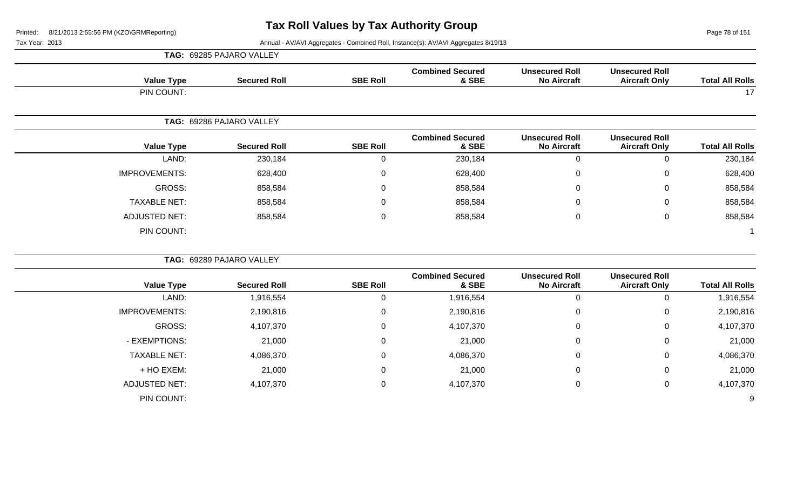Page 78 of 151

|                        |                                               |                                             |                                  |                 | TAG: 69285 PAJARO VALLEY |                      |
|------------------------|-----------------------------------------------|---------------------------------------------|----------------------------------|-----------------|--------------------------|----------------------|
| <b>Total All Rolls</b> | <b>Unsecured Roll</b><br><b>Aircraft Only</b> | <b>Unsecured Roll</b><br><b>No Aircraft</b> | <b>Combined Secured</b><br>& SBE | <b>SBE Roll</b> | <b>Secured Roll</b>      | <b>Value Type</b>    |
| 17                     |                                               |                                             |                                  |                 |                          | PIN COUNT:           |
|                        |                                               |                                             |                                  |                 | TAG: 69286 PAJARO VALLEY |                      |
| <b>Total All Rolls</b> | <b>Unsecured Roll</b><br><b>Aircraft Only</b> | <b>Unsecured Roll</b><br><b>No Aircraft</b> | <b>Combined Secured</b><br>& SBE | <b>SBE Roll</b> | <b>Secured Roll</b>      | <b>Value Type</b>    |
| 230,184                | $\mathbf 0$                                   | $\mathbf 0$                                 | 230,184                          | $\mathbf 0$     | 230,184                  | LAND:                |
| 628,400                | 0                                             | 0                                           | 628,400                          | $\mathbf 0$     | 628,400                  | <b>IMPROVEMENTS:</b> |
| 858,584                | 0                                             | $\Omega$                                    | 858,584                          | 0               | 858,584                  | GROSS:               |
| 858,584                | $\mathbf 0$                                   | 0                                           | 858,584                          | $\mathbf 0$     | 858,584                  | <b>TAXABLE NET:</b>  |
| 858,584                | $\mathbf 0$                                   | $\mathbf 0$                                 | 858,584                          | $\mathbf 0$     | 858,584                  | <b>ADJUSTED NET:</b> |
|                        |                                               |                                             |                                  |                 |                          | PIN COUNT:           |
|                        |                                               |                                             |                                  |                 | TAG: 69289 PAJARO VALLEY |                      |
| <b>Total All Rolls</b> | <b>Unsecured Roll</b><br><b>Aircraft Only</b> | <b>Unsecured Roll</b><br><b>No Aircraft</b> | <b>Combined Secured</b><br>& SBE | <b>SBE Roll</b> | <b>Secured Roll</b>      | <b>Value Type</b>    |
| 1,916,554              | $\mathbf 0$                                   | $\mathbf 0$                                 | 1,916,554                        | $\mathbf 0$     | 1,916,554                | LAND:                |
| 2,190,816              | 0                                             | $\mathbf 0$                                 | 2,190,816                        | $\pmb{0}$       | 2,190,816                | <b>IMPROVEMENTS:</b> |
| 4,107,370              | 0                                             | 0                                           | 4,107,370                        | $\pmb{0}$       | 4,107,370                | <b>GROSS:</b>        |
| 21,000                 | 0                                             | $\mathbf 0$                                 | 21,000                           | $\pmb{0}$       | 21,000                   | - EXEMPTIONS:        |
| 4,086,370              | $\mathbf 0$                                   | 0                                           | 4,086,370                        | $\mathbf 0$     | 4,086,370                | <b>TAXABLE NET:</b>  |
| 21,000                 | 0                                             | $\pmb{0}$                                   | 21,000                           | $\pmb{0}$       | 21,000                   | + HO EXEM:           |
| 4,107,370              | $\pmb{0}$                                     | $\mathbf 0$                                 | 4,107,370                        | $\pmb{0}$       | 4,107,370                | <b>ADJUSTED NET:</b> |
| 9                      |                                               |                                             |                                  |                 |                          | PIN COUNT:           |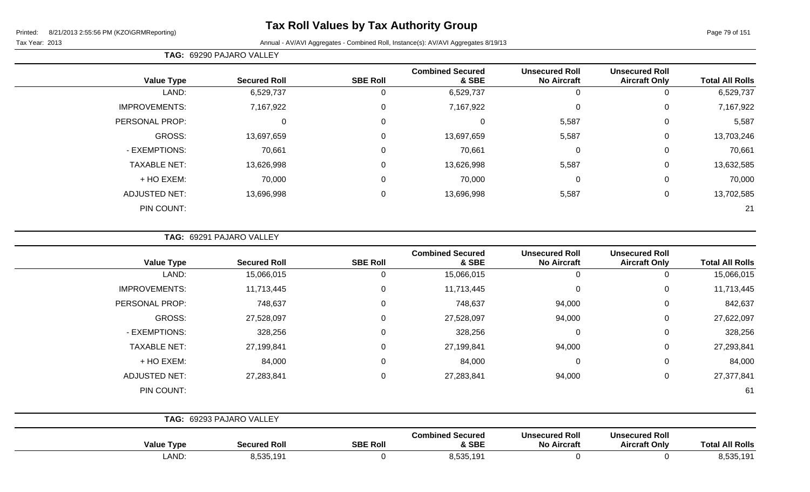Tax Year: 2013 Annual - AV/AVI Aggregates - Combined Roll, Instance(s): AV/AVI Aggregates 8/19/13

|                      | TAG: 69290 PAJARO VALLEY |                  |                                  |                                             |                                               |                        |
|----------------------|--------------------------|------------------|----------------------------------|---------------------------------------------|-----------------------------------------------|------------------------|
| <b>Value Type</b>    | <b>Secured Roll</b>      | <b>SBE Roll</b>  | <b>Combined Secured</b><br>& SBE | <b>Unsecured Roll</b><br><b>No Aircraft</b> | <b>Unsecured Roll</b><br><b>Aircraft Only</b> | <b>Total All Rolls</b> |
| LAND:                | 6,529,737                | 0                | 6,529,737                        | 0                                           | 0                                             | 6,529,737              |
| <b>IMPROVEMENTS:</b> | 7,167,922                | $\boldsymbol{0}$ | 7,167,922                        | $\mathbf 0$                                 | 0                                             | 7,167,922              |
| PERSONAL PROP:       | 0                        | $\mathbf 0$      | $\Omega$                         | 5,587                                       | 0                                             | 5,587                  |
| GROSS:               | 13,697,659               | $\mathbf 0$      | 13,697,659                       | 5,587                                       | 0                                             | 13,703,246             |
| - EXEMPTIONS:        | 70,661                   | $\mathbf 0$      | 70,661                           | $\mathbf 0$                                 | $\overline{0}$                                | 70,661                 |
| <b>TAXABLE NET:</b>  | 13,626,998               | $\mathbf 0$      | 13,626,998                       | 5,587                                       | 0                                             | 13,632,585             |
| + HO EXEM:           | 70,000                   | $\mathbf 0$      | 70,000                           | $\mathbf 0$                                 | 0                                             | 70,000                 |
| <b>ADJUSTED NET:</b> | 13,696,998               | $\mathbf 0$      | 13,696,998                       | 5,587                                       | $\overline{0}$                                | 13,702,585             |
| PIN COUNT:           |                          |                  |                                  |                                             |                                               | 21                     |

**TAG:** 69291 PAJARO VALLEY

| <b>Value Type</b>    | <b>Secured Roll</b>      | <b>SBE Roll</b> | <b>Combined Secured</b><br>& SBE | <b>Unsecured Roll</b><br><b>No Aircraft</b> | <b>Unsecured Roll</b><br><b>Aircraft Only</b> | <b>Total All Rolls</b> |
|----------------------|--------------------------|-----------------|----------------------------------|---------------------------------------------|-----------------------------------------------|------------------------|
| LAND:                | 15,066,015               | 0               | 15,066,015                       | $\mathbf 0$                                 | $\Omega$                                      | 15,066,015             |
| <b>IMPROVEMENTS:</b> | 11,713,445               | 0               | 11,713,445                       | $\mathbf 0$                                 | 0                                             | 11,713,445             |
| PERSONAL PROP:       | 748,637                  | $\Omega$        | 748,637                          | 94,000                                      | 0                                             | 842,637                |
| GROSS:               | 27,528,097               | $\mathbf 0$     | 27,528,097                       | 94,000                                      | $\mathbf 0$                                   | 27,622,097             |
| - EXEMPTIONS:        | 328,256                  | $\Omega$        | 328,256                          | $\mathbf 0$                                 | $\Omega$                                      | 328,256                |
| <b>TAXABLE NET:</b>  | 27,199,841               | $\mathbf 0$     | 27,199,841                       | 94,000                                      | 0                                             | 27,293,841             |
| + HO EXEM:           | 84,000                   | 0               | 84,000                           | $\mathbf 0$                                 | 0                                             | 84,000                 |
| <b>ADJUSTED NET:</b> | 27,283,841               | 0               | 27,283,841                       | 94,000                                      | 0                                             | 27,377,841             |
| PIN COUNT:           |                          |                 |                                  |                                             |                                               | 61                     |
|                      | TAG: 69293 PAJARO VALLEY |                 |                                  |                                             |                                               |                        |
|                      |                          |                 | <b>Combined Secured</b>          | <b>Unsecured Roll</b>                       | <b>Unsecured Roll</b>                         |                        |

| <b>T</b> vpe<br>Value | Secured Rol             | <b>SBE Roll</b> | Compined Secured<br><b>SBE</b>                              | UNSECURED ROLL<br><b>Aircraf</b> | UNSECURED ROIL<br><b>Aircraft Only</b> | <b>All Rolls</b><br>,,,, |
|-----------------------|-------------------------|-----------------|-------------------------------------------------------------|----------------------------------|----------------------------------------|--------------------------|
| LAND:                 | $F \cap F$<br>3,535,191 |                 | $F \cap F$<br>10 <sub>1</sub><br><b>I</b> J<br><b>J.JUU</b> |                                  |                                        | 2.525<br>101<br>0.000.IJ |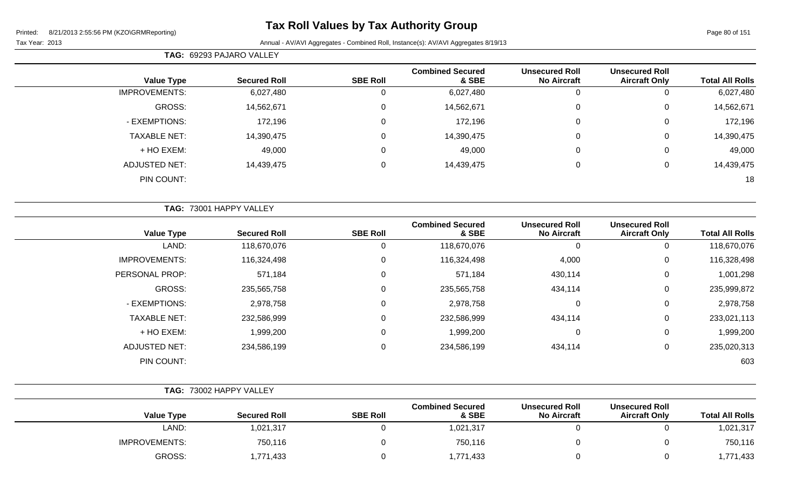#### Tax Year: 2013 Annual - AV/AVI Aggregates - Combined Roll, Instance(s): AV/AVI Aggregates 8/19/13

**TAG:** 69293 PAJARO VALLEY

| <b>Total All Rolls</b> | <b>Unsecured Roll</b><br><b>Aircraft Only</b> | <b>Unsecured Roll</b><br><b>No Aircraft</b> | <b>Combined Secured</b><br>& SBE | <b>SBE Roll</b> | <b>Secured Roll</b> | <b>Value Type</b>    |
|------------------------|-----------------------------------------------|---------------------------------------------|----------------------------------|-----------------|---------------------|----------------------|
| 6,027,480              | 0                                             | 0                                           | 6,027,480                        | U               | 6,027,480           | <b>IMPROVEMENTS:</b> |
| 14,562,671             | 0                                             | 0                                           | 14,562,671                       | 0               | 14,562,671          | GROSS:               |
| 172,196                | 0                                             | 0                                           | 172,196                          | 0               | 172,196             | - EXEMPTIONS:        |
| 14,390,475             | 0                                             | 0                                           | 14,390,475                       | 0               | 14,390,475          | <b>TAXABLE NET:</b>  |
| 49,000                 | 0                                             | 0                                           | 49,000                           | 0               | 49,000              | + HO EXEM:           |
| 14,439,475             | 0                                             | 0                                           | 14,439,475                       | 0               | 14,439,475          | <b>ADJUSTED NET:</b> |
| 18                     |                                               |                                             |                                  |                 |                     | PIN COUNT:           |
|                        |                                               |                                             |                                  |                 |                     |                      |

|                      | TAG: 73001 HAPPY VALLEY |                 |                                  |                                             |                                               |                        |
|----------------------|-------------------------|-----------------|----------------------------------|---------------------------------------------|-----------------------------------------------|------------------------|
| <b>Value Type</b>    | <b>Secured Roll</b>     | <b>SBE Roll</b> | <b>Combined Secured</b><br>& SBE | <b>Unsecured Roll</b><br><b>No Aircraft</b> | <b>Unsecured Roll</b><br><b>Aircraft Only</b> | <b>Total All Rolls</b> |
| LAND:                | 118,670,076             | 0               | 118,670,076                      | 0                                           | υ                                             | 118,670,076            |
| <b>IMPROVEMENTS:</b> | 116,324,498             | 0               | 116,324,498                      | 4,000                                       | 0                                             | 116,328,498            |
| PERSONAL PROP:       | 571,184                 | 0               | 571,184                          | 430,114                                     | 0                                             | 1,001,298              |
| GROSS:               | 235,565,758             | 0               | 235,565,758                      | 434,114                                     | 0                                             | 235,999,872            |
| - EXEMPTIONS:        | 2,978,758               | 0               | 2,978,758                        | $\mathbf 0$                                 | 0                                             | 2,978,758              |
| <b>TAXABLE NET:</b>  | 232,586,999             | 0               | 232,586,999                      | 434,114                                     | 0                                             | 233,021,113            |
| + HO EXEM:           | 1,999,200               | 0               | 1,999,200                        | 0                                           | 0                                             | 1,999,200              |
| <b>ADJUSTED NET:</b> | 234,586,199             | 0               | 234,586,199                      | 434,114                                     | 0                                             | 235,020,313            |
| PIN COUNT:           |                         |                 |                                  |                                             |                                               | 603                    |

|                      | TAG: 73002 HAPPY VALLEY |                 |                                  |                                             |                                               |                        |
|----------------------|-------------------------|-----------------|----------------------------------|---------------------------------------------|-----------------------------------------------|------------------------|
| Value Type           | <b>Secured Roll</b>     | <b>SBE Roll</b> | <b>Combined Secured</b><br>& SBE | <b>Unsecured Roll</b><br><b>No Aircraft</b> | <b>Unsecured Roll</b><br><b>Aircraft Only</b> | <b>Total All Rolls</b> |
| LAND:                | 1,021,317               |                 | 1,021,317                        |                                             |                                               | 1,021,317              |
| <b>IMPROVEMENTS:</b> | 750,116                 |                 | 750,116                          |                                             |                                               | 750,116                |
| GROSS:               | 1,771,433               |                 | 1,771,433                        |                                             |                                               | 1,771,433              |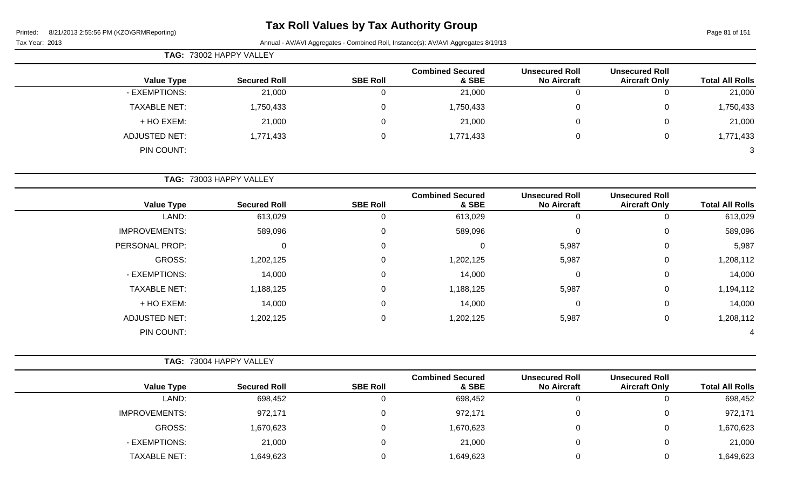# **Tax Roll Values by Tax Authority Group**

Page 81 of 151

| TAG: 73002 HAPPY VALLEY |                         |                 |                                  |                                             |                                               |                        |  |  |  |
|-------------------------|-------------------------|-----------------|----------------------------------|---------------------------------------------|-----------------------------------------------|------------------------|--|--|--|
| <b>Value Type</b>       | <b>Secured Roll</b>     | <b>SBE Roll</b> | <b>Combined Secured</b><br>& SBE | <b>Unsecured Roll</b><br><b>No Aircraft</b> | <b>Unsecured Roll</b><br><b>Aircraft Only</b> | <b>Total All Rolls</b> |  |  |  |
| - EXEMPTIONS:           | 21,000                  | 0               | 21,000                           | 0                                           |                                               | 21,000                 |  |  |  |
| <b>TAXABLE NET:</b>     | 1,750,433               | 0               | 1,750,433                        | 0                                           | 0                                             | 1,750,433              |  |  |  |
| + HO EXEM:              | 21,000                  | 0               | 21,000                           | 0                                           | 0                                             | 21,000                 |  |  |  |
| <b>ADJUSTED NET:</b>    | 1,771,433               | 0               | 1,771,433                        | 0                                           | 0                                             | 1,771,433              |  |  |  |
| PIN COUNT:              |                         |                 |                                  |                                             |                                               | $\mathbf{3}$           |  |  |  |
|                         | TAG: 73003 HAPPY VALLEY |                 |                                  |                                             |                                               |                        |  |  |  |

| <b>Value Type</b>    | <b>Secured Roll</b> | <b>SBE Roll</b> | <b>Combined Secured</b><br>& SBE | <b>Unsecured Roll</b><br><b>No Aircraft</b> | <b>Unsecured Roll</b><br><b>Aircraft Only</b> | <b>Total All Rolls</b> |
|----------------------|---------------------|-----------------|----------------------------------|---------------------------------------------|-----------------------------------------------|------------------------|
| LAND:                | 613,029             | U               | 613,029                          |                                             | 0                                             | 613,029                |
| <b>IMPROVEMENTS:</b> | 589,096             | 0               | 589,096                          |                                             | 0                                             | 589,096                |
| PERSONAL PROP:       | 0                   | 0               | 0                                | 5,987                                       | $\mathbf 0$                                   | 5,987                  |
| GROSS:               | 1,202,125           | 0               | 1,202,125                        | 5,987                                       | 0                                             | 1,208,112              |
| - EXEMPTIONS:        | 14,000              | 0               | 14,000                           |                                             | 0                                             | 14,000                 |
| <b>TAXABLE NET:</b>  | 1,188,125           | 0               | 1,188,125                        | 5,987                                       | 0                                             | 1,194,112              |
| + HO EXEM:           | 14,000              | 0               | 14,000                           | 0                                           | 0                                             | 14,000                 |
| <b>ADJUSTED NET:</b> | 1,202,125           | 0               | 1,202,125                        | 5,987                                       | 0                                             | 1,208,112              |
| PIN COUNT:           |                     |                 |                                  |                                             |                                               | 4                      |

|                      | TAG: 73004 HAPPY VALLEY |                 |                                  |                                             |                                               |                        |
|----------------------|-------------------------|-----------------|----------------------------------|---------------------------------------------|-----------------------------------------------|------------------------|
| <b>Value Type</b>    | <b>Secured Roll</b>     | <b>SBE Roll</b> | <b>Combined Secured</b><br>& SBE | <b>Unsecured Roll</b><br><b>No Aircraft</b> | <b>Unsecured Roll</b><br><b>Aircraft Only</b> | <b>Total All Rolls</b> |
| LAND:                | 698,452                 |                 | 698,452                          |                                             |                                               | 698,452                |
| <b>IMPROVEMENTS:</b> | 972,171                 |                 | 972,171                          |                                             |                                               | 972,171                |
| GROSS:               | 1,670,623               |                 | 1,670,623                        |                                             | 0                                             | 1,670,623              |
| - EXEMPTIONS:        | 21,000                  |                 | 21,000                           |                                             |                                               | 21,000                 |
| <b>TAXABLE NET:</b>  | 1,649,623               |                 | 649,623                          |                                             |                                               | 1,649,623              |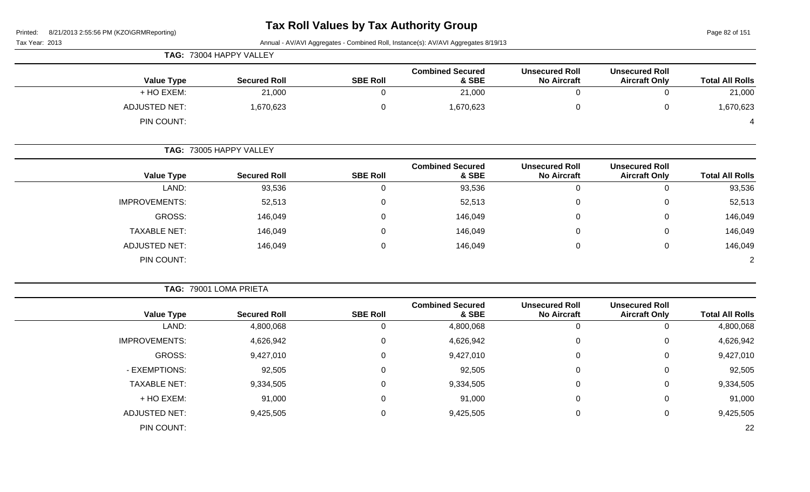Page 82 of 151

|                      | TAG: 73004 HAPPY VALLEY |                 |                                  |                                             |                                               |                        |
|----------------------|-------------------------|-----------------|----------------------------------|---------------------------------------------|-----------------------------------------------|------------------------|
| <b>Value Type</b>    | <b>Secured Roll</b>     | <b>SBE Roll</b> | <b>Combined Secured</b><br>& SBE | <b>Unsecured Roll</b><br><b>No Aircraft</b> | <b>Unsecured Roll</b><br><b>Aircraft Only</b> | <b>Total All Rolls</b> |
| + HO EXEM:           | 21,000                  | $\Omega$        | 21,000                           |                                             |                                               | 21,000                 |
| <b>ADJUSTED NET:</b> | 1,670,623               | $\Omega$        | 1,670,623                        |                                             |                                               | 1,670,623              |
| PIN COUNT:           |                         |                 |                                  |                                             |                                               |                        |

|                      | <b>TAG: 73005 HAPPY VALLEY</b> |                 |                                  |                                             |                                               |                        |
|----------------------|--------------------------------|-----------------|----------------------------------|---------------------------------------------|-----------------------------------------------|------------------------|
| <b>Value Type</b>    | <b>Secured Roll</b>            | <b>SBE Roll</b> | <b>Combined Secured</b><br>& SBE | <b>Unsecured Roll</b><br><b>No Aircraft</b> | <b>Unsecured Roll</b><br><b>Aircraft Only</b> | <b>Total All Rolls</b> |
| LAND:                | 93,536                         |                 | 93,536                           | 0                                           | U                                             | 93,536                 |
| <b>IMPROVEMENTS:</b> | 52,513                         | 0               | 52,513                           | 0                                           | 0                                             | 52,513                 |
| GROSS:               | 146,049                        | 0               | 146,049                          | 0                                           | 0                                             | 146,049                |
| <b>TAXABLE NET:</b>  | 146,049                        | U               | 146,049                          | 0                                           | 0                                             | 146,049                |
| <b>ADJUSTED NET:</b> | 146,049                        | 0               | 146,049                          | 0                                           | 0                                             | 146,049                |
| PIN COUNT:           |                                |                 |                                  |                                             |                                               | $\overline{2}$         |

|                      | TAG: 79001 LOMA PRIETA |                 |                                  |                                             |                                               |                        |
|----------------------|------------------------|-----------------|----------------------------------|---------------------------------------------|-----------------------------------------------|------------------------|
| <b>Value Type</b>    | <b>Secured Roll</b>    | <b>SBE Roll</b> | <b>Combined Secured</b><br>& SBE | <b>Unsecured Roll</b><br><b>No Aircraft</b> | <b>Unsecured Roll</b><br><b>Aircraft Only</b> | <b>Total All Rolls</b> |
| LAND:                | 4,800,068              | υ               | 4,800,068                        | -0                                          | 0                                             | 4,800,068              |
| <b>IMPROVEMENTS:</b> | 4,626,942              | 0               | 4,626,942                        | $\mathbf 0$                                 | 0                                             | 4,626,942              |
| GROSS:               | 9,427,010              | 0               | 9,427,010                        | 0                                           | 0                                             | 9,427,010              |
| - EXEMPTIONS:        | 92,505                 | $\Omega$        | 92,505                           | $\mathbf 0$                                 | 0                                             | 92,505                 |
| <b>TAXABLE NET:</b>  | 9,334,505              | 0               | 9,334,505                        | $\overline{0}$                              | 0                                             | 9,334,505              |
| + HO EXEM:           | 91,000                 | 0               | 91,000                           | $\overline{0}$                              | 0                                             | 91,000                 |
| <b>ADJUSTED NET:</b> | 9,425,505              | 0               | 9,425,505                        | $\overline{0}$                              | 0                                             | 9,425,505              |
| PIN COUNT:           |                        |                 |                                  |                                             |                                               | 22                     |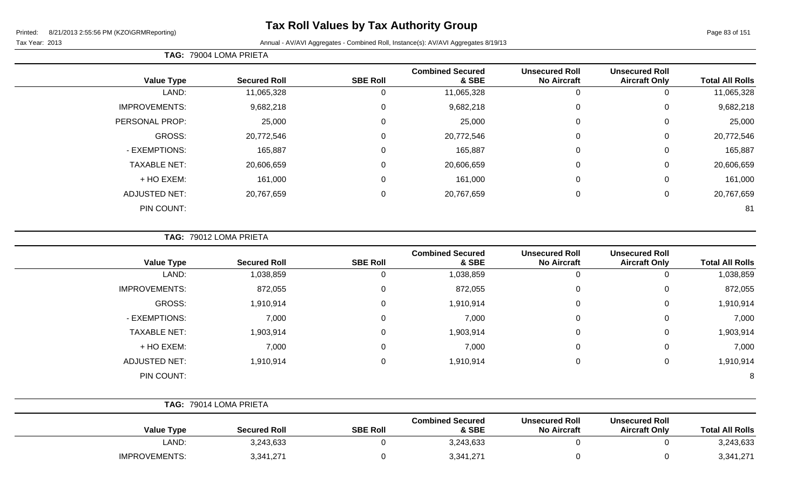Tax Year: 2013 **Annual - AV/AVI Aggregates - Combined Roll**, Instance(s): AV/AVI Aggregates 8/19/13

| <b>TAG: 79004 LOMA PRIETA</b> |  |
|-------------------------------|--|
|                               |  |

| <b>Value Type</b>    | <b>Secured Roll</b> | <b>SBE Roll</b>  | <b>Combined Secured</b><br>& SBE | <b>Unsecured Roll</b><br><b>No Aircraft</b> | <b>Unsecured Roll</b><br><b>Aircraft Only</b> | <b>Total All Rolls</b> |
|----------------------|---------------------|------------------|----------------------------------|---------------------------------------------|-----------------------------------------------|------------------------|
| LAND:                | 11,065,328          | 0                | 11,065,328                       | 0                                           |                                               | 11,065,328             |
|                      |                     |                  |                                  |                                             |                                               |                        |
| <b>IMPROVEMENTS:</b> | 9,682,218           | 0                | 9,682,218                        | $\mathbf 0$                                 | 0                                             | 9,682,218              |
| PERSONAL PROP:       | 25,000              | $\mathbf 0$      | 25,000                           | $\mathbf 0$                                 | $\Omega$                                      | 25,000                 |
| GROSS:               | 20,772,546          | 0                | 20,772,546                       | $\overline{0}$                              | 0                                             | 20,772,546             |
| - EXEMPTIONS:        | 165,887             | 0                | 165,887                          | $\mathbf 0$                                 | 0                                             | 165,887                |
| <b>TAXABLE NET:</b>  | 20,606,659          | $\mathbf 0$      | 20,606,659                       | $\mathbf 0$                                 | 0                                             | 20,606,659             |
| + HO EXEM:           | 161,000             | $\mathbf 0$      | 161,000                          | $\mathbf 0$                                 | 0                                             | 161,000                |
| <b>ADJUSTED NET:</b> | 20,767,659          | $\boldsymbol{0}$ | 20,767,659                       | $\mathbf 0$                                 | 0                                             | 20,767,659             |
| PIN COUNT:           |                     |                  |                                  |                                             |                                               | 81                     |

**TAG:** 79012 LOMA PRIETA

| <b>Value Type</b>    | <b>Secured Roll</b> | <b>SBE Roll</b> | <b>Combined Secured</b><br>& SBE | <b>Unsecured Roll</b><br><b>No Aircraft</b> | <b>Unsecured Roll</b><br><b>Aircraft Only</b> | <b>Total All Rolls</b> |
|----------------------|---------------------|-----------------|----------------------------------|---------------------------------------------|-----------------------------------------------|------------------------|
| LAND:                | 1,038,859           | υ               | 1,038,859                        | 0                                           |                                               | 1,038,859              |
| <b>IMPROVEMENTS:</b> | 872,055             | 0               | 872,055                          | $\mathbf 0$                                 | 0                                             | 872,055                |
| GROSS:               | 1,910,914           | 0               | 1,910,914                        | 0                                           | 0                                             | 1,910,914              |
| - EXEMPTIONS:        | 7,000               | 0               | 7,000                            | $\mathbf 0$                                 | 0                                             | 7,000                  |
| <b>TAXABLE NET:</b>  | 1,903,914           | 0               | 1,903,914                        | $\mathbf{0}$                                | 0                                             | 1,903,914              |
| + HO EXEM:           | 7,000               | 0               | 7,000                            | $\mathbf 0$                                 | 0                                             | 7,000                  |
| <b>ADJUSTED NET:</b> | 1,910,914           | 0               | 1,910,914                        | 0                                           | 0                                             | 1,910,914              |
| PIN COUNT:           |                     |                 |                                  |                                             |                                               | 8                      |

| <b>TAG: 79014 LOMA PRIETA</b> |                     |                 |                                  |                                             |                                               |                        |
|-------------------------------|---------------------|-----------------|----------------------------------|---------------------------------------------|-----------------------------------------------|------------------------|
| <b>Value Type</b>             | <b>Secured Roll</b> | <b>SBE Roll</b> | <b>Combined Secured</b><br>& SBE | <b>Unsecured Roll</b><br><b>No Aircraft</b> | <b>Unsecured Roll</b><br><b>Aircraft Only</b> | <b>Total All Rolls</b> |
| LAND:                         | 3,243,633           |                 | 3,243,633                        |                                             |                                               | 3,243,633              |
| <b>IMPROVEMENTS:</b>          | 3,341,271           |                 | 3,341,271                        |                                             |                                               | 3,341,271              |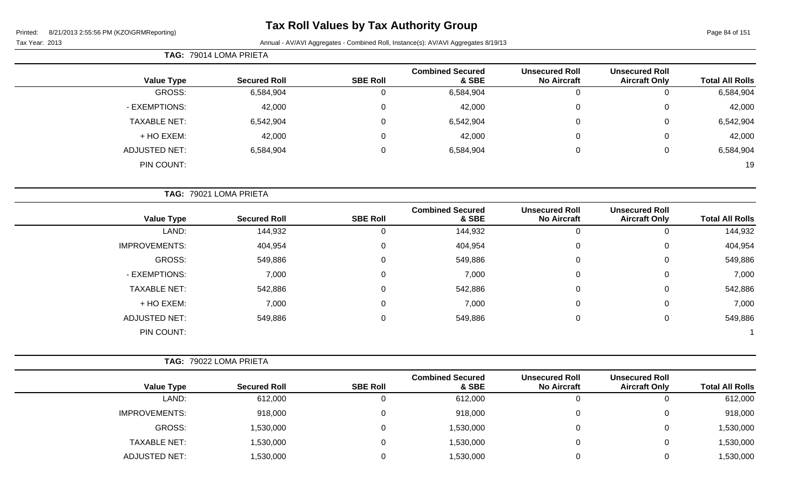# **Tax Roll Values by Tax Authority Group**

|  |  | 1120101111110porting |  |
|--|--|----------------------|--|
|  |  |                      |  |
|  |  |                      |  |

|                      | TAG: 79014 LOMA PRIETA |                 |                                  |                                             |                                               |                        |
|----------------------|------------------------|-----------------|----------------------------------|---------------------------------------------|-----------------------------------------------|------------------------|
| <b>Value Type</b>    | <b>Secured Roll</b>    | <b>SBE Roll</b> | <b>Combined Secured</b><br>& SBE | <b>Unsecured Roll</b><br><b>No Aircraft</b> | <b>Unsecured Roll</b><br><b>Aircraft Only</b> | <b>Total All Rolls</b> |
| GROSS:               | 6,584,904              | 0               | 6,584,904                        | U                                           | υ                                             | 6,584,904              |
| - EXEMPTIONS:        | 42,000                 | 0               | 42,000                           | $\mathbf 0$                                 | 0                                             | 42,000                 |
| <b>TAXABLE NET:</b>  | 6,542,904              | $\Omega$        | 6,542,904                        | $\mathbf 0$                                 | 0                                             | 6,542,904              |
| + HO EXEM:           | 42,000                 | $\Omega$        | 42,000                           | $\mathbf 0$                                 | 0                                             | 42,000                 |
| <b>ADJUSTED NET:</b> | 6,584,904              | 0               | 6,584,904                        | $\mathbf 0$                                 | 0                                             | 6,584,904              |
| PIN COUNT:           |                        |                 |                                  |                                             |                                               | 19                     |

|                      | TAG: 79021 LOMA PRIETA |                 |                                  |                                             |                                               |                        |
|----------------------|------------------------|-----------------|----------------------------------|---------------------------------------------|-----------------------------------------------|------------------------|
| <b>Value Type</b>    | <b>Secured Roll</b>    | <b>SBE Roll</b> | <b>Combined Secured</b><br>& SBE | <b>Unsecured Roll</b><br><b>No Aircraft</b> | <b>Unsecured Roll</b><br><b>Aircraft Only</b> | <b>Total All Rolls</b> |
| LAND:                | 144,932                |                 | 144,932                          | U                                           | 0                                             | 144,932                |
| <b>IMPROVEMENTS:</b> | 404,954                | 0               | 404,954                          | 0                                           | 0                                             | 404,954                |
| GROSS:               | 549,886                | $\Omega$        | 549,886                          | 0                                           | 0                                             | 549,886                |
| - EXEMPTIONS:        | 7,000                  | $\Omega$        | 7,000                            | 0                                           | 0                                             | 7,000                  |
| <b>TAXABLE NET:</b>  | 542,886                |                 | 542,886                          | $\pmb{0}$                                   | 0                                             | 542,886                |
| + HO EXEM:           | 7,000                  | $\Omega$        | 7,000                            | 0                                           | 0                                             | 7,000                  |
| <b>ADJUSTED NET:</b> | 549,886                | $\Omega$        | 549,886                          | 0                                           | 0                                             | 549,886                |
| PIN COUNT:           |                        |                 |                                  |                                             |                                               |                        |

|                      | <b>TAG: 79022 LOMA PRIETA</b> |                 |                                  |                                             |                                               |                        |
|----------------------|-------------------------------|-----------------|----------------------------------|---------------------------------------------|-----------------------------------------------|------------------------|
| <b>Value Type</b>    | <b>Secured Roll</b>           | <b>SBE Roll</b> | <b>Combined Secured</b><br>& SBE | <b>Unsecured Roll</b><br><b>No Aircraft</b> | <b>Unsecured Roll</b><br><b>Aircraft Only</b> | <b>Total All Rolls</b> |
| LAND:                | 612,000                       | U               | 612,000                          | υ                                           |                                               | 612,000                |
| <b>IMPROVEMENTS:</b> | 918,000                       | 0               | 918,000                          | 0                                           |                                               | 918,000                |
| GROSS:               | 1,530,000                     | 0               | .530,000 ا                       | 0                                           |                                               | 1,530,000              |
| <b>TAXABLE NET:</b>  | 1,530,000                     | 0               | .530,000 ا                       | 0                                           |                                               | 1,530,000              |
| <b>ADJUSTED NET:</b> | 1,530,000                     |                 | ,530,000                         | 0                                           |                                               | 1,530,000              |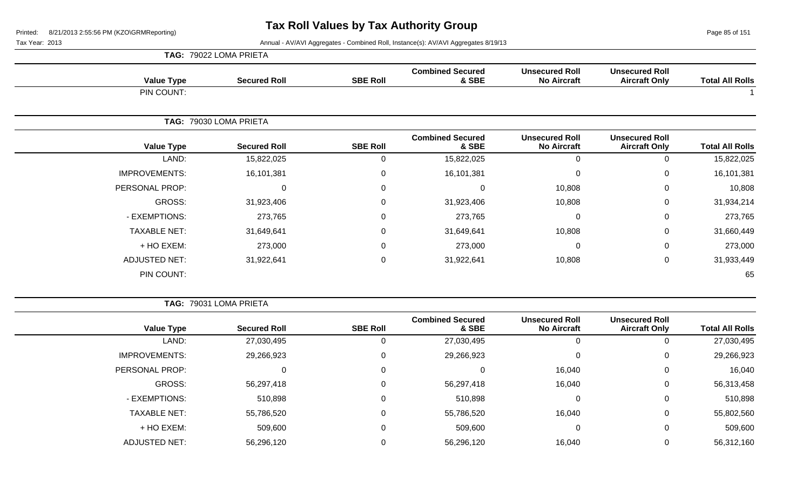Page 85 of 151

Tax Year: 2013 Annual - AV/AVI Aggregates - Combined Roll, Instance(s): AV/AVI Aggregates 8/19/13

|                        |                                               |                                             |                                  |                 | TAG: 79022 LOMA PRIETA |                      |  |
|------------------------|-----------------------------------------------|---------------------------------------------|----------------------------------|-----------------|------------------------|----------------------|--|
| <b>Total All Rolls</b> | <b>Unsecured Roll</b><br><b>Aircraft Only</b> | <b>Unsecured Roll</b><br><b>No Aircraft</b> | <b>Combined Secured</b><br>& SBE | <b>SBE Roll</b> | <b>Secured Roll</b>    | <b>Value Type</b>    |  |
|                        |                                               |                                             |                                  |                 |                        | PIN COUNT:           |  |
|                        |                                               |                                             |                                  |                 | 79030 LOMA PRIETA      | TAG:                 |  |
| <b>Total All Rolls</b> | <b>Unsecured Roll</b><br><b>Aircraft Only</b> | <b>Unsecured Roll</b><br><b>No Aircraft</b> | <b>Combined Secured</b><br>& SBE | <b>SBE Roll</b> | <b>Secured Roll</b>    | <b>Value Type</b>    |  |
| 15,822,025             | 0                                             | 0                                           | 15,822,025                       | 0               | 15,822,025             | LAND:                |  |
| 16,101,381             | 0                                             | $\Omega$                                    | 16,101,381                       | 0               | 16,101,381             | <b>IMPROVEMENTS:</b> |  |
| 10,808                 | 0                                             | 10,808                                      |                                  | 0               | 0                      | PERSONAL PROP:       |  |
| 31,934,214             | 0                                             | 10,808                                      | 31,923,406                       | $\mathbf 0$     | 31,923,406             | GROSS:               |  |
| 273,765                | 0                                             | 0                                           | 273,765                          | 0               | 273,765                | - EXEMPTIONS:        |  |
| 31,660,449             | 0                                             | 10,808                                      | 31,649,641                       | 0               | 31,649,641             | <b>TAXABLE NET:</b>  |  |
| 273,000                | 0                                             | $\mathbf 0$                                 | 273,000                          | $\mathbf 0$     | 273,000                | + HO EXEM:           |  |
| 31,933,449             | 0                                             | 10,808                                      | 31,922,641                       | $\pmb{0}$       | 31,922,641             | <b>ADJUSTED NET:</b> |  |

PIN COUNT: 65

**TAG:** 79031 LOMA PRIETA

| <b>Total All Rolls</b> | <b>Unsecured Roll</b><br><b>Aircraft Only</b> | <b>Unsecured Roll</b><br><b>No Aircraft</b> | <b>Combined Secured</b><br>& SBE | <b>SBE Roll</b> | <b>Secured Roll</b> | <b>Value Type</b>    |
|------------------------|-----------------------------------------------|---------------------------------------------|----------------------------------|-----------------|---------------------|----------------------|
| 27,030,495             | U                                             | U                                           | 27,030,495                       | υ               | 27,030,495          | LAND:                |
| 29,266,923             | 0                                             | 0                                           | 29,266,923                       | 0               | 29,266,923          | <b>IMPROVEMENTS:</b> |
| 16,040                 | 0                                             | 16,040                                      |                                  | 0               | U                   | PERSONAL PROP:       |
| 56,313,458             | 0                                             | 16,040                                      | 56,297,418                       | 0               | 56,297,418          | GROSS:               |
| 510,898                | 0                                             | C                                           | 510,898                          | 0               | 510,898             | - EXEMPTIONS:        |
| 55,802,560             | 0                                             | 16,040                                      | 55,786,520                       | 0               | 55,786,520          | <b>TAXABLE NET:</b>  |
| 509,600                | 0                                             | 0                                           | 509,600                          | 0               | 509,600             | + HO EXEM:           |
| 56,312,160             | 0                                             | 16,040                                      | 56,296,120                       |                 | 56,296,120          | <b>ADJUSTED NET:</b> |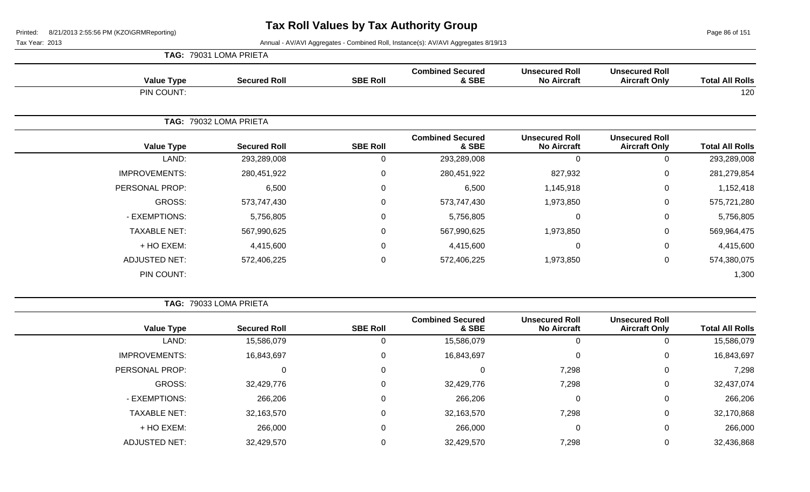Page 86 of 151

Tax Year: 2013 **Annual - AV/AVI Aggregates - Combined Roll**, Instance(s): AV/AVI Aggregates 8/19/13

|                      | TAG: 79031 LOMA PRIETA |                 |                                  |                                             |                                               |                        |  |  |  |
|----------------------|------------------------|-----------------|----------------------------------|---------------------------------------------|-----------------------------------------------|------------------------|--|--|--|
| <b>Value Type</b>    | <b>Secured Roll</b>    | <b>SBE Roll</b> | <b>Combined Secured</b><br>& SBE | <b>Unsecured Roll</b><br><b>No Aircraft</b> | <b>Unsecured Roll</b><br><b>Aircraft Only</b> | <b>Total All Rolls</b> |  |  |  |
| PIN COUNT:           |                        |                 |                                  |                                             |                                               | 120                    |  |  |  |
|                      | TAG: 79032 LOMA PRIETA |                 |                                  |                                             |                                               |                        |  |  |  |
| <b>Value Type</b>    | <b>Secured Roll</b>    | <b>SBE Roll</b> | <b>Combined Secured</b><br>& SBE | <b>Unsecured Roll</b><br><b>No Aircraft</b> | <b>Unsecured Roll</b><br><b>Aircraft Only</b> | <b>Total All Rolls</b> |  |  |  |
| LAND:                | 293,289,008            | $\Omega$        | 293,289,008                      | $\mathbf 0$                                 | $\Omega$                                      | 293,289,008            |  |  |  |
| <b>IMPROVEMENTS:</b> | 280,451,922            | $\mathbf 0$     | 280,451,922                      | 827,932                                     | 0                                             | 281,279,854            |  |  |  |
| PERSONAL PROP:       | 6,500                  | $\Omega$        | 6,500                            | 1,145,918                                   | 0                                             | 1,152,418              |  |  |  |
| GROSS:               | 573,747,430            | 0               | 573,747,430                      | 1,973,850                                   | 0                                             | 575,721,280            |  |  |  |
| - EXEMPTIONS:        | 5,756,805              | 0               | 5,756,805                        | $\mathbf 0$                                 | 0                                             | 5,756,805              |  |  |  |
| <b>TAXABLE NET:</b>  | 567,990,625            | 0               | 567,990,625                      | 1,973,850                                   | 0                                             | 569,964,475            |  |  |  |
| + HO EXEM:           | 4,415,600              | 0               | 4,415,600                        | $\mathbf 0$                                 | 0                                             | 4,415,600              |  |  |  |
| <b>ADJUSTED NET:</b> | 572,406,225            | 0               | 572,406,225                      | 1,973,850                                   | 0                                             | 574,380,075            |  |  |  |
| PIN COUNT:           |                        |                 |                                  |                                             |                                               | 1,300                  |  |  |  |

**TAG:** 79033 LOMA PRIETA

| <b>Total All Rolls</b> | <b>Unsecured Roll</b><br><b>Aircraft Only</b> | <b>Unsecured Roll</b><br><b>No Aircraft</b> | <b>Combined Secured</b><br>& SBE | <b>SBE Roll</b> | <b>Secured Roll</b> | <b>Value Type</b>    |
|------------------------|-----------------------------------------------|---------------------------------------------|----------------------------------|-----------------|---------------------|----------------------|
| 15,586,079             | 0                                             | 0                                           | 15,586,079                       |                 | 15,586,079          | LAND:                |
| 16,843,697             | 0                                             | 0                                           | 16,843,697                       |                 | 16,843,697          | <b>IMPROVEMENTS:</b> |
| 7,298                  | $\mathbf 0$                                   | 7,298                                       | 0                                |                 | 0                   | PERSONAL PROP:       |
| 32,437,074             | $\mathbf 0$                                   | 7,298                                       | 32,429,776                       | 0               | 32,429,776          | GROSS:               |
| 266,206                | $\mathbf 0$                                   | 0                                           | 266,206                          |                 | 266,206             | - EXEMPTIONS:        |
| 32,170,868             | 0                                             | 7,298                                       | 32,163,570                       | 0               | 32,163,570          | <b>TAXABLE NET:</b>  |
| 266,000                | $\mathbf 0$                                   | 0                                           | 266,000                          |                 | 266,000             | + HO EXEM:           |
| 32,436,868             | 0                                             | 7,298                                       | 32,429,570                       |                 | 32,429,570          | <b>ADJUSTED NET:</b> |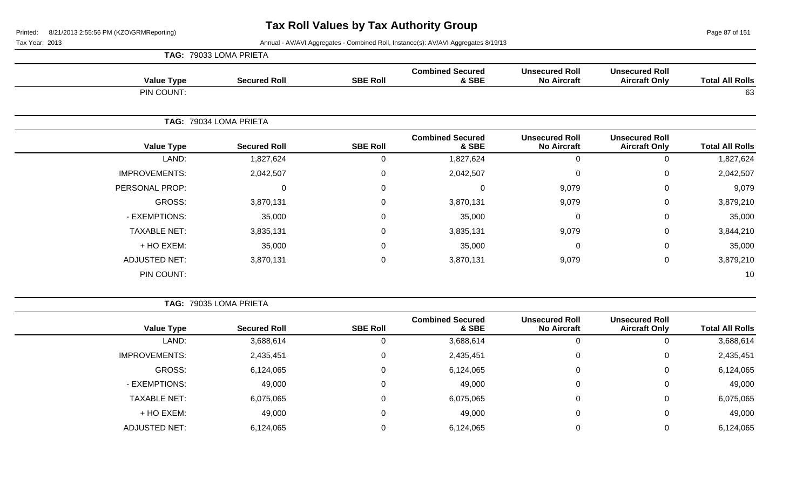Page 87 of 151

Tax Year: 2013 **Annual - AV/AVI Aggregates - Combined Roll**, Instance(s): AV/AVI Aggregates 8/19/13

|                      | TAG: 79033 LOMA PRIETA |                 |                                  |                                             |                                               |                        |
|----------------------|------------------------|-----------------|----------------------------------|---------------------------------------------|-----------------------------------------------|------------------------|
| <b>Value Type</b>    | <b>Secured Roll</b>    | <b>SBE Roll</b> | <b>Combined Secured</b><br>& SBE | <b>Unsecured Roll</b><br><b>No Aircraft</b> | <b>Unsecured Roll</b><br><b>Aircraft Only</b> | <b>Total All Rolls</b> |
| PIN COUNT:           |                        |                 |                                  |                                             |                                               | 63                     |
|                      | TAG: 79034 LOMA PRIETA |                 |                                  |                                             |                                               |                        |
| <b>Value Type</b>    | <b>Secured Roll</b>    | <b>SBE Roll</b> | <b>Combined Secured</b><br>& SBE | <b>Unsecured Roll</b><br><b>No Aircraft</b> | <b>Unsecured Roll</b><br><b>Aircraft Only</b> | <b>Total All Rolls</b> |
| LAND:                | 1,827,624              | 0               | 1,827,624                        | 0                                           | 0                                             | 1,827,624              |
| <b>IMPROVEMENTS:</b> | 2,042,507              | $\mathbf 0$     | 2,042,507                        | 0                                           | $\mathbf 0$                                   | 2,042,507              |
| PERSONAL PROP:       | 0                      | 0               | 0                                | 9,079                                       | 0                                             | 9,079                  |
| GROSS:               | 3,870,131              | 0               | 3,870,131                        | 9,079                                       | 0                                             | 3,879,210              |
| - EXEMPTIONS:        | 35,000                 | $\mathbf 0$     | 35,000                           | $\mathbf 0$                                 | $\mathbf 0$                                   | 35,000                 |
| <b>TAXABLE NET:</b>  | 3,835,131              | 0               | 3,835,131                        | 9,079                                       | 0                                             | 3,844,210              |
| + HO EXEM:           | 35,000                 | $\mathbf 0$     | 35,000                           | $\mathbf 0$                                 | 0                                             | 35,000                 |
| <b>ADJUSTED NET:</b> | 3,870,131              | $\mathbf 0$     | 3,870,131                        | 9,079                                       | $\mathbf 0$                                   | 3,879,210              |
| PIN COUNT:           |                        |                 |                                  |                                             |                                               | 10                     |

**TAG:** 79035 LOMA PRIETA

|                      |                     |                 | <b>Combined Secured</b> | <b>Unsecured Roll</b> | <b>Unsecured Roll</b> |                        |
|----------------------|---------------------|-----------------|-------------------------|-----------------------|-----------------------|------------------------|
| <b>Value Type</b>    | <b>Secured Roll</b> | <b>SBE Roll</b> | & SBE                   | <b>No Aircraft</b>    | <b>Aircraft Only</b>  | <b>Total All Rolls</b> |
| LAND:                | 3,688,614           |                 | 3,688,614               |                       |                       | 3,688,614              |
| <b>IMPROVEMENTS:</b> | 2,435,451           | 0               | 2,435,451               |                       | 0                     | 2,435,451              |
| GROSS:               | 6,124,065           |                 | 6,124,065               |                       |                       | 6,124,065              |
| - EXEMPTIONS:        | 49,000              | 0               | 49,000                  |                       |                       | 49,000                 |
| <b>TAXABLE NET:</b>  | 6,075,065           |                 | 6,075,065               |                       |                       | 6,075,065              |
| + HO EXEM:           | 49,000              |                 | 49,000                  |                       |                       | 49,000                 |
| ADJUSTED NET:        | 6,124,065           |                 | 6,124,065               |                       |                       | 6,124,065              |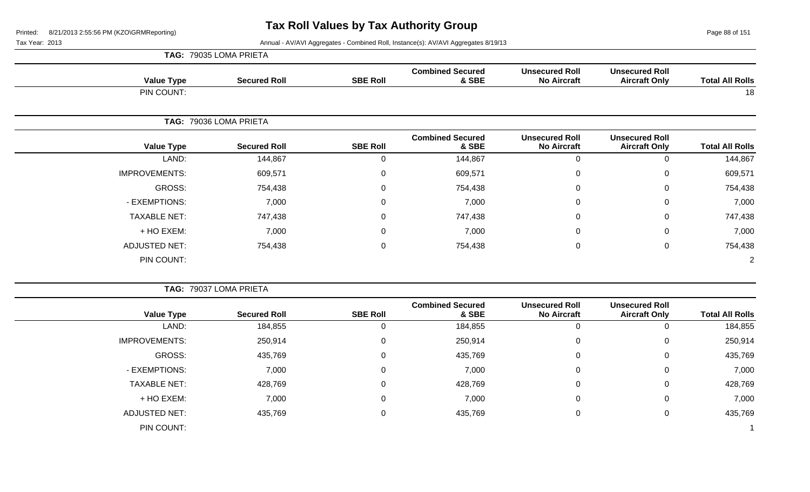Page 88 of 151

| <b>Total All Rolls</b> | <b>Unsecured Roll</b><br><b>Aircraft Only</b> | <b>Unsecured Roll</b><br><b>No Aircraft</b> | <b>Combined Secured</b><br>& SBE | <b>SBE Roll</b> | <b>Secured Roll</b>    | <b>Value Type</b>    |
|------------------------|-----------------------------------------------|---------------------------------------------|----------------------------------|-----------------|------------------------|----------------------|
| 18                     |                                               |                                             |                                  |                 |                        | PIN COUNT:           |
|                        |                                               |                                             |                                  |                 | TAG: 79036 LOMA PRIETA |                      |
| <b>Total All Rolls</b> | <b>Unsecured Roll</b><br><b>Aircraft Only</b> | <b>Unsecured Roll</b><br><b>No Aircraft</b> | <b>Combined Secured</b><br>& SBE | <b>SBE Roll</b> | <b>Secured Roll</b>    | <b>Value Type</b>    |
| 144,867                | 0                                             | $\mathbf 0$                                 | 144,867                          | 0               | 144,867                | LAND:                |
| 609,571                | 0                                             | $\mathbf 0$                                 | 609,571                          | 0               | 609,571                | <b>IMPROVEMENTS:</b> |
| 754,438                | $\mathbf{0}$                                  | $\mathbf 0$                                 | 754,438                          | 0               | 754,438                | GROSS:               |
| 7,000                  | $\mathbf{0}$                                  | $\mathbf 0$                                 | 7,000                            | 0               | 7,000                  | - EXEMPTIONS:        |
| 747,438                | 0                                             | $\mathbf 0$                                 | 747,438                          | 0               | 747,438                | <b>TAXABLE NET:</b>  |
| 7,000                  | 0                                             | $\pmb{0}$                                   | 7,000                            | 0               | 7,000                  | + HO EXEM:           |
| 754,438                | $\mathbf 0$                                   | $\mathbf 0$                                 | 754,438                          | 0               | 754,438                | <b>ADJUSTED NET:</b> |
| 2                      |                                               |                                             |                                  |                 |                        | PIN COUNT:           |

| <b>Total All Rolls</b> | <b>Unsecured Roll</b><br><b>Aircraft Only</b> | <b>Unsecured Roll</b><br><b>No Aircraft</b> | <b>Combined Secured</b><br>& SBE | <b>SBE Roll</b> | <b>Secured Roll</b> | <b>Value Type</b>    |
|------------------------|-----------------------------------------------|---------------------------------------------|----------------------------------|-----------------|---------------------|----------------------|
| 184,855                | 0                                             | 0                                           | 184,855                          | U               | 184,855             | LAND:                |
| 250,914                | 0                                             | 0                                           | 250,914                          | $\mathbf 0$     | 250,914             | <b>IMPROVEMENTS:</b> |
| 435,769                | 0                                             | $\mathbf 0$                                 | 435,769                          | $\overline{0}$  | 435,769             | GROSS:               |
| 7,000                  | 0                                             | $\mathbf 0$                                 | 7,000                            | $\mathbf 0$     | 7,000               | - EXEMPTIONS:        |
| 428,769                | 0                                             | 0                                           | 428,769                          | $\mathbf 0$     | 428,769             | <b>TAXABLE NET:</b>  |
| 7,000                  | $\mathbf 0$                                   | $\mathbf 0$                                 | 7,000                            | $\mathbf 0$     | 7,000               | + HO EXEM:           |
| 435,769                | 0                                             | $\mathbf 0$                                 | 435,769                          | $\overline{0}$  | 435,769             | <b>ADJUSTED NET:</b> |
|                        |                                               |                                             |                                  |                 |                     | PIN COUNT:           |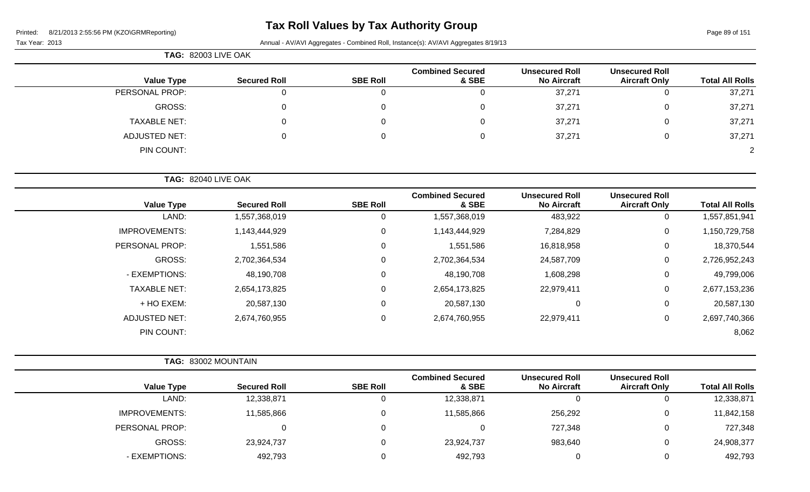# **Tax Roll Values by Tax Authority Group**

Tax Year: 2013 **Annual - AV/AVI Aggregates - Combined Roll**, Instance(s): AV/AVI Aggregates 8/19/13

| มx Year: 2013 |  |
|---------------|--|

|                     | <b>TAG: 82003 LIVE OAK</b> |                 |                                  |                                             |                                               |                        |
|---------------------|----------------------------|-----------------|----------------------------------|---------------------------------------------|-----------------------------------------------|------------------------|
| <b>Value Type</b>   | <b>Secured Roll</b>        | <b>SBE Roll</b> | <b>Combined Secured</b><br>& SBE | <b>Unsecured Roll</b><br><b>No Aircraft</b> | <b>Unsecured Roll</b><br><b>Aircraft Only</b> | <b>Total All Rolls</b> |
| PERSONAL PROP:      |                            |                 |                                  | 37,271                                      | υ                                             | 37,271                 |
| GROSS:              |                            |                 |                                  | 37,271                                      | 0                                             | 37,271                 |
| <b>TAXABLE NET:</b> |                            |                 | 0                                | 37,271                                      | 0                                             | 37,271                 |
| ADJUSTED NET:       |                            |                 | 0                                | 37,271                                      | 0                                             | 37,271                 |
| PIN COUNT:          |                            |                 |                                  |                                             |                                               | 2                      |

**TAG:** 82040 LIVE OAK

| <b>Value Type</b>    | <b>Secured Roll</b> | <b>SBE Roll</b> | <b>Combined Secured</b><br>& SBE | <b>Unsecured Roll</b><br><b>No Aircraft</b> | <b>Unsecured Roll</b><br><b>Aircraft Only</b> | <b>Total All Rolls</b> |
|----------------------|---------------------|-----------------|----------------------------------|---------------------------------------------|-----------------------------------------------|------------------------|
| LAND:                | 1,557,368,019       | 0               | 1,557,368,019                    | 483,922                                     | 0                                             | 1,557,851,941          |
| <b>IMPROVEMENTS:</b> | 1,143,444,929       | $\mathbf 0$     | 1,143,444,929                    | 7,284,829                                   | $\mathbf 0$                                   | 1,150,729,758          |
| PERSONAL PROP:       | 1,551,586           | $\mathbf 0$     | 1,551,586                        | 16,818,958                                  | $\mathbf 0$                                   | 18,370,544             |
| GROSS:               | 2,702,364,534       | 0               | 2,702,364,534                    | 24,587,709                                  | $\mathbf 0$                                   | 2,726,952,243          |
| - EXEMPTIONS:        | 48,190,708          | $\mathbf 0$     | 48,190,708                       | 1,608,298                                   | $\pmb{0}$                                     | 49,799,006             |
| <b>TAXABLE NET:</b>  | 2,654,173,825       | 0               | 2,654,173,825                    | 22,979,411                                  | $\mathbf 0$                                   | 2,677,153,236          |
| + HO EXEM:           | 20,587,130          | $\mathbf 0$     | 20,587,130                       | $\mathbf 0$                                 | $\mathbf 0$                                   | 20,587,130             |
| <b>ADJUSTED NET:</b> | 2,674,760,955       | 0               | 2,674,760,955                    | 22,979,411                                  | 0                                             | 2,697,740,366          |
| PIN COUNT:           |                     |                 |                                  |                                             |                                               | 8,062                  |

|                      | <b>TAG: 83002 MOUNTAIN</b> |                 |                                  |                                             |                                               |                        |
|----------------------|----------------------------|-----------------|----------------------------------|---------------------------------------------|-----------------------------------------------|------------------------|
| <b>Value Type</b>    | <b>Secured Roll</b>        | <b>SBE Roll</b> | <b>Combined Secured</b><br>& SBE | <b>Unsecured Roll</b><br><b>No Aircraft</b> | <b>Unsecured Roll</b><br><b>Aircraft Only</b> | <b>Total All Rolls</b> |
| LAND:                | 12,338,871                 |                 | 12,338,871                       | v                                           | U                                             | 12,338,871             |
| <b>IMPROVEMENTS:</b> | 11,585,866                 |                 | 11,585,866                       | 256,292                                     | 0                                             | 11,842,158             |
| PERSONAL PROP:       |                            |                 |                                  | 727,348                                     | 0                                             | 727,348                |
| GROSS:               | 23,924,737                 |                 | 23,924,737                       | 983,640                                     | 0                                             | 24,908,377             |
| - EXEMPTIONS:        | 492,793                    |                 | 492,793                          |                                             | 0                                             | 492,793                |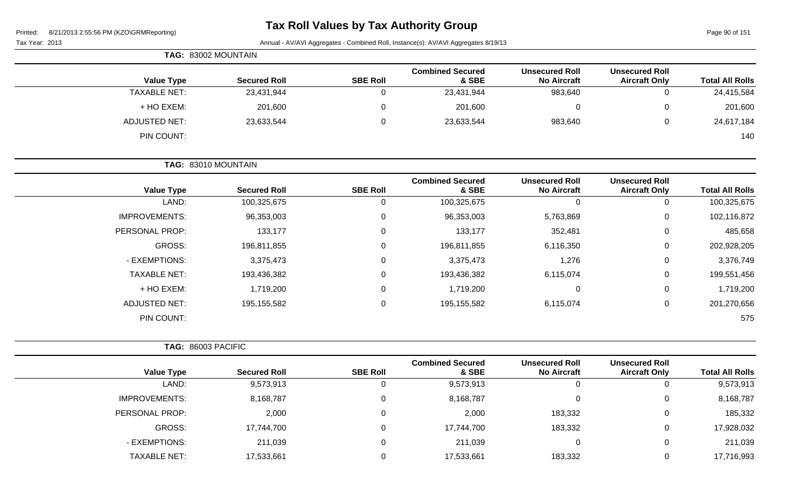# **Tax Roll Values by Tax Authority Group**

Page 90 of 151

Tax Year: 2013 Annual - AV/AVI Aggregates - Combined Roll, Instance(s): AV/AVI Aggregates 8/19/13

|                        |                                               |                                             |                                  |                 | TAG: 83002 MOUNTAIN |                      |
|------------------------|-----------------------------------------------|---------------------------------------------|----------------------------------|-----------------|---------------------|----------------------|
| <b>Total All Rolls</b> | <b>Unsecured Roll</b><br><b>Aircraft Only</b> | <b>Unsecured Roll</b><br><b>No Aircraft</b> | <b>Combined Secured</b><br>& SBE | <b>SBE Roll</b> | <b>Secured Roll</b> | <b>Value Type</b>    |
| 24,415,584             | $\mathbf 0$                                   | 983,640                                     | 23,431,944                       | 0               | 23,431,944          | <b>TAXABLE NET:</b>  |
| 201,600                | $\pmb{0}$                                     | $\mathbf 0$                                 | 201,600                          | $\mathbf 0$     | 201,600             | + HO EXEM:           |
| 24,617,184             | $\mathbf 0$                                   | 983,640                                     | 23,633,544                       | 0               | 23,633,544          | <b>ADJUSTED NET:</b> |
| 140                    |                                               |                                             |                                  |                 |                     | PIN COUNT:           |
|                        |                                               |                                             |                                  |                 | TAG: 83010 MOUNTAIN |                      |
| <b>Total All Rolls</b> | <b>Unsecured Roll</b><br><b>Aircraft Only</b> | <b>Unsecured Roll</b><br><b>No Aircraft</b> | <b>Combined Secured</b><br>& SBE | <b>SBE Roll</b> | <b>Secured Roll</b> | <b>Value Type</b>    |
| 100,325,675            | 0                                             | $\Omega$                                    | 100,325,675                      | 0               | 100,325,675         | LAND:                |
| 102,116,872            | $\mathbf 0$                                   | 5,763,869                                   | 96,353,003                       | 0               | 96,353,003          | <b>IMPROVEMENTS:</b> |
| 485,658                | 0                                             | 352,481                                     | 133,177                          | 0               | 133,177             | PERSONAL PROP:       |
| 202,928,205            | $\mathbf 0$                                   | 6,116,350                                   | 196,811,855                      | 0               | 196,811,855         | GROSS:               |
| 3,376,749              | 0                                             | 1,276                                       | 3,375,473                        | 0               | 3,375,473           | - EXEMPTIONS:        |

| <b>Value Type</b>  | <b>Secured Roll</b> | <b>SBE Roll</b> | <b>Combined Secured</b><br>& SBE | <b>Unsecured Roll</b><br><b>No Aircraft</b> | <b>Unsecured Roll</b><br><b>Aircraft Only</b> | <b>Total All Rolls</b> |
|--------------------|---------------------|-----------------|----------------------------------|---------------------------------------------|-----------------------------------------------|------------------------|
| TAG: 86003 PACIFIC |                     |                 |                                  |                                             |                                               |                        |
| PIN COUNT:         |                     |                 |                                  |                                             |                                               | 575                    |
| ADJUSTED NET:      | 195,155,582         |                 | 195,155,582                      | 6,115,074                                   |                                               | 201,270,656            |
| + HO EXEM:         | 1,719,200           | v               | 1,719,200                        | u                                           | 0                                             | 1,719,200              |
|                    |                     |                 |                                  |                                             |                                               |                        |

TAXABLE NET: 193,436,382 0 193,436,382 6,115,074 0 199,551,456

| <b>Value Type</b>    | <b>Secured Roll</b> | <b>SBE Roll</b> | oompnee occaree<br>& SBE | <b>UNUVUUVU IVUU</b><br><b>No Aircraft</b> | <u>UNUUUN UU NUM</u><br><b>Aircraft Only</b> | <b>Total All Rolls</b> |
|----------------------|---------------------|-----------------|--------------------------|--------------------------------------------|----------------------------------------------|------------------------|
| LAND:                | 9,573,913           |                 | 9,573,913                | 0                                          |                                              | 9,573,913              |
| <b>IMPROVEMENTS:</b> | 8,168,787           | 0               | 8,168,787                |                                            | 0                                            | 8,168,787              |
| PERSONAL PROP:       | 2,000               |                 | 2,000                    | 183,332                                    |                                              | 185,332                |
| GROSS:               | 17,744,700          |                 | 17,744,700               | 183,332                                    | $\Omega$                                     | 17,928,032             |
| - EXEMPTIONS:        | 211,039             |                 | 211,039                  |                                            | 0                                            | 211,039                |
| <b>TAXABLE NET:</b>  | 17,533,661          |                 | 17,533,661               | 183,332                                    | O                                            | 17,716,993             |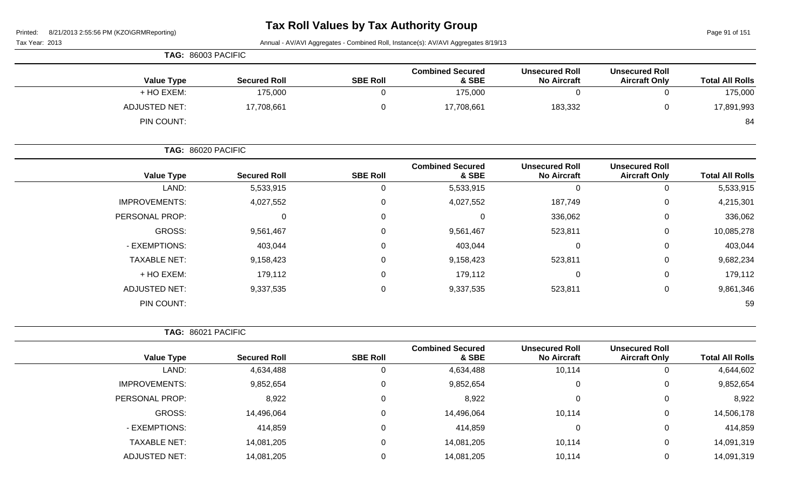# **Tax Roll Values by Tax Authority Group**

Page 91 of 151

| Tax Year: 2013 |  |
|----------------|--|
|----------------|--|

Annual - AV/AVI Aggregates - Combined Roll, Instance(s): AV/AVI Aggregates 8/19/13

|                        |                                               | TAG: 86003 PACIFIC                          |                                  |                 |                     |                                    |  |
|------------------------|-----------------------------------------------|---------------------------------------------|----------------------------------|-----------------|---------------------|------------------------------------|--|
| <b>Total All Rolls</b> | <b>Unsecured Roll</b><br><b>Aircraft Only</b> | <b>Unsecured Roll</b><br><b>No Aircraft</b> | <b>Combined Secured</b><br>& SBE | <b>SBE Roll</b> | <b>Secured Roll</b> | <b>Value Type</b>                  |  |
| 175,000                |                                               |                                             | 175,000                          |                 | 175,000             | + HO EXEM:                         |  |
| 17,891,993<br>84       |                                               | 183,332                                     | 17,708,661                       |                 | 17,708,661          | <b>ADJUSTED NET:</b><br>PIN COUNT: |  |
|                        |                                               |                                             |                                  |                 |                     |                                    |  |

|                      | TAG: 86020 PACIFIC  |                 |                                  |                                             |                                               |                        |
|----------------------|---------------------|-----------------|----------------------------------|---------------------------------------------|-----------------------------------------------|------------------------|
| <b>Value Type</b>    | <b>Secured Roll</b> | <b>SBE Roll</b> | <b>Combined Secured</b><br>& SBE | <b>Unsecured Roll</b><br><b>No Aircraft</b> | <b>Unsecured Roll</b><br><b>Aircraft Only</b> | <b>Total All Rolls</b> |
| LAND:                | 5,533,915           | 0               | 5,533,915                        | 0                                           | 0                                             | 5,533,915              |
| <b>IMPROVEMENTS:</b> | 4,027,552           | $\overline{0}$  | 4,027,552                        | 187,749                                     | 0                                             | 4,215,301              |
| PERSONAL PROP:       | $\mathbf 0$         | $\overline{0}$  |                                  | 336,062                                     | 0                                             | 336,062                |
| GROSS:               | 9,561,467           | $\mathbf 0$     | 9,561,467                        | 523,811                                     | 0                                             | 10,085,278             |
| - EXEMPTIONS:        | 403,044             | $\overline{0}$  | 403,044                          | 0                                           | 0                                             | 403,044                |
| <b>TAXABLE NET:</b>  | 9,158,423           | $\overline{0}$  | 9,158,423                        | 523,811                                     | 0                                             | 9,682,234              |
| + HO EXEM:           | 179,112             | $\mathbf 0$     | 179,112                          | 0                                           | 0                                             | 179,112                |
| <b>ADJUSTED NET:</b> | 9,337,535           | $\mathbf 0$     | 9,337,535                        | 523,811                                     | 0                                             | 9,861,346              |
| PIN COUNT:           |                     |                 |                                  |                                             |                                               | 59                     |

**TAG:** 86021 PACIFIC

| <b>Total All Rolls</b> | <b>Unsecured Roll</b><br><b>Aircraft Only</b> | <b>Unsecured Roll</b><br><b>No Aircraft</b> | <b>Combined Secured</b><br>& SBE | <b>SBE Roll</b> | <b>Secured Roll</b> | <b>Value Type</b>    |
|------------------------|-----------------------------------------------|---------------------------------------------|----------------------------------|-----------------|---------------------|----------------------|
| 4,644,602              | ◡                                             | 10,114                                      | 4,634,488                        | υ               | 4,634,488           | LAND:                |
| 9,852,654              | 0                                             |                                             | 9,852,654                        | 0               | 9,852,654           | <b>IMPROVEMENTS:</b> |
| 8,922                  | 0                                             |                                             | 8,922                            | 0               | 8,922               | PERSONAL PROP:       |
| 14,506,178             | 0                                             | 10,114                                      | 14,496,064                       | 0               | 14,496,064          | GROSS:               |
| 414,859                | 0                                             |                                             | 414,859                          | 0               | 414,859             | - EXEMPTIONS:        |
| 14,091,319             | 0                                             | 10,114                                      | 14,081,205                       | 0               | 14,081,205          | <b>TAXABLE NET:</b>  |
| 14,091,319             | 0                                             | 10,114                                      | 14,081,205                       | 0               | 14,081,205          | ADJUSTED NET:        |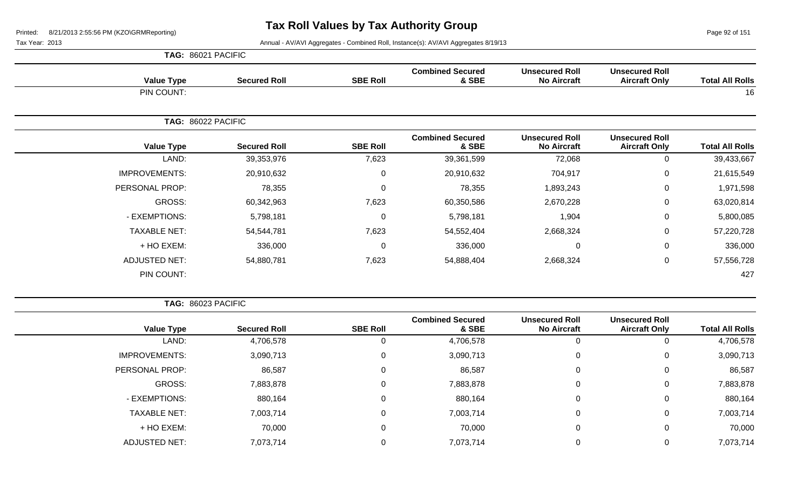Page 92 of 151

Tax Year: 2013 **Annual - AV/AVI Aggregates - Combined Roll**, Instance(s): AV/AVI Aggregates 8/19/13

| <b>Total All Rolls</b> | <b>Unsecured Roll</b><br><b>Aircraft Only</b> | <b>Unsecured Roll</b><br><b>No Aircraft</b> | <b>Combined Secured</b><br>& SBE | <b>SBE Roll</b> | <b>Secured Roll</b> | <b>Value Type</b>    |
|------------------------|-----------------------------------------------|---------------------------------------------|----------------------------------|-----------------|---------------------|----------------------|
| 16                     |                                               |                                             |                                  |                 |                     | PIN COUNT:           |
|                        |                                               |                                             |                                  |                 |                     | TAG: 86022 PACIFIC   |
| <b>Total All Rolls</b> | <b>Unsecured Roll</b><br><b>Aircraft Only</b> | <b>Unsecured Roll</b><br><b>No Aircraft</b> | <b>Combined Secured</b><br>& SBE | <b>SBE Roll</b> | <b>Secured Roll</b> | <b>Value Type</b>    |
| 39,433,667             | 0                                             | 72,068                                      | 39,361,599                       | 7,623           | 39,353,976          | LAND:                |
| 21,615,549             | 0                                             | 704,917                                     | 20,910,632                       | 0               | 20,910,632          | <b>IMPROVEMENTS:</b> |
| 1,971,598              | 0                                             | 1,893,243                                   | 78,355                           | 0               | 78,355              | PERSONAL PROP:       |
| 63,020,814             | 0                                             | 2,670,228                                   | 60,350,586                       | 7,623           | 60,342,963          | GROSS:               |
| 5,800,085              | 0                                             | 1,904                                       | 5,798,181                        | 0               | 5,798,181           | - EXEMPTIONS:        |
| 57,220,728             | 0                                             | 2,668,324                                   | 54,552,404                       | 7,623           | 54,544,781          | <b>TAXABLE NET:</b>  |
| 336,000                | 0                                             | $\mathbf 0$                                 | 336,000                          | 0               | 336,000             | + HO EXEM:           |
| 57,556,728             | 0                                             | 2,668,324                                   | 54,888,404                       | 7,623           | 54,880,781          | <b>ADJUSTED NET:</b> |
| 427                    |                                               |                                             |                                  |                 |                     | PIN COUNT:           |

**TAG:** 86023 PACIFIC

| <b>Value Type</b>    | <b>Secured Roll</b> | <b>SBE Roll</b> | <b>Combined Secured</b><br>& SBE | <b>Unsecured Roll</b><br><b>No Aircraft</b> | <b>Unsecured Roll</b><br><b>Aircraft Only</b> | <b>Total All Rolls</b> |
|----------------------|---------------------|-----------------|----------------------------------|---------------------------------------------|-----------------------------------------------|------------------------|
| LAND:                | 4,706,578           |                 | 4,706,578                        |                                             | 0                                             | 4,706,578              |
| <b>IMPROVEMENTS:</b> | 3,090,713           | 0               | 3,090,713                        | 0                                           | 0                                             | 3,090,713              |
| PERSONAL PROP:       | 86,587              | 0               | 86,587                           | $\mathbf 0$                                 | 0                                             | 86,587                 |
| GROSS:               | 7,883,878           | 0               | 7,883,878                        | $\mathbf 0$                                 | $\mathbf 0$                                   | 7,883,878              |
| - EXEMPTIONS:        | 880,164             | $\Omega$        | 880,164                          | $\mathbf 0$                                 | $\mathbf 0$                                   | 880,164                |
| <b>TAXABLE NET:</b>  | 7,003,714           | $\Omega$        | 7,003,714                        | $\mathbf 0$                                 | 0                                             | 7,003,714              |
| + HO EXEM:           | 70,000              | 0               | 70,000                           | $\mathbf 0$                                 | $\mathbf 0$                                   | 70,000                 |
| <b>ADJUSTED NET:</b> | 7,073,714           |                 | 7,073,714                        | $\Omega$                                    | 0                                             | 7,073,714              |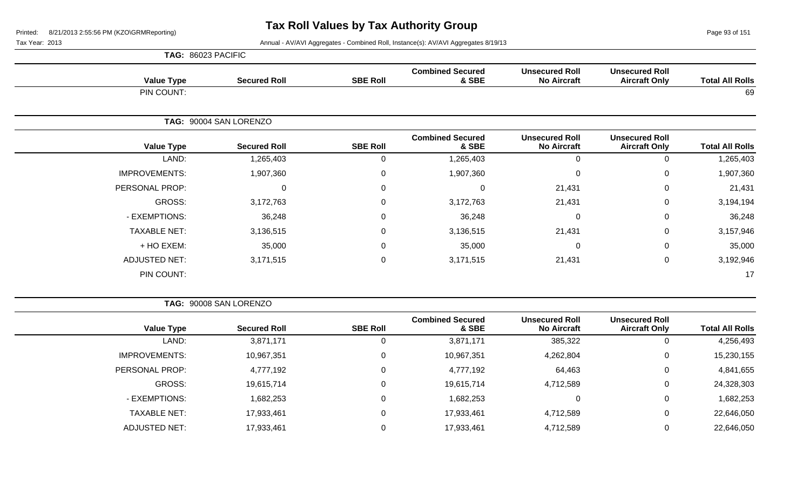Page 93 of 151

| TAG: 86023 PACIFIC |
|--------------------|
|                    |

| <b>Value Type</b>    | <b>Secured Roll</b>    | <b>SBE Roll</b> | <b>Combined Secured</b><br>& SBE | <b>Unsecured Roll</b><br><b>No Aircraft</b> | <b>Unsecured Roll</b><br><b>Aircraft Only</b> | <b>Total All Rolls</b> |
|----------------------|------------------------|-----------------|----------------------------------|---------------------------------------------|-----------------------------------------------|------------------------|
| PIN COUNT:           |                        |                 |                                  |                                             |                                               | 69                     |
|                      | TAG: 90004 SAN LORENZO |                 |                                  |                                             |                                               |                        |
| <b>Value Type</b>    | <b>Secured Roll</b>    | <b>SBE Roll</b> | <b>Combined Secured</b><br>& SBE | <b>Unsecured Roll</b><br><b>No Aircraft</b> | <b>Unsecured Roll</b><br><b>Aircraft Only</b> | <b>Total All Rolls</b> |
| LAND:                | 1,265,403              | 0               | 1,265,403                        | 0                                           | 0                                             | 1,265,403              |
| <b>IMPROVEMENTS:</b> | 1,907,360              | 0               | 1,907,360                        | $\mathbf 0$                                 | $\mathbf 0$                                   | 1,907,360              |
| PERSONAL PROP:       | 0                      | 0               | $\Omega$                         | 21,431                                      | 0                                             | 21,431                 |
| GROSS:               | 3,172,763              | 0               | 3,172,763                        | 21,431                                      | 0                                             | 3,194,194              |
| - EXEMPTIONS:        | 36,248                 | 0               | 36,248                           | 0                                           | 0                                             | 36,248                 |
| <b>TAXABLE NET:</b>  | 3,136,515              | 0               | 3,136,515                        | 21,431                                      | 0                                             | 3,157,946              |
| + HO EXEM:           | 35,000                 | 0               | 35,000                           | 0                                           | 0                                             | 35,000                 |
| <b>ADJUSTED NET:</b> | 3,171,515              | $\mathbf 0$     | 3,171,515                        | 21,431                                      | $\pmb{0}$                                     | 3,192,946              |
| PIN COUNT:           |                        |                 |                                  |                                             |                                               | 17                     |

|                      | TAG: 90008 SAN LORENZO |                 |                                  |                                             |                                               |                        |
|----------------------|------------------------|-----------------|----------------------------------|---------------------------------------------|-----------------------------------------------|------------------------|
| <b>Value Type</b>    | <b>Secured Roll</b>    | <b>SBE Roll</b> | <b>Combined Secured</b><br>& SBE | <b>Unsecured Roll</b><br><b>No Aircraft</b> | <b>Unsecured Roll</b><br><b>Aircraft Only</b> | <b>Total All Rolls</b> |
| LAND:                | 3,871,171              | O               | 3,871,171                        | 385,322                                     |                                               | 4,256,493              |
| <b>IMPROVEMENTS:</b> | 10,967,351             | 0               | 10,967,351                       | 4,262,804                                   | 0                                             | 15,230,155             |
| PERSONAL PROP:       | 4,777,192              | $\Omega$        | 4,777,192                        | 64,463                                      | 0                                             | 4,841,655              |
| GROSS:               | 19,615,714             | $\Omega$        | 19,615,714                       | 4,712,589                                   | 0                                             | 24,328,303             |
| - EXEMPTIONS:        | 1,682,253              | $\Omega$        | 1,682,253                        | $\Omega$                                    | $\Omega$                                      | 1,682,253              |
| <b>TAXABLE NET:</b>  | 17,933,461             | $\Omega$        | 17,933,461                       | 4,712,589                                   | 0                                             | 22,646,050             |
| <b>ADJUSTED NET:</b> | 17,933,461             | 0               | 17,933,461                       | 4,712,589                                   |                                               | 22,646,050             |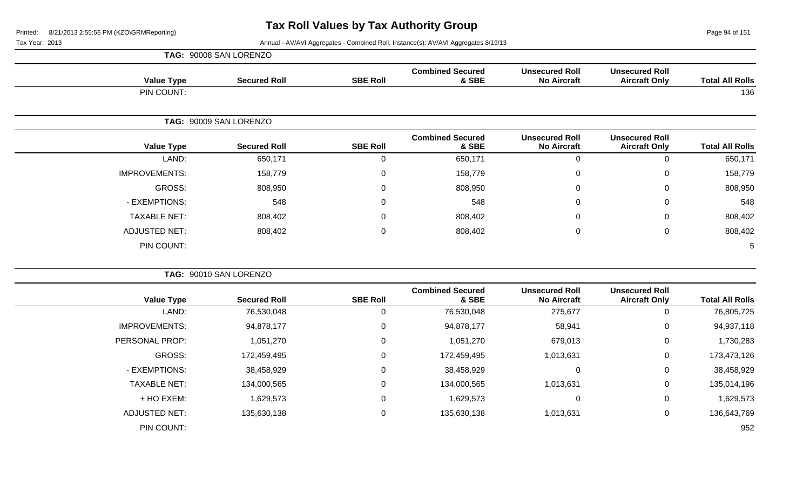Page 94 of 151

Tax Year: 2013 Annual - AV/AVI Aggregates - Combined Roll, Instance(s): AV/AVI Aggregates 8/19/13

|                        |                                               |                                             |                                  |                 | TAG: 90008 SAN LORENZO |                      |
|------------------------|-----------------------------------------------|---------------------------------------------|----------------------------------|-----------------|------------------------|----------------------|
| <b>Total All Rolls</b> | <b>Unsecured Roll</b><br><b>Aircraft Only</b> | <b>Unsecured Roll</b><br><b>No Aircraft</b> | <b>Combined Secured</b><br>& SBE | <b>SBE Roll</b> | <b>Secured Roll</b>    | <b>Value Type</b>    |
| 136                    |                                               |                                             |                                  |                 |                        | PIN COUNT:           |
|                        |                                               |                                             |                                  |                 | TAG: 90009 SAN LORENZO |                      |
| <b>Total All Rolls</b> | <b>Unsecured Roll</b><br><b>Aircraft Only</b> | <b>Unsecured Roll</b><br><b>No Aircraft</b> | <b>Combined Secured</b><br>& SBE | <b>SBE Roll</b> | <b>Secured Roll</b>    | <b>Value Type</b>    |
| 650,171                | $\pmb{0}$                                     | $\mathbf 0$                                 | 650,171                          | 0               | 650,171                | LAND:                |
| 158,779                | $\mathbf 0$                                   | $\mathbf 0$                                 | 158,779                          | 0               | 158,779                | <b>IMPROVEMENTS:</b> |
| 808,950                | $\mathsf 0$                                   | 0                                           | 808,950                          | $\mathbf 0$     | 808,950                | GROSS:               |
| 548                    | $\mathbf 0$                                   | $\Omega$                                    | 548                              | $\mathbf 0$     | 548                    | - EXEMPTIONS:        |
| 808,402                | $\mathbf 0$                                   | 0                                           | 808,402                          | 0               | 808,402                | <b>TAXABLE NET:</b>  |
| 808,402                | $\mathsf 0$                                   | $\mathbf 0$                                 | 808,402                          | 0               | 808,402                | <b>ADJUSTED NET:</b> |
| 5                      |                                               |                                             |                                  |                 |                        | PIN COUNT:           |
|                        |                                               |                                             |                                  |                 | TAG: 90010 SAN LORENZO |                      |
| <b>Total All Rolls</b> | <b>Unsecured Roll</b><br><b>Aircraft Only</b> | <b>Unsecured Roll</b><br><b>No Aircraft</b> | <b>Combined Secured</b><br>& SBE | <b>SBE Roll</b> | <b>Secured Roll</b>    | <b>Value Type</b>    |
| 76,805,725             | $\mathbf 0$                                   | 275,677                                     | 76,530,048                       | 0               | 76,530,048             | LAND:                |
| 94,937,118             | $\Omega$                                      | 58,941                                      | 94,878,177                       | 0               | 94,878,177             | <b>IMPROVEMENTS:</b> |
| 1,730,283              | 0                                             | 679,013                                     | 1,051,270                        | 0               | 1,051,270              | PERSONAL PROP:       |
| 173,473,126            | $\mathbf 0$                                   | 1,013,631                                   | 172,459,495                      | 0               | 172,459,495            | <b>GROSS:</b>        |
| 38,458,929             | $\mathsf 0$                                   | $\overline{0}$                              | 38,458,929                       | 0               | 38,458,929             | - EXEMPTIONS:        |
| 135,014,196            | 0                                             | 1,013,631                                   | 134,000,565                      | 0               | 134,000,565            | <b>TAXABLE NET:</b>  |
|                        |                                               |                                             |                                  |                 |                        |                      |

+ HO EXEM: 1,629,573 0 1,629,573 0 0 1,629,573

ADJUSTED NET: 135,630,138 0 135,630,138 1,013,631 0 136,643,769

PIN COUNT: 952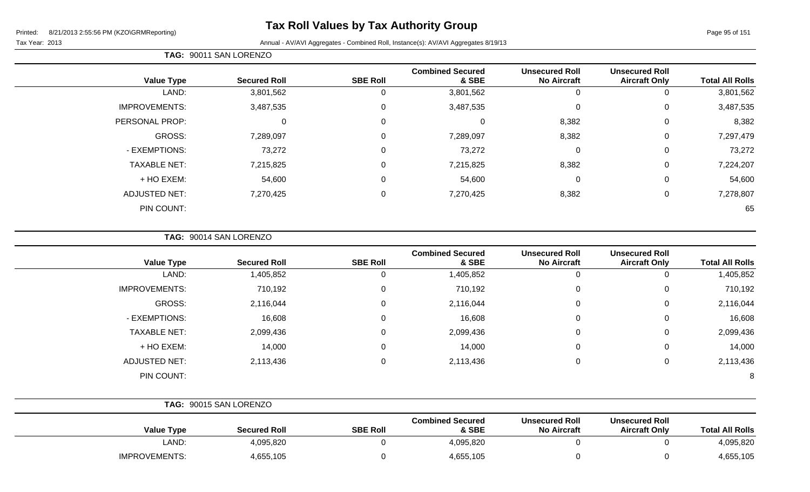# **Tax Roll Values by Tax Authority Group**

Tax Year: 2013 **Annual - AV/AVI Aggregates - Combined Roll**, Instance(s): AV/AVI Aggregates 8/19/13

| <b>Total All Rolls</b> | <b>Unsecured Roll</b><br><b>Aircraft Only</b> | <b>Unsecured Roll</b><br><b>No Aircraft</b> | <b>Combined Secured</b><br>& SBE | <b>SBE Roll</b> | <b>Secured Roll</b> | <b>Value Type</b>    |
|------------------------|-----------------------------------------------|---------------------------------------------|----------------------------------|-----------------|---------------------|----------------------|
| 3,801,562              | 0                                             | υ                                           | 3,801,562                        | 0               | 3,801,562           | LAND:                |
| 3,487,535              | 0                                             | 0                                           | 3,487,535                        | 0               | 3,487,535           | <b>IMPROVEMENTS:</b> |
| 8,382                  | 0                                             | 8,382                                       | 0                                | 0               | 0                   | PERSONAL PROP:       |
| 7,297,479              | 0                                             | 8,382                                       | 7,289,097                        | 0               | 7,289,097           | GROSS:               |
| 73,272                 | 0                                             | 0                                           | 73,272                           | 0               | 73,272              | - EXEMPTIONS:        |
| 7,224,207              | 0                                             | 8,382                                       | 7,215,825                        | 0               | 7,215,825           | <b>TAXABLE NET:</b>  |
| 54,600                 | 0                                             | 0                                           | 54,600                           | 0               | 54,600              | + HO EXEM:           |
| 7,278,807              | 0                                             | 8,382                                       | 7,270,425                        | 0               | 7,270,425           | <b>ADJUSTED NET:</b> |
| 65                     |                                               |                                             |                                  |                 |                     | PIN COUNT:           |

**TAG:** 90014 SAN LORENZO

**TAG:** 90011 SAN LORENZO

| <b>Value Type</b>    | <b>Secured Roll</b> | <b>SBE Roll</b> | <b>Combined Secured</b><br>& SBE | <b>Unsecured Roll</b><br><b>No Aircraft</b> | <b>Unsecured Roll</b><br><b>Aircraft Only</b> | <b>Total All Rolls</b> |
|----------------------|---------------------|-----------------|----------------------------------|---------------------------------------------|-----------------------------------------------|------------------------|
| LAND:                | 1,405,852           | 0               | 1,405,852                        | 0                                           |                                               | 1,405,852              |
| <b>IMPROVEMENTS:</b> | 710,192             | 0               | 710,192                          | 0                                           | 0                                             | 710,192                |
| GROSS:               | 2,116,044           | $\mathbf 0$     | 2,116,044                        | $\mathbf 0$                                 | 0                                             | 2,116,044              |
| - EXEMPTIONS:        | 16,608              | 0               | 16,608                           | $\mathbf 0$                                 | 0                                             | 16,608                 |
| <b>TAXABLE NET:</b>  | 2,099,436           | 0               | 2,099,436                        | $\mathbf 0$                                 | 0                                             | 2,099,436              |
| + HO EXEM:           | 14,000              | $\mathbf 0$     | 14,000                           | $\mathbf 0$                                 | 0                                             | 14,000                 |
| <b>ADJUSTED NET:</b> | 2,113,436           | 0               | 2,113,436                        | $\mathbf 0$                                 | 0                                             | 2,113,436              |
| PIN COUNT:           |                     |                 |                                  |                                             |                                               | 8                      |

|                      | TAG: 90015 SAN LORENZO |                 |                                  |                                             |                                               |                        |
|----------------------|------------------------|-----------------|----------------------------------|---------------------------------------------|-----------------------------------------------|------------------------|
| <b>Value Type</b>    | <b>Secured Roll</b>    | <b>SBE Roll</b> | <b>Combined Secured</b><br>& SBE | <b>Unsecured Roll</b><br><b>No Aircraft</b> | <b>Unsecured Roll</b><br><b>Aircraft Only</b> | <b>Total All Rolls</b> |
| LAND:                | 4,095,820              |                 | 4,095,820                        |                                             |                                               | 4,095,820              |
| <b>IMPROVEMENTS:</b> | 4,655,105              |                 | 4,655,105                        |                                             |                                               | 4,655,105              |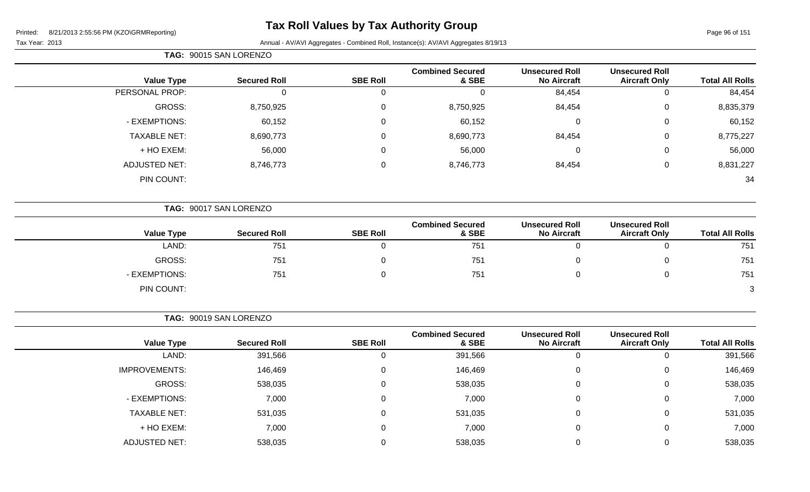#### Printed: 8/2

#### **Tax Roll Values by Tax Authority Group**

| Printed:       | 8/21/2013 2:55:56 PM (KZO\GRMReporting) |                        | $\sim$          |                                                                                    |                                             |                                               | Page 96 of 151         |
|----------------|-----------------------------------------|------------------------|-----------------|------------------------------------------------------------------------------------|---------------------------------------------|-----------------------------------------------|------------------------|
| Tax Year: 2013 |                                         |                        |                 | Annual - AV/AVI Aggregates - Combined Roll, Instance(s): AV/AVI Aggregates 8/19/13 |                                             |                                               |                        |
|                |                                         | TAG: 90015 SAN LORENZO |                 |                                                                                    |                                             |                                               |                        |
|                | <b>Value Type</b>                       | <b>Secured Roll</b>    | <b>SBE Roll</b> | <b>Combined Secured</b><br>& SBE                                                   | <b>Unsecured Roll</b><br><b>No Aircraft</b> | <b>Unsecured Roll</b><br><b>Aircraft Only</b> | <b>Total All Rolls</b> |
|                | PERSONAL PROP:                          | 0                      | 0               | 0                                                                                  | 84,454                                      | 0                                             | 84,454                 |
|                | GROSS:                                  | 8,750,925              | 0               | 8,750,925                                                                          | 84,454                                      | $\mathbf 0$                                   | 8,835,379              |
|                | - EXEMPTIONS:                           | 60,152                 | 0               | 60,152                                                                             | 0                                           | 0                                             | 60,152                 |
|                | <b>TAXABLE NET:</b>                     | 8,690,773              | 0               | 8,690,773                                                                          | 84,454                                      | 0                                             | 8,775,227              |
|                | + HO EXEM:                              | 56,000                 | 0               | 56,000                                                                             | $\mathbf 0$                                 | $\mathbf 0$                                   | 56,000                 |
|                | <b>ADJUSTED NET:</b>                    | 8,746,773              | 0               | 8,746,773                                                                          | 84,454                                      | 0                                             | 8,831,227              |
|                | PIN COUNT:                              |                        |                 |                                                                                    |                                             |                                               | 34                     |
|                |                                         |                        |                 |                                                                                    |                                             |                                               |                        |
|                |                                         | TAG: 90017 SAN LORENZO |                 |                                                                                    |                                             |                                               |                        |

| <b>Value Type</b> | <b>Secured Roll</b> | <b>SBE Roll</b> | <b>Combined Secured</b><br>& SBE | <b>Unsecured Roll</b><br><b>No Aircraft</b> | <b>Unsecured Roll</b><br><b>Aircraft Only</b> | <b>Total All Rolls</b> |
|-------------------|---------------------|-----------------|----------------------------------|---------------------------------------------|-----------------------------------------------|------------------------|
| LAND:             | 751                 |                 | 751                              |                                             |                                               | 751                    |
|                   |                     |                 |                                  |                                             |                                               |                        |
| GROSS:            | 751                 |                 | 751                              |                                             |                                               | 751                    |
| - EXEMPTIONS:     | 751                 |                 | 751                              |                                             |                                               | 751                    |
| PIN COUNT:        |                     |                 |                                  |                                             |                                               | $\mathbf{z}$           |

**TAG:** 90019 SAN LORENZO

|                      |                     |                 | <b>Combined Secured</b> | <b>Unsecured Roll</b> | <b>Unsecured Roll</b> |                        |
|----------------------|---------------------|-----------------|-------------------------|-----------------------|-----------------------|------------------------|
| <b>Value Type</b>    | <b>Secured Roll</b> | <b>SBE Roll</b> | & SBE                   | <b>No Aircraft</b>    | <b>Aircraft Only</b>  | <b>Total All Rolls</b> |
| LAND:                | 391,566             | υ               | 391,566                 | υ                     |                       | 391,566                |
| <b>IMPROVEMENTS:</b> | 146,469             | U               | 146,469                 | 0                     |                       | 146,469                |
| GROSS:               | 538,035             | U               | 538,035                 | 0                     |                       | 538,035                |
| - EXEMPTIONS:        | 7,000               | υ               | 7,000                   | 0                     |                       | 7,000                  |
| <b>TAXABLE NET:</b>  | 531,035             | 0               | 531,035                 | 0                     |                       | 531,035                |
| + HO EXEM:           | 7,000               | υ               | 7,000                   | 0                     | 0                     | 7,000                  |
| <b>ADJUSTED NET:</b> | 538,035             |                 | 538,035                 |                       |                       | 538,035                |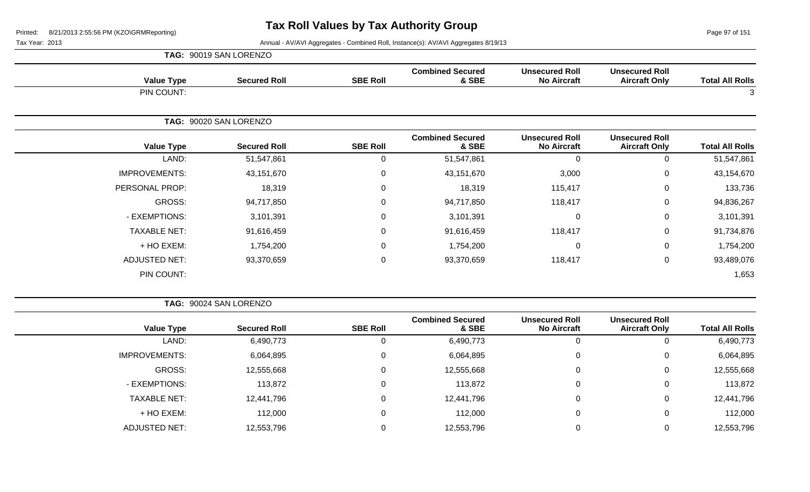Page 97 of 151

|                      | TAG: 90019 SAN LORENZO |                 |                                  |                                             |                                               |                        |
|----------------------|------------------------|-----------------|----------------------------------|---------------------------------------------|-----------------------------------------------|------------------------|
| <b>Value Type</b>    | <b>Secured Roll</b>    | <b>SBE Roll</b> | <b>Combined Secured</b><br>& SBE | <b>Unsecured Roll</b><br><b>No Aircraft</b> | <b>Unsecured Roll</b><br><b>Aircraft Only</b> | <b>Total All Rolls</b> |
| PIN COUNT:           |                        |                 |                                  |                                             |                                               | 3                      |
|                      | TAG: 90020 SAN LORENZO |                 |                                  |                                             |                                               |                        |
| <b>Value Type</b>    | <b>Secured Roll</b>    | <b>SBE Roll</b> | <b>Combined Secured</b><br>& SBE | <b>Unsecured Roll</b><br><b>No Aircraft</b> | <b>Unsecured Roll</b><br><b>Aircraft Only</b> | <b>Total All Rolls</b> |
| LAND:                | 51,547,861             | $\overline{0}$  | 51,547,861                       | $\Omega$                                    | 0                                             | 51,547,861             |
| <b>IMPROVEMENTS:</b> | 43,151,670             | $\mathbf 0$     | 43,151,670                       | 3,000                                       | 0                                             | 43,154,670             |
| PERSONAL PROP:       | 18,319                 | $\mathbf 0$     | 18,319                           | 115,417                                     | 0                                             | 133,736                |
| <b>GROSS:</b>        | 94,717,850             | $\mathbf 0$     | 94,717,850                       | 118,417                                     | 0                                             | 94,836,267             |
| - EXEMPTIONS:        | 3,101,391              | $\mathbf 0$     | 3,101,391                        | 0                                           | 0                                             | 3,101,391              |
| <b>TAXABLE NET:</b>  | 91,616,459             | $\mathbf 0$     | 91,616,459                       | 118,417                                     | $\pmb{0}$                                     | 91,734,876             |
| + HO EXEM:           | 1,754,200              | $\mathbf 0$     | 1,754,200                        | 0                                           | 0                                             | 1,754,200              |
| <b>ADJUSTED NET:</b> | 93,370,659             | $\mathbf 0$     | 93,370,659                       | 118,417                                     | 0                                             | 93,489,076             |
| PIN COUNT:           |                        |                 |                                  |                                             |                                               | 1,653                  |

|                        |                                               |                                             |                                  |                 | TAG: 90024 SAN LORENZO |                      |
|------------------------|-----------------------------------------------|---------------------------------------------|----------------------------------|-----------------|------------------------|----------------------|
| <b>Total All Rolls</b> | <b>Unsecured Roll</b><br><b>Aircraft Only</b> | <b>Unsecured Roll</b><br><b>No Aircraft</b> | <b>Combined Secured</b><br>& SBE | <b>SBE Roll</b> | <b>Secured Roll</b>    | <b>Value Type</b>    |
| 6,490,773              |                                               | U                                           | 6,490,773                        | 0               | 6,490,773              | LAND:                |
| 6,064,895              | O                                             | 0                                           | 6,064,895                        | 0               | 6,064,895              | <b>IMPROVEMENTS:</b> |
| 12,555,668             | 0                                             | 0                                           | 12,555,668                       | 0               | 12,555,668             | GROSS:               |
| 113,872                | 0                                             | 0                                           | 113,872                          | 0               | 113,872                | - EXEMPTIONS:        |
| 12,441,796             | 0                                             | 0                                           | 12,441,796                       | 0               | 12,441,796             | <b>TAXABLE NET:</b>  |
| 112,000                | 0                                             | 0                                           | 112,000                          | 0               | 112,000                | + HO EXEM:           |
| 12,553,796             |                                               |                                             | 12,553,796                       |                 | 12,553,796             | ADJUSTED NET:        |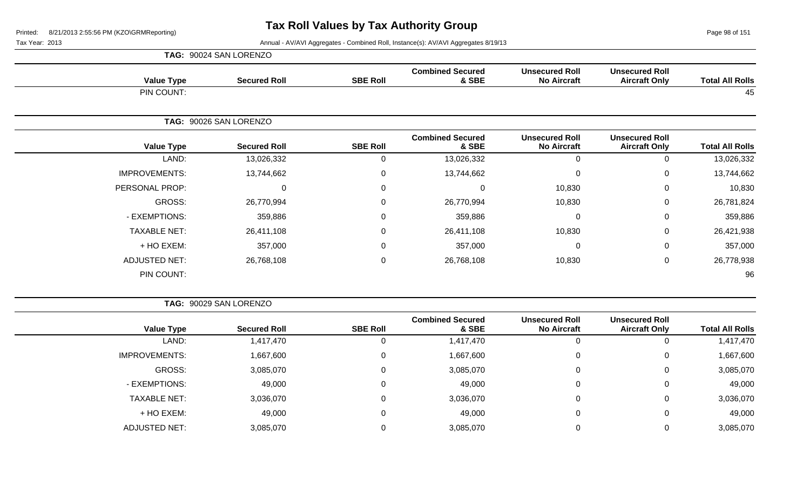Page 98 of 151

|                      | TAG: 90024 SAN LORENZO |                 |                                  |                                             |                                               |                        |
|----------------------|------------------------|-----------------|----------------------------------|---------------------------------------------|-----------------------------------------------|------------------------|
| <b>Value Type</b>    | <b>Secured Roll</b>    | <b>SBE Roll</b> | <b>Combined Secured</b><br>& SBE | <b>Unsecured Roll</b><br><b>No Aircraft</b> | <b>Unsecured Roll</b><br><b>Aircraft Only</b> | <b>Total All Rolls</b> |
| PIN COUNT:           |                        |                 |                                  |                                             |                                               | 45                     |
|                      | TAG: 90026 SAN LORENZO |                 |                                  |                                             |                                               |                        |
| <b>Value Type</b>    | <b>Secured Roll</b>    | <b>SBE Roll</b> | <b>Combined Secured</b><br>& SBE | <b>Unsecured Roll</b><br><b>No Aircraft</b> | <b>Unsecured Roll</b><br><b>Aircraft Only</b> | <b>Total All Rolls</b> |
| LAND:                | 13,026,332             | $\Omega$        | 13,026,332                       | $\mathbf 0$                                 | 0                                             | 13,026,332             |
| <b>IMPROVEMENTS:</b> | 13,744,662             | 0               | 13,744,662                       | $\mathbf 0$                                 | 0                                             | 13,744,662             |
| PERSONAL PROP:       | 0                      | 0               | $\mathbf 0$                      | 10,830                                      | 0                                             | 10,830                 |
| GROSS:               | 26,770,994             | 0               | 26,770,994                       | 10,830                                      | 0                                             | 26,781,824             |
| - EXEMPTIONS:        | 359,886                | $\Omega$        | 359,886                          | $\mathbf 0$                                 | 0                                             | 359,886                |
| <b>TAXABLE NET:</b>  | 26,411,108             | 0               | 26,411,108                       | 10,830                                      | 0                                             | 26,421,938             |
| + HO EXEM:           | 357,000                | 0               | 357,000                          | $\mathbf 0$                                 | 0                                             | 357,000                |
| <b>ADJUSTED NET:</b> | 26,768,108             | 0               | 26,768,108                       | 10,830                                      | 0                                             | 26,778,938             |
| PIN COUNT:           |                        |                 |                                  |                                             |                                               | 96                     |

| TAG: 90029 SAN LORENZO |
|------------------------|
|                        |

|                      |                     |                 | <b>Combined Secured</b> | <b>Unsecured Roll</b> | <b>Unsecured Roll</b> |                        |
|----------------------|---------------------|-----------------|-------------------------|-----------------------|-----------------------|------------------------|
| <b>Value Type</b>    | <b>Secured Roll</b> | <b>SBE Roll</b> | & SBE                   | <b>No Aircraft</b>    | <b>Aircraft Only</b>  | <b>Total All Rolls</b> |
| LAND:                | 1,417,470           | 0               | 1,417,470               |                       |                       | 1,417,470              |
| <b>IMPROVEMENTS:</b> | 1,667,600           | 0               | 1,667,600               |                       | 0                     | 1,667,600              |
| GROSS:               | 3,085,070           | 0               | 3,085,070               |                       | 0                     | 3,085,070              |
| - EXEMPTIONS:        | 49,000              | 0               | 49,000                  | 0                     | 0                     | 49,000                 |
| <b>TAXABLE NET:</b>  | 3,036,070           | 0               | 3,036,070               |                       | 0                     | 3,036,070              |
| + HO EXEM:           | 49,000              | 0               | 49,000                  |                       | 0                     | 49,000                 |
| <b>ADJUSTED NET:</b> | 3,085,070           |                 | 3,085,070               |                       |                       | 3,085,070              |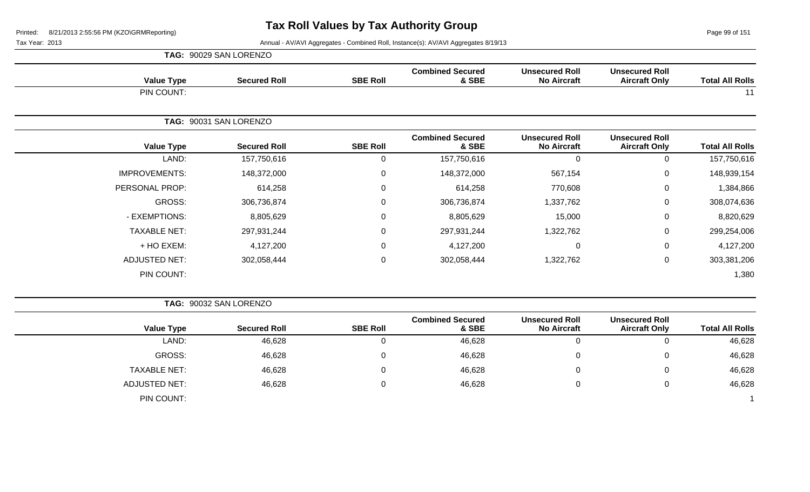Page 99 of 151

|                      | TAG: 90029 SAN LORENZO |                 |                                  |                                             |                                               |                        |
|----------------------|------------------------|-----------------|----------------------------------|---------------------------------------------|-----------------------------------------------|------------------------|
| <b>Value Type</b>    | <b>Secured Roll</b>    | <b>SBE Roll</b> | <b>Combined Secured</b><br>& SBE | <b>Unsecured Roll</b><br><b>No Aircraft</b> | <b>Unsecured Roll</b><br><b>Aircraft Only</b> | <b>Total All Rolls</b> |
| PIN COUNT:           |                        |                 |                                  |                                             |                                               | 11                     |
|                      | TAG: 90031 SAN LORENZO |                 |                                  |                                             |                                               |                        |
| <b>Value Type</b>    | <b>Secured Roll</b>    | <b>SBE Roll</b> | <b>Combined Secured</b><br>& SBE | <b>Unsecured Roll</b><br><b>No Aircraft</b> | <b>Unsecured Roll</b><br><b>Aircraft Only</b> | <b>Total All Rolls</b> |
| LAND:                | 157,750,616            | 0               | 157,750,616                      | 0                                           | $\Omega$                                      | 157,750,616            |
| <b>IMPROVEMENTS:</b> | 148,372,000            | 0               | 148,372,000                      | 567,154                                     | $\mathbf{0}$                                  | 148,939,154            |
| PERSONAL PROP:       | 614,258                | $\mathbf 0$     | 614,258                          | 770,608                                     | $\mathbf{0}$                                  | 1,384,866              |
| GROSS:               | 306,736,874            | $\mathbf 0$     | 306,736,874                      | 1,337,762                                   | $\mathbf{0}$                                  | 308,074,636            |
| - EXEMPTIONS:        | 8,805,629              | $\mathbf 0$     | 8,805,629                        | 15,000                                      | $\mathbf{0}$                                  | 8,820,629              |
| <b>TAXABLE NET:</b>  | 297,931,244            | $\mathbf 0$     | 297,931,244                      | 1,322,762                                   | $\mathbf 0$                                   | 299,254,006            |
| + HO EXEM:           | 4,127,200              | $\mathbf 0$     | 4,127,200                        | 0                                           | 0                                             | 4,127,200              |
| <b>ADJUSTED NET:</b> | 302,058,444            | $\mathbf 0$     | 302,058,444                      | 1,322,762                                   | $\mathbf{0}$                                  | 303,381,206            |
| PIN COUNT:           |                        |                 |                                  |                                             |                                               | 1,380                  |

|                      | TAG: 90032 SAN LORENZO |                 |                                  |                                             |                                               |                        |
|----------------------|------------------------|-----------------|----------------------------------|---------------------------------------------|-----------------------------------------------|------------------------|
| <b>Value Type</b>    | <b>Secured Roll</b>    | <b>SBE Roll</b> | <b>Combined Secured</b><br>& SBE | <b>Unsecured Roll</b><br><b>No Aircraft</b> | <b>Unsecured Roll</b><br><b>Aircraft Only</b> | <b>Total All Rolls</b> |
| LAND:                | 46,628                 |                 | 46,628                           |                                             |                                               | 46,628                 |
| <b>GROSS:</b>        | 46,628                 |                 | 46,628                           | J                                           | 0                                             | 46,628                 |
| <b>TAXABLE NET:</b>  | 46,628                 |                 | 46,628                           |                                             | 0                                             | 46,628                 |
| <b>ADJUSTED NET:</b> | 46,628                 |                 | 46,628                           |                                             |                                               | 46,628                 |
| PIN COUNT:           |                        |                 |                                  |                                             |                                               |                        |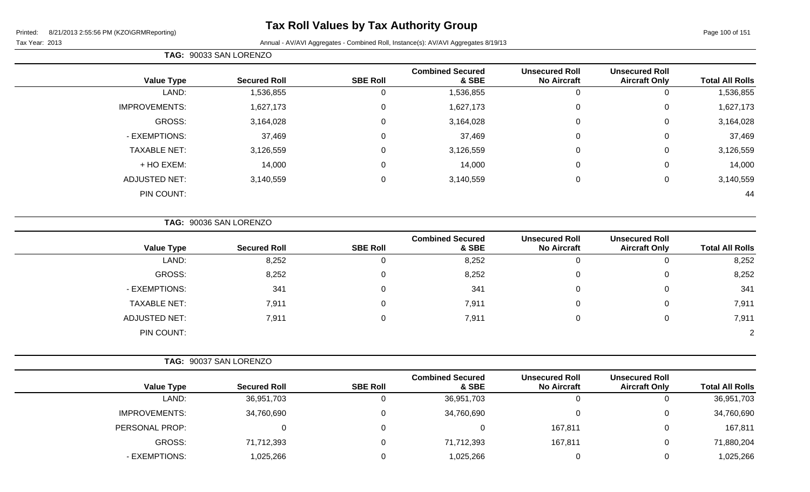#### **Tax Roll Values by Tax Authority Group**

Tax Year: 2013 Annual - AV/AVI Aggregates - Combined Roll, Instance(s): AV/AVI Aggregates 8/19/13

| Year: 2013 |  |
|------------|--|
|            |  |

#### **TAG:** 90033 SAN LORENZO **Value Type Secured Roll SBE Roll Combined Secured & SBE Unsecured Roll No Aircraft Unsecured Roll Total All Rolls** LAND: 1,536,855 0 1,536,855 0 0 1,536,855 IMPROVEMENTS: 1,627,173 0 1,627,173 0 0 1,627,173 GROSS: 3,164,028 0 3,164,028 0 0 3,164,028 - EXEMPTIONS: 37,469 0 37,469 0 0 37,469 TAXABLE NET: 3,126,559 0 3,126,559 0 0 3,126,559 + HO EXEM: 14,000 0 14,000 0 0 14,000 ADJUSTED NET: 3,140,559 0 3,140,559 0 0 3,140,559 PIN COUNT: 44

**TAG:** 90036 SAN LORENZO

| <b>Value Type</b>   | <b>Secured Roll</b> | <b>SBE Roll</b> | <b>Combined Secured</b><br>& SBE | <b>Unsecured Roll</b><br><b>No Aircraft</b> | <b>Unsecured Roll</b><br><b>Aircraft Only</b> | <b>Total All Rolls</b> |
|---------------------|---------------------|-----------------|----------------------------------|---------------------------------------------|-----------------------------------------------|------------------------|
| LAND:               | 8,252               |                 | 8,252                            | 0                                           | U                                             | 8,252                  |
| GROSS:              | 8,252               |                 | 8,252                            | 0                                           | 0                                             | 8,252                  |
| - EXEMPTIONS:       | 341                 |                 | 341                              | 0                                           | 0                                             | 341                    |
| <b>TAXABLE NET:</b> | 7,911               |                 | 7,911                            | 0                                           | 0                                             | 7,911                  |
| ADJUSTED NET:       | 7,911               |                 | 7,911                            | 0                                           | 0                                             | 7,911                  |
| PIN COUNT:          |                     |                 |                                  |                                             |                                               | $\mathbf{2}^{\circ}$   |

- EXEMPTIONS: 1,025,266 0 1,025,266 0 1,025,266

|                      | TAG: 90037 SAN LORENZO |                 |                                  |                                             |                                               |                        |
|----------------------|------------------------|-----------------|----------------------------------|---------------------------------------------|-----------------------------------------------|------------------------|
| <b>Value Type</b>    | <b>Secured Roll</b>    | <b>SBE Roll</b> | <b>Combined Secured</b><br>& SBE | <b>Unsecured Roll</b><br><b>No Aircraft</b> | <b>Unsecured Roll</b><br><b>Aircraft Only</b> | <b>Total All Rolls</b> |
| LAND:                | 36,951,703             |                 | 36,951,703                       |                                             |                                               | 36,951,703             |
| <b>IMPROVEMENTS:</b> | 34,760,690             |                 | 34,760,690                       |                                             |                                               | 34,760,690             |
| PERSONAL PROP:       |                        |                 |                                  | 167,811                                     |                                               | 167,811                |
| GROSS:               | 71,712,393             |                 | 71,712,393                       | 167,811                                     |                                               | 71,880,204             |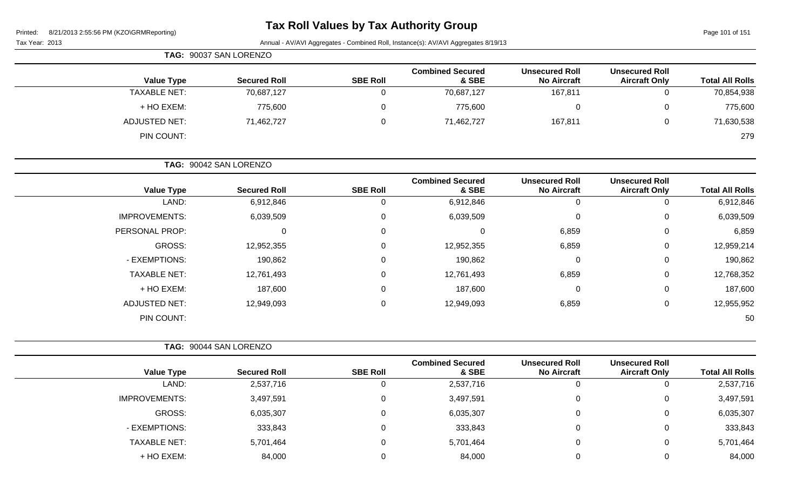# **Tax Roll Values by Tax Authority Group**

Page 101 of 151

| TAG: 90037 SAN LORENZO |                     |                 |                                  |                                             |                                               |                        |  |  |  |  |  |
|------------------------|---------------------|-----------------|----------------------------------|---------------------------------------------|-----------------------------------------------|------------------------|--|--|--|--|--|
| <b>Value Type</b>      | <b>Secured Roll</b> | <b>SBE Roll</b> | <b>Combined Secured</b><br>& SBE | <b>Unsecured Roll</b><br><b>No Aircraft</b> | <b>Unsecured Roll</b><br><b>Aircraft Only</b> | <b>Total All Rolls</b> |  |  |  |  |  |
| <b>TAXABLE NET:</b>    | 70,687,127          | U               | 70,687,127                       | 167,811                                     |                                               | 70,854,938             |  |  |  |  |  |
| + HO EXEM:             | 775,600             | 0               | 775,600                          | 0                                           |                                               | 775,600                |  |  |  |  |  |
| <b>ADJUSTED NET:</b>   | 71,462,727          | 0               | 71,462,727                       | 167,811                                     | 0                                             | 71,630,538             |  |  |  |  |  |
| PIN COUNT:             |                     |                 |                                  |                                             |                                               | 279                    |  |  |  |  |  |

|                      | TAG: 90042 SAN LORENZO |                 |                                  |                                             |                                               |                        |  |
|----------------------|------------------------|-----------------|----------------------------------|---------------------------------------------|-----------------------------------------------|------------------------|--|
| <b>Value Type</b>    | <b>Secured Roll</b>    | <b>SBE Roll</b> | <b>Combined Secured</b><br>& SBE | <b>Unsecured Roll</b><br><b>No Aircraft</b> | <b>Unsecured Roll</b><br><b>Aircraft Only</b> | <b>Total All Rolls</b> |  |
| LAND:                | 6,912,846              | 0               | 6,912,846                        | 0                                           | 0                                             | 6,912,846              |  |
| <b>IMPROVEMENTS:</b> | 6,039,509              | 0               | 6,039,509                        | 0                                           | 0                                             | 6,039,509              |  |
| PERSONAL PROP:       |                        | $\mathbf 0$     |                                  | 6,859                                       | $\mathbf 0$                                   | 6,859                  |  |
| GROSS:               | 12,952,355             | $\mathbf 0$     | 12,952,355                       | 6,859                                       | $\mathbf 0$                                   | 12,959,214             |  |
| - EXEMPTIONS:        | 190,862                | $\mathbf 0$     | 190,862                          | 0                                           | $\mathbf 0$                                   | 190,862                |  |
| <b>TAXABLE NET:</b>  | 12,761,493             | $\mathbf 0$     | 12,761,493                       | 6,859                                       | $\mathbf 0$                                   | 12,768,352             |  |
| + HO EXEM:           | 187,600                | 0               | 187,600                          | $\mathbf 0$                                 | $\mathbf 0$                                   | 187,600                |  |
| <b>ADJUSTED NET:</b> | 12,949,093             | 0               | 12,949,093                       | 6,859                                       | 0                                             | 12,955,952             |  |
| PIN COUNT:           |                        |                 |                                  |                                             |                                               | 50                     |  |

|                      | TAG: 90044 SAN LORENZO |                 |                                  |                                             |                                               |                        |  |
|----------------------|------------------------|-----------------|----------------------------------|---------------------------------------------|-----------------------------------------------|------------------------|--|
| <b>Value Type</b>    | <b>Secured Roll</b>    | <b>SBE Roll</b> | <b>Combined Secured</b><br>& SBE | <b>Unsecured Roll</b><br><b>No Aircraft</b> | <b>Unsecured Roll</b><br><b>Aircraft Only</b> | <b>Total All Rolls</b> |  |
| LAND:                | 2,537,716              |                 | 2,537,716                        |                                             | 0                                             | 2,537,716              |  |
| <b>IMPROVEMENTS:</b> | 3,497,591              |                 | 3,497,591                        |                                             | 0                                             | 3,497,591              |  |
| GROSS:               | 6,035,307              |                 | 6,035,307                        |                                             | 0                                             | 6,035,307              |  |
| - EXEMPTIONS:        | 333,843                |                 | 333,843                          |                                             | 0                                             | 333,843                |  |
| <b>TAXABLE NET:</b>  | 5,701,464              |                 | 5,701,464                        |                                             | 0                                             | 5,701,464              |  |
| + HO EXEM:           | 84,000                 |                 | 84,000                           |                                             | 0                                             | 84,000                 |  |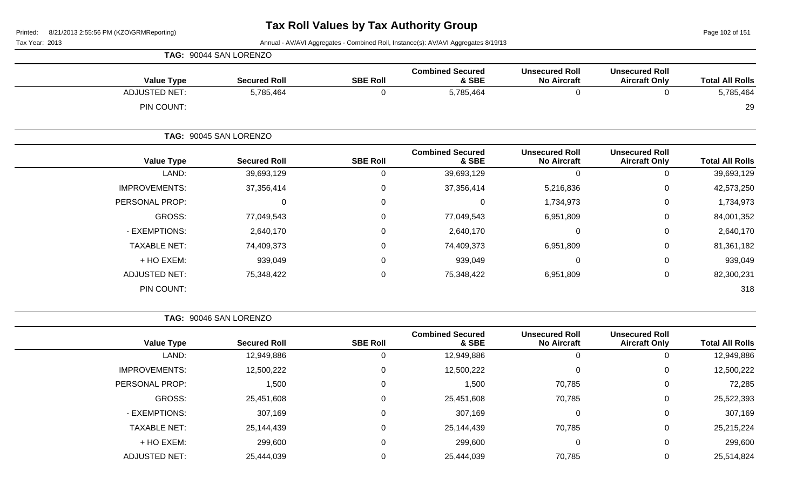Tax Year: 2013 Annual - AV/AVI Aggregates - Combined Roll, Instance(s): AV/AVI Aggregates 8/19/13

| <b>TAG: 90044 SAN LORENZO</b> |                        |                 |                                  |                                             |                                               |                        |  |
|-------------------------------|------------------------|-----------------|----------------------------------|---------------------------------------------|-----------------------------------------------|------------------------|--|
| <b>Value Type</b>             | <b>Secured Roll</b>    | <b>SBE Roll</b> | <b>Combined Secured</b><br>& SBE | <b>Unsecured Roll</b><br><b>No Aircraft</b> | <b>Unsecured Roll</b><br><b>Aircraft Only</b> | <b>Total All Rolls</b> |  |
| <b>ADJUSTED NET:</b>          | 5,785,464              | 0               | 5,785,464                        | 0                                           | 0                                             | 5,785,464              |  |
| PIN COUNT:                    |                        |                 |                                  |                                             |                                               | 29                     |  |
|                               | TAG: 90045 SAN LORENZO |                 |                                  |                                             |                                               |                        |  |
| <b>Value Type</b>             | <b>Secured Roll</b>    | <b>SBE Roll</b> | <b>Combined Secured</b><br>& SBE | <b>Unsecured Roll</b><br><b>No Aircraft</b> | <b>Unsecured Roll</b><br><b>Aircraft Only</b> | <b>Total All Rolls</b> |  |
| LAND:                         | 39,693,129             | 0               | 39,693,129                       | 0                                           |                                               | 39,693,129             |  |

| <b>Total All Rolls</b> | <b>Aircraft Only</b> | <b>No Aircraft</b> | & SBE      | <b>SBE Roll</b> | <b>Secured Roll</b> | <b>Value Type</b>    |
|------------------------|----------------------|--------------------|------------|-----------------|---------------------|----------------------|
| 39,693,129             | 0                    | v                  | 39,693,129 | 0               | 39,693,129          | LAND:                |
| 42,573,250             | 0                    | 5,216,836          | 37,356,414 | 0               | 37,356,414          | <b>IMPROVEMENTS:</b> |
| 1,734,973              | 0                    | 1,734,973          | 0          | $\mathbf 0$     | 0                   | PERSONAL PROP:       |
| 84,001,352             | 0                    | 6,951,809          | 77,049,543 | 0               | 77,049,543          | <b>GROSS:</b>        |
| 2,640,170              | 0                    | 0                  | 2,640,170  | 0               | 2,640,170           | - EXEMPTIONS:        |
| 81,361,182             | 0                    | 6,951,809          | 74,409,373 | 0               | 74,409,373          | <b>TAXABLE NET:</b>  |
| 939,049                | 0                    | 0                  | 939,049    | $\mathbf 0$     | 939,049             | + HO EXEM:           |
| 82,300,231             | 0                    | 6,951,809          | 75,348,422 | $\mathbf 0$     | 75,348,422          | <b>ADJUSTED NET:</b> |
| 318                    |                      |                    |            |                 |                     | PIN COUNT:           |
|                        |                      |                    |            |                 |                     |                      |

**TAG:** 90046 SAN LORENZO

| <b>Value Type</b>    | <b>Secured Roll</b> | <b>SBE Roll</b> | <b>Combined Secured</b><br>& SBE | <b>Unsecured Roll</b><br><b>No Aircraft</b> | <b>Unsecured Roll</b><br><b>Aircraft Only</b> | <b>Total All Rolls</b> |
|----------------------|---------------------|-----------------|----------------------------------|---------------------------------------------|-----------------------------------------------|------------------------|
| LAND:                | 12,949,886          |                 | 12,949,886                       | 0                                           | 0                                             | 12,949,886             |
| <b>IMPROVEMENTS:</b> | 12,500,222          |                 | 12,500,222                       | $\Omega$                                    | 0                                             | 12,500,222             |
| PERSONAL PROP:       | 1,500               |                 | 1,500                            | 70,785                                      | 0                                             | 72,285                 |
| GROSS:               | 25,451,608          |                 | 25,451,608                       | 70,785                                      | 0                                             | 25,522,393             |
| - EXEMPTIONS:        | 307,169             |                 | 307,169                          | $\Omega$                                    | 0                                             | 307,169                |
| <b>TAXABLE NET:</b>  | 25,144,439          |                 | 25,144,439                       | 70,785                                      | 0                                             | 25,215,224             |
| + HO EXEM:           | 299,600             |                 | 299,600                          | $\Omega$                                    | 0                                             | 299,600                |
| <b>ADJUSTED NET:</b> | 25,444,039          |                 | 25,444,039                       | 70,785                                      | 0                                             | 25,514,824             |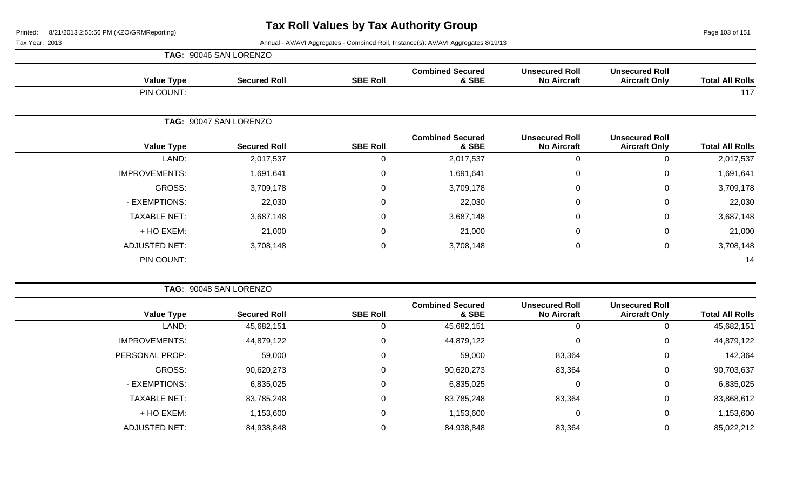Page 103 of 151

|                      | TAG: 90046 SAN LORENZO |                 |                                  |                                             |                                               |                        |
|----------------------|------------------------|-----------------|----------------------------------|---------------------------------------------|-----------------------------------------------|------------------------|
| <b>Value Type</b>    | <b>Secured Roll</b>    | <b>SBE Roll</b> | <b>Combined Secured</b><br>& SBE | <b>Unsecured Roll</b><br><b>No Aircraft</b> | <b>Unsecured Roll</b><br><b>Aircraft Only</b> | <b>Total All Rolls</b> |
| PIN COUNT:           |                        |                 |                                  |                                             |                                               | 117                    |
|                      | TAG: 90047 SAN LORENZO |                 |                                  |                                             |                                               |                        |
| <b>Value Type</b>    | <b>Secured Roll</b>    | <b>SBE Roll</b> | <b>Combined Secured</b><br>& SBE | <b>Unsecured Roll</b><br><b>No Aircraft</b> | <b>Unsecured Roll</b><br><b>Aircraft Only</b> | <b>Total All Rolls</b> |
| LAND:                | 2,017,537              | 0               | 2,017,537                        | $\mathbf 0$                                 | 0                                             | 2,017,537              |
| <b>IMPROVEMENTS:</b> | 1,691,641              | $\mathbf 0$     | 1,691,641                        | $\mathbf 0$                                 | 0                                             | 1,691,641              |
| GROSS:               | 3,709,178              | 0               | 3,709,178                        | $\mathbf 0$                                 | 0                                             | 3,709,178              |
| - EXEMPTIONS:        | 22,030                 | $\mathbf 0$     | 22,030                           | $\mathbf 0$                                 | 0                                             | 22,030                 |
| <b>TAXABLE NET:</b>  | 3,687,148              | $\mathbf 0$     | 3,687,148                        | $\mathbf 0$                                 | 0                                             | 3,687,148              |
| + HO EXEM:           | 21,000                 | $\mathbf 0$     | 21,000                           | 0                                           | 0                                             | 21,000                 |
| <b>ADJUSTED NET:</b> | 3,708,148              | $\mathbf 0$     | 3,708,148                        | 0                                           | 0                                             | 3,708,148              |
| PIN COUNT:           |                        |                 |                                  |                                             |                                               | 14                     |

|                      | TAG: 90048 SAN LORENZO |                 |                                  |                                             |                                               |                        |
|----------------------|------------------------|-----------------|----------------------------------|---------------------------------------------|-----------------------------------------------|------------------------|
| <b>Value Type</b>    | <b>Secured Roll</b>    | <b>SBE Roll</b> | <b>Combined Secured</b><br>& SBE | <b>Unsecured Roll</b><br><b>No Aircraft</b> | <b>Unsecured Roll</b><br><b>Aircraft Only</b> | <b>Total All Rolls</b> |
| LAND:                | 45,682,151             |                 | 45,682,151                       |                                             | 0                                             | 45,682,151             |
| <b>IMPROVEMENTS:</b> | 44,879,122             | C               | 44,879,122                       |                                             | 0                                             | 44,879,122             |
| PERSONAL PROP:       | 59,000                 | C               | 59,000                           | 83,364                                      | 0                                             | 142,364                |
| GROSS:               | 90,620,273             | 0               | 90,620,273                       | 83,364                                      | 0                                             | 90,703,637             |
| - EXEMPTIONS:        | 6,835,025              | $\mathbf 0$     | 6,835,025                        |                                             | 0                                             | 6,835,025              |
| <b>TAXABLE NET:</b>  | 83,785,248             | 0               | 83,785,248                       | 83,364                                      | 0                                             | 83,868,612             |
| + HO EXEM:           | 1,153,600              | 0               | 1,153,600                        |                                             | 0                                             | 1,153,600              |
| <b>ADJUSTED NET:</b> | 84,938,848             |                 | 84,938,848                       | 83,364                                      | 0                                             | 85,022,212             |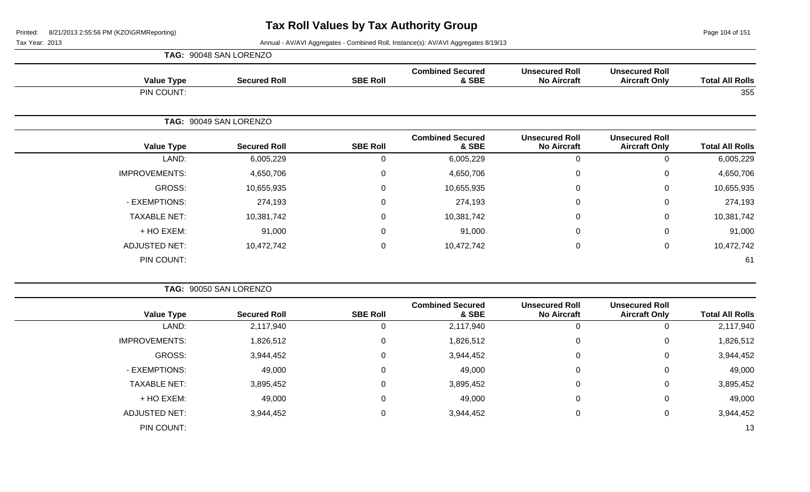Page 104 of 151

|                      | TAG: 90048 SAN LORENZO |                 |                                  |                                             |                                               |                        |
|----------------------|------------------------|-----------------|----------------------------------|---------------------------------------------|-----------------------------------------------|------------------------|
| <b>Value Type</b>    | <b>Secured Roll</b>    | <b>SBE Roll</b> | <b>Combined Secured</b><br>& SBE | <b>Unsecured Roll</b><br><b>No Aircraft</b> | <b>Unsecured Roll</b><br><b>Aircraft Only</b> | <b>Total All Rolls</b> |
| PIN COUNT:           |                        |                 |                                  |                                             |                                               | 355                    |
|                      | TAG: 90049 SAN LORENZO |                 |                                  |                                             |                                               |                        |
| <b>Value Type</b>    | <b>Secured Roll</b>    | <b>SBE Roll</b> | <b>Combined Secured</b><br>& SBE | <b>Unsecured Roll</b><br><b>No Aircraft</b> | <b>Unsecured Roll</b><br><b>Aircraft Only</b> | <b>Total All Rolls</b> |
| LAND:                | 6,005,229              | $\mathbf 0$     | 6,005,229                        |                                             | 0                                             | 6,005,229              |
| <b>IMPROVEMENTS:</b> | 4,650,706              | $\mathbf 0$     | 4,650,706                        | $\Omega$                                    | 0                                             | 4,650,706              |
| GROSS:               | 10,655,935             | $\mathbf 0$     | 10,655,935                       | 0                                           | 0                                             | 10,655,935             |
| - EXEMPTIONS:        | 274,193                | $\mathbf 0$     | 274,193                          | $\Omega$                                    | $\mathbf 0$                                   | 274,193                |
| <b>TAXABLE NET:</b>  | 10,381,742             | $\mathbf 0$     | 10,381,742                       | $\mathbf{0}$                                | $\mathbf 0$                                   | 10,381,742             |
| + HO EXEM:           | 91,000                 | $\mathbf 0$     | 91,000                           | 0                                           | $\mathbf 0$                                   | 91,000                 |
| <b>ADJUSTED NET:</b> | 10,472,742             | $\pmb{0}$       | 10,472,742                       | $\mathbf 0$                                 | $\mathbf 0$                                   | 10,472,742             |
| PIN COUNT:           |                        |                 |                                  |                                             |                                               | 61                     |

|                      | TAG: 90050 SAN LORENZO |                 |                                  |                                             |                                               |                        |  |  |
|----------------------|------------------------|-----------------|----------------------------------|---------------------------------------------|-----------------------------------------------|------------------------|--|--|
| <b>Value Type</b>    | <b>Secured Roll</b>    | <b>SBE Roll</b> | <b>Combined Secured</b><br>& SBE | <b>Unsecured Roll</b><br><b>No Aircraft</b> | <b>Unsecured Roll</b><br><b>Aircraft Only</b> | <b>Total All Rolls</b> |  |  |
| LAND:                | 2,117,940              |                 | 2,117,940                        | 0                                           | U                                             | 2,117,940              |  |  |
| <b>IMPROVEMENTS:</b> | 1,826,512              | 0               | 1,826,512                        | 0                                           | 0                                             | 1,826,512              |  |  |
| GROSS:               | 3,944,452              | $\Omega$        | 3,944,452                        | 0                                           | 0                                             | 3,944,452              |  |  |
| - EXEMPTIONS:        | 49,000                 | 0               | 49,000                           | 0                                           | 0                                             | 49,000                 |  |  |
| <b>TAXABLE NET:</b>  | 3,895,452              | 0               | 3,895,452                        | $\mathbf 0$                                 | 0                                             | 3,895,452              |  |  |
| + HO EXEM:           | 49,000                 | 0               | 49,000                           | 0                                           | 0                                             | 49,000                 |  |  |
| <b>ADJUSTED NET:</b> | 3,944,452              | 0               | 3,944,452                        | 0                                           | 0                                             | 3,944,452              |  |  |
| PIN COUNT:           |                        |                 |                                  |                                             |                                               | 13                     |  |  |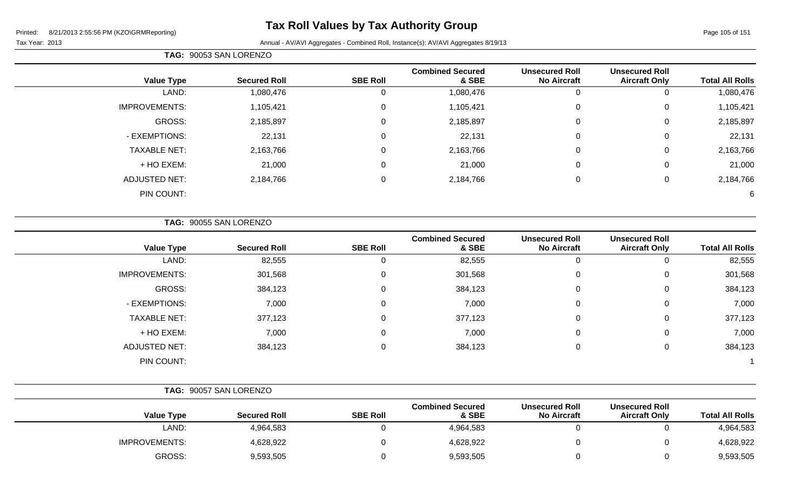|                      | TAG: 90053 SAN LORENZO |                 |                                  |                                             |                                               |                        |
|----------------------|------------------------|-----------------|----------------------------------|---------------------------------------------|-----------------------------------------------|------------------------|
| <b>Value Type</b>    | <b>Secured Roll</b>    | <b>SBE Roll</b> | <b>Combined Secured</b><br>& SBE | <b>Unsecured Roll</b><br><b>No Aircraft</b> | <b>Unsecured Roll</b><br><b>Aircraft Only</b> | <b>Total All Rolls</b> |
| LAND:                | 1,080,476              | 0               | 1,080,476                        | 0                                           | υ                                             | 1,080,476              |
| <b>IMPROVEMENTS:</b> | 1,105,421              | 0               | 1,105,421                        | $\mathbf 0$                                 | 0                                             | 1,105,421              |
| GROSS:               | 2,185,897              | 0               | 2,185,897                        | 0                                           | 0                                             | 2,185,897              |
| - EXEMPTIONS:        | 22,131                 | 0               | 22,131                           | $\mathbf 0$                                 | 0                                             | 22,131                 |
| <b>TAXABLE NET:</b>  | 2,163,766              | 0               | 2,163,766                        | $\mathbf 0$                                 | 0                                             | 2,163,766              |
| + HO EXEM:           | 21,000                 | 0               | 21,000                           | $\mathbf 0$                                 | 0                                             | 21,000                 |
| <b>ADJUSTED NET:</b> | 2,184,766              | 0               | 2,184,766                        | $\mathbf 0$                                 | 0                                             | 2,184,766              |
| PIN COUNT:           |                        |                 |                                  |                                             |                                               | 6                      |

**TAG:** 90055 SAN LORENZO

| <b>Value Type</b>    | <b>Secured Roll</b> | <b>SBE Roll</b> | <b>Combined Secured</b><br>& SBE | <b>Unsecured Roll</b><br><b>No Aircraft</b> | <b>Unsecured Roll</b><br><b>Aircraft Only</b> | <b>Total All Rolls</b> |
|----------------------|---------------------|-----------------|----------------------------------|---------------------------------------------|-----------------------------------------------|------------------------|
| LAND:                | 82,555              |                 | 82,555                           | 0                                           | υ                                             | 82,555                 |
| <b>IMPROVEMENTS:</b> | 301,568             | $\Omega$        | 301,568                          | 0                                           | 0                                             | 301,568                |
| GROSS:               | 384,123             |                 | 384,123                          | 0                                           | 0                                             | 384,123                |
| - EXEMPTIONS:        | 7,000               |                 | 7,000                            | 0                                           | 0                                             | 7,000                  |
| <b>TAXABLE NET:</b>  | 377,123             |                 | 377,123                          | 0                                           | 0                                             | 377,123                |
| + HO EXEM:           | 7,000               |                 | 7,000                            | 0                                           | 0                                             | 7,000                  |
| <b>ADJUSTED NET:</b> | 384,123             |                 | 384,123                          | 0                                           | 0                                             | 384,123                |
| PIN COUNT:           |                     |                 |                                  |                                             |                                               |                        |

|                      | TAG: 90057 SAN LORENZO |                 |                                  |                                             |                                               |                        |
|----------------------|------------------------|-----------------|----------------------------------|---------------------------------------------|-----------------------------------------------|------------------------|
| <b>Value Type</b>    | <b>Secured Roll</b>    | <b>SBE Roll</b> | <b>Combined Secured</b><br>& SBE | <b>Unsecured Roll</b><br><b>No Aircraft</b> | <b>Unsecured Roll</b><br><b>Aircraft Only</b> | <b>Total All Rolls</b> |
| LAND:                | 4,964,583              |                 | 4,964,583                        |                                             |                                               | 4,964,583              |
| <b>IMPROVEMENTS:</b> | 4,628,922              |                 | 4,628,922                        |                                             |                                               | 4,628,922              |
| GROSS:               | 9,593,505              |                 | 9,593,505                        |                                             |                                               | 9,593,505              |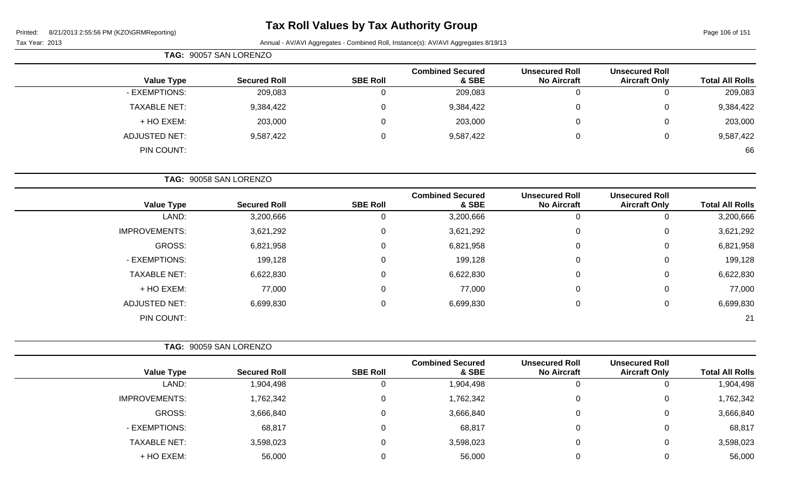# **Tax Roll Values by Tax Authority Group**

Page 106 of 151

|                      | TAG: 90057 SAN LORENZO |                 |                                  |                                             |                                               |                        |
|----------------------|------------------------|-----------------|----------------------------------|---------------------------------------------|-----------------------------------------------|------------------------|
| <b>Value Type</b>    | <b>Secured Roll</b>    | <b>SBE Roll</b> | <b>Combined Secured</b><br>& SBE | <b>Unsecured Roll</b><br><b>No Aircraft</b> | <b>Unsecured Roll</b><br><b>Aircraft Only</b> | <b>Total All Rolls</b> |
| - EXEMPTIONS:        | 209,083                | 0               | 209,083                          |                                             |                                               | 209,083                |
| <b>TAXABLE NET:</b>  | 9,384,422              | 0               | 9,384,422                        | 0                                           | 0                                             | 9,384,422              |
| + HO EXEM:           | 203,000                | 0               | 203,000                          |                                             | 0                                             | 203,000                |
| <b>ADJUSTED NET:</b> | 9,587,422              | 0               | 9,587,422                        | $\Omega$                                    | 0                                             | 9,587,422              |
| PIN COUNT:           |                        |                 |                                  |                                             |                                               | 66                     |
|                      |                        |                 |                                  |                                             |                                               |                        |

|                      | TAG: 90058 SAN LORENZO |                 |                                  |                                             |                                               |                        |
|----------------------|------------------------|-----------------|----------------------------------|---------------------------------------------|-----------------------------------------------|------------------------|
| <b>Value Type</b>    | <b>Secured Roll</b>    | <b>SBE Roll</b> | <b>Combined Secured</b><br>& SBE | <b>Unsecured Roll</b><br><b>No Aircraft</b> | <b>Unsecured Roll</b><br><b>Aircraft Only</b> | <b>Total All Rolls</b> |
| LAND:                | 3,200,666              | U               | 3,200,666                        | 0                                           | U                                             | 3,200,666              |
| <b>IMPROVEMENTS:</b> | 3,621,292              | 0               | 3,621,292                        | 0                                           | 0                                             | 3,621,292              |
| GROSS:               | 6,821,958              | 0               | 6,821,958                        | 0                                           | 0                                             | 6,821,958              |
| - EXEMPTIONS:        | 199,128                | 0               | 199,128                          | 0                                           | 0                                             | 199,128                |
| <b>TAXABLE NET:</b>  | 6,622,830              | $\mathbf 0$     | 6,622,830                        | 0                                           | 0                                             | 6,622,830              |
| + HO EXEM:           | 77,000                 | 0               | 77,000                           | $\pmb{0}$                                   | 0                                             | 77,000                 |
| <b>ADJUSTED NET:</b> | 6,699,830              | 0               | 6,699,830                        | 0                                           | 0                                             | 6,699,830              |
| PIN COUNT:           |                        |                 |                                  |                                             |                                               | 21                     |

|                      | TAG: 90059 SAN LORENZO |                 |                                  |                                             |                                               |                        |
|----------------------|------------------------|-----------------|----------------------------------|---------------------------------------------|-----------------------------------------------|------------------------|
| <b>Value Type</b>    | <b>Secured Roll</b>    | <b>SBE Roll</b> | <b>Combined Secured</b><br>& SBE | <b>Unsecured Roll</b><br><b>No Aircraft</b> | <b>Unsecured Roll</b><br><b>Aircraft Only</b> | <b>Total All Rolls</b> |
| LAND:                | 1,904,498              | U               | 1,904,498                        | 0                                           | 0                                             | 1,904,498              |
| <b>IMPROVEMENTS:</b> | 1,762,342              | 0               | 1,762,342                        | 0                                           | 0                                             | 1,762,342              |
| GROSS:               | 3,666,840              | 0               | 3,666,840                        | 0                                           | 0                                             | 3,666,840              |
| - EXEMPTIONS:        | 68,817                 | 0               | 68,817                           | $\overline{0}$                              | 0                                             | 68,817                 |
| <b>TAXABLE NET:</b>  | 3,598,023              | 0               | 3,598,023                        | $\mathbf 0$                                 | 0                                             | 3,598,023              |
| + HO EXEM:           | 56,000                 |                 | 56,000                           | 0                                           | 0                                             | 56,000                 |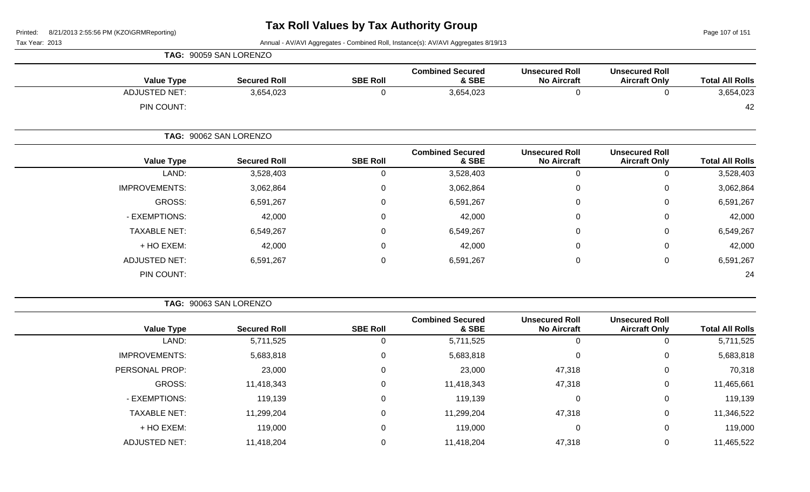Page 107 of 151

Tax Year: 2013 Annual - AV/AVI Aggregates - Combined Roll, Instance(s): AV/AVI Aggregates 8/19/13

|                      | TAG: 90059 SAN LORENZO |                 |                                  |                                             |                                               |                        |
|----------------------|------------------------|-----------------|----------------------------------|---------------------------------------------|-----------------------------------------------|------------------------|
| <b>Value Type</b>    | <b>Secured Roll</b>    | <b>SBE Roll</b> | <b>Combined Secured</b><br>& SBE | <b>Unsecured Roll</b><br><b>No Aircraft</b> | <b>Unsecured Roll</b><br><b>Aircraft Only</b> | <b>Total All Rolls</b> |
| <b>ADJUSTED NET:</b> | 3,654,023              | 0               | 3,654,023                        | 0                                           | 0                                             | 3,654,023              |
| PIN COUNT:           |                        |                 |                                  |                                             |                                               | 42                     |
|                      | TAG: 90062 SAN LORENZO |                 |                                  |                                             |                                               |                        |
| <b>Value Type</b>    | <b>Secured Roll</b>    | <b>SBE Roll</b> | <b>Combined Secured</b><br>& SBE | <b>Unsecured Roll</b><br><b>No Aircraft</b> | <b>Unsecured Roll</b><br><b>Aircraft Only</b> | <b>Total All Rolls</b> |
| LAND:                | 3,528,403              | 0               | 3,528,403                        | $\mathbf 0$                                 | $\mathbf 0$                                   | 3,528,403              |
| <b>IMPROVEMENTS:</b> | 3,062,864              | 0               | 3,062,864                        | $\mathbf 0$                                 | $\mathbf 0$                                   | 3,062,864              |
| GROSS:               | 6,591,267              | 0               | 6,591,267                        | 0                                           | $\mathbf 0$                                   | 6,591,267              |
| - EXEMPTIONS:        | 42,000                 | 0               | 42,000                           | $\pmb{0}$                                   | $\mathbf 0$                                   | 42,000                 |
| <b>TAXABLE NET:</b>  | 6,549,267              | 0               | 6,549,267                        | $\pmb{0}$                                   | $\mathbf 0$                                   | 6,549,267              |
| + HO EXEM:           | 42,000                 | 0               | 42,000                           | $\mathbf 0$                                 | $\mathbf 0$                                   | 42,000                 |
| ADJUSTED NET:        | 6,591,267              | 0               | 6,591,267                        | 0                                           | $\mathbf 0$                                   | 6,591,267              |
| PIN COUNT:           |                        |                 |                                  |                                             |                                               | 24                     |

**TAG:** 90063 SAN LORENZO

| <b>Total All Rolls</b> | <b>Unsecured Roll</b><br><b>Aircraft Only</b> | <b>Unsecured Roll</b><br><b>No Aircraft</b> | <b>Combined Secured</b><br>& SBE | <b>SBE Roll</b> | <b>Secured Roll</b> | <b>Value Type</b>    |
|------------------------|-----------------------------------------------|---------------------------------------------|----------------------------------|-----------------|---------------------|----------------------|
| 5,711,525              | 0                                             | 0                                           | 5,711,525                        | 0               | 5,711,525           | LAND:                |
| 5,683,818              | 0                                             | 0                                           | 5,683,818                        | 0               | 5,683,818           | <b>IMPROVEMENTS:</b> |
| 70,318                 | $\overline{0}$                                | 47,318                                      | 23,000                           | 0               | 23,000              | PERSONAL PROP:       |
| 11,465,661             | $\mathbf 0$                                   | 47,318                                      | 11,418,343                       | 0               | 11,418,343          | GROSS:               |
| 119,139                | $\overline{0}$                                | 0                                           | 119,139                          | 0               | 119,139             | - EXEMPTIONS:        |
| 11,346,522             | $\mathbf 0$                                   | 47,318                                      | 11,299,204                       | 0               | 11,299,204          | <b>TAXABLE NET:</b>  |
| 119,000                | 0                                             | 0                                           | 119,000                          | 0               | 119,000             | + HO EXEM:           |
| 11,465,522             | 0                                             | 47,318                                      | 11,418,204                       |                 | 11,418,204          | <b>ADJUSTED NET:</b> |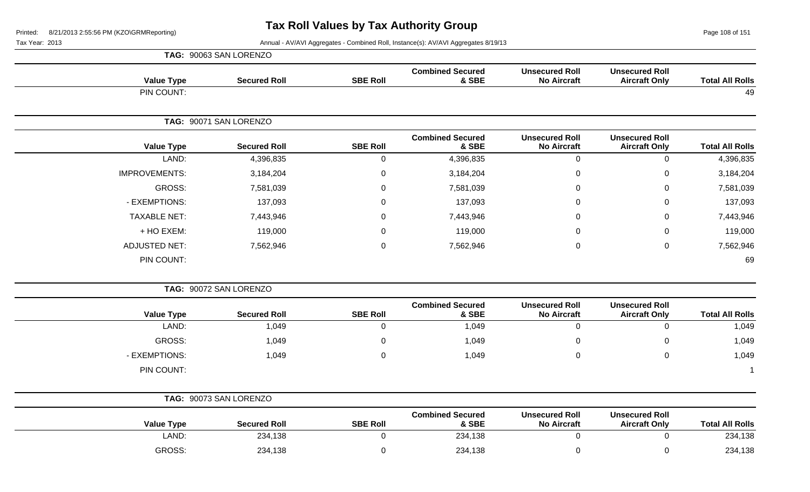Page 108 of 151

|                        |                                               |                                             |                                  |                  | TAG: 90063 SAN LORENZO |                      |
|------------------------|-----------------------------------------------|---------------------------------------------|----------------------------------|------------------|------------------------|----------------------|
| <b>Total All Rolls</b> | <b>Unsecured Roll</b><br><b>Aircraft Only</b> | <b>Unsecured Roll</b><br><b>No Aircraft</b> | <b>Combined Secured</b><br>& SBE | <b>SBE Roll</b>  | <b>Secured Roll</b>    | <b>Value Type</b>    |
| 49                     |                                               |                                             |                                  |                  |                        | PIN COUNT:           |
|                        |                                               |                                             |                                  |                  | TAG: 90071 SAN LORENZO |                      |
| <b>Total All Rolls</b> | <b>Unsecured Roll</b><br><b>Aircraft Only</b> | <b>Unsecured Roll</b><br><b>No Aircraft</b> | <b>Combined Secured</b><br>& SBE | <b>SBE Roll</b>  | <b>Secured Roll</b>    | <b>Value Type</b>    |
| 4,396,835              | $\pmb{0}$                                     | $\mathbf 0$                                 | 4,396,835                        | $\pmb{0}$        | 4,396,835              | LAND:                |
| 3,184,204              | $\mathbf 0$                                   | $\mathbf 0$                                 | 3,184,204                        | $\boldsymbol{0}$ | 3,184,204              | <b>IMPROVEMENTS:</b> |
| 7,581,039              | $\mathbf 0$                                   | 0                                           | 7,581,039                        | $\overline{0}$   | 7,581,039              | GROSS:               |
| 137,093                | $\mathbf 0$                                   | 0                                           | 137,093                          | $\boldsymbol{0}$ | 137,093                | - EXEMPTIONS:        |
| 7,443,946              | 0                                             | 0                                           | 7,443,946                        | 0                | 7,443,946              | <b>TAXABLE NET:</b>  |
| 119,000                | $\mathbf 0$                                   | 0                                           | 119,000                          | $\overline{0}$   | 119,000                | + HO EXEM:           |
| 7,562,946              | $\mathbf 0$                                   | $\mathbf 0$                                 | 7,562,946                        | $\overline{0}$   | 7,562,946              | <b>ADJUSTED NET:</b> |
| 69                     |                                               |                                             |                                  |                  |                        | PIN COUNT:           |
|                        |                                               |                                             |                                  |                  | TAG: 90072 SAN LORENZO |                      |
| <b>Total All Rolls</b> | <b>Unsecured Roll</b><br><b>Aircraft Only</b> | <b>Unsecured Roll</b><br><b>No Aircraft</b> | <b>Combined Secured</b><br>& SBE | <b>SBE Roll</b>  | <b>Secured Roll</b>    | <b>Value Type</b>    |
| 1,049                  | $\mathbf 0$                                   | $\overline{0}$                              | 1,049                            | $\overline{0}$   | 1,049                  | LAND:                |
| 1,049                  | 0                                             | 0                                           | 1,049                            | 0                | 1,049                  | GROSS:               |
| 1,049                  | $\mathsf 0$                                   | $\mathbf 0$                                 | 1,049                            | $\mathbf 0$      | 1,049                  | - EXEMPTIONS:        |
|                        |                                               |                                             |                                  |                  |                        | PIN COUNT:           |
|                        |                                               |                                             |                                  |                  | TAG: 90073 SAN LORENZO |                      |
| <b>Total All Rolls</b> | <b>Unsecured Roll</b><br><b>Aircraft Only</b> | <b>Unsecured Roll</b><br><b>No Aircraft</b> | <b>Combined Secured</b><br>& SBE | <b>SBE Roll</b>  | <b>Secured Roll</b>    | <b>Value Type</b>    |
| 234,138                | $\mathsf 0$                                   | $\mathbf 0$                                 | 234,138                          | $\mathbf 0$      | 234,138                | LAND:                |
| 234,138                | $\mathbf 0$                                   | 0                                           | 234,138                          | $\overline{0}$   | 234,138                | GROSS:               |
|                        |                                               |                                             |                                  |                  |                        |                      |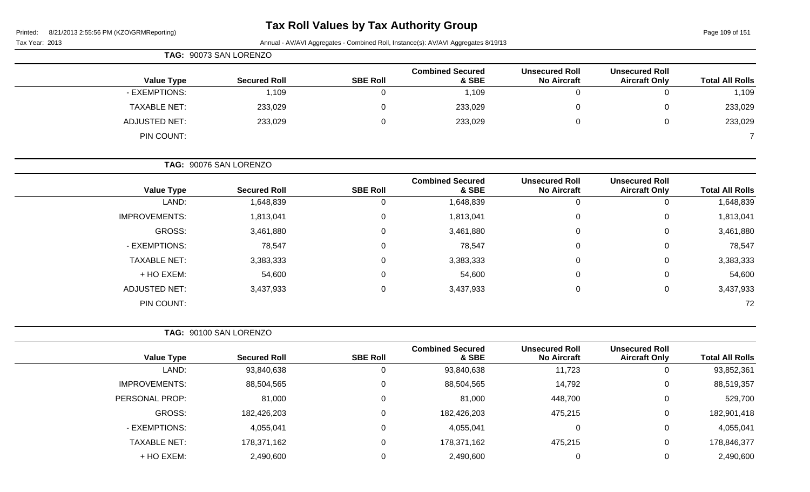# **Tax Roll Values by Tax Authority Group**

Page 109 of 151

|                      | TAG: 90073 SAN LORENZO |                 |                                  |                                             |                                               |                        |
|----------------------|------------------------|-----------------|----------------------------------|---------------------------------------------|-----------------------------------------------|------------------------|
| <b>Value Type</b>    | <b>Secured Roll</b>    | <b>SBE Roll</b> | <b>Combined Secured</b><br>& SBE | <b>Unsecured Roll</b><br><b>No Aircraft</b> | <b>Unsecured Roll</b><br><b>Aircraft Only</b> | <b>Total All Rolls</b> |
| - EXEMPTIONS:        | 1,109                  |                 | 1,109                            | 0                                           | 0                                             | 1,109                  |
| <b>TAXABLE NET:</b>  | 233,029                | $\Omega$        | 233,029                          | 0                                           | 0                                             | 233,029                |
| <b>ADJUSTED NET:</b> | 233,029                | $\Omega$        | 233,029                          | 0                                           | $\mathbf 0$                                   | 233,029                |
| PIN COUNT:           |                        |                 |                                  |                                             |                                               |                        |
|                      | TAG: 90076 SAN LORENZO |                 |                                  |                                             |                                               |                        |
| <b>Value Type</b>    | <b>Secured Roll</b>    | <b>SBE Roll</b> | <b>Combined Secured</b><br>& SBE | <b>Unsecured Roll</b><br><b>No Aircraft</b> | <b>Unsecured Roll</b><br><b>Aircraft Only</b> | <b>Total All Rolls</b> |

| LAND:                | 1,648,839 |   | 1,648,839 |   |   | 1,648,839 |
|----------------------|-----------|---|-----------|---|---|-----------|
| <b>IMPROVEMENTS:</b> | 1,813,041 | 0 | 1,813,041 | 0 | 0 | 1,813,041 |
| GROSS:               | 3,461,880 | 0 | 3,461,880 |   | 0 | 3,461,880 |
| - EXEMPTIONS:        | 78,547    | 0 | 78,547    |   | 0 | 78,547    |
| <b>TAXABLE NET:</b>  | 3,383,333 | 0 | 3,383,333 | O | 0 | 3,383,333 |
| + HO EXEM:           | 54,600    | 0 | 54,600    |   | 0 | 54,600    |
| <b>ADJUSTED NET:</b> | 3,437,933 | 0 | 3,437,933 |   | 0 | 3,437,933 |
| PIN COUNT:           |           |   |           |   |   | 72        |

|                        |                                               |                                             |                                  | TAG: 90100 SAN LORENZO |                     |                      |  |  |
|------------------------|-----------------------------------------------|---------------------------------------------|----------------------------------|------------------------|---------------------|----------------------|--|--|
| <b>Total All Rolls</b> | <b>Unsecured Roll</b><br><b>Aircraft Only</b> | <b>Unsecured Roll</b><br><b>No Aircraft</b> | <b>Combined Secured</b><br>& SBE | <b>SBE Roll</b>        | <b>Secured Roll</b> | <b>Value Type</b>    |  |  |
| 93,852,361             |                                               | 11,723                                      | 93,840,638                       | 0                      | 93,840,638          | LAND:                |  |  |
| 88,519,357             | 0                                             | 14,792                                      | 88,504,565                       | 0                      | 88,504,565          | <b>IMPROVEMENTS:</b> |  |  |
| 529,700                |                                               | 448,700                                     | 81,000                           | 0                      | 81,000              | PERSONAL PROP:       |  |  |
| 182,901,418            |                                               | 475,215                                     | 182,426,203                      | 0                      | 182,426,203         | GROSS:               |  |  |
| 4,055,041              |                                               | $\overline{0}$                              | 4,055,041                        | 0                      | 4,055,041           | - EXEMPTIONS:        |  |  |
| 178,846,377            | 0                                             | 475,215                                     | 178,371,162                      | 0                      | 178,371,162         | <b>TAXABLE NET:</b>  |  |  |
| 2,490,600              |                                               | $\pmb{0}$                                   | 2,490,600                        | 0                      | 2,490,600           | + HO EXEM:           |  |  |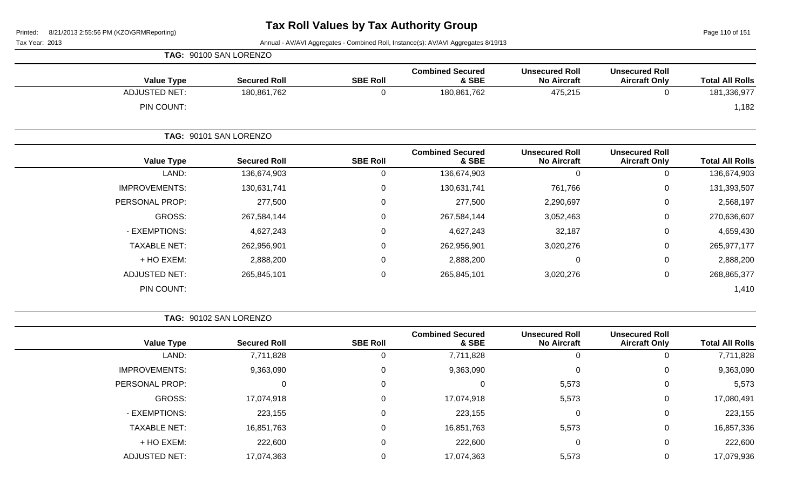Page 110 of 151

Tax Year: 2013 Annual - AV/AVI Aggregates - Combined Roll, Instance(s): AV/AVI Aggregates 8/19/13

| <b>Value Type</b>    | <b>Secured Roll</b>    | <b>SBE Roll</b> | <b>Combined Secured</b><br>& SBE | <b>Unsecured Roll</b><br><b>No Aircraft</b> | <b>Unsecured Roll</b><br><b>Aircraft Only</b> | <b>Total All Rolls</b> |
|----------------------|------------------------|-----------------|----------------------------------|---------------------------------------------|-----------------------------------------------|------------------------|
| <b>ADJUSTED NET:</b> | 180,861,762            | 0               | 180,861,762                      | 475,215                                     | 0                                             | 181,336,977            |
| PIN COUNT:           |                        |                 |                                  |                                             |                                               | 1,182                  |
|                      | TAG: 90101 SAN LORENZO |                 |                                  |                                             |                                               |                        |
| <b>Value Type</b>    | <b>Secured Roll</b>    | <b>SBE Roll</b> | <b>Combined Secured</b><br>& SBE | <b>Unsecured Roll</b><br><b>No Aircraft</b> | <b>Unsecured Roll</b><br><b>Aircraft Only</b> | <b>Total All Rolls</b> |
| LAND:                | 136,674,903            | 0               | 136,674,903                      | $\mathbf 0$                                 | 0                                             | 136,674,903            |
| <b>IMPROVEMENTS:</b> | 130,631,741            | 0               | 130,631,741                      | 761,766                                     | 0                                             | 131,393,507            |
| PERSONAL PROP:       | 277,500                | 0               | 277,500                          | 2,290,697                                   | 0                                             | 2,568,197              |
| GROSS:               | 267,584,144            | 0               | 267,584,144                      | 3,052,463                                   | 0                                             | 270,636,607            |
| - EXEMPTIONS:        | 4,627,243              | 0               | 4,627,243                        | 32,187                                      | 0                                             | 4,659,430              |
| <b>TAXABLE NET:</b>  | 262,956,901            | 0               | 262,956,901                      | 3,020,276                                   | 0                                             | 265, 977, 177          |
| + HO EXEM:           | 2,888,200              | 0               | 2,888,200                        | $\mathbf 0$                                 | 0                                             | 2,888,200              |
| <b>ADJUSTED NET:</b> | 265,845,101            | 0               | 265,845,101                      | 3,020,276                                   | 0                                             | 268,865,377            |
| PIN COUNT:           |                        |                 |                                  |                                             |                                               | 1,410                  |

**TAG:** 90102 SAN LORENZO

**TAG:** 90100 SAN LORENZO

| <b>Value Type</b>    | <b>Secured Roll</b> | <b>SBE Roll</b> | <b>Combined Secured</b><br>& SBE | <b>Unsecured Roll</b><br><b>No Aircraft</b> | <b>Unsecured Roll</b><br><b>Aircraft Only</b> | <b>Total All Rolls</b> |
|----------------------|---------------------|-----------------|----------------------------------|---------------------------------------------|-----------------------------------------------|------------------------|
| LAND:                | 7,711,828           |                 | 7,711,828                        | 0                                           |                                               | 7,711,828              |
| <b>IMPROVEMENTS:</b> | 9,363,090           | 0               | 9,363,090                        | 0                                           | 0                                             | 9,363,090              |
| PERSONAL PROP:       |                     | 0               | 0                                | 5,573                                       | 0                                             | 5,573                  |
| GROSS:               | 17,074,918          | $\Omega$        | 17,074,918                       | 5,573                                       | 0                                             | 17,080,491             |
| - EXEMPTIONS:        | 223,155             | $\Omega$        | 223,155                          | 0                                           | 0                                             | 223,155                |
| <b>TAXABLE NET:</b>  | 16,851,763          | $\Omega$        | 16,851,763                       | 5,573                                       | 0                                             | 16,857,336             |
| + HO EXEM:           | 222,600             | $\Omega$        | 222,600                          | 0                                           | 0                                             | 222,600                |
| <b>ADJUSTED NET:</b> | 17,074,363          |                 | 17,074,363                       | 5,573                                       |                                               | 17,079,936             |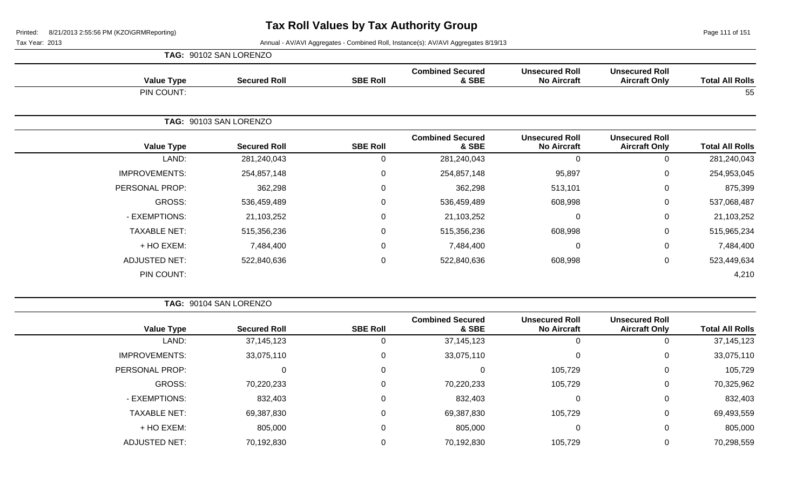Page 111 of 151

|                      | TAG: 90102 SAN LORENZO |                 |                                  |                                             |                                               |                        |
|----------------------|------------------------|-----------------|----------------------------------|---------------------------------------------|-----------------------------------------------|------------------------|
| <b>Value Type</b>    | <b>Secured Roll</b>    | <b>SBE Roll</b> | <b>Combined Secured</b><br>& SBE | <b>Unsecured Roll</b><br><b>No Aircraft</b> | <b>Unsecured Roll</b><br><b>Aircraft Only</b> | <b>Total All Rolls</b> |
| PIN COUNT:           |                        |                 |                                  |                                             |                                               | 55                     |
|                      | TAG: 90103 SAN LORENZO |                 |                                  |                                             |                                               |                        |
| <b>Value Type</b>    | <b>Secured Roll</b>    | <b>SBE Roll</b> | <b>Combined Secured</b><br>& SBE | <b>Unsecured Roll</b><br><b>No Aircraft</b> | <b>Unsecured Roll</b><br><b>Aircraft Only</b> | <b>Total All Rolls</b> |
| LAND:                | 281,240,043            | 0               | 281,240,043                      | $\mathbf{0}$                                | 0                                             | 281,240,043            |
| <b>IMPROVEMENTS:</b> | 254,857,148            | 0               | 254,857,148                      | 95,897                                      | $\mathbf 0$                                   | 254,953,045            |
| PERSONAL PROP:       | 362,298                | 0               | 362,298                          | 513,101                                     | 0                                             | 875,399                |
| GROSS:               | 536,459,489            | 0               | 536,459,489                      | 608,998                                     | $\mathbf 0$                                   | 537,068,487            |
| - EXEMPTIONS:        | 21,103,252             | 0               | 21,103,252                       | $\mathbf 0$                                 | $\pmb{0}$                                     | 21,103,252             |
| <b>TAXABLE NET:</b>  | 515,356,236            | $\overline{0}$  | 515,356,236                      | 608,998                                     | $\mathbf 0$                                   | 515,965,234            |
| + HO EXEM:           | 7,484,400              | $\mathbf 0$     | 7,484,400                        | $\mathbf 0$                                 | $\mathsf 0$                                   | 7,484,400              |
| <b>ADJUSTED NET:</b> | 522,840,636            | $\mathbf 0$     | 522,840,636                      | 608,998                                     | $\pmb{0}$                                     | 523,449,634            |
| PIN COUNT:           |                        |                 |                                  |                                             |                                               | 4,210                  |

|                      | TAG: 90104 SAN LORENZO |                 |                                  |                                             |                                               |                        |
|----------------------|------------------------|-----------------|----------------------------------|---------------------------------------------|-----------------------------------------------|------------------------|
| <b>Value Type</b>    | <b>Secured Roll</b>    | <b>SBE Roll</b> | <b>Combined Secured</b><br>& SBE | <b>Unsecured Roll</b><br><b>No Aircraft</b> | <b>Unsecured Roll</b><br><b>Aircraft Only</b> | <b>Total All Rolls</b> |
| LAND:                | 37, 145, 123           | U               | 37, 145, 123                     | 0                                           | 0                                             | 37,145,123             |
| <b>IMPROVEMENTS:</b> | 33,075,110             | $\Omega$        | 33,075,110                       | 0                                           | 0                                             | 33,075,110             |
| PERSONAL PROP:       |                        | $\Omega$        | 0                                | 105,729                                     | 0                                             | 105,729                |
| GROSS:               | 70,220,233             | $\Omega$        | 70,220,233                       | 105,729                                     | 0                                             | 70,325,962             |
| - EXEMPTIONS:        | 832,403                | $\Omega$        | 832,403                          | 0                                           | 0                                             | 832,403                |
| <b>TAXABLE NET:</b>  | 69,387,830             | $\Omega$        | 69,387,830                       | 105,729                                     | 0                                             | 69,493,559             |
| + HO EXEM:           | 805,000                | $\Omega$        | 805,000                          | 0                                           | 0                                             | 805,000                |
| <b>ADJUSTED NET:</b> | 70,192,830             |                 | 70,192,830                       | 105,729                                     | 0                                             | 70,298,559             |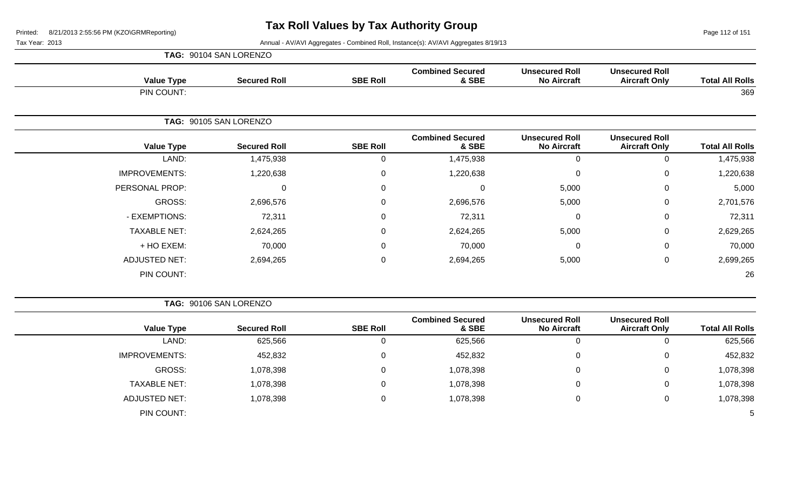Page 112 of 151

|                      | TAG: 90104 SAN LORENZO |                 |                                  |                                             |                                               |                        |
|----------------------|------------------------|-----------------|----------------------------------|---------------------------------------------|-----------------------------------------------|------------------------|
| <b>Value Type</b>    | <b>Secured Roll</b>    | <b>SBE Roll</b> | <b>Combined Secured</b><br>& SBE | <b>Unsecured Roll</b><br><b>No Aircraft</b> | <b>Unsecured Roll</b><br><b>Aircraft Only</b> | <b>Total All Rolls</b> |
| PIN COUNT:           |                        |                 |                                  |                                             |                                               | 369                    |
|                      | TAG: 90105 SAN LORENZO |                 |                                  |                                             |                                               |                        |
| <b>Value Type</b>    | <b>Secured Roll</b>    | <b>SBE Roll</b> | <b>Combined Secured</b><br>& SBE | <b>Unsecured Roll</b><br><b>No Aircraft</b> | <b>Unsecured Roll</b><br><b>Aircraft Only</b> | <b>Total All Rolls</b> |
| LAND:                | 1,475,938              | 0               | 1,475,938                        | $\Omega$                                    | $\overline{0}$                                | 1,475,938              |
| <b>IMPROVEMENTS:</b> | 1,220,638              | $\pmb{0}$       | 1,220,638                        | 0                                           | $\mathbf 0$                                   | 1,220,638              |
| PERSONAL PROP:       | 0                      | $\pmb{0}$       | 0                                | 5,000                                       | $\mathbf 0$                                   | 5,000                  |
| GROSS:               | 2,696,576              | $\mathbf 0$     | 2,696,576                        | 5,000                                       | $\mathbf 0$                                   | 2,701,576              |
| - EXEMPTIONS:        | 72,311                 | $\mathbf 0$     | 72,311                           | $\Omega$                                    | $\mathbf 0$                                   | 72,311                 |
| <b>TAXABLE NET:</b>  | 2,624,265              | $\mathbf 0$     | 2,624,265                        | 5,000                                       | $\mathbf 0$                                   | 2,629,265              |
| + HO EXEM:           | 70,000                 | 0               | 70,000                           | 0                                           | $\mathbf 0$                                   | 70,000                 |
| <b>ADJUSTED NET:</b> | 2,694,265              | $\mathbf 0$     | 2,694,265                        | 5,000                                       | $\mathbf 0$                                   | 2,699,265              |
| PIN COUNT:           |                        |                 |                                  |                                             |                                               | 26                     |

|                        |                                               |                                             |                                  | TAG: 90106 SAN LORENZO |                     |                      |  |  |  |
|------------------------|-----------------------------------------------|---------------------------------------------|----------------------------------|------------------------|---------------------|----------------------|--|--|--|
| <b>Total All Rolls</b> | <b>Unsecured Roll</b><br><b>Aircraft Only</b> | <b>Unsecured Roll</b><br><b>No Aircraft</b> | <b>Combined Secured</b><br>& SBE | <b>SBE Roll</b>        | <b>Secured Roll</b> | <b>Value Type</b>    |  |  |  |
| 625,566                | 0                                             | 0                                           | 625,566                          | U                      | 625,566             | LAND:                |  |  |  |
| 452,832                | 0                                             | $\overline{0}$                              | 452,832                          | 0                      | 452,832             | <b>IMPROVEMENTS:</b> |  |  |  |
| 1,078,398              | 0                                             | $\overline{0}$                              | 1,078,398                        | 0                      | 1,078,398           | GROSS:               |  |  |  |
| 1,078,398              | 0                                             | $\overline{0}$                              | 1,078,398                        |                        | 1,078,398           | <b>TAXABLE NET:</b>  |  |  |  |
| 1,078,398              | 0                                             | 0                                           | 1,078,398                        | 0                      | 1,078,398           | ADJUSTED NET:        |  |  |  |
| 5                      |                                               |                                             |                                  |                        |                     | PIN COUNT:           |  |  |  |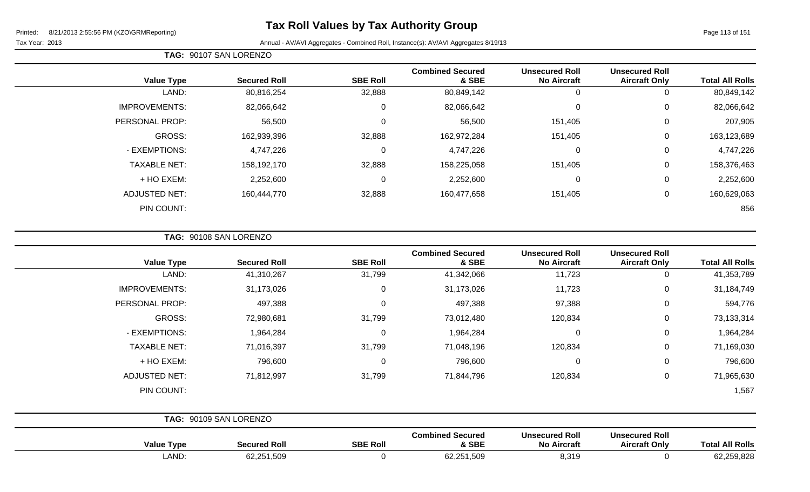Page 113 of 151

 $\overline{\phantom{0}}$ 

|  | TAG: 90107 SAN LORENZO |  |
|--|------------------------|--|
|--|------------------------|--|

|                      |                     |                 | <b>Combined Secured</b> | <b>Unsecured Roll</b> | <b>Unsecured Roll</b> |                        |
|----------------------|---------------------|-----------------|-------------------------|-----------------------|-----------------------|------------------------|
| <b>Value Type</b>    | <b>Secured Roll</b> | <b>SBE Roll</b> | & SBE                   | <b>No Aircraft</b>    | <b>Aircraft Only</b>  | <b>Total All Rolls</b> |
| LAND:                | 80,816,254          | 32,888          | 80,849,142              | 0                     | 0                     | 80,849,142             |
| <b>IMPROVEMENTS:</b> | 82,066,642          | 0               | 82,066,642              | 0                     | 0                     | 82,066,642             |
| PERSONAL PROP:       | 56,500              | $\Omega$        | 56,500                  | 151,405               | 0                     | 207,905                |
| GROSS:               | 162,939,396         | 32,888          | 162,972,284             | 151,405               | 0                     | 163,123,689            |
| - EXEMPTIONS:        | 4,747,226           | 0               | 4,747,226               | $\mathbf{0}$          | 0                     | 4,747,226              |
| <b>TAXABLE NET:</b>  | 158,192,170         | 32,888          | 158,225,058             | 151,405               | 0                     | 158,376,463            |
| + HO EXEM:           | 2,252,600           | 0               | 2,252,600               | 0                     | 0                     | 2,252,600              |
| <b>ADJUSTED NET:</b> | 160,444,770         | 32,888          | 160,477,658             | 151,405               | 0                     | 160,629,063            |
| PIN COUNT:           |                     |                 |                         |                       |                       | 856                    |

| 41,353,789<br>11,723<br>$\mathbf 0$<br>$\mathbf 0$<br>11,723<br>97,388<br>$\mathbf 0$<br>$\mathbf 0$ |         | 41,342,066<br>31,173,026 | 31,799      | 41,310,267 | LAND:                |
|------------------------------------------------------------------------------------------------------|---------|--------------------------|-------------|------------|----------------------|
| 31,184,749                                                                                           |         |                          |             |            |                      |
| 594,776<br>73,133,314                                                                                |         |                          | $\mathbf 0$ | 31,173,026 | <b>IMPROVEMENTS:</b> |
|                                                                                                      |         | 497,388                  | $\mathbf 0$ | 497,388    | PERSONAL PROP:       |
|                                                                                                      | 120,834 | 73,012,480               | 31,799      | 72,980,681 | GROSS:               |
| 1,964,284<br>$\mathbf 0$<br>$\overline{0}$                                                           |         | 1,964,284                | $\mathbf 0$ | 1,964,284  | - EXEMPTIONS:        |
| 120,834<br>$\mathbf 0$<br>71,169,030                                                                 |         | 71,048,196               | 31,799      | 71,016,397 | <b>TAXABLE NET:</b>  |
| $\mathbf 0$<br>796,600<br>$\mathbf 0$                                                                |         | 796,600                  | $\mathbf 0$ | 796,600    | + HO EXEM:           |
| $\mathbf 0$<br>71,965,630<br>120,834                                                                 |         | 71,844,796               | 31,799      | 71,812,997 | <b>ADJUSTED NET:</b> |
| 1,567                                                                                                |         |                          |             |            | PIN COUNT:           |

|                   | <b>IAU.</b> SUIUS UNN LUITLINZU |                 |                                  |                                             |                                               |                        |
|-------------------|---------------------------------|-----------------|----------------------------------|---------------------------------------------|-----------------------------------------------|------------------------|
| <b>Value Type</b> | <b>Secured Roll</b>             | <b>SBE Roll</b> | <b>Combined Secured</b><br>& SBE | <b>Unsecured Roll</b><br><b>No Aircraft</b> | <b>Unsecured Roll</b><br><b>Aircraft Only</b> | <b>Total All Rolls</b> |
| LAND:             | 62,251,509                      |                 | 62,251,509                       | 8,319                                       |                                               | 62,259,828             |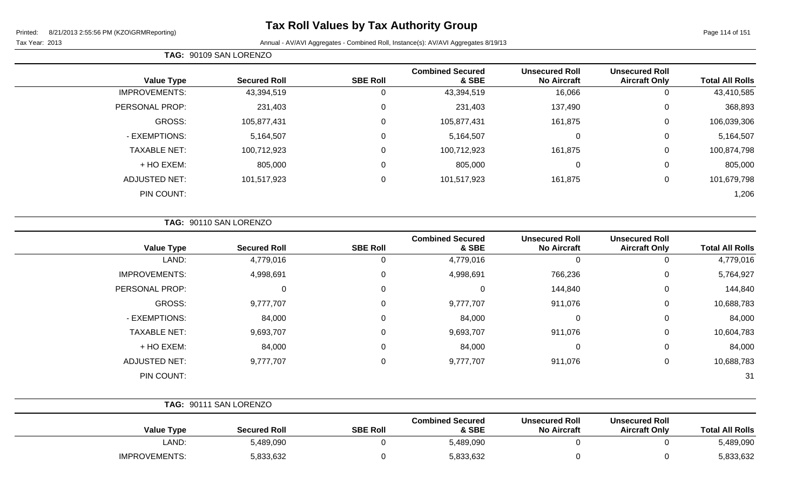# **Tax Roll Values by Tax Authority Group**

Page 114 of 151

|                      | TAG: 90109 SAN LORENZO |                 |                                  |                                             |                                               |                        |
|----------------------|------------------------|-----------------|----------------------------------|---------------------------------------------|-----------------------------------------------|------------------------|
| <b>Value Type</b>    | <b>Secured Roll</b>    | <b>SBE Roll</b> | <b>Combined Secured</b><br>& SBE | <b>Unsecured Roll</b><br><b>No Aircraft</b> | <b>Unsecured Roll</b><br><b>Aircraft Only</b> | <b>Total All Rolls</b> |
| <b>IMPROVEMENTS:</b> | 43,394,519             | 0               | 43,394,519                       | 16,066                                      | 0                                             | 43,410,585             |
| PERSONAL PROP:       | 231,403                | 0               | 231,403                          | 137,490                                     | 0                                             | 368,893                |
| GROSS:               | 105,877,431            | 0               | 105,877,431                      | 161,875                                     | 0                                             | 106,039,306            |
| - EXEMPTIONS:        | 5,164,507              | $\mathbf 0$     | 5,164,507                        | $\mathbf 0$                                 | 0                                             | 5,164,507              |
| <b>TAXABLE NET:</b>  | 100,712,923            | $\mathbf 0$     | 100,712,923                      | 161,875                                     | $\mathbf 0$                                   | 100,874,798            |
| + HO EXEM:           | 805,000                | $\mathbf 0$     | 805,000                          | $\mathbf 0$                                 | 0                                             | 805,000                |
| <b>ADJUSTED NET:</b> | 101,517,923            | $\mathbf 0$     | 101,517,923                      | 161,875                                     | 0                                             | 101,679,798            |
| PIN COUNT:           |                        |                 |                                  |                                             |                                               | 1,206                  |

| <b>TAG: 90110 SAN LORENZO</b> |
|-------------------------------|
|                               |

| <b>Value Type</b>    | <b>Secured Roll</b> | <b>SBE Roll</b> | <b>Combined Secured</b><br>& SBE | <b>Unsecured Roll</b><br><b>No Aircraft</b> | <b>Unsecured Roll</b><br><b>Aircraft Only</b> | <b>Total All Rolls</b> |
|----------------------|---------------------|-----------------|----------------------------------|---------------------------------------------|-----------------------------------------------|------------------------|
| LAND:                | 4,779,016           | 0               | 4,779,016                        | 0                                           | 0                                             | 4,779,016              |
| <b>IMPROVEMENTS:</b> | 4,998,691           | 0               | 4,998,691                        | 766,236                                     | 0                                             | 5,764,927              |
| PERSONAL PROP:       | 0                   | 0               | 0                                | 144,840                                     | 0                                             | 144,840                |
| GROSS:               | 9,777,707           | 0               | 9,777,707                        | 911,076                                     | 0                                             | 10,688,783             |
| - EXEMPTIONS:        | 84,000              | 0               | 84,000                           | 0                                           | 0                                             | 84,000                 |
| <b>TAXABLE NET:</b>  | 9,693,707           | 0               | 9,693,707                        | 911,076                                     | 0                                             | 10,604,783             |
| + HO EXEM:           | 84,000              | 0               | 84,000                           | 0                                           | 0                                             | 84,000                 |
| <b>ADJUSTED NET:</b> | 9,777,707           | 0               | 9,777,707                        | 911,076                                     | 0                                             | 10,688,783             |
| PIN COUNT:           |                     |                 |                                  |                                             |                                               | 31                     |

|                      | TAG: 90111 SAN LORENZO |                 |                                  |                                             |                                               |                        |
|----------------------|------------------------|-----------------|----------------------------------|---------------------------------------------|-----------------------------------------------|------------------------|
| <b>Value Type</b>    | <b>Secured Roll</b>    | <b>SBE Roll</b> | <b>Combined Secured</b><br>& SBE | <b>Unsecured Roll</b><br><b>No Aircraft</b> | <b>Unsecured Roll</b><br><b>Aircraft Only</b> | <b>Total All Rolls</b> |
| LAND:                | 5,489,090              |                 | 5,489,090                        |                                             |                                               | 5,489,090              |
| <b>IMPROVEMENTS:</b> | 5,833,632              |                 | 5,833,632                        |                                             |                                               | 5,833,632              |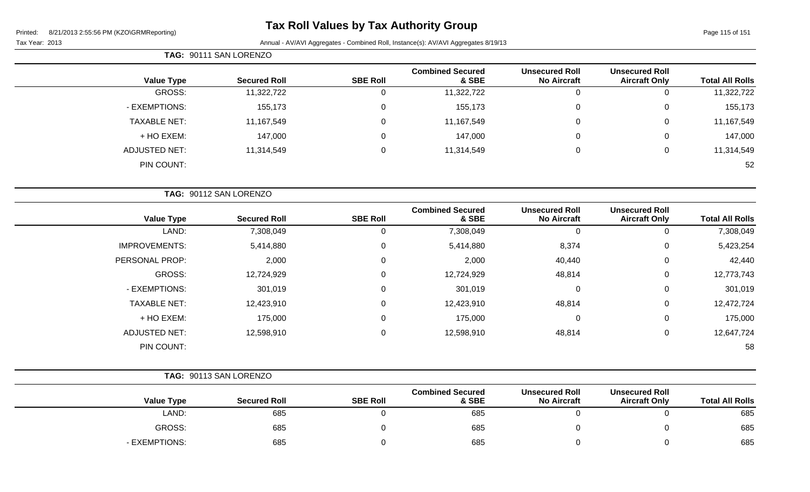# **Tax Roll Values by Tax Authority Group**

|                     | TAG: 90111 SAN LORENZO |                 |                                  |                                             |                                               |                        |
|---------------------|------------------------|-----------------|----------------------------------|---------------------------------------------|-----------------------------------------------|------------------------|
| <b>Value Type</b>   | <b>Secured Roll</b>    | <b>SBE Roll</b> | <b>Combined Secured</b><br>& SBE | <b>Unsecured Roll</b><br><b>No Aircraft</b> | <b>Unsecured Roll</b><br><b>Aircraft Only</b> | <b>Total All Rolls</b> |
| GROSS:              | 11,322,722             | 0               | 11,322,722                       | 0                                           | 0                                             | 11,322,722             |
| - EXEMPTIONS:       | 155,173                | 0               | 155,173                          | 0                                           | 0                                             | 155,173                |
| <b>TAXABLE NET:</b> | 11,167,549             | 0               | 11,167,549                       | 0                                           | 0                                             | 11,167,549             |
| + HO EXEM:          | 147,000                | 0               | 147,000                          | 0                                           | 0                                             | 147,000                |
| ADJUSTED NET:       | 11,314,549             | 0               | 11,314,549                       | 0                                           | 0                                             | 11,314,549             |
| PIN COUNT:          |                        |                 |                                  |                                             |                                               | 52                     |

|                        |                                               |                                             |                                  |                  | TAG: 90112 SAN LORENZO |                      |
|------------------------|-----------------------------------------------|---------------------------------------------|----------------------------------|------------------|------------------------|----------------------|
| <b>Total All Rolls</b> | <b>Unsecured Roll</b><br><b>Aircraft Only</b> | <b>Unsecured Roll</b><br><b>No Aircraft</b> | <b>Combined Secured</b><br>& SBE | <b>SBE Roll</b>  | <b>Secured Roll</b>    | <b>Value Type</b>    |
| 7,308,049              | 0                                             | 0                                           | 7,308,049                        | U                | 7,308,049              | LAND:                |
| 5,423,254              | $\mathbf 0$                                   | 8,374                                       | 5,414,880                        | $\mathbf 0$      | 5,414,880              | <b>IMPROVEMENTS:</b> |
| 42,440                 | 0                                             | 40,440                                      | 2,000                            | $\mathbf 0$      | 2,000                  | PERSONAL PROP:       |
| 12,773,743             | 0                                             | 48,814                                      | 12,724,929                       | $\mathbf 0$      | 12,724,929             | GROSS:               |
| 301,019                | 0                                             | 0                                           | 301,019                          | $\mathbf 0$      | 301,019                | - EXEMPTIONS:        |
| 12,472,724             | $\mathbf 0$                                   | 48,814                                      | 12,423,910                       | $\overline{0}$   | 12,423,910             | <b>TAXABLE NET:</b>  |
| 175,000                | $\mathbf 0$                                   | $\mathbf 0$                                 | 175,000                          | $\boldsymbol{0}$ | 175,000                | + HO EXEM:           |
| 12,647,724             | $\mathbf 0$                                   | 48,814                                      | 12,598,910                       | $\mathbf 0$      | 12,598,910             | <b>ADJUSTED NET:</b> |
| 58                     |                                               |                                             |                                  |                  |                        | PIN COUNT:           |
|                        |                                               |                                             |                                  |                  |                        |                      |

|               | TAG: 90113 SAN LORENZO |                 |                    |
|---------------|------------------------|-----------------|--------------------|
|               |                        |                 | <b>Combined Se</b> |
| $Valuis$ Tung | Convert Dall           | <b>CDE DAIL</b> |                    |

| <b>Value Type</b> | <b>Secured Roll</b> | <b>SBE Roll</b> | <b>Combined Secured</b><br>& SBE | <b>Unsecured Roll</b><br><b>No Aircraft</b> | <b>Unsecured Roll</b><br><b>Aircraft Only</b> | <b>Total All Rolls</b> |
|-------------------|---------------------|-----------------|----------------------------------|---------------------------------------------|-----------------------------------------------|------------------------|
| LAND:             | 685                 |                 | 685                              |                                             |                                               | 685                    |
| GROSS:            | 685                 |                 | 685                              |                                             |                                               | 685                    |
| - EXEMPTIONS:     | 685                 |                 | 685                              |                                             |                                               | 685                    |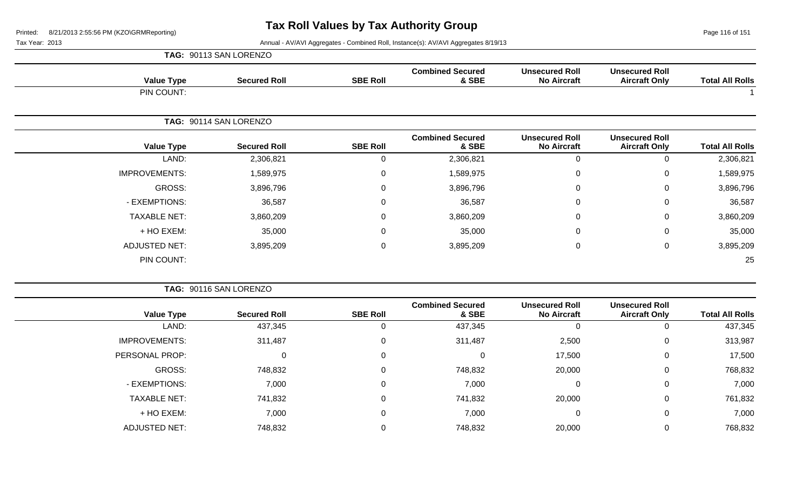Page 116 of 151

|                      | TAG: 90113 SAN LORENZO |                        |                                  |                                             |                                               |                        |
|----------------------|------------------------|------------------------|----------------------------------|---------------------------------------------|-----------------------------------------------|------------------------|
| <b>Value Type</b>    | <b>Secured Roll</b>    | <b>SBE Roll</b>        | <b>Combined Secured</b><br>& SBE | <b>Unsecured Roll</b><br><b>No Aircraft</b> | <b>Unsecured Roll</b><br><b>Aircraft Only</b> | <b>Total All Rolls</b> |
| PIN COUNT:           |                        |                        |                                  |                                             |                                               |                        |
|                      |                        |                        |                                  |                                             |                                               |                        |
| <b>Value Type</b>    | <b>Secured Roll</b>    | <b>SBE Roll</b>        | <b>Combined Secured</b><br>& SBE | <b>Unsecured Roll</b><br><b>No Aircraft</b> | <b>Unsecured Roll</b><br><b>Aircraft Only</b> | <b>Total All Rolls</b> |
| LAND:                | 2,306,821              | 0                      | 2,306,821                        | $\mathbf 0$                                 | 0                                             | 2,306,821              |
| <b>IMPROVEMENTS:</b> | 1,589,975              | 0                      | 1,589,975                        | $\mathbf 0$                                 | 0                                             | 1,589,975              |
| GROSS:               | 3,896,796              | 0                      | 3,896,796                        | 0                                           | 0                                             | 3,896,796              |
| - EXEMPTIONS:        | 36,587                 | 0                      | 36,587                           | $\mathbf 0$                                 | 0                                             | 36,587                 |
| <b>TAXABLE NET:</b>  | 3,860,209              | 0                      | 3,860,209                        | $\pmb{0}$                                   | 0                                             | 3,860,209              |
| + HO EXEM:           | 35,000                 | 0                      | 35,000                           | $\mathbf 0$                                 | 0                                             | 35,000                 |
| <b>ADJUSTED NET:</b> | 3,895,209              | 0                      | 3,895,209                        | $\pmb{0}$                                   | 0                                             | 3,895,209              |
| PIN COUNT:           |                        |                        |                                  |                                             |                                               | 25                     |
|                      |                        | TAG: 90114 SAN LORENZO |                                  |                                             |                                               |                        |

|                      | TAG: 90116 SAN LORENZO |                 |                                  |                                             |                                               |                        |
|----------------------|------------------------|-----------------|----------------------------------|---------------------------------------------|-----------------------------------------------|------------------------|
| <b>Value Type</b>    | <b>Secured Roll</b>    | <b>SBE Roll</b> | <b>Combined Secured</b><br>& SBE | <b>Unsecured Roll</b><br><b>No Aircraft</b> | <b>Unsecured Roll</b><br><b>Aircraft Only</b> | <b>Total All Rolls</b> |
| LAND:                | 437,345                | 0               | 437,345                          |                                             | 0                                             | 437,345                |
| <b>IMPROVEMENTS:</b> | 311,487                | 0               | 311,487                          | 2,500                                       | $\mathbf 0$                                   | 313,987                |
| PERSONAL PROP:       | 0                      | 0               | $\Omega$                         | 17,500                                      | $\mathbf 0$                                   | 17,500                 |
| GROSS:               | 748,832                | 0               | 748,832                          | 20,000                                      | $\mathbf 0$                                   | 768,832                |
| - EXEMPTIONS:        | 7,000                  | 0               | 7,000                            | 0                                           | $\mathbf 0$                                   | 7,000                  |
| <b>TAXABLE NET:</b>  | 741,832                | 0               | 741,832                          | 20,000                                      | $\mathbf 0$                                   | 761,832                |
| + HO EXEM:           | 7,000                  | 0               | 7,000                            | 0                                           | $\mathbf 0$                                   | 7,000                  |
| <b>ADJUSTED NET:</b> | 748,832                | 0               | 748,832                          | 20,000                                      | $\overline{0}$                                | 768,832                |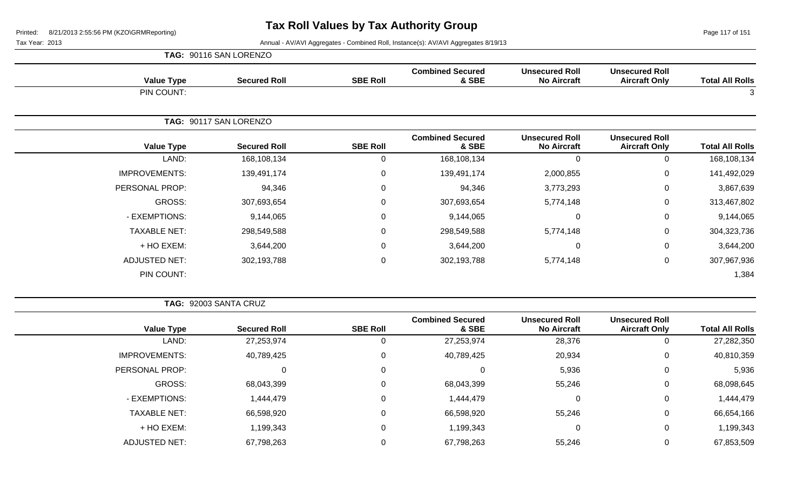Page 117 of 151

Tax Year: 2013 **Annual - AV/AVI Aggregates - Combined Roll**, Instance(s): AV/AVI Aggregates 8/19/13

|                      | TAG: 90116 SAN LORENZO |                 |                                  |                                             |                                               |                        |
|----------------------|------------------------|-----------------|----------------------------------|---------------------------------------------|-----------------------------------------------|------------------------|
| <b>Value Type</b>    | <b>Secured Roll</b>    | <b>SBE Roll</b> | <b>Combined Secured</b><br>& SBE | <b>Unsecured Roll</b><br><b>No Aircraft</b> | <b>Unsecured Roll</b><br><b>Aircraft Only</b> | <b>Total All Rolls</b> |
| PIN COUNT:           |                        |                 |                                  |                                             |                                               | 3                      |
|                      | TAG: 90117 SAN LORENZO |                 |                                  |                                             |                                               |                        |
| <b>Value Type</b>    | <b>Secured Roll</b>    | <b>SBE Roll</b> | <b>Combined Secured</b><br>& SBE | <b>Unsecured Roll</b><br><b>No Aircraft</b> | <b>Unsecured Roll</b><br><b>Aircraft Only</b> | <b>Total All Rolls</b> |
| LAND:                | 168,108,134            | 0               | 168,108,134                      | $\mathbf 0$                                 | 0                                             | 168,108,134            |
| <b>IMPROVEMENTS:</b> | 139,491,174            | $\mathbf 0$     | 139,491,174                      | 2,000,855                                   | 0                                             | 141,492,029            |
| PERSONAL PROP:       | 94,346                 | $\mathbf 0$     | 94,346                           | 3,773,293                                   | 0                                             | 3,867,639              |
| GROSS:               | 307,693,654            | 0               | 307,693,654                      | 5,774,148                                   | 0                                             | 313,467,802            |
| - EXEMPTIONS:        | 9,144,065              | $\mathbf 0$     | 9,144,065                        | $\mathbf 0$                                 | 0                                             | 9,144,065              |
| <b>TAXABLE NET:</b>  | 298,549,588            | 0               | 298,549,588                      | 5,774,148                                   | 0                                             | 304,323,736            |
| + HO EXEM:           | 3,644,200              | 0               | 3,644,200                        | $\mathbf 0$                                 | 0                                             | 3,644,200              |
| <b>ADJUSTED NET:</b> | 302,193,788            | $\mathbf 0$     | 302,193,788                      | 5,774,148                                   | 0                                             | 307,967,936            |
| PIN COUNT:           |                        |                 |                                  |                                             |                                               | 1,384                  |

**TAG:** 92003 SANTA CRUZ

| <b>Total All Rolls</b> | <b>Unsecured Roll</b><br><b>Aircraft Only</b> | <b>Unsecured Roll</b><br><b>No Aircraft</b> | <b>Combined Secured</b><br>& SBE | <b>SBE Roll</b> | <b>Secured Roll</b> | <b>Value Type</b>    |
|------------------------|-----------------------------------------------|---------------------------------------------|----------------------------------|-----------------|---------------------|----------------------|
| 27,282,350             | 0                                             | 28,376                                      | 27,253,974                       |                 | 27,253,974          | LAND:                |
| 40,810,359             | $\mathbf 0$                                   | 20,934                                      | 40,789,425                       | 0               | 40,789,425          | <b>IMPROVEMENTS:</b> |
| 5,936                  | $\mathbf 0$                                   | 5,936                                       |                                  | 0               | 0                   | PERSONAL PROP:       |
| 68,098,645             | 0                                             | 55,246                                      | 68,043,399                       | 0               | 68,043,399          | GROSS:               |
| 1,444,479              | $\mathbf{0}$                                  | 0                                           | 1,444,479                        | 0               | 1,444,479           | - EXEMPTIONS:        |
| 66,654,166             | 0                                             | 55,246                                      | 66,598,920                       | $\Omega$        | 66,598,920          | <b>TAXABLE NET:</b>  |
| 1,199,343              | 0                                             | 0                                           | 1,199,343                        | 0               | 1,199,343           | + HO EXEM:           |
| 67,853,509             | 0                                             | 55,246                                      | 67,798,263                       |                 | 67,798,263          | <b>ADJUSTED NET:</b> |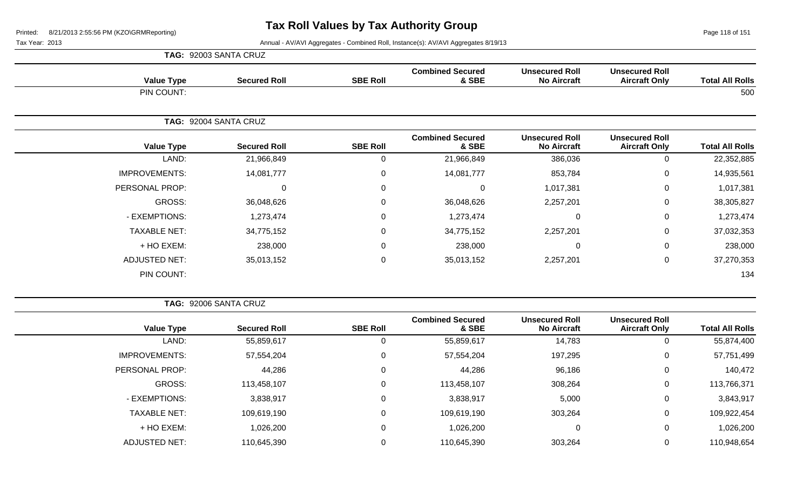Page 118 of 151

Tax Year: 2013 **Annual - AV/AVI Aggregates - Combined Roll**, Instance(s): AV/AVI Aggregates 8/19/13

|                      | TAG: 92003 SANTA CRUZ |                 |                                  |                                             |                                               |                        |
|----------------------|-----------------------|-----------------|----------------------------------|---------------------------------------------|-----------------------------------------------|------------------------|
| <b>Value Type</b>    | <b>Secured Roll</b>   | <b>SBE Roll</b> | <b>Combined Secured</b><br>& SBE | <b>Unsecured Roll</b><br><b>No Aircraft</b> | <b>Unsecured Roll</b><br><b>Aircraft Only</b> | <b>Total All Rolls</b> |
| PIN COUNT:           |                       |                 |                                  |                                             |                                               | 500                    |
|                      | TAG: 92004 SANTA CRUZ |                 |                                  |                                             |                                               |                        |
| <b>Value Type</b>    | <b>Secured Roll</b>   | <b>SBE Roll</b> | <b>Combined Secured</b><br>& SBE | <b>Unsecured Roll</b><br><b>No Aircraft</b> | <b>Unsecured Roll</b><br><b>Aircraft Only</b> | <b>Total All Rolls</b> |
| LAND:                | 21,966,849            | $\mathbf 0$     | 21,966,849                       | 386,036                                     | $\mathbf 0$                                   | 22,352,885             |
| <b>IMPROVEMENTS:</b> | 14,081,777            | $\mathbf 0$     | 14,081,777                       | 853,784                                     | $\pmb{0}$                                     | 14,935,561             |
| PERSONAL PROP:       | $\Omega$              | $\mathbf 0$     | $\mathbf 0$                      | 1,017,381                                   | $\mathbf 0$                                   | 1,017,381              |
| GROSS:               | 36,048,626            | $\mathbf 0$     | 36,048,626                       | 2,257,201                                   | $\mathbf 0$                                   | 38,305,827             |
| - EXEMPTIONS:        | 1,273,474             | $\mathbf 0$     | 1,273,474                        | $\overline{0}$                              | $\mathbf 0$                                   | 1,273,474              |
| <b>TAXABLE NET:</b>  | 34,775,152            | $\mathbf 0$     | 34,775,152                       | 2,257,201                                   | 0                                             | 37,032,353             |
| + HO EXEM:           | 238,000               | $\mathsf 0$     | 238,000                          | $\Omega$                                    | $\pmb{0}$                                     | 238,000                |
| <b>ADJUSTED NET:</b> | 35,013,152            | $\pmb{0}$       | 35,013,152                       | 2,257,201                                   | $\pmb{0}$                                     | 37,270,353             |
| PIN COUNT:           |                       |                 |                                  |                                             |                                               | 134                    |

**TAG:** 92006 SANTA CRUZ

| <b>Total All Rolls</b> | <b>Unsecured Roll</b><br><b>Aircraft Only</b> | <b>Unsecured Roll</b><br><b>No Aircraft</b> | <b>Combined Secured</b><br>& SBE | <b>SBE Roll</b> | <b>Secured Roll</b> | <b>Value Type</b>    |
|------------------------|-----------------------------------------------|---------------------------------------------|----------------------------------|-----------------|---------------------|----------------------|
| 55,874,400             | 0                                             | 14,783                                      | 55,859,617                       | 0               | 55,859,617          | LAND:                |
| 57,751,499             | 0                                             | 197,295                                     | 57,554,204                       | 0               | 57,554,204          | <b>IMPROVEMENTS:</b> |
| 140,472                | 0                                             | 96,186                                      | 44,286                           | 0               | 44,286              | PERSONAL PROP:       |
| 113,766,371            | 0                                             | 308,264                                     | 113,458,107                      | 0               | 113,458,107         | GROSS:               |
| 3,843,917              | 0                                             | 5,000                                       | 3,838,917                        | 0               | 3,838,917           | - EXEMPTIONS:        |
| 109,922,454            | 0                                             | 303,264                                     | 109,619,190                      | 0               | 109,619,190         | <b>TAXABLE NET:</b>  |
| 1,026,200              | 0                                             | 0                                           | 1,026,200                        | 0               | 1,026,200           | + HO EXEM:           |
| 110,948,654            | 0                                             | 303,264                                     | 110,645,390                      |                 | 110,645,390         | <b>ADJUSTED NET:</b> |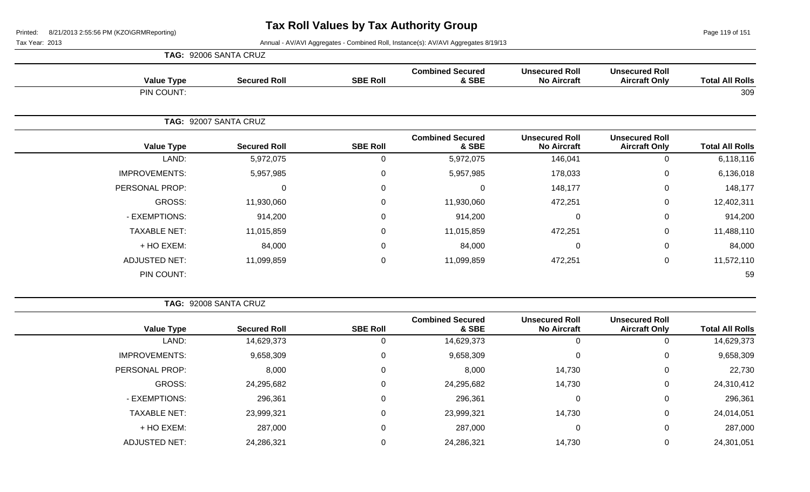Page 119 of 151

Tax Year: 2013 **Annual - AV/AVI Aggregates - Combined Roll**, Instance(s): AV/AVI Aggregates 8/19/13

|                      | TAG: 92006 SANTA CRUZ |                 |                                  |                                             |                                               |                        |
|----------------------|-----------------------|-----------------|----------------------------------|---------------------------------------------|-----------------------------------------------|------------------------|
| <b>Value Type</b>    | <b>Secured Roll</b>   | <b>SBE Roll</b> | <b>Combined Secured</b><br>& SBE | <b>Unsecured Roll</b><br><b>No Aircraft</b> | <b>Unsecured Roll</b><br><b>Aircraft Only</b> | <b>Total All Rolls</b> |
| PIN COUNT:           |                       |                 |                                  |                                             |                                               | 309                    |
|                      | TAG: 92007 SANTA CRUZ |                 |                                  |                                             |                                               |                        |
| <b>Value Type</b>    | <b>Secured Roll</b>   | <b>SBE Roll</b> | <b>Combined Secured</b><br>& SBE | <b>Unsecured Roll</b><br><b>No Aircraft</b> | <b>Unsecured Roll</b><br><b>Aircraft Only</b> | <b>Total All Rolls</b> |
| LAND:                | 5,972,075             | $\mathbf 0$     | 5,972,075                        | 146,041                                     | 0                                             | 6,118,116              |
| <b>IMPROVEMENTS:</b> | 5,957,985             | $\mathsf 0$     | 5,957,985                        | 178,033                                     | $\mathbf 0$                                   | 6,136,018              |
| PERSONAL PROP:       | $\Omega$              | $\mathbf 0$     | $\mathbf 0$                      | 148,177                                     | 0                                             | 148,177                |
| GROSS:               | 11,930,060            | $\mathbf 0$     | 11,930,060                       | 472,251                                     | 0                                             | 12,402,311             |
| - EXEMPTIONS:        | 914,200               | $\mathbf 0$     | 914,200                          | $\mathbf 0$                                 | $\mathbf 0$                                   | 914,200                |
| <b>TAXABLE NET:</b>  | 11,015,859            | $\mathbf 0$     | 11,015,859                       | 472,251                                     | 0                                             | 11,488,110             |
| + HO EXEM:           | 84,000                | $\mathsf 0$     | 84,000                           | $\mathbf{0}$                                | $\mathbf 0$                                   | 84,000                 |
| <b>ADJUSTED NET:</b> | 11,099,859            | $\mathbf 0$     | 11,099,859                       | 472,251                                     | $\pmb{0}$                                     | 11,572,110             |
| PIN COUNT:           |                       |                 |                                  |                                             |                                               | 59                     |

**TAG:** 92008 SANTA CRUZ

| <b>Total All Rolls</b> | <b>Unsecured Roll</b><br><b>Aircraft Only</b> | <b>Unsecured Roll</b><br><b>No Aircraft</b> | <b>Combined Secured</b><br>& SBE | <b>SBE Roll</b> | <b>Secured Roll</b> | <b>Value Type</b>    |
|------------------------|-----------------------------------------------|---------------------------------------------|----------------------------------|-----------------|---------------------|----------------------|
| 14,629,373             | 0                                             | 0                                           | 14,629,373                       | 0               | 14,629,373          | LAND:                |
| 9,658,309              | 0                                             | 0                                           | 9,658,309                        | 0               | 9,658,309           | <b>IMPROVEMENTS:</b> |
| 22,730                 | 0                                             | 14,730                                      | 8,000                            | 0               | 8,000               | PERSONAL PROP:       |
| 24,310,412             | 0                                             | 14,730                                      | 24,295,682                       | 0               | 24,295,682          | GROSS:               |
| 296,361                | 0                                             | 0                                           | 296,361                          | 0               | 296,361             | - EXEMPTIONS:        |
| 24,014,051             | 0                                             | 14,730                                      | 23,999,321                       | 0               | 23,999,321          | <b>TAXABLE NET:</b>  |
| 287,000                | 0                                             | 0                                           | 287,000                          | 0               | 287,000             | + HO EXEM:           |
| 24,301,051             | 0                                             | 14,730                                      | 24,286,321                       | 0               | 24,286,321          | <b>ADJUSTED NET:</b> |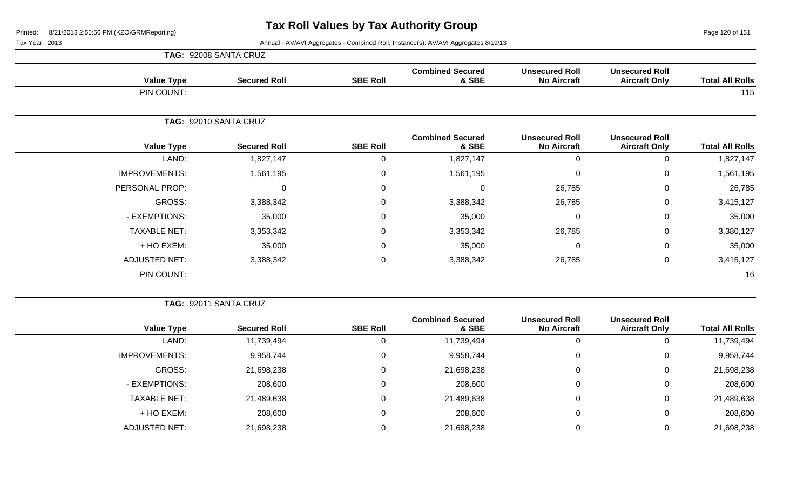Page 120 of 151

Tax Year: 2013 Annual - AV/AVI Aggregates - Combined Roll, Instance(s): AV/AVI Aggregates 8/19/13

|                      | TAG: 92008 SANTA CRUZ |                 |                                  |                                             |                                               |                        |
|----------------------|-----------------------|-----------------|----------------------------------|---------------------------------------------|-----------------------------------------------|------------------------|
| <b>Value Type</b>    | <b>Secured Roll</b>   | <b>SBE Roll</b> | <b>Combined Secured</b><br>& SBE | <b>Unsecured Roll</b><br><b>No Aircraft</b> | <b>Unsecured Roll</b><br><b>Aircraft Only</b> | <b>Total All Rolls</b> |
| PIN COUNT:           |                       |                 |                                  |                                             |                                               | 115                    |
|                      | TAG: 92010 SANTA CRUZ |                 |                                  |                                             |                                               |                        |
| <b>Value Type</b>    | <b>Secured Roll</b>   | <b>SBE Roll</b> | <b>Combined Secured</b><br>& SBE | <b>Unsecured Roll</b><br><b>No Aircraft</b> | <b>Unsecured Roll</b><br><b>Aircraft Only</b> | <b>Total All Rolls</b> |
| LAND:                | 1,827,147             | 0               | 1,827,147                        | $\mathbf 0$                                 | 0                                             | 1,827,147              |
| <b>IMPROVEMENTS:</b> | 1,561,195             | $\mathbf 0$     | 1,561,195                        | $\mathbf 0$                                 | $\pmb{0}$                                     | 1,561,195              |
| PERSONAL PROP:       | 0                     | 0               | $\Omega$                         | 26,785                                      | 0                                             | 26,785                 |
| GROSS:               | 3,388,342             | $\mathbf 0$     | 3,388,342                        | 26,785                                      | $\mathbf 0$                                   | 3,415,127              |
| - EXEMPTIONS:        | 35,000                | $\mathbf 0$     | 35,000                           | $\mathbf 0$                                 | $\mathbf 0$                                   | 35,000                 |
| <b>TAXABLE NET:</b>  | 3,353,342             | 0               | 3,353,342                        | 26,785                                      | $\mathbf 0$                                   | 3,380,127              |
| + HO EXEM:           | 35,000                | $\mathbf{0}$    | 35,000                           | $\mathbf 0$                                 | $\mathbf 0$                                   | 35,000                 |
| <b>ADJUSTED NET:</b> | 3,388,342             | $\mathbf 0$     | 3,388,342                        | 26,785                                      | $\mathbf 0$                                   | 3,415,127              |
| PIN COUNT:           |                       |                 |                                  |                                             |                                               | 16                     |

**TAG:** 92011 SANTA CRUZ

| <b>Value Type</b>    | <b>Secured Roll</b> | <b>SBE Roll</b> | <b>Combined Secured</b><br>& SBE | <b>Unsecured Roll</b><br><b>No Aircraft</b> | <b>Unsecured Roll</b><br><b>Aircraft Only</b> | <b>Total All Rolls</b> |
|----------------------|---------------------|-----------------|----------------------------------|---------------------------------------------|-----------------------------------------------|------------------------|
| LAND:                | 11,739,494          | 0               | 11,739,494                       | 0                                           | 0                                             | 11,739,494             |
|                      |                     |                 |                                  |                                             |                                               |                        |
| <b>IMPROVEMENTS:</b> | 9,958,744           | 0               | 9,958,744                        | $\mathbf 0$                                 | 0                                             | 9,958,744              |
| GROSS:               | 21,698,238          | 0               | 21,698,238                       | 0                                           | 0                                             | 21,698,238             |
| - EXEMPTIONS:        | 208,600             | 0               | 208,600                          | $\mathbf{0}$                                | 0                                             | 208,600                |
| <b>TAXABLE NET:</b>  | 21,489,638          | 0               | 21,489,638                       | $\overline{0}$                              | 0                                             | 21,489,638             |
| + HO EXEM:           | 208,600             | 0               | 208,600                          | 0                                           | 0                                             | 208,600                |
| <b>ADJUSTED NET:</b> | 21,698,238          | 0               | 21,698,238                       | $\Omega$                                    | 0                                             | 21,698,238             |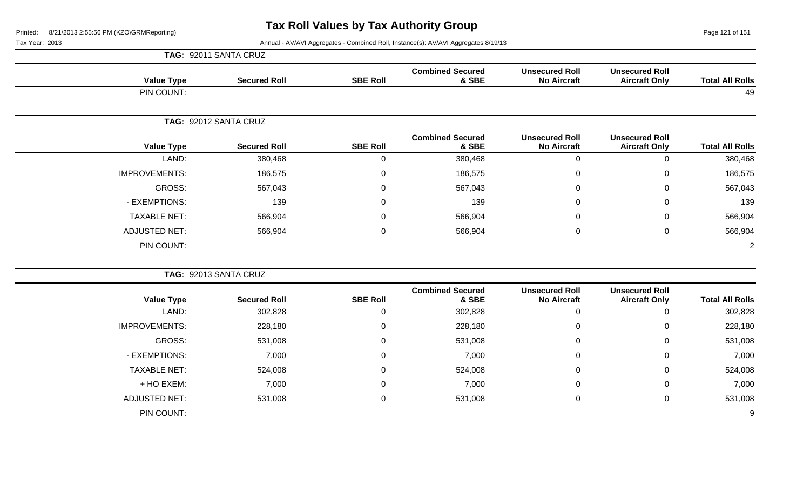Page 121 of 151

Tax Year: 2013 Annual - AV/AVI Aggregates - Combined Roll, Instance(s): AV/AVI Aggregates 8/19/13

|                        |                                               |                                             |                                  |                 | TAG: 92011 SANTA CRUZ |                      |
|------------------------|-----------------------------------------------|---------------------------------------------|----------------------------------|-----------------|-----------------------|----------------------|
| <b>Total All Rolls</b> | <b>Unsecured Roll</b><br><b>Aircraft Only</b> | <b>Unsecured Roll</b><br><b>No Aircraft</b> | <b>Combined Secured</b><br>& SBE | <b>SBE Roll</b> | <b>Secured Roll</b>   | <b>Value Type</b>    |
| 49                     |                                               |                                             |                                  |                 |                       | PIN COUNT:           |
|                        |                                               |                                             |                                  |                 | TAG: 92012 SANTA CRUZ |                      |
| <b>Total All Rolls</b> | <b>Unsecured Roll</b><br><b>Aircraft Only</b> | <b>Unsecured Roll</b><br><b>No Aircraft</b> | <b>Combined Secured</b><br>& SBE | <b>SBE Roll</b> | <b>Secured Roll</b>   | <b>Value Type</b>    |
| 380,468                | $\mathbf 0$                                   | $\mathbf 0$                                 | 380,468                          | 0               | 380,468               | LAND:                |
| 186,575                | $\mathsf 0$                                   | $\boldsymbol{0}$                            | 186,575                          | $\pmb{0}$       | 186,575               | <b>IMPROVEMENTS:</b> |
| 567,043                | $\mathbf 0$                                   | 0                                           | 567,043                          | $\pmb{0}$       | 567,043               | GROSS:               |
| 139                    | $\mathbf 0$                                   | $\mathbf 0$                                 | 139                              | $\mathsf 0$     | 139                   | - EXEMPTIONS:        |
| 566,904                | $\mathsf 0$                                   | 0                                           | 566,904                          | $\mathsf 0$     | 566,904               | <b>TAXABLE NET:</b>  |
| 566,904                | $\mathbf 0$                                   | $\mathbf 0$                                 | 566,904                          | $\mathsf 0$     | 566,904               | <b>ADJUSTED NET:</b> |
| $\overline{2}$         |                                               |                                             |                                  |                 |                       | PIN COUNT:           |
|                        |                                               |                                             |                                  |                 | TAG: 92013 SANTA CRUZ |                      |
| <b>Total All Rolls</b> | <b>Unsecured Roll</b><br><b>Aircraft Only</b> | <b>Unsecured Roll</b><br><b>No Aircraft</b> | <b>Combined Secured</b><br>& SBE | <b>SBE Roll</b> | <b>Secured Roll</b>   | <b>Value Type</b>    |
| 302,828                | $\mathbf 0$                                   | $\mathbf 0$                                 | 302,828                          | $\mathbf 0$     | 302,828               | LAND:                |
| 228,180                | $\mathsf 0$                                   | $\pmb{0}$                                   | 228,180                          | $\mathsf 0$     | 228,180               | <b>IMPROVEMENTS:</b> |
| 531,008                | $\overline{0}$                                | 0                                           | 531,008                          | $\mathsf 0$     | 531,008               | GROSS:               |
| 7,000                  | $\mathbf 0$                                   | 0                                           | 7,000                            | $\mathsf 0$     | 7,000                 | - EXEMPTIONS:        |
| 524,008                | 0                                             | $\Omega$                                    | 524,008                          | $\mathbf 0$     | 524,008               | <b>TAXABLE NET:</b>  |
| 7,000                  | $\mathbf 0$                                   | 0                                           | 7,000                            | $\mathsf 0$     | 7,000                 | + HO EXEM:           |
| 531,008                | $\mathsf 0$                                   | 0                                           | 531,008                          | $\mathsf 0$     | 531,008               | <b>ADJUSTED NET:</b> |
|                        |                                               |                                             |                                  |                 |                       |                      |

PIN COUNT: 9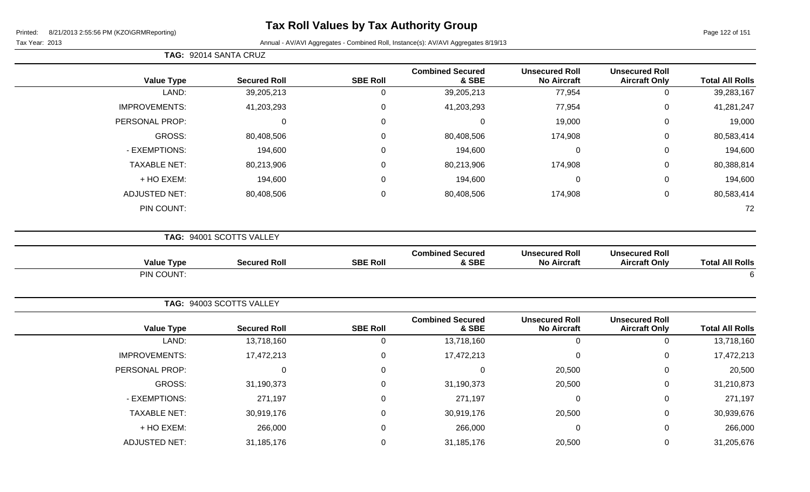**TAG:** 92014 SANTA CRUZ

Page 122 of 151

| <b>Value Type</b>    | <b>Secured Roll</b>      | <b>SBE Roll</b> | <b>Combined Secured</b><br>& SBE | <b>Unsecured Roll</b><br><b>No Aircraft</b> | <b>Unsecured Roll</b><br><b>Aircraft Only</b> | <b>Total All Rolls</b> |
|----------------------|--------------------------|-----------------|----------------------------------|---------------------------------------------|-----------------------------------------------|------------------------|
| LAND:                | 39,205,213               | $\mathbf 0$     | 39,205,213                       | 77,954                                      | $\pmb{0}$                                     | 39,283,167             |
| <b>IMPROVEMENTS:</b> | 41,203,293               | 0               | 41,203,293                       | 77,954                                      | $\boldsymbol{0}$                              | 41,281,247             |
| PERSONAL PROP:       | $\mathbf 0$              | $\Omega$        | $\mathbf 0$                      | 19,000                                      | $\mathbf 0$                                   | 19,000                 |
| <b>GROSS:</b>        | 80,408,506               | $\mathbf 0$     | 80,408,506                       | 174,908                                     | $\mathbf 0$                                   | 80,583,414             |
| - EXEMPTIONS:        | 194,600                  | $\mathsf 0$     | 194,600                          | $\mathbf 0$                                 | $\boldsymbol{0}$                              | 194,600                |
| <b>TAXABLE NET:</b>  | 80,213,906               | 0               | 80,213,906                       | 174,908                                     | 0                                             | 80,388,814             |
| + HO EXEM:           | 194,600                  | 0               | 194,600                          | $\mathbf 0$                                 | $\boldsymbol{0}$                              | 194,600                |
| <b>ADJUSTED NET:</b> | 80,408,506               | $\mathbf 0$     | 80,408,506                       | 174,908                                     | $\pmb{0}$                                     | 80,583,414             |
| PIN COUNT:           |                          |                 |                                  |                                             |                                               | 72                     |
|                      | TAG: 94001 SCOTTS VALLEY |                 |                                  |                                             |                                               |                        |
| <b>Value Type</b>    | <b>Secured Roll</b>      | <b>SBE Roll</b> | <b>Combined Secured</b><br>& SBE | <b>Unsecured Roll</b><br><b>No Aircraft</b> | <b>Unsecured Roll</b><br><b>Aircraft Only</b> | <b>Total All Rolls</b> |
| PIN COUNT:           |                          |                 |                                  |                                             |                                               | $\,6$                  |
|                      | TAG: 94003 SCOTTS VALLEY |                 |                                  |                                             |                                               |                        |
| <b>Value Type</b>    | <b>Secured Roll</b>      | <b>SBE Roll</b> | <b>Combined Secured</b><br>& SBE | <b>Unsecured Roll</b><br><b>No Aircraft</b> | <b>Unsecured Roll</b><br><b>Aircraft Only</b> | <b>Total All Rolls</b> |
| LAND:                | 13,718,160               | $\pmb{0}$       | 13,718,160                       | $\mathbf 0$                                 | $\pmb{0}$                                     | 13,718,160             |
| <b>IMPROVEMENTS:</b> | 17,472,213               | $\mathsf 0$     | 17,472,213                       | $\mathbf 0$                                 | $\pmb{0}$                                     | 17,472,213             |
| PERSONAL PROP:       | 0                        | 0               | $\mathbf 0$                      | 20,500                                      | 0                                             | 20,500                 |
| GROSS:               | 31,190,373               | 0               | 31,190,373                       | 20,500                                      | 0                                             | 31,210,873             |
| - EXEMPTIONS:        | 271,197                  | $\mathsf 0$     | 271,197                          | $\mathbf 0$                                 | $\,0\,$                                       | 271,197                |
| <b>TAXABLE NET:</b>  | 30,919,176               | $\mathbf 0$     | 30,919,176                       | 20,500                                      | $\mathbf 0$                                   | 30,939,676             |
| + HO EXEM:           | 266,000                  | 0               | 266,000                          | $\mathbf 0$                                 | $\pmb{0}$                                     | 266,000                |
| <b>ADJUSTED NET:</b> | 31,185,176               | 0               | 31,185,176                       | 20,500                                      | $\mathbf 0$                                   | 31,205,676             |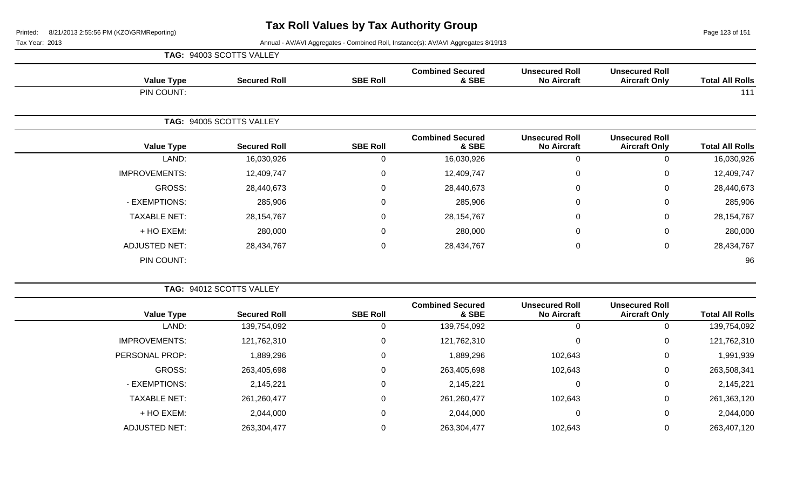Page 123 of 151

| <b>TAG: 94003 SCOTTS VALLEY</b> |
|---------------------------------|
|                                 |

| <b>Value Type</b>    | <b>Secured Roll</b>      | <b>SBE Roll</b> | <b>Combined Secured</b><br>& SBE | <b>Unsecured Roll</b><br><b>No Aircraft</b> | <b>Unsecured Roll</b><br><b>Aircraft Only</b> | <b>Total All Rolls</b> |
|----------------------|--------------------------|-----------------|----------------------------------|---------------------------------------------|-----------------------------------------------|------------------------|
| PIN COUNT:           |                          |                 |                                  |                                             |                                               | 111                    |
|                      | TAG: 94005 SCOTTS VALLEY |                 |                                  |                                             |                                               |                        |
| <b>Value Type</b>    | <b>Secured Roll</b>      | <b>SBE Roll</b> | <b>Combined Secured</b><br>& SBE | <b>Unsecured Roll</b><br><b>No Aircraft</b> | <b>Unsecured Roll</b><br><b>Aircraft Only</b> | <b>Total All Rolls</b> |
| LAND:                | 16,030,926               | $\mathbf 0$     | 16,030,926                       | $\mathbf 0$                                 | 0                                             | 16,030,926             |
| <b>IMPROVEMENTS:</b> | 12,409,747               | $\mathbf 0$     | 12,409,747                       | $\mathbf 0$                                 | 0                                             | 12,409,747             |
| GROSS:               | 28,440,673               | $\mathbf 0$     | 28,440,673                       | $\mathbf 0$                                 | 0                                             | 28,440,673             |
| - EXEMPTIONS:        | 285,906                  | 0               | 285,906                          | $\mathbf 0$                                 | 0                                             | 285,906                |
| <b>TAXABLE NET:</b>  | 28, 154, 767             | 0               | 28, 154, 767                     | 0                                           | 0                                             | 28, 154, 767           |
| + HO EXEM:           | 280,000                  | $\mathbf 0$     | 280,000                          | $\mathbf 0$                                 | 0                                             | 280,000                |
| <b>ADJUSTED NET:</b> | 28,434,767               | 0               | 28,434,767                       | $\mathbf 0$                                 | 0                                             | 28,434,767             |
| PIN COUNT:           |                          |                 |                                  |                                             |                                               | 96                     |

|                      | TAG: 94012 SCOTTS VALLEY |                 |                                  |                                             |                                               |                        |
|----------------------|--------------------------|-----------------|----------------------------------|---------------------------------------------|-----------------------------------------------|------------------------|
| <b>Value Type</b>    | <b>Secured Roll</b>      | <b>SBE Roll</b> | <b>Combined Secured</b><br>& SBE | <b>Unsecured Roll</b><br><b>No Aircraft</b> | <b>Unsecured Roll</b><br><b>Aircraft Only</b> | <b>Total All Rolls</b> |
| LAND:                | 139,754,092              |                 | 139,754,092                      | $\Omega$                                    | 0                                             | 139,754,092            |
| <b>IMPROVEMENTS:</b> | 121,762,310              |                 | 121,762,310                      | 0                                           | 0                                             | 121,762,310            |
| PERSONAL PROP:       | 1,889,296                |                 | 1,889,296                        | 102,643                                     | 0                                             | 1,991,939              |
| <b>GROSS:</b>        | 263,405,698              |                 | 263,405,698                      | 102,643                                     | 0                                             | 263,508,341            |
| - EXEMPTIONS:        | 2,145,221                |                 | 2,145,221                        | 0                                           | 0                                             | 2,145,221              |
| <b>TAXABLE NET:</b>  | 261,260,477              |                 | 261,260,477                      | 102,643                                     | $\mathbf 0$                                   | 261,363,120            |
| + HO EXEM:           | 2,044,000                | 0               | 2,044,000                        | 0                                           | 0                                             | 2,044,000              |
| <b>ADJUSTED NET:</b> | 263,304,477              |                 | 263,304,477                      | 102,643                                     | 0                                             | 263,407,120            |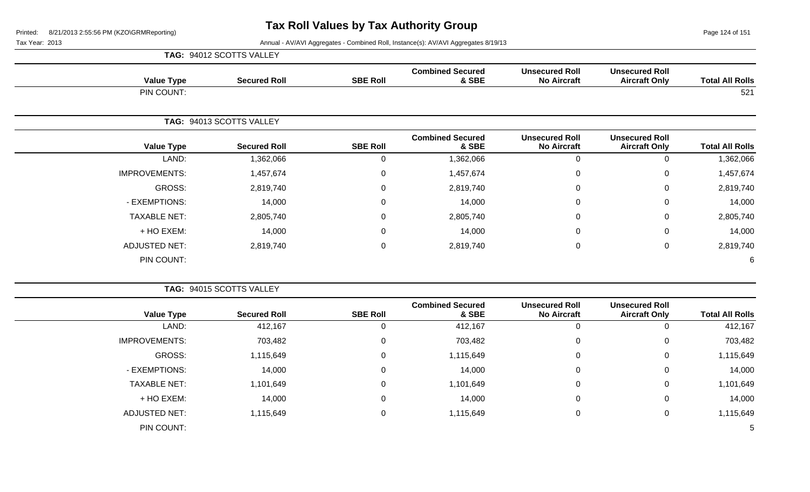Page 124 of 151

| <b>Value Type</b>    | <b>Secured Roll</b>      | <b>SBE Roll</b> | <b>Combined Secured</b><br>& SBE | <b>Unsecured Roll</b><br><b>No Aircraft</b> | <b>Unsecured Roll</b><br><b>Aircraft Only</b> | <b>Total All Rolls</b> |
|----------------------|--------------------------|-----------------|----------------------------------|---------------------------------------------|-----------------------------------------------|------------------------|
| PIN COUNT:           |                          |                 |                                  |                                             |                                               | 521                    |
|                      | TAG: 94013 SCOTTS VALLEY |                 |                                  |                                             |                                               |                        |
| <b>Value Type</b>    | <b>Secured Roll</b>      | <b>SBE Roll</b> | <b>Combined Secured</b><br>& SBE | <b>Unsecured Roll</b><br><b>No Aircraft</b> | <b>Unsecured Roll</b><br><b>Aircraft Only</b> | <b>Total All Rolls</b> |
| LAND:                | 1,362,066                | $\mathbf 0$     | 1,362,066                        | $\mathbf 0$                                 | $\mathbf 0$                                   | 1,362,066              |
| <b>IMPROVEMENTS:</b> | 1,457,674                | $\mathbf 0$     | 1,457,674                        | $\mathbf 0$                                 | 0                                             | 1,457,674              |
| GROSS:               | 2,819,740                | $\mathbf 0$     | 2,819,740                        | $\mathbf 0$                                 | $\mathbf 0$                                   | 2,819,740              |
| - EXEMPTIONS:        | 14,000                   | $\mathbf 0$     | 14,000                           | $\mathbf 0$                                 | $\mathbf 0$                                   | 14,000                 |
| <b>TAXABLE NET:</b>  | 2,805,740                | $\mathbf 0$     | 2,805,740                        | $\mathbf 0$                                 | $\mathsf 0$                                   | 2,805,740              |
| + HO EXEM:           | 14,000                   | $\mathbf 0$     | 14,000                           | $\mathbf 0$                                 | $\mathbf 0$                                   | 14,000                 |
| <b>ADJUSTED NET:</b> | 2,819,740                | 0               | 2,819,740                        | $\mathbf 0$                                 | $\mathbf 0$                                   | 2,819,740              |
| PIN COUNT:           |                          |                 |                                  |                                             |                                               | 6                      |

|                        |                                               |                                             | TAG: 94015 SCOTTS VALLEY         |                 |                     |                      |  |  |
|------------------------|-----------------------------------------------|---------------------------------------------|----------------------------------|-----------------|---------------------|----------------------|--|--|
| <b>Total All Rolls</b> | <b>Unsecured Roll</b><br><b>Aircraft Only</b> | <b>Unsecured Roll</b><br><b>No Aircraft</b> | <b>Combined Secured</b><br>& SBE | <b>SBE Roll</b> | <b>Secured Roll</b> | <b>Value Type</b>    |  |  |
| 412,167                |                                               |                                             | 412,167                          | 0               | 412,167             | LAND:                |  |  |
| 703,482                | 0                                             | 0                                           | 703,482                          | 0               | 703,482             | <b>IMPROVEMENTS:</b> |  |  |
| 1,115,649              | 0                                             | $\mathbf 0$                                 | 1,115,649                        | 0               | 1,115,649           | GROSS:               |  |  |
| 14,000                 | 0                                             | $\mathbf 0$                                 | 14,000                           | 0               | 14,000              | - EXEMPTIONS:        |  |  |
| 1,101,649              | 0                                             | $\mathbf 0$                                 | 1,101,649                        | 0               | 1,101,649           | <b>TAXABLE NET:</b>  |  |  |
| 14,000                 | $\Omega$                                      | $\mathbf 0$                                 | 14,000                           | 0               | 14,000              | + HO EXEM:           |  |  |
| 1,115,649              | 0                                             | 0                                           | 1,115,649                        | $\pmb{0}$       | 1,115,649           | ADJUSTED NET:        |  |  |
| 5                      |                                               |                                             |                                  |                 |                     | PIN COUNT:           |  |  |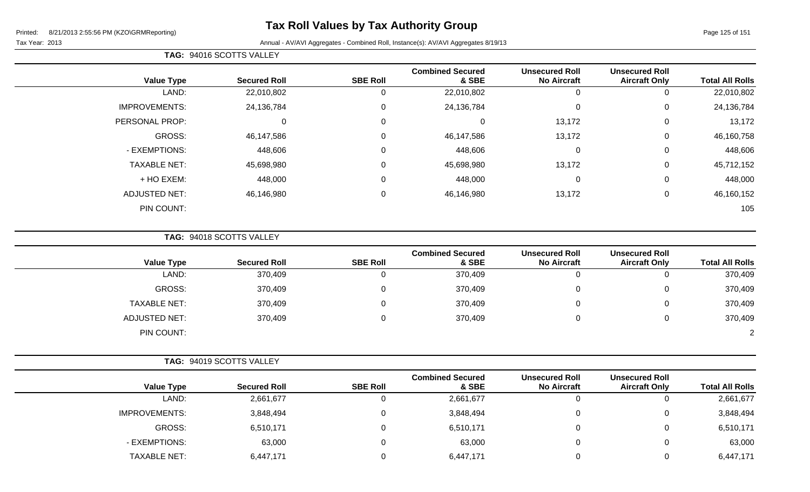#### Tax Year: 2013 Annual - AV/AVI Aggregates - Combined Roll, Instance(s): AV/AVI Aggregates 8/19/13

|  | <b>TAG: 94016 SCOTTS VALLEY</b> |
|--|---------------------------------|
|--|---------------------------------|

| <b>Total All Rolls</b> | <b>Unsecured Roll</b><br><b>Aircraft Only</b> | <b>Unsecured Roll</b><br><b>No Aircraft</b> | <b>Combined Secured</b><br>& SBE | <b>SBE Roll</b> | <b>Secured Roll</b> | <b>Value Type</b>    |
|------------------------|-----------------------------------------------|---------------------------------------------|----------------------------------|-----------------|---------------------|----------------------|
| 22,010,802             | υ                                             | 0                                           | 22,010,802                       | U               | 22,010,802          | LAND:                |
| 24,136,784             | 0                                             | 0                                           | 24,136,784                       | 0               | 24,136,784          | <b>IMPROVEMENTS:</b> |
| 13,172                 | 0                                             | 13,172                                      |                                  | $\overline{0}$  | 0                   | PERSONAL PROP:       |
| 46,160,758             | 0                                             | 13,172                                      | 46,147,586                       | 0               | 46,147,586          | GROSS:               |
| 448,606                | 0                                             | $\mathbf 0$                                 | 448,606                          | 0               | 448,606             | - EXEMPTIONS:        |
| 45,712,152             | 0                                             | 13,172                                      | 45,698,980                       | 0               | 45,698,980          | <b>TAXABLE NET:</b>  |
| 448,000                | 0                                             | $\overline{0}$                              | 448,000                          | $\mathbf 0$     | 448,000             | + HO EXEM:           |
| 46,160,152             | 0                                             | 13,172                                      | 46,146,980                       | $\mathbf 0$     | 46,146,980          | <b>ADJUSTED NET:</b> |
| 105                    |                                               |                                             |                                  |                 |                     | PIN COUNT:           |
|                        |                                               |                                             |                                  |                 |                     |                      |

**TAG:** 94018 SCOTTS VALLEY

| <b>Value Type</b>    | <b>Secured Roll</b> | <b>SBE Roll</b> | <b>Combined Secured</b><br>& SBE | <b>Unsecured Roll</b><br><b>No Aircraft</b> | <b>Unsecured Roll</b><br><b>Aircraft Only</b> | <b>Total All Rolls</b> |
|----------------------|---------------------|-----------------|----------------------------------|---------------------------------------------|-----------------------------------------------|------------------------|
| LAND:                |                     |                 |                                  |                                             |                                               |                        |
|                      | 370,409             |                 | 370,409                          | υ                                           | Ü                                             | 370,409                |
| GROSS:               | 370,409             |                 | 370,409                          | 0                                           | 0                                             | 370,409                |
| <b>TAXABLE NET:</b>  | 370,409             |                 | 370,409                          | 0                                           | 0                                             | 370,409                |
| <b>ADJUSTED NET:</b> | 370,409             |                 | 370,409                          | 0                                           | 0                                             | 370,409                |
| PIN COUNT:           |                     |                 |                                  |                                             |                                               | $\overline{2}$         |

| <b>Value Type</b>    | <b>Secured Roll</b> | <b>SBE Roll</b> | <b>Combined Secured</b><br>& SBE | <b>Unsecured Roll</b><br><b>No Aircraft</b> | <b>Unsecured Roll</b><br><b>Aircraft Only</b> | <b>Total All Rolls</b> |
|----------------------|---------------------|-----------------|----------------------------------|---------------------------------------------|-----------------------------------------------|------------------------|
| LAND:                | 2,661,677           |                 | 2,661,677                        |                                             | v                                             | 2,661,677              |
| <b>IMPROVEMENTS:</b> | 3,848,494           |                 | 3,848,494                        |                                             | ັ                                             | 3,848,494              |
| GROSS:               | 6,510,171           |                 | 6,510,171                        |                                             | ັ                                             | 6,510,171              |
| - EXEMPTIONS:        | 63,000              |                 | 63,000                           |                                             | ν                                             | 63,000                 |
| <b>TAXABLE NET:</b>  | 6,447,171           |                 | 6,447,171                        |                                             | ັ                                             | 6,447,171              |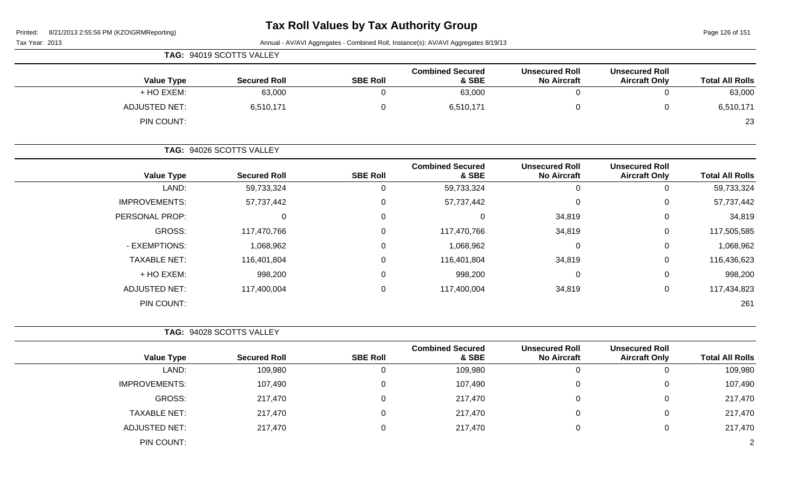# **Tax Roll Values by Tax Authority Group**

Page 126 of 151

|                             | TAG: 94019 SCOTTS VALLEY |                 |                                  |                                             |                                               |                        |
|-----------------------------|--------------------------|-----------------|----------------------------------|---------------------------------------------|-----------------------------------------------|------------------------|
| <b>Value Type</b>           | <b>Secured Roll</b>      | <b>SBE Roll</b> | <b>Combined Secured</b><br>& SBE | <b>Unsecured Roll</b><br><b>No Aircraft</b> | <b>Unsecured Roll</b><br><b>Aircraft Only</b> | <b>Total All Rolls</b> |
| + HO EXEM:                  | 63,000                   |                 | 63,000                           | 0                                           |                                               | 63,000                 |
| ADJUSTED NET:<br>PIN COUNT: | 6,510,171                |                 | 6,510,171                        | 0                                           |                                               | 6,510,171<br>23        |

|                      | TAG: 94026 SCOTTS VALLEY |                 |                                  |                                             |                                               |                        |
|----------------------|--------------------------|-----------------|----------------------------------|---------------------------------------------|-----------------------------------------------|------------------------|
| <b>Value Type</b>    | <b>Secured Roll</b>      | <b>SBE Roll</b> | <b>Combined Secured</b><br>& SBE | <b>Unsecured Roll</b><br><b>No Aircraft</b> | <b>Unsecured Roll</b><br><b>Aircraft Only</b> | <b>Total All Rolls</b> |
| LAND:                | 59,733,324               |                 | 59,733,324                       |                                             | 0                                             | 59,733,324             |
| <b>IMPROVEMENTS:</b> | 57,737,442               | 0               | 57,737,442                       | 0                                           | 0                                             | 57,737,442             |
| PERSONAL PROP:       | 0                        | $\Omega$        | 0                                | 34,819                                      | 0                                             | 34,819                 |
| <b>GROSS:</b>        | 117,470,766              | 0               | 117,470,766                      | 34,819                                      | 0                                             | 117,505,585            |
| - EXEMPTIONS:        | 1,068,962                | $\mathbf 0$     | 1,068,962                        | 0                                           | 0                                             | 1,068,962              |
| <b>TAXABLE NET:</b>  | 116,401,804              | 0               | 116,401,804                      | 34,819                                      | $\mathbf 0$                                   | 116,436,623            |
| + HO EXEM:           | 998,200                  | $\Omega$        | 998,200                          | $\Omega$                                    | $\mathbf 0$                                   | 998,200                |
| <b>ADJUSTED NET:</b> | 117,400,004              | 0               | 117,400,004                      | 34,819                                      | 0                                             | 117,434,823            |
| PIN COUNT:           |                          |                 |                                  |                                             |                                               | 261                    |

|                      | TAG: 94028 SCOTTS VALLEY |                 |                                  |                                             |                                               |                        |
|----------------------|--------------------------|-----------------|----------------------------------|---------------------------------------------|-----------------------------------------------|------------------------|
| <b>Value Type</b>    | <b>Secured Roll</b>      | <b>SBE Roll</b> | <b>Combined Secured</b><br>& SBE | <b>Unsecured Roll</b><br><b>No Aircraft</b> | <b>Unsecured Roll</b><br><b>Aircraft Only</b> | <b>Total All Rolls</b> |
| LAND:                | 109,980                  | 0               | 109,980                          | υ                                           |                                               | 109,980                |
| <b>IMPROVEMENTS:</b> | 107,490                  | 0               | 107,490                          | 0                                           | 0                                             | 107,490                |
| GROSS:               | 217,470                  | 0               | 217,470                          | 0                                           | 0                                             | 217,470                |
| <b>TAXABLE NET:</b>  | 217,470                  | 0               | 217,470                          | 0                                           | 0                                             | 217,470                |
| <b>ADJUSTED NET:</b> | 217,470                  | 0               | 217,470                          | 0                                           | 0                                             | 217,470                |
| PIN COUNT:           |                          |                 |                                  |                                             |                                               |                        |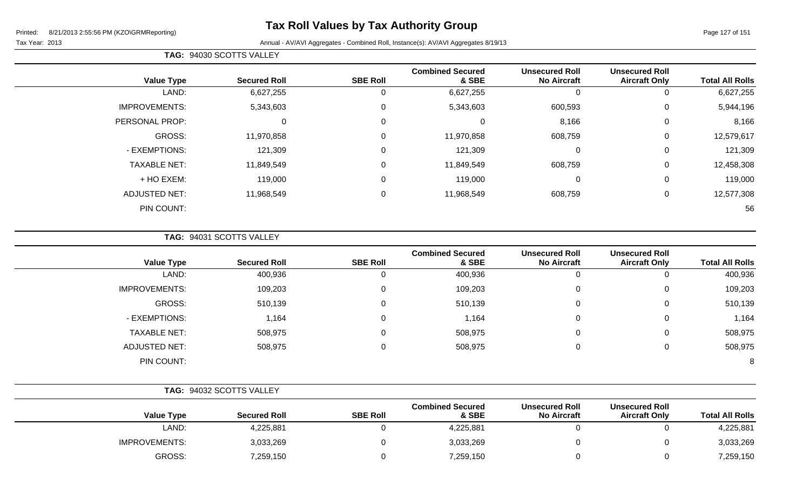Page 127 of 151

#### Tax Year: 2013 Annual - AV/AVI Aggregates - Combined Roll, Instance(s): AV/AVI Aggregates 8/19/13

|  | <b>TAG: 94030 SCOTTS VALLEY</b> |  |
|--|---------------------------------|--|
|--|---------------------------------|--|

| <b>Value Type</b>    | <b>Secured Roll</b> | <b>SBE Roll</b> | <b>Combined Secured</b><br>& SBE | <b>Unsecured Roll</b><br><b>No Aircraft</b> | <b>Unsecured Roll</b><br><b>Aircraft Only</b> | <b>Total All Rolls</b> |
|----------------------|---------------------|-----------------|----------------------------------|---------------------------------------------|-----------------------------------------------|------------------------|
| LAND:                | 6,627,255           | 0               | 6,627,255                        | 0                                           | 0                                             | 6,627,255              |
| <b>IMPROVEMENTS:</b> | 5,343,603           | 0               | 5,343,603                        | 600,593                                     | 0                                             | 5,944,196              |
| PERSONAL PROP:       | 0                   | 0               |                                  | 8,166                                       | $\mathbf 0$                                   | 8,166                  |
| GROSS:               | 11,970,858          | $\Omega$        | 11,970,858                       | 608,759                                     | 0                                             | 12,579,617             |
| - EXEMPTIONS:        | 121,309             | $\Omega$        | 121,309                          | 0                                           | 0                                             | 121,309                |
| <b>TAXABLE NET:</b>  | 11,849,549          | $\Omega$        | 11,849,549                       | 608,759                                     | 0                                             | 12,458,308             |
| + HO EXEM:           | 119,000             | 0               | 119,000                          | 0                                           | 0                                             | 119,000                |
| <b>ADJUSTED NET:</b> | 11,968,549          | 0               | 11,968,549                       | 608,759                                     | 0                                             | 12,577,308             |
| PIN COUNT:           |                     |                 |                                  |                                             |                                               | 56                     |

**TAG:** 94031 SCOTTS VALLEY

| <b>Value Type</b>    | <b>Secured Roll</b> | <b>SBE Roll</b> | <b>Combined Secured</b><br>& SBE | <b>Unsecured Roll</b><br><b>No Aircraft</b> | <b>Unsecured Roll</b><br><b>Aircraft Only</b> | <b>Total All Rolls</b> |
|----------------------|---------------------|-----------------|----------------------------------|---------------------------------------------|-----------------------------------------------|------------------------|
| LAND:                | 400,936             |                 | 400,936                          | 0                                           | v                                             | 400,936                |
| <b>IMPROVEMENTS:</b> | 109,203             | 0               | 109,203                          | 0                                           | 0                                             | 109,203                |
| GROSS:               | 510,139             | 0               | 510,139                          | 0                                           | 0                                             | 510,139                |
| - EXEMPTIONS:        | 1,164               | 0               | 1,164                            | 0                                           | 0                                             | 1,164                  |
| <b>TAXABLE NET:</b>  | 508,975             | 0               | 508,975                          | 0                                           | 0                                             | 508,975                |
| <b>ADJUSTED NET:</b> | 508,975             | 0               | 508,975                          | 0                                           | 0                                             | 508,975                |
| PIN COUNT:           |                     |                 |                                  |                                             |                                               | 8                      |

|                      | TAG: 94032 SCOTTS VALLEY |                 |                                  |                                             |                                               |                        |
|----------------------|--------------------------|-----------------|----------------------------------|---------------------------------------------|-----------------------------------------------|------------------------|
| <b>Value Type</b>    | <b>Secured Roll</b>      | <b>SBE Roll</b> | <b>Combined Secured</b><br>& SBE | <b>Unsecured Roll</b><br><b>No Aircraft</b> | <b>Unsecured Roll</b><br><b>Aircraft Only</b> | <b>Total All Rolls</b> |
| LAND:                | 4,225,881                |                 | 4,225,881                        |                                             |                                               | 4,225,881              |
| <b>IMPROVEMENTS:</b> | 3,033,269                |                 | 3,033,269                        |                                             |                                               | 3,033,269              |
| GROSS:               | 7,259,150                |                 | 7,259,150                        |                                             |                                               | 7,259,150              |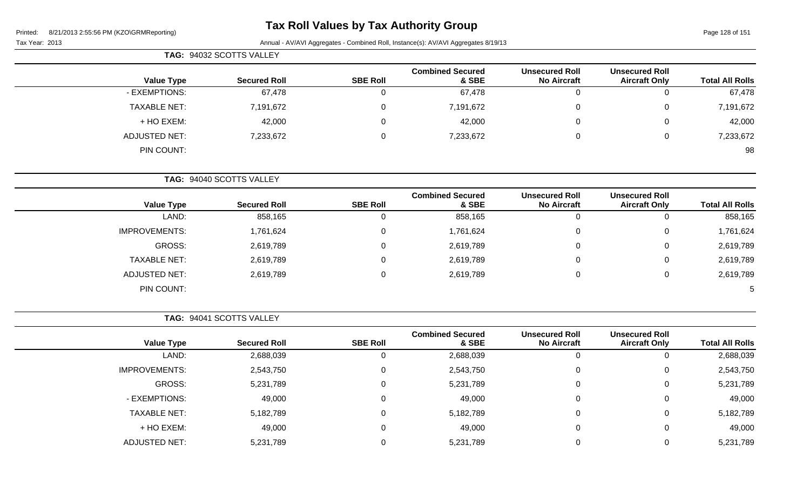# **Tax Roll Values by Tax Authority Group**

Page 128 of 151

Tax Year: 2013 Annual - AV/AVI Aggregates - Combined Roll, Instance(s): AV/AVI Aggregates 8/19/13

|                     | TAG: 94032 SCOTTS VALLEY |                 |                                  |                                             |                                               |                        |
|---------------------|--------------------------|-----------------|----------------------------------|---------------------------------------------|-----------------------------------------------|------------------------|
| <b>Value Type</b>   | <b>Secured Roll</b>      | <b>SBE Roll</b> | <b>Combined Secured</b><br>& SBE | <b>Unsecured Roll</b><br><b>No Aircraft</b> | <b>Unsecured Roll</b><br><b>Aircraft Only</b> | <b>Total All Rolls</b> |
| - EXEMPTIONS:       | 67,478                   | ◡               | 67,478                           |                                             |                                               | 67,478                 |
| <b>TAXABLE NET:</b> | 7,191,672                | 0               | 7,191,672                        | 0                                           |                                               | 7,191,672              |
| + HO EXEM:          | 42,000                   | 0               | 42,000                           | 0                                           |                                               | 42,000                 |
| ADJUSTED NET:       | 7,233,672                | 0               | 7,233,672                        | 0                                           |                                               | 7,233,672              |
| PIN COUNT:          |                          |                 |                                  |                                             |                                               | 98                     |

**TAG:** 94040 SCOTTS VALLEY

|                      |                     |                 | <b>Combined Secured</b> | <b>Unsecured Roll</b> | <b>Unsecured Roll</b> |                        |
|----------------------|---------------------|-----------------|-------------------------|-----------------------|-----------------------|------------------------|
| <b>Value Type</b>    | <b>Secured Roll</b> | <b>SBE Roll</b> | & SBE                   | <b>No Aircraft</b>    | <b>Aircraft Only</b>  | <b>Total All Rolls</b> |
| LAND:                | 858,165             |                 | 858,165                 | U                     |                       | 858,165                |
| <b>IMPROVEMENTS:</b> | 1,761,624           |                 | 1,761,624               | 0                     | 0                     | 1,761,624              |
| GROSS:               | 2,619,789           |                 | 2,619,789               | 0                     |                       | 2,619,789              |
| <b>TAXABLE NET:</b>  | 2,619,789           |                 | 2,619,789               | 0                     | U                     | 2,619,789              |
| <b>ADJUSTED NET:</b> | 2,619,789           |                 | 2,619,789               | $\mathbf{0}$          |                       | 2,619,789              |
| PIN COUNT:           |                     |                 |                         |                       |                       | 5                      |

**TAG:** 94041 SCOTTS VALLEY

|                      |                     |                 | <b>Combined Secured</b> | <b>Unsecured Roll</b> | <b>Unsecured Roll</b> |                        |
|----------------------|---------------------|-----------------|-------------------------|-----------------------|-----------------------|------------------------|
| <b>Value Type</b>    | <b>Secured Roll</b> | <b>SBE Roll</b> | & SBE                   | <b>No Aircraft</b>    | <b>Aircraft Only</b>  | <b>Total All Rolls</b> |
| LAND:                | 2,688,039           | 0               | 2,688,039               | υ                     | 0                     | 2,688,039              |
| <b>IMPROVEMENTS:</b> | 2,543,750           | $\Omega$        | 2,543,750               | 0                     | 0                     | 2,543,750              |
| GROSS:               | 5,231,789           | 0               | 5,231,789               | 0                     | 0                     | 5,231,789              |
| - EXEMPTIONS:        | 49,000              | 0               | 49,000                  | 0                     | 0                     | 49,000                 |
| <b>TAXABLE NET:</b>  | 5,182,789           | 0               | 5,182,789               | 0                     | 0                     | 5,182,789              |
| + HO EXEM:           | 49,000              | $\Omega$        | 49,000                  | 0                     | 0                     | 49,000                 |
| <b>ADJUSTED NET:</b> | 5,231,789           |                 | 5,231,789               |                       | 0                     | 5,231,789              |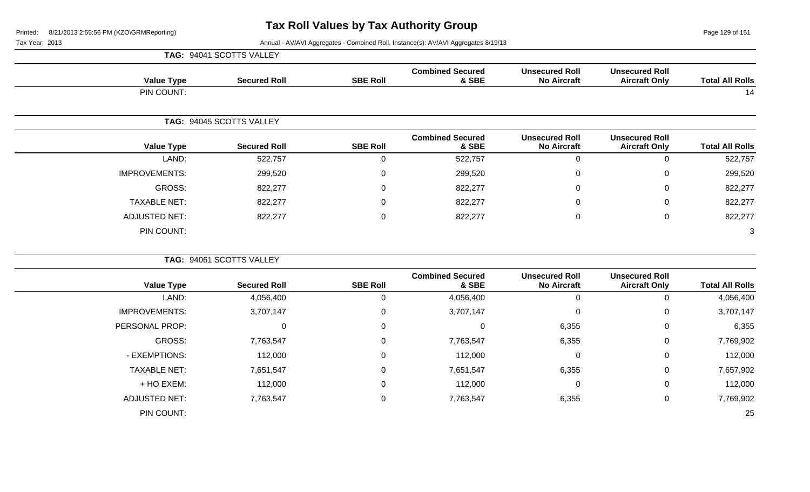Page 129 of 151

|                        |                                               |                                             |                                  |                 | TAG: 94041 SCOTTS VALLEY |                      |
|------------------------|-----------------------------------------------|---------------------------------------------|----------------------------------|-----------------|--------------------------|----------------------|
| <b>Total All Rolls</b> | <b>Unsecured Roll</b><br><b>Aircraft Only</b> | <b>Unsecured Roll</b><br><b>No Aircraft</b> | <b>Combined Secured</b><br>& SBE | <b>SBE Roll</b> | <b>Secured Roll</b>      | <b>Value Type</b>    |
| 14                     |                                               |                                             |                                  |                 |                          | PIN COUNT:           |
|                        |                                               |                                             |                                  |                 | TAG: 94045 SCOTTS VALLEY |                      |
| <b>Total All Rolls</b> | <b>Unsecured Roll</b><br><b>Aircraft Only</b> | <b>Unsecured Roll</b><br><b>No Aircraft</b> | <b>Combined Secured</b><br>& SBE | <b>SBE Roll</b> | <b>Secured Roll</b>      | <b>Value Type</b>    |
| 522,757                | $\mathbf 0$                                   | $\mathbf 0$                                 | 522,757                          | $\mathbf 0$     | 522,757                  | LAND:                |
| 299,520                | $\mathbf 0$                                   | $\mathbf 0$                                 | 299,520                          | $\mathbf 0$     | 299,520                  | <b>IMPROVEMENTS:</b> |
| 822,277                | $\mathbf 0$                                   | 0                                           | 822,277                          | $\mathbf 0$     | 822,277                  | GROSS:               |
| 822,277                | $\mathbf 0$                                   | $\mathbf 0$                                 | 822,277                          | $\pmb{0}$       | 822,277                  | <b>TAXABLE NET:</b>  |
| 822,277                | $\mathsf 0$                                   | $\pmb{0}$                                   | 822,277                          | $\pmb{0}$       | 822,277                  | <b>ADJUSTED NET:</b> |
| 3                      |                                               |                                             |                                  |                 |                          | PIN COUNT:           |
|                        |                                               |                                             |                                  |                 | TAG: 94061 SCOTTS VALLEY |                      |
| <b>Total All Rolls</b> | <b>Unsecured Roll</b><br><b>Aircraft Only</b> | <b>Unsecured Roll</b><br><b>No Aircraft</b> | <b>Combined Secured</b><br>& SBE | <b>SBE Roll</b> | <b>Secured Roll</b>      | <b>Value Type</b>    |
| 4,056,400              | $\mathbf 0$                                   | $\mathbf 0$                                 | 4,056,400                        | $\mathbf 0$     | 4,056,400                | LAND:                |
| 3,707,147              | 0                                             | $\mathbf 0$                                 | 3,707,147                        | $\mathsf 0$     | 3,707,147                | <b>IMPROVEMENTS:</b> |
| 6,355                  | $\mathbf 0$                                   | 6,355                                       | $\mathbf 0$                      | $\mathbf 0$     | $\mathbf 0$              | PERSONAL PROP:       |
| 7,769,902              | $\mathbf 0$                                   | 6,355                                       | 7,763,547                        | $\mathbf 0$     | 7,763,547                | GROSS:               |
| 112,000                | $\mathbf 0$                                   | 0                                           | 112,000                          | $\mathbf 0$     | 112,000                  | - EXEMPTIONS:        |
| 7,657,902              | $\mathbf 0$                                   | 6,355                                       | 7,651,547                        | $\mathsf 0$     | 7,651,547                | <b>TAXABLE NET:</b>  |
| 112,000                | $\mathbf 0$                                   | $\mathbf 0$                                 | 112,000                          | $\pmb{0}$       | 112,000                  | + HO EXEM:           |
| 7,769,902              | $\mathsf 0$                                   | 6,355                                       | 7,763,547                        | $\pmb{0}$       | 7,763,547                | <b>ADJUSTED NET:</b> |
| 25                     |                                               |                                             |                                  |                 |                          | PIN COUNT:           |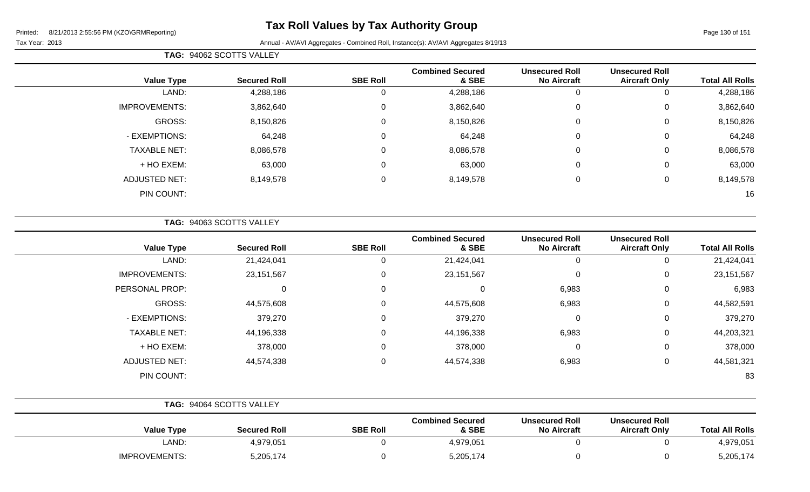Page 130 of 151

#### Tax Year: 2013 **Annual - AV/AVI Aggregates - Combined Roll**, Instance(s): AV/AVI Aggregates 8/19/13

| <b>TAG: 94062 SCOTTS VALLEY</b> |  |
|---------------------------------|--|
|---------------------------------|--|

| <b>Value Type</b>    | <b>Secured Roll</b> | <b>SBE Roll</b> | <b>Combined Secured</b><br>& SBE | <b>Unsecured Roll</b><br><b>No Aircraft</b> | <b>Unsecured Roll</b><br><b>Aircraft Only</b> | <b>Total All Rolls</b> |
|----------------------|---------------------|-----------------|----------------------------------|---------------------------------------------|-----------------------------------------------|------------------------|
| LAND:                | 4,288,186           | U               | 4,288,186                        | 0                                           |                                               | 4,288,186              |
| <b>IMPROVEMENTS:</b> | 3,862,640           | 0               | 3,862,640                        | $\overline{0}$                              | 0                                             | 3,862,640              |
| <b>GROSS:</b>        | 8,150,826           | 0               | 8,150,826                        | $\overline{0}$                              | 0                                             | 8,150,826              |
| - EXEMPTIONS:        | 64,248              | 0               | 64,248                           | $\overline{0}$                              | 0                                             | 64,248                 |
| <b>TAXABLE NET:</b>  | 8,086,578           | 0               | 8,086,578                        | $\overline{0}$                              | 0                                             | 8,086,578              |
| + HO EXEM:           | 63,000              | 0               | 63,000                           | $\overline{0}$                              | 0                                             | 63,000                 |
| <b>ADJUSTED NET:</b> | 8,149,578           | 0               | 8,149,578                        | $\overline{0}$                              | 0                                             | 8,149,578              |
| PIN COUNT:           |                     |                 |                                  |                                             |                                               | 16                     |

**TAG:** 94063 SCOTTS VALLEY

| <b>Value Type</b>    | <b>Secured Roll</b> | <b>SBE Roll</b> | <b>Combined Secured</b><br>& SBE | <b>Unsecured Roll</b><br><b>No Aircraft</b> | <b>Unsecured Roll</b><br><b>Aircraft Only</b> | <b>Total All Rolls</b> |
|----------------------|---------------------|-----------------|----------------------------------|---------------------------------------------|-----------------------------------------------|------------------------|
| LAND:                | 21,424,041          |                 | 21,424,041                       | 0                                           |                                               | 21,424,041             |
| <b>IMPROVEMENTS:</b> | 23,151,567          | 0               | 23,151,567                       | 0                                           | 0                                             | 23, 151, 567           |
| PERSONAL PROP:       | 0                   | $\Omega$        | $\Omega$                         | 6,983                                       | 0                                             | 6,983                  |
| GROSS:               | 44,575,608          | $\Omega$        | 44,575,608                       | 6,983                                       | 0                                             | 44,582,591             |
| - EXEMPTIONS:        | 379,270             |                 | 379,270                          | 0                                           | $\Omega$                                      | 379,270                |
| <b>TAXABLE NET:</b>  | 44,196,338          |                 | 44,196,338                       | 6,983                                       | $\Omega$                                      | 44,203,321             |
| + HO EXEM:           | 378,000             | 0               | 378,000                          | $\mathbf 0$                                 | 0                                             | 378,000                |
| <b>ADJUSTED NET:</b> | 44,574,338          | $\Omega$        | 44,574,338                       | 6,983                                       | 0                                             | 44,581,321             |
| PIN COUNT:           |                     |                 |                                  |                                             |                                               | 83                     |

|                      | TAG: 94064 SCOTTS VALLEY |                 |                                  |                                             |                                               |                        |
|----------------------|--------------------------|-----------------|----------------------------------|---------------------------------------------|-----------------------------------------------|------------------------|
| <b>Value Type</b>    | <b>Secured Roll</b>      | <b>SBE Roll</b> | <b>Combined Secured</b><br>& SBE | <b>Unsecured Roll</b><br><b>No Aircraft</b> | <b>Unsecured Roll</b><br><b>Aircraft Only</b> | <b>Total All Rolls</b> |
| LAND:                | 4,979,051                |                 | 4,979,051                        |                                             |                                               | 4,979,051              |
| <b>IMPROVEMENTS:</b> | 5,205,174                |                 | 5,205,174                        |                                             |                                               | 5,205,174              |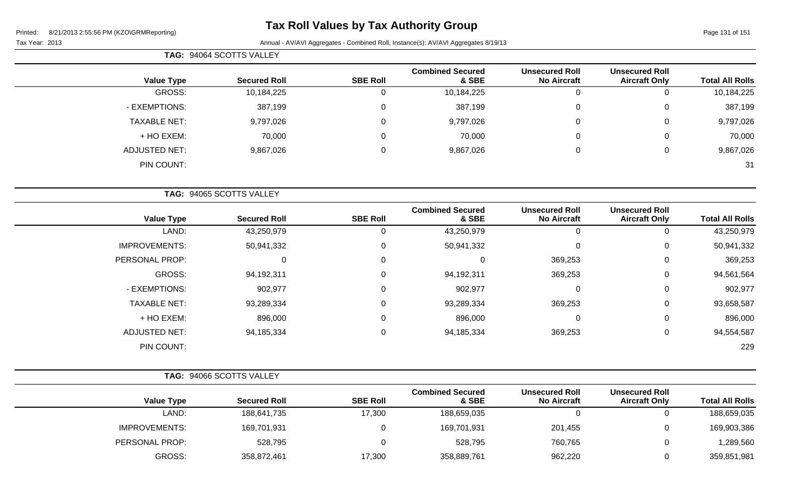# **Tax Roll Values by Tax Authority Group**

Page 131 of 151

|                     | TAG: 94064 SCOTTS VALLEY |                 |                                  |                                             |                                               |                        |  |  |
|---------------------|--------------------------|-----------------|----------------------------------|---------------------------------------------|-----------------------------------------------|------------------------|--|--|
| <b>Value Type</b>   | <b>Secured Roll</b>      | <b>SBE Roll</b> | <b>Combined Secured</b><br>& SBE | <b>Unsecured Roll</b><br><b>No Aircraft</b> | <b>Unsecured Roll</b><br><b>Aircraft Only</b> | <b>Total All Rolls</b> |  |  |
| GROSS:              | 10,184,225               |                 | 10,184,225                       | 0                                           | 0                                             | 10,184,225             |  |  |
| - EXEMPTIONS:       | 387,199                  |                 | 387,199                          | 0                                           | $\mathbf{0}$                                  | 387,199                |  |  |
| <b>TAXABLE NET:</b> | 9,797,026                |                 | 9,797,026                        | 0                                           | 0                                             | 9,797,026              |  |  |
| + HO EXEM:          | 70,000                   |                 | 70,000                           | 0                                           | $\mathbf{0}$                                  | 70,000                 |  |  |
| ADJUSTED NET:       | 9,867,026                |                 | 9,867,026                        | 0                                           | 0                                             | 9,867,026              |  |  |
| PIN COUNT:          |                          |                 |                                  |                                             |                                               | 31                     |  |  |

|                      | TAG: 94065 SCOTTS VALLEY |                 |                                  |                                             |                                               |                        |  |  |  |
|----------------------|--------------------------|-----------------|----------------------------------|---------------------------------------------|-----------------------------------------------|------------------------|--|--|--|
| <b>Value Type</b>    | <b>Secured Roll</b>      | <b>SBE Roll</b> | <b>Combined Secured</b><br>& SBE | <b>Unsecured Roll</b><br><b>No Aircraft</b> | <b>Unsecured Roll</b><br><b>Aircraft Only</b> | <b>Total All Rolls</b> |  |  |  |
| LAND:                | 43,250,979               | 0               | 43,250,979                       | $\Omega$                                    | 0                                             | 43,250,979             |  |  |  |
| <b>IMPROVEMENTS:</b> | 50,941,332               | $\mathbf 0$     | 50,941,332                       | 0                                           | 0                                             | 50,941,332             |  |  |  |
| PERSONAL PROP:       | 0                        | 0               | 0                                | 369,253                                     | 0                                             | 369,253                |  |  |  |
| GROSS:               | 94,192,311               | 0               | 94,192,311                       | 369,253                                     | 0                                             | 94,561,564             |  |  |  |
| - EXEMPTIONS:        | 902,977                  | 0               | 902,977                          | 0                                           | 0                                             | 902,977                |  |  |  |
| <b>TAXABLE NET:</b>  | 93,289,334               | $\mathbf 0$     | 93,289,334                       | 369,253                                     | 0                                             | 93,658,587             |  |  |  |
| + HO EXEM:           | 896,000                  | $\mathbf 0$     | 896,000                          | 0                                           | 0                                             | 896,000                |  |  |  |
| <b>ADJUSTED NET:</b> | 94,185,334               | $\mathbf 0$     | 94,185,334                       | 369,253                                     | 0                                             | 94,554,587             |  |  |  |
| PIN COUNT:           |                          |                 |                                  |                                             |                                               | 229                    |  |  |  |

|                        |                                               |                                             |                                  |                 | <b>TAG: 94066 SCOTTS VALLEY</b> |                      |
|------------------------|-----------------------------------------------|---------------------------------------------|----------------------------------|-----------------|---------------------------------|----------------------|
| <b>Total All Rolls</b> | <b>Unsecured Roll</b><br><b>Aircraft Only</b> | <b>Unsecured Roll</b><br><b>No Aircraft</b> | <b>Combined Secured</b><br>& SBE | <b>SBE Roll</b> | <b>Secured Roll</b>             | <b>Value Type</b>    |
| 188,659,035            | ັ                                             |                                             | 188,659,035                      | 17,300          | 188,641,735                     | LAND:                |
| 169,903,386            | ັ                                             | 201,455                                     | 169,701,931                      |                 | 169,701,931                     | <b>IMPROVEMENTS:</b> |
| 1,289,560              | ν                                             | 760,765                                     | 528,795                          |                 | 528,795                         | PERSONAL PROP:       |
| 359,851,981            |                                               | 962,220                                     | 358,889,761                      | 17,300          | 358,872,461                     | GROSS:               |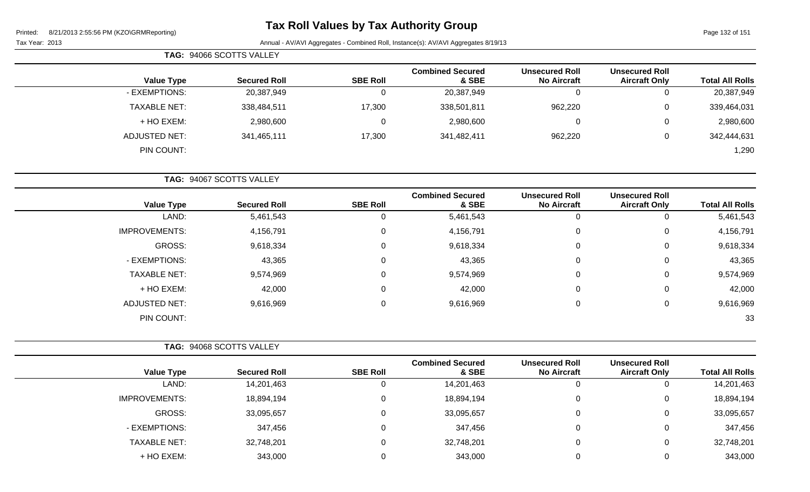Page 132 of 151

Tax Year: 2013 Annual - AV/AVI Aggregates - Combined Roll, Instance(s): AV/AVI Aggregates 8/19/13

|                     | <b>TAG: 94066 SCOTTS VALLEY</b> |                 |                                  |                                             |                                               |                        |
|---------------------|---------------------------------|-----------------|----------------------------------|---------------------------------------------|-----------------------------------------------|------------------------|
| <b>Value Type</b>   | <b>Secured Roll</b>             | <b>SBE Roll</b> | <b>Combined Secured</b><br>& SBE | <b>Unsecured Roll</b><br><b>No Aircraft</b> | <b>Unsecured Roll</b><br><b>Aircraft Only</b> | <b>Total All Rolls</b> |
| - EXEMPTIONS:       | 20,387,949                      |                 | 20,387,949                       |                                             | 0                                             | 20,387,949             |
| <b>TAXABLE NET:</b> | 338,484,511                     | 17,300          | 338,501,811                      | 962,220                                     | 0                                             | 339,464,031            |
| + HO EXEM:          | 2,980,600                       | 0               | 2,980,600                        |                                             | $\mathbf{0}$                                  | 2,980,600              |
| ADJUSTED NET:       | 341,465,111                     | 17,300          | 341,482,411                      | 962,220                                     | 0                                             | 342,444,631            |
| PIN COUNT:          |                                 |                 |                                  |                                             |                                               | 1,290                  |

**TAG:** 94067 SCOTTS VALLEY

| <b>Value Type</b>    | <b>Secured Roll</b> | <b>SBE Roll</b> | <b>Combined Secured</b><br>& SBE | <b>Unsecured Roll</b><br><b>No Aircraft</b> | <b>Unsecured Roll</b><br><b>Aircraft Only</b> | <b>Total All Rolls</b> |
|----------------------|---------------------|-----------------|----------------------------------|---------------------------------------------|-----------------------------------------------|------------------------|
| LAND:                | 5,461,543           | 0               | 5,461,543                        |                                             | 0                                             | 5,461,543              |
| <b>IMPROVEMENTS:</b> | 4,156,791           | 0               | 4,156,791                        | 0                                           | 0                                             | 4,156,791              |
| GROSS:               | 9,618,334           | $\mathbf 0$     | 9,618,334                        | 0                                           | 0                                             | 9,618,334              |
| - EXEMPTIONS:        | 43,365              | 0               | 43,365                           | 0                                           | 0                                             | 43,365                 |
| <b>TAXABLE NET:</b>  | 9,574,969           | 0               | 9,574,969                        | 0                                           | 0                                             | 9,574,969              |
| + HO EXEM:           | 42,000              | $\mathbf 0$     | 42,000                           | 0                                           | 0                                             | 42,000                 |
| <b>ADJUSTED NET:</b> | 9,616,969           | 0               | 9,616,969                        | 0                                           | 0                                             | 9,616,969              |
| PIN COUNT:           |                     |                 |                                  |                                             |                                               | 33                     |

|                      | <b>TAG: 94068 SCOTTS VALLEY</b> |                 |                                  |                                             |                                               |                        |
|----------------------|---------------------------------|-----------------|----------------------------------|---------------------------------------------|-----------------------------------------------|------------------------|
| <b>Value Type</b>    | <b>Secured Roll</b>             | <b>SBE Roll</b> | <b>Combined Secured</b><br>& SBE | <b>Unsecured Roll</b><br><b>No Aircraft</b> | <b>Unsecured Roll</b><br><b>Aircraft Only</b> | <b>Total All Rolls</b> |
| LAND:                | 14,201,463                      | 0               | 14,201,463                       | 0                                           |                                               | 14,201,463             |
| <b>IMPROVEMENTS:</b> | 18,894,194                      | 0               | 18,894,194                       | 0                                           | 0                                             | 18,894,194             |
| GROSS:               | 33,095,657                      | 0               | 33,095,657                       | 0                                           | 0                                             | 33,095,657             |
| - EXEMPTIONS:        | 347,456                         | 0               | 347,456                          | 0                                           | 0                                             | 347,456                |
| <b>TAXABLE NET:</b>  | 32,748,201                      | 0               | 32,748,201                       | 0                                           | 0                                             | 32,748,201             |
| + HO EXEM:           | 343,000                         | 0               | 343,000                          |                                             | 0                                             | 343,000                |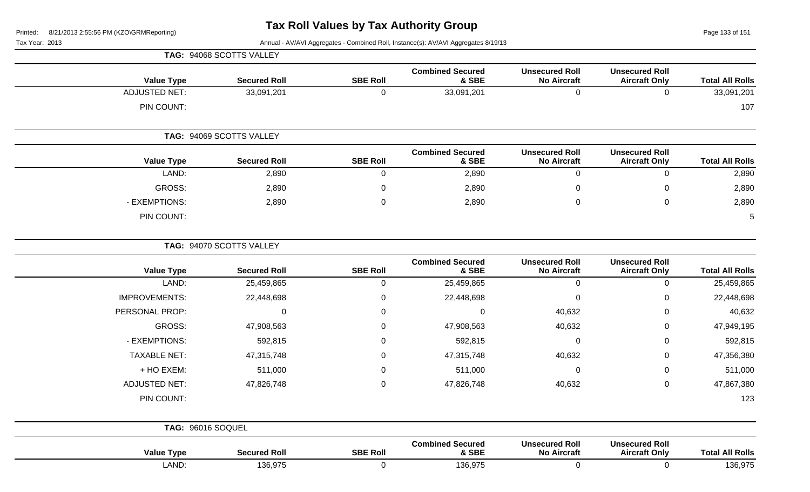Page 133 of 151

|                        |                                               |                                             |                                  |                  | TAG: 94068 SCOTTS VALLEY |                      |
|------------------------|-----------------------------------------------|---------------------------------------------|----------------------------------|------------------|--------------------------|----------------------|
| <b>Total All Rolls</b> | <b>Unsecured Roll</b><br><b>Aircraft Only</b> | <b>Unsecured Roll</b><br><b>No Aircraft</b> | <b>Combined Secured</b><br>& SBE | <b>SBE Roll</b>  | <b>Secured Roll</b>      | <b>Value Type</b>    |
| 33,091,201             | $\mathbf 0$                                   | $\mathbf{0}$                                | 33,091,201                       | $\mathbf 0$      | 33,091,201               | <b>ADJUSTED NET:</b> |
| 107                    |                                               |                                             |                                  |                  |                          | PIN COUNT:           |
|                        |                                               |                                             |                                  |                  | TAG: 94069 SCOTTS VALLEY |                      |
| <b>Total All Rolls</b> | <b>Unsecured Roll</b><br><b>Aircraft Only</b> | <b>Unsecured Roll</b><br><b>No Aircraft</b> | <b>Combined Secured</b><br>& SBE | <b>SBE Roll</b>  | <b>Secured Roll</b>      | <b>Value Type</b>    |
| 2,890                  | $\mathbf 0$                                   | $\pmb{0}$                                   | 2,890                            | $\pmb{0}$        | 2,890                    | LAND:                |
| 2,890                  | $\mathbf 0$                                   | $\boldsymbol{0}$                            | 2,890                            | $\boldsymbol{0}$ | 2,890                    | GROSS:               |
| 2,890                  | $\pmb{0}$                                     | $\mathbf 0$                                 | 2,890                            | $\Omega$         | 2,890                    | - EXEMPTIONS:        |
| 5                      |                                               |                                             |                                  |                  |                          | PIN COUNT:           |
|                        |                                               |                                             |                                  |                  | TAG: 94070 SCOTTS VALLEY |                      |
| <b>Total All Rolls</b> | <b>Unsecured Roll</b><br><b>Aircraft Only</b> | <b>Unsecured Roll</b><br><b>No Aircraft</b> | <b>Combined Secured</b><br>& SBE | <b>SBE Roll</b>  | <b>Secured Roll</b>      | <b>Value Type</b>    |
| 25,459,865             | $\mathbf 0$                                   | $\pmb{0}$                                   | 25,459,865                       | $\pmb{0}$        | 25,459,865               | LAND:                |
| 22,448,698             | $\pmb{0}$                                     | $\mathbf 0$                                 | 22,448,698                       | $\pmb{0}$        | 22,448,698               | <b>IMPROVEMENTS:</b> |
| 40,632                 | 0                                             | 40,632                                      | $\pmb{0}$                        | $\boldsymbol{0}$ | $\mathbf 0$              | PERSONAL PROP:       |
| 47,949,195             | $\mathbf 0$                                   | 40,632                                      | 47,908,563                       | $\boldsymbol{0}$ | 47,908,563               | GROSS:               |
| 592,815                | 0                                             | $\boldsymbol{0}$                            | 592,815                          | $\boldsymbol{0}$ | 592,815                  | - EXEMPTIONS:        |
| 47,356,380             | 0                                             | 40,632                                      | 47,315,748                       | 0                | 47,315,748               | <b>TAXABLE NET:</b>  |
| 511,000                | 0                                             | $\mathbf 0$                                 | 511,000                          | $\mathbf 0$      | 511,000                  | + HO EXEM:           |
| 47,867,380             | $\mathbf 0$                                   | 40,632                                      | 47,826,748                       | $\boldsymbol{0}$ | 47,826,748               | <b>ADJUSTED NET:</b> |
| 123                    |                                               |                                             |                                  |                  |                          | PIN COUNT:           |
|                        |                                               |                                             |                                  |                  |                          | TAG: 96016 SOQUEL    |
| <b>Total All Rolls</b> | <b>Unsecured Roll</b><br><b>Aircraft Only</b> | <b>Unsecured Roll</b><br><b>No Aircraft</b> | <b>Combined Secured</b><br>& SBE | <b>SBE Roll</b>  | <b>Secured Roll</b>      | <b>Value Type</b>    |
| 136,975                | $\mathbf 0$                                   | $\boldsymbol{0}$                            | 136,975                          | $\mathbf 0$      | 136,975                  | LAND:                |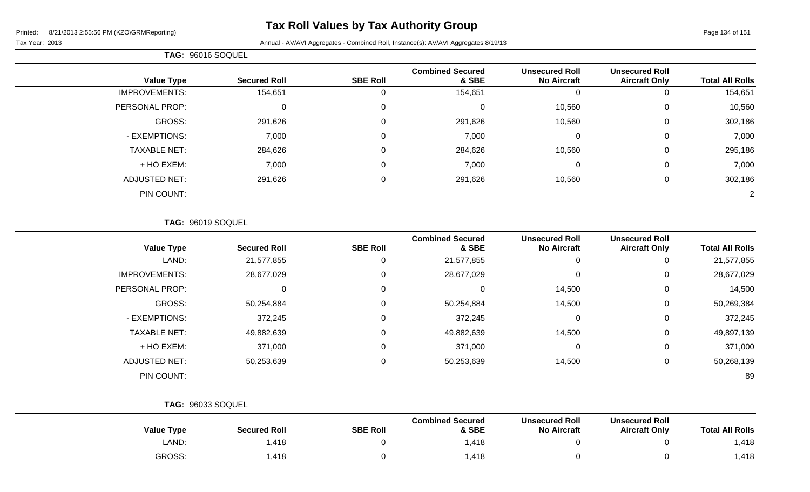Page 134 of 151

Tax Year: 2013 **Annual - AV/AVI Aggregates - Combined Roll**, Instance(s): AV/AVI Aggregates 8/19/13

|                      | TAG: 96016 SOQUEL   |                 |                                  |                                             |                                               |                        |
|----------------------|---------------------|-----------------|----------------------------------|---------------------------------------------|-----------------------------------------------|------------------------|
| <b>Value Type</b>    | <b>Secured Roll</b> | <b>SBE Roll</b> | <b>Combined Secured</b><br>& SBE | <b>Unsecured Roll</b><br><b>No Aircraft</b> | <b>Unsecured Roll</b><br><b>Aircraft Only</b> | <b>Total All Rolls</b> |
| <b>IMPROVEMENTS:</b> | 154,651             | O               | 154,651                          |                                             | 0                                             | 154,651                |
| PERSONAL PROP:       | $\mathbf 0$         | 0               | $\Omega$                         | 10,560                                      | $\mathbf 0$                                   | 10,560                 |
| GROSS:               | 291,626             | 0               | 291,626                          | 10,560                                      | $\mathbf 0$                                   | 302,186                |
| - EXEMPTIONS:        | 7,000               | $\Omega$        | 7,000                            | $\Omega$                                    | $\mathbf 0$                                   | 7,000                  |
| <b>TAXABLE NET:</b>  | 284,626             | 0               | 284,626                          | 10,560                                      | $\mathbf 0$                                   | 295,186                |
| + HO EXEM:           | 7,000               | 0               | 7,000                            | $\mathbf 0$                                 | $\mathbf 0$                                   | 7,000                  |
| <b>ADJUSTED NET:</b> | 291,626             | 0               | 291,626                          | 10,560                                      | 0                                             | 302,186                |
| PIN COUNT:           |                     |                 |                                  |                                             |                                               | 2                      |

**TAG:** 96019 SOQUEL

| <b>Value Type</b>    | <b>Secured Roll</b> | <b>SBE Roll</b> | <b>Combined Secured</b><br>& SBE | <b>Unsecured Roll</b><br><b>No Aircraft</b> | <b>Unsecured Roll</b><br><b>Aircraft Only</b> | <b>Total All Rolls</b> |
|----------------------|---------------------|-----------------|----------------------------------|---------------------------------------------|-----------------------------------------------|------------------------|
| LAND:                | 21,577,855          | 0               | 21,577,855                       | 0                                           | U                                             | 21,577,855             |
| <b>IMPROVEMENTS:</b> | 28,677,029          | 0               | 28,677,029                       | 0                                           | 0                                             | 28,677,029             |
| PERSONAL PROP:       | 0                   | 0               | 0                                | 14,500                                      | 0                                             | 14,500                 |
| GROSS:               | 50,254,884          | 0               | 50,254,884                       | 14,500                                      | 0                                             | 50,269,384             |
| - EXEMPTIONS:        | 372,245             | 0               | 372,245                          | 0                                           | 0                                             | 372,245                |
| <b>TAXABLE NET:</b>  | 49,882,639          | 0               | 49,882,639                       | 14,500                                      | 0                                             | 49,897,139             |
| + HO EXEM:           | 371,000             | 0               | 371,000                          | 0                                           | 0                                             | 371,000                |
| <b>ADJUSTED NET:</b> | 50,253,639          | 0               | 50,253,639                       | 14,500                                      | 0                                             | 50,268,139             |
| PIN COUNT:           |                     |                 |                                  |                                             |                                               | 89                     |

|                   | <b>TAG: 96033 SOQUEL</b> |                 |                                  |                                             |                                               |                        |
|-------------------|--------------------------|-----------------|----------------------------------|---------------------------------------------|-----------------------------------------------|------------------------|
| <b>Value Type</b> | <b>Secured Roll</b>      | <b>SBE Roll</b> | <b>Combined Secured</b><br>& SBE | <b>Unsecured Roll</b><br><b>No Aircraft</b> | <b>Unsecured Roll</b><br><b>Aircraft Only</b> | <b>Total All Rolls</b> |
| LAND:             | ,418                     |                 | 1,418                            |                                             |                                               | 1,418                  |
| GROSS:            | ,418                     |                 | 1,418                            |                                             |                                               | 1,418                  |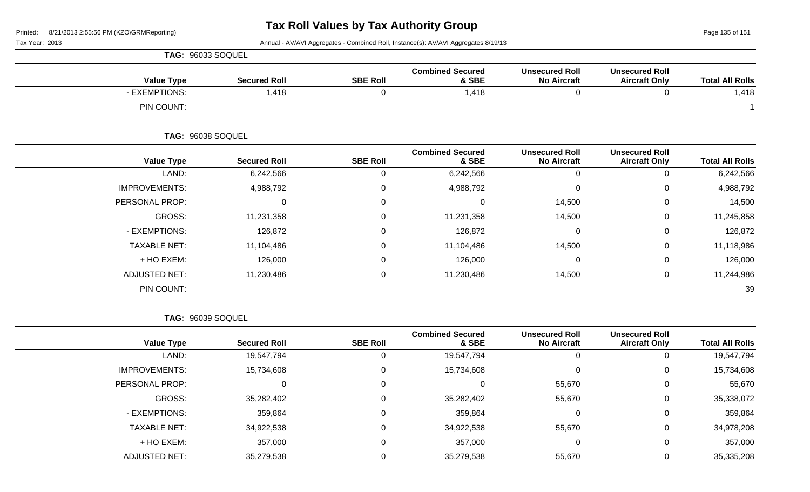Page 135 of 151

Tax Year: 2013 Annual - AV/AVI Aggregates - Combined Roll, Instance(s): AV/AVI Aggregates 8/19/13

|                        |                                               |                                             |                                         |                 |                     | <b>TAG: 96033 SOQUEL</b> |  |
|------------------------|-----------------------------------------------|---------------------------------------------|-----------------------------------------|-----------------|---------------------|--------------------------|--|
| <b>Total All Rolls</b> | <b>Unsecured Roll</b><br><b>Aircraft Only</b> | <b>Unsecured Roll</b><br><b>No Aircraft</b> | <b>Combined Secured</b><br>& SBE        | <b>SBE Roll</b> | <b>Secured Roll</b> | <b>Value Type</b>        |  |
| 1,418                  | 0                                             |                                             | 1,418                                   |                 | 1,418               | - EXEMPTIONS:            |  |
|                        |                                               |                                             |                                         |                 |                     | PIN COUNT:               |  |
|                        |                                               |                                             |                                         |                 |                     | <b>TAG: 96038 SOQUEL</b> |  |
| <b>Total All Rolle</b> | <b>Unsecured Roll</b><br>Aircraft Only        | <b>Unsecured Roll</b><br>No Aircraft        | <b>Combined Secured</b><br><b>R</b> CRE | <b>SRE RAIL</b> | Secured Roll        | Value Tyne               |  |

| <b>Value Type</b>    | <b>Secured Roll</b> | <b>SBE Roll</b> | & SBE      | <b>No Aircraft</b> | <b>Aircraft Only</b> | <b>Total All Rolls</b> |
|----------------------|---------------------|-----------------|------------|--------------------|----------------------|------------------------|
| LAND:                | 6,242,566           | 0               | 6,242,566  | 0                  | 0                    | 6,242,566              |
| <b>IMPROVEMENTS:</b> | 4,988,792           | $\mathbf 0$     | 4,988,792  | $\mathbf 0$        | 0                    | 4,988,792              |
| PERSONAL PROP:       | 0                   | $\mathbf 0$     |            | 14,500             | 0                    | 14,500                 |
| GROSS:               | 11,231,358          | 0               | 11,231,358 | 14,500             | 0                    | 11,245,858             |
| - EXEMPTIONS:        | 126,872             | $\mathbf 0$     | 126,872    | $\mathbf 0$        | 0                    | 126,872                |
| <b>TAXABLE NET:</b>  | 11,104,486          | $\mathbf 0$     | 11,104,486 | 14,500             | 0                    | 11,118,986             |
| + HO EXEM:           | 126,000             | 0               | 126,000    | $\mathbf 0$        | 0                    | 126,000                |
| <b>ADJUSTED NET:</b> | 11,230,486          | $\mathbf 0$     | 11,230,486 | 14,500             | 0                    | 11,244,986             |
| PIN COUNT:           |                     |                 |            |                    |                      | 39                     |

**TAG:** 96039 SOQUEL

| <b>Value Type</b>    | <b>Secured Roll</b> | <b>SBE Roll</b> | <b>Combined Secured</b><br>& SBE | <b>Unsecured Roll</b><br><b>No Aircraft</b> | <b>Unsecured Roll</b><br><b>Aircraft Only</b> | <b>Total All Rolls</b> |
|----------------------|---------------------|-----------------|----------------------------------|---------------------------------------------|-----------------------------------------------|------------------------|
|                      | LAND:<br>19,547,794 |                 | 19,547,794                       |                                             | 0                                             | 19,547,794             |
| <b>IMPROVEMENTS:</b> | 15,734,608          |                 | 15,734,608                       |                                             | 0                                             | 15,734,608             |
| PERSONAL PROP:       |                     | 0               |                                  | 55,670                                      | 0                                             | 55,670                 |
| GROSS:               | 35,282,402          | 0               | 35,282,402                       | 55,670                                      | 0                                             | 35,338,072             |
| - EXEMPTIONS:        | 359,864             | 0               | 359,864                          |                                             | $\mathbf{0}$                                  | 359,864                |
| <b>TAXABLE NET:</b>  | 34,922,538          | 0               | 34,922,538                       | 55,670                                      | 0                                             | 34,978,208             |
| + HO EXEM:           | 357,000             | 0               | 357,000                          |                                             | $\mathbf 0$                                   | 357,000                |
| <b>ADJUSTED NET:</b> | 35,279,538          |                 | 35,279,538                       | 55,670                                      | 0                                             | 35,335,208             |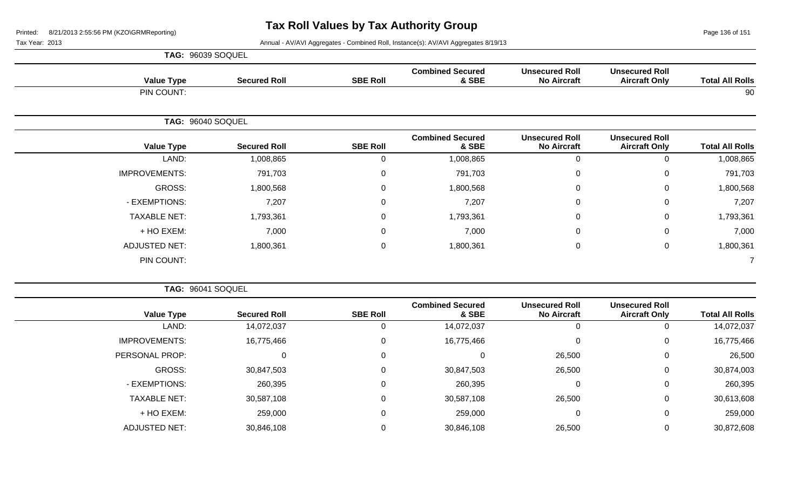Page 136 of 151

| <b>TAG: 96039 SOQUEL</b> |  |
|--------------------------|--|
|                          |  |

| <b>Value Type</b>    | <b>Secured Roll</b> | <b>SBE Roll</b> | <b>Combined Secured</b><br>& SBE | <b>Unsecured Roll</b><br><b>No Aircraft</b> | <b>Unsecured Roll</b><br><b>Aircraft Only</b> | <b>Total All Rolls</b> |
|----------------------|---------------------|-----------------|----------------------------------|---------------------------------------------|-----------------------------------------------|------------------------|
| PIN COUNT:           |                     |                 |                                  |                                             |                                               | 90                     |
|                      | TAG: 96040 SOQUEL   |                 |                                  |                                             |                                               |                        |
| <b>Value Type</b>    | <b>Secured Roll</b> | <b>SBE Roll</b> | <b>Combined Secured</b><br>& SBE | <b>Unsecured Roll</b><br><b>No Aircraft</b> | <b>Unsecured Roll</b><br><b>Aircraft Only</b> | <b>Total All Rolls</b> |
| LAND:                | 1,008,865           | 0               | 1,008,865                        | $\mathbf 0$                                 | $\mathbf 0$                                   | 1,008,865              |
| <b>IMPROVEMENTS:</b> | 791,703             | 0               | 791,703                          | $\mathbf 0$                                 | $\mathbf 0$                                   | 791,703                |
| GROSS:               | 1,800,568           | 0               | 1,800,568                        | $\mathbf 0$                                 | $\mathbf 0$                                   | 1,800,568              |
| - EXEMPTIONS:        | 7,207               | 0               | 7,207                            | $\mathbf 0$                                 | $\mathbf 0$                                   | 7,207                  |
| <b>TAXABLE NET:</b>  | 1,793,361           | 0               | 1,793,361                        | $\mathbf 0$                                 | $\mathbf 0$                                   | 1,793,361              |
| + HO EXEM:           | 7,000               | 0               | 7,000                            | $\mathbf 0$                                 | $\mathbf 0$                                   | 7,000                  |
| <b>ADJUSTED NET:</b> | 1,800,361           | 0               | 1,800,361                        | $\pmb{0}$                                   | $\mathbf 0$                                   | 1,800,361              |
| PIN COUNT:           |                     |                 |                                  |                                             |                                               |                        |

|                        |                                               |                                             |                                  |                 |                     | <b>TAG: 96041 SOQUEL</b> |
|------------------------|-----------------------------------------------|---------------------------------------------|----------------------------------|-----------------|---------------------|--------------------------|
| <b>Total All Rolls</b> | <b>Unsecured Roll</b><br><b>Aircraft Only</b> | <b>Unsecured Roll</b><br><b>No Aircraft</b> | <b>Combined Secured</b><br>& SBE | <b>SBE Roll</b> | <b>Secured Roll</b> | <b>Value Type</b>        |
| 14,072,037             | $\overline{0}$                                |                                             | 14,072,037                       |                 | 14,072,037          | LAND:                    |
| 16,775,466             | $\mathbf 0$                                   |                                             | 16,775,466                       |                 | 16,775,466          | <b>IMPROVEMENTS:</b>     |
| 26,500                 | $\overline{0}$                                | 26,500                                      |                                  | 0               | O                   | PERSONAL PROP:           |
| 30,874,003             | 0                                             | 26,500                                      | 30,847,503                       |                 | 30,847,503          | GROSS:                   |
| 260,395                | $\mathbf 0$                                   |                                             | 260,395                          |                 | 260,395             | - EXEMPTIONS:            |
| 30,613,608             | 0                                             | 26,500                                      | 30,587,108                       | 0               | 30,587,108          | <b>TAXABLE NET:</b>      |
| 259,000                | $\mathbf{0}$                                  |                                             | 259,000                          |                 | 259,000             | + HO EXEM:               |
| 30,872,608             | 0                                             | 26,500                                      | 30,846,108                       |                 | 30,846,108          | <b>ADJUSTED NET:</b>     |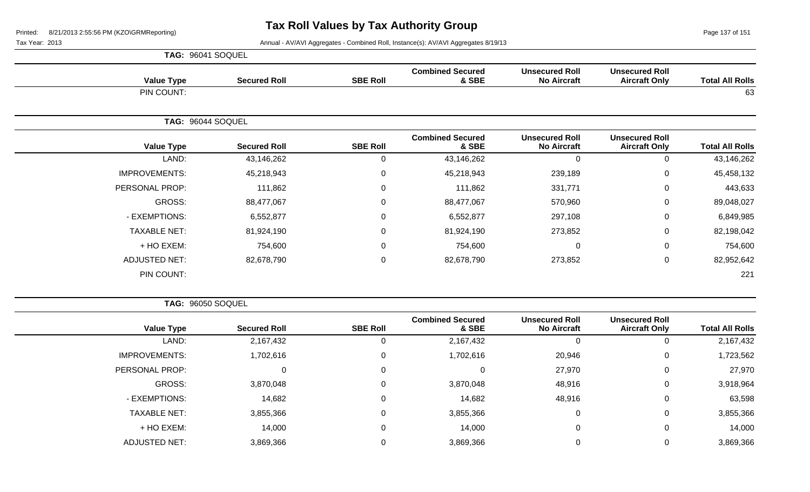Page 137 of 151

Tax Year: 2013 **Annual - AV/AVI Aggregates - Combined Roll**, Instance(s): AV/AVI Aggregates 8/19/13

|  | <b>TAG: 96041 SOQUEL</b> |
|--|--------------------------|
|  |                          |

| <b>Value Type</b>    | <b>Secured Roll</b> | <b>SBE Roll</b> | <b>Combined Secured</b><br>& SBE | <b>Unsecured Roll</b><br><b>No Aircraft</b> | <b>Unsecured Roll</b><br><b>Aircraft Only</b> | <b>Total All Rolls</b> |
|----------------------|---------------------|-----------------|----------------------------------|---------------------------------------------|-----------------------------------------------|------------------------|
| PIN COUNT:           |                     |                 |                                  |                                             |                                               | 63                     |
|                      | TAG: 96044 SOQUEL   |                 |                                  |                                             |                                               |                        |
| <b>Value Type</b>    | <b>Secured Roll</b> | <b>SBE Roll</b> | <b>Combined Secured</b><br>& SBE | <b>Unsecured Roll</b><br><b>No Aircraft</b> | <b>Unsecured Roll</b><br><b>Aircraft Only</b> | <b>Total All Rolls</b> |
| LAND:                | 43,146,262          | $\mathbf 0$     | 43,146,262                       | $\mathbf 0$                                 | 0                                             | 43,146,262             |
| <b>IMPROVEMENTS:</b> | 45,218,943          | $\mathbf 0$     | 45,218,943                       | 239,189                                     | $\mathbf 0$                                   | 45,458,132             |
| PERSONAL PROP:       | 111,862             | 0               | 111,862                          | 331,771                                     | $\mathbf 0$                                   | 443,633                |
| GROSS:               | 88,477,067          | $\mathbf 0$     | 88,477,067                       | 570,960                                     | $\pmb{0}$                                     | 89,048,027             |
| - EXEMPTIONS:        | 6,552,877           | 0               | 6,552,877                        | 297,108                                     | $\mathbf 0$                                   | 6,849,985              |
| <b>TAXABLE NET:</b>  | 81,924,190          | $\mathbf 0$     | 81,924,190                       | 273,852                                     | $\mathbf 0$                                   | 82,198,042             |
| + HO EXEM:           | 754,600             | 0               | 754,600                          | $\mathbf 0$                                 | 0                                             | 754,600                |
| <b>ADJUSTED NET:</b> | 82,678,790          | $\mathbf 0$     | 82,678,790                       | 273,852                                     | $\mathbf 0$                                   | 82,952,642             |
| PIN COUNT:           |                     |                 |                                  |                                             |                                               | 221                    |

**TAG:** 96050 SOQUEL

| <b>Total All Rolls</b> | <b>Unsecured Roll</b><br><b>Aircraft Only</b> | <b>Unsecured Roll</b><br><b>No Aircraft</b> | <b>Combined Secured</b><br>& SBE | <b>SBE Roll</b> | <b>Secured Roll</b> | <b>Value Type</b>    |
|------------------------|-----------------------------------------------|---------------------------------------------|----------------------------------|-----------------|---------------------|----------------------|
| 2,167,432              | 0                                             | 0                                           | 2,167,432                        | U               | 2,167,432           | LAND:                |
| 1,723,562              | 0                                             | 20,946                                      | 1,702,616                        | 0               | 1,702,616           | <b>IMPROVEMENTS:</b> |
| 27,970                 | 0                                             | 27,970                                      |                                  | $\Omega$        |                     | PERSONAL PROP:       |
| 3,918,964              | $\mathbf 0$                                   | 48,916                                      | 3,870,048                        | $\Omega$        | 3,870,048           | GROSS:               |
| 63,598                 | 0                                             | 48,916                                      | 14,682                           | $\Omega$        | 14,682              | - EXEMPTIONS:        |
| 3,855,366              | $\mathbf 0$                                   | 0                                           | 3,855,366                        | $\Omega$        | 3,855,366           | <b>TAXABLE NET:</b>  |
| 14,000                 | 0                                             | $\mathbf 0$                                 | 14,000                           | $\Omega$        | 14,000              | + HO EXEM:           |
| 3,869,366              | 0                                             |                                             | 3,869,366                        |                 | 3,869,366           | <b>ADJUSTED NET:</b> |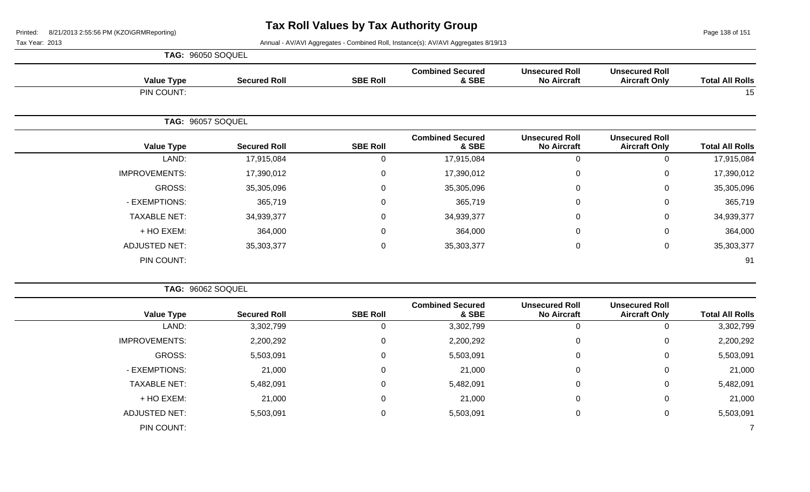Page 138 of 151

| <b>TAG: 96050 SOQUEL</b> |
|--------------------------|
|                          |

| <b>Value Type</b>    | <b>Secured Roll</b> | <b>SBE Roll</b> | <b>Combined Secured</b><br>& SBE | <b>Unsecured Roll</b><br><b>No Aircraft</b> | <b>Unsecured Roll</b><br><b>Aircraft Only</b> | <b>Total All Rolls</b> |
|----------------------|---------------------|-----------------|----------------------------------|---------------------------------------------|-----------------------------------------------|------------------------|
| PIN COUNT:           |                     |                 |                                  |                                             |                                               | 15                     |
|                      | TAG: 96057 SOQUEL   |                 |                                  |                                             |                                               |                        |
| <b>Value Type</b>    | <b>Secured Roll</b> | <b>SBE Roll</b> | <b>Combined Secured</b><br>& SBE | <b>Unsecured Roll</b><br><b>No Aircraft</b> | <b>Unsecured Roll</b><br><b>Aircraft Only</b> | <b>Total All Rolls</b> |
| LAND:                | 17,915,084          | 0               | 17,915,084                       | $\mathbf 0$                                 | $\mathbf 0$                                   | 17,915,084             |
| <b>IMPROVEMENTS:</b> | 17,390,012          | 0               | 17,390,012                       | 0                                           | $\mathbf 0$                                   | 17,390,012             |
| GROSS:               | 35,305,096          | 0               | 35,305,096                       | $\pmb{0}$                                   | 0                                             | 35,305,096             |
| - EXEMPTIONS:        | 365,719             | $\mathbf 0$     | 365,719                          | $\pmb{0}$                                   | 0                                             | 365,719                |
| <b>TAXABLE NET:</b>  | 34,939,377          | 0               | 34,939,377                       | $\mathbf 0$                                 | 0                                             | 34,939,377             |
| + HO EXEM:           | 364,000             | 0               | 364,000                          | $\mathbf 0$                                 | $\mathbf 0$                                   | 364,000                |
| <b>ADJUSTED NET:</b> | 35,303,377          | 0               | 35,303,377                       | 0                                           | 0                                             | 35,303,377             |
| PIN COUNT:           |                     |                 |                                  |                                             |                                               | 91                     |

|                        |                                               |                                             |                                  |                 |                     | TAG: 96062 SOQUEL    |
|------------------------|-----------------------------------------------|---------------------------------------------|----------------------------------|-----------------|---------------------|----------------------|
| <b>Total All Rolls</b> | <b>Unsecured Roll</b><br><b>Aircraft Only</b> | <b>Unsecured Roll</b><br><b>No Aircraft</b> | <b>Combined Secured</b><br>& SBE | <b>SBE Roll</b> | <b>Secured Roll</b> | <b>Value Type</b>    |
| 3,302,799              | 0                                             | 0                                           | 3,302,799                        |                 | 3,302,799           | LAND:                |
| 2,200,292              | $\mathbf 0$                                   | $\mathbf 0$                                 | 2,200,292                        | 0               | 2,200,292           | <b>IMPROVEMENTS:</b> |
| 5,503,091              | $\mathbf 0$                                   | 0                                           | 5,503,091                        | 0               | 5,503,091           | GROSS:               |
| 21,000                 | $\mathbf 0$                                   | $\mathbf 0$                                 | 21,000                           | $\Omega$        | 21,000              | - EXEMPTIONS:        |
| 5,482,091              | $\mathbf 0$                                   | 0                                           | 5,482,091                        | $\Omega$        | 5,482,091           | <b>TAXABLE NET:</b>  |
| 21,000                 | $\mathbf 0$                                   | $\mathbf 0$                                 | 21,000                           | $\Omega$        | 21,000              | + HO EXEM:           |
| 5,503,091              | $\mathbf 0$                                   | 0                                           | 5,503,091                        | $\Omega$        | 5,503,091           | <b>ADJUSTED NET:</b> |
|                        |                                               |                                             |                                  |                 |                     | PIN COUNT:           |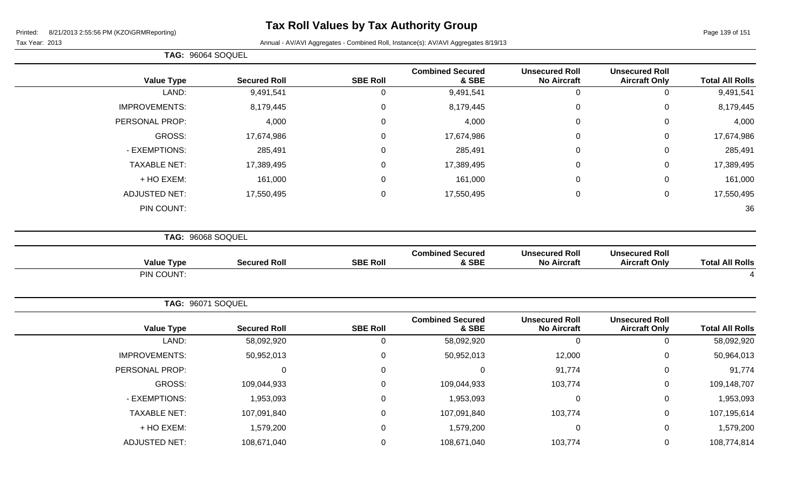**TAG:** 96064 SOQUEL

| ax Year: 2013 |  |
|---------------|--|
|               |  |

| <b>Total All Rolls</b> | <b>Unsecured Roll</b><br><b>Aircraft Only</b> | <b>Unsecured Roll</b><br><b>No Aircraft</b> | <b>Combined Secured</b><br>& SBE | <b>SBE Roll</b> | <b>Secured Roll</b> | <b>Value Type</b>    |
|------------------------|-----------------------------------------------|---------------------------------------------|----------------------------------|-----------------|---------------------|----------------------|
| 9,491,541              | $\mathbf 0$                                   | $\mathbf 0$                                 | 9,491,541                        | $\mathsf 0$     | 9,491,541           | LAND:                |
| 8,179,445              | $\mathbf 0$                                   | $\mathbf 0$                                 | 8,179,445                        | $\pmb{0}$       | 8,179,445           | <b>IMPROVEMENTS:</b> |
| 4,000                  | 0                                             | $\Omega$                                    | 4,000                            | $\Omega$        | 4,000               | PERSONAL PROP:       |
| 17,674,986             | 0                                             | $\Omega$                                    | 17,674,986                       | 0               | 17,674,986          | <b>GROSS:</b>        |
| 285,491                | $\mathbf 0$                                   | 0                                           | 285,491                          | 0               | 285,491             | - EXEMPTIONS:        |
| 17,389,495             | $\pmb{0}$                                     | $\mathbf 0$                                 | 17,389,495                       | 0               | 17,389,495          | <b>TAXABLE NET:</b>  |
| 161,000                | $\mathbf 0$                                   | $\mathbf 0$                                 | 161,000                          | 0               | 161,000             | + HO EXEM:           |
| 17,550,495             | $\mathbf 0$                                   | $\mathbf 0$                                 | 17,550,495                       | $\mathbf 0$     | 17,550,495          | <b>ADJUSTED NET:</b> |
| 36                     |                                               |                                             |                                  |                 |                     | PIN COUNT:           |
|                        |                                               |                                             |                                  |                 |                     | TAG: 96068 SOQUEL    |
| <b>Total All Rolls</b> | <b>Unsecured Roll</b><br><b>Aircraft Only</b> | <b>Unsecured Roll</b><br><b>No Aircraft</b> | <b>Combined Secured</b><br>& SBE | <b>SBE Roll</b> | <b>Secured Roll</b> | <b>Value Type</b>    |
| Δ                      |                                               |                                             |                                  |                 |                     | PIN COUNT:           |
|                        |                                               |                                             |                                  |                 |                     | TAG: 96071 SOQUEL    |
| <b>Total All Rolls</b> | <b>Unsecured Roll</b><br><b>Aircraft Only</b> | <b>Unsecured Roll</b><br><b>No Aircraft</b> | <b>Combined Secured</b><br>& SBE | <b>SBE Roll</b> | <b>Secured Roll</b> | <b>Value Type</b>    |
| 58,092,920             | $\mathbf 0$                                   | $\mathbf 0$                                 | 58,092,920                       | 0               | 58,092,920          | LAND:                |
| 50,964,013             | $\mathbf 0$                                   | 12,000                                      | 50,952,013                       | 0               | 50,952,013          | <b>IMPROVEMENTS:</b> |
| 91,774                 | $\mathbf 0$                                   | 91,774                                      | $\mathsf 0$                      | 0               | 0                   | PERSONAL PROP:       |
| 109,148,707            | 0                                             | 103,774                                     | 109,044,933                      | 0               | 109,044,933         | GROSS:               |
|                        |                                               | $\mathbf 0$                                 | 1,953,093                        | 0               | 1,953,093           | - EXEMPTIONS:        |
| 1,953,093              | $\mathbf 0$                                   |                                             |                                  |                 |                     |                      |
| 107,195,614            | $\mathbf 0$                                   | 103,774                                     | 107,091,840                      | 0               | 107,091,840         | <b>TAXABLE NET:</b>  |
| 1,579,200              | 0                                             | $\mathbf 0$                                 | 1,579,200                        | 0               | 1,579,200           | + HO EXEM:           |
| 108,774,814            | $\mathbf 0$                                   | 103,774                                     | 108,671,040                      | $\mathbf 0$     | 108,671,040         | <b>ADJUSTED NET:</b> |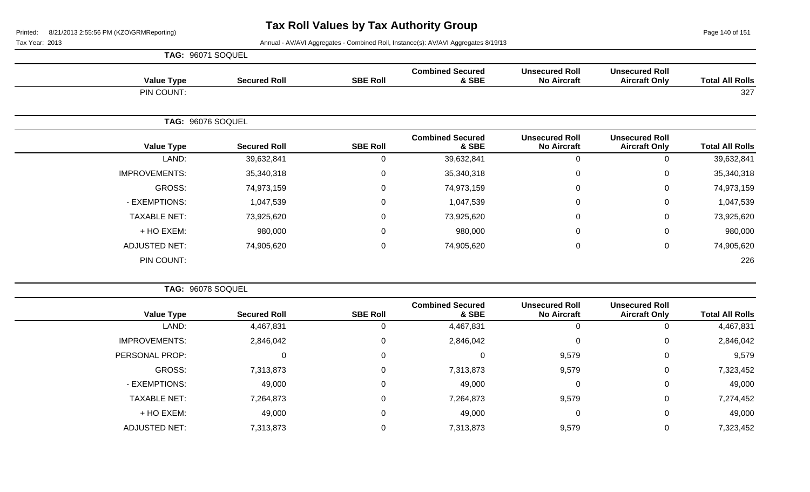Page 140 of 151

| <b>TAG: 96071 SOQUEL</b> |  |
|--------------------------|--|
|                          |  |

| <b>Value Type</b>    | <b>Secured Roll</b> | <b>SBE Roll</b> | <b>Combined Secured</b><br>& SBE | <b>Unsecured Roll</b><br><b>No Aircraft</b> | <b>Unsecured Roll</b><br><b>Aircraft Only</b> | <b>Total All Rolls</b> |
|----------------------|---------------------|-----------------|----------------------------------|---------------------------------------------|-----------------------------------------------|------------------------|
| PIN COUNT:           |                     |                 |                                  |                                             |                                               | 327                    |
|                      | TAG: 96076 SOQUEL   |                 |                                  |                                             |                                               |                        |
| <b>Value Type</b>    | <b>Secured Roll</b> | <b>SBE Roll</b> | <b>Combined Secured</b><br>& SBE | <b>Unsecured Roll</b><br><b>No Aircraft</b> | <b>Unsecured Roll</b><br><b>Aircraft Only</b> | <b>Total All Rolls</b> |
| LAND:                | 39,632,841          | 0               | 39,632,841                       | $\mathbf 0$                                 | 0                                             | 39,632,841             |
| <b>IMPROVEMENTS:</b> | 35,340,318          | 0               | 35,340,318                       | $\pmb{0}$                                   | $\mathbf 0$                                   | 35,340,318             |
| GROSS:               | 74,973,159          | $\Omega$        | 74,973,159                       | $\pmb{0}$                                   | $\mathbf 0$                                   | 74,973,159             |
| - EXEMPTIONS:        | 1,047,539           | 0               | 1,047,539                        | $\pmb{0}$                                   | $\mathbf 0$                                   | 1,047,539              |
| <b>TAXABLE NET:</b>  | 73,925,620          | $\mathbf 0$     | 73,925,620                       | $\pmb{0}$                                   | $\mathbf 0$                                   | 73,925,620             |
| + HO EXEM:           | 980,000             | $\Omega$        | 980,000                          | $\pmb{0}$                                   | $\mathbf 0$                                   | 980,000                |
| <b>ADJUSTED NET:</b> | 74,905,620          | 0               | 74,905,620                       | $\pmb{0}$                                   | $\mathbf 0$                                   | 74,905,620             |
| PIN COUNT:           |                     |                 |                                  |                                             |                                               | 226                    |

|                        |                                               |                                             |                                  |                 |                     | TAG: 96078 SOQUEL    |
|------------------------|-----------------------------------------------|---------------------------------------------|----------------------------------|-----------------|---------------------|----------------------|
| <b>Total All Rolls</b> | <b>Unsecured Roll</b><br><b>Aircraft Only</b> | <b>Unsecured Roll</b><br><b>No Aircraft</b> | <b>Combined Secured</b><br>& SBE | <b>SBE Roll</b> | <b>Secured Roll</b> | <b>Value Type</b>    |
| 4,467,831              | 0                                             | 0                                           | 4,467,831                        | 0               | 4,467,831           | LAND:                |
| 2,846,042              | 0                                             | $\mathbf 0$                                 | 2,846,042                        | 0               | 2,846,042           | <b>IMPROVEMENTS:</b> |
| 9,579                  | 0                                             | 9,579                                       | 0                                | 0               |                     | PERSONAL PROP:       |
| 7,323,452              | 0                                             | 9,579                                       | 7,313,873                        | 0               | 7,313,873           | GROSS:               |
| 49,000                 | 0                                             | $\mathbf 0$                                 | 49,000                           | 0               | 49,000              | - EXEMPTIONS:        |
| 7,274,452              | 0                                             | 9,579                                       | 7,264,873                        | 0               | 7,264,873           | <b>TAXABLE NET:</b>  |
| 49,000                 | 0                                             | $\mathbf 0$                                 | 49,000                           | 0               | 49,000              | + HO EXEM:           |
| 7,323,452              | 0                                             | 9,579                                       | 7,313,873                        | 0               | 7,313,873           | <b>ADJUSTED NET:</b> |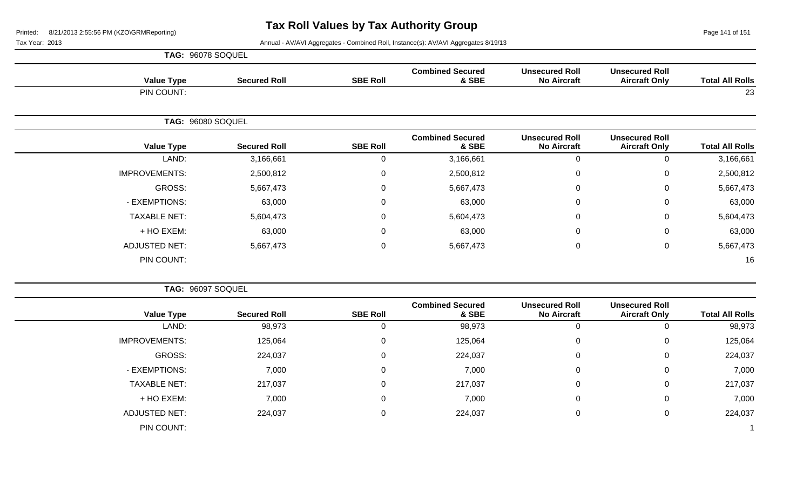Page 141 of 151

| <b>TAG: 96078 SOQUEL</b> |
|--------------------------|
|                          |

| <b>Value Type</b>    | <b>Secured Roll</b> | <b>SBE Roll</b> | <b>Combined Secured</b><br>& SBE | <b>Unsecured Roll</b><br><b>No Aircraft</b> | <b>Unsecured Roll</b><br><b>Aircraft Only</b> | <b>Total All Rolls</b> |
|----------------------|---------------------|-----------------|----------------------------------|---------------------------------------------|-----------------------------------------------|------------------------|
| PIN COUNT:           |                     |                 |                                  |                                             |                                               | 23                     |
|                      | TAG: 96080 SOQUEL   |                 |                                  |                                             |                                               |                        |
| <b>Value Type</b>    | <b>Secured Roll</b> | <b>SBE Roll</b> | <b>Combined Secured</b><br>& SBE | <b>Unsecured Roll</b><br><b>No Aircraft</b> | <b>Unsecured Roll</b><br><b>Aircraft Only</b> | <b>Total All Rolls</b> |
| LAND:                | 3,166,661           | 0               | 3,166,661                        | $\mathbf 0$                                 | 0                                             | 3,166,661              |
| <b>IMPROVEMENTS:</b> | 2,500,812           | 0               | 2,500,812                        | $\mathbf 0$                                 | 0                                             | 2,500,812              |
| GROSS:               | 5,667,473           | 0               | 5,667,473                        | $\mathbf 0$                                 | 0                                             | 5,667,473              |
| - EXEMPTIONS:        | 63,000              | 0               | 63,000                           | $\pmb{0}$                                   | 0                                             | 63,000                 |
| <b>TAXABLE NET:</b>  | 5,604,473           | 0               | 5,604,473                        | $\mathbf 0$                                 | $\mathbf 0$                                   | 5,604,473              |
| + HO EXEM:           | 63,000              | $\mathbf 0$     | 63,000                           | $\pmb{0}$                                   | $\mathbf 0$                                   | 63,000                 |
| ADJUSTED NET:        | 5,667,473           | 0               | 5,667,473                        | $\mathbf 0$                                 | $\mathbf 0$                                   | 5,667,473              |
| PIN COUNT:           |                     |                 |                                  |                                             |                                               | 16                     |

|                        |                                               |                                             |                                  | TAG: 96097 SOQUEL |                     |                      |  |
|------------------------|-----------------------------------------------|---------------------------------------------|----------------------------------|-------------------|---------------------|----------------------|--|
| <b>Total All Rolls</b> | <b>Unsecured Roll</b><br><b>Aircraft Only</b> | <b>Unsecured Roll</b><br><b>No Aircraft</b> | <b>Combined Secured</b><br>& SBE | <b>SBE Roll</b>   | <b>Secured Roll</b> | <b>Value Type</b>    |  |
| 98,973                 | 0                                             | 0                                           | 98,973                           |                   | 98,973              | LAND:                |  |
| 125,064                | 0                                             | 0                                           | 125,064                          | 0                 | 125,064             | <b>IMPROVEMENTS:</b> |  |
| 224,037                | 0                                             | $\mathbf 0$                                 | 224,037                          | 0                 | 224,037             | GROSS:               |  |
| 7,000                  | 0                                             | $\mathbf 0$                                 | 7,000                            | 0                 | 7,000               | - EXEMPTIONS:        |  |
| 217,037                | 0                                             | $\mathbf 0$                                 | 217,037                          | 0                 | 217,037             | <b>TAXABLE NET:</b>  |  |
| 7,000                  | 0                                             | $\mathbf 0$                                 | 7,000                            | 0                 | 7,000               | + HO EXEM:           |  |
| 224,037                | 0                                             | $\mathbf 0$                                 | 224,037                          | 0                 | 224,037             | <b>ADJUSTED NET:</b> |  |
|                        |                                               |                                             |                                  |                   |                     | PIN COUNT:           |  |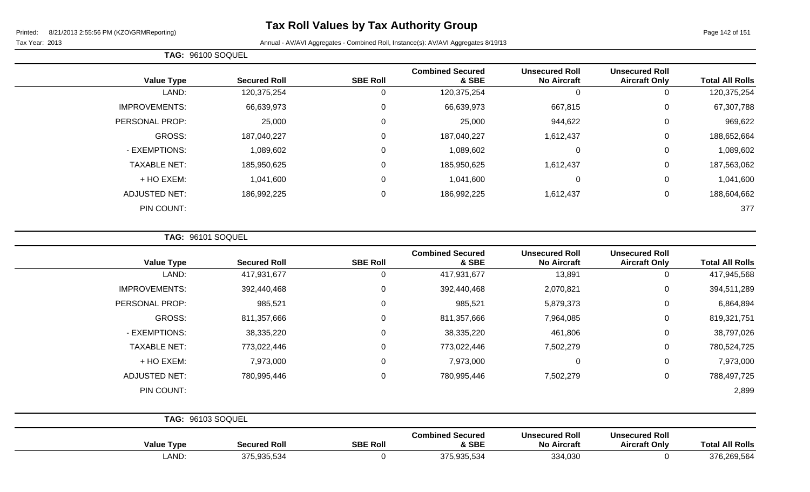Page 142 of 151

Tax Year: 2013 **Annual - AV/AVI Aggregates - Combined Roll**, Instance(s): AV/AVI Aggregates 8/19/13

| <b>Combined Secured</b><br>& SBE | <b>Unsecured Roll</b><br><b>No Aircraft</b> | <b>Unsecured Roll</b><br><b>Aircraft Only</b> | <b>Total All Rolls</b> |
|----------------------------------|---------------------------------------------|-----------------------------------------------|------------------------|
| 120,375,254                      | 0                                           | 0                                             | 120,375,254            |
| 66,639,973                       | 667,815                                     | 0                                             | 67,307,788             |
| 25,000                           | 944,622                                     | 0                                             | 969,622                |
| 187,040,227                      | 1,612,437                                   | 0                                             | 188,652,664            |
| 1,089,602                        | $\mathbf 0$                                 | 0                                             | 1,089,602              |
| 185,950,625                      | 1,612,437                                   | 0                                             | 187,563,062            |
| 1,041,600                        | 0                                           | 0                                             | 1,041,600              |
| 186,992,225                      | 1,612,437                                   | 0                                             | 188,604,662            |
|                                  |                                             |                                               | 377                    |
|                                  |                                             |                                               |                        |

**TAG:** 96101 SOQUEL

**TAG:** 96100 SOQUEL

| <b>Value Type</b>        | <b>Secured Roll</b> | <b>SBE Roll</b> | <b>Combined Secured</b><br>& SBE | <b>Unsecured Roll</b><br><b>No Aircraft</b> | <b>Unsecured Roll</b><br><b>Aircraft Only</b> | <b>Total All Rolls</b> |
|--------------------------|---------------------|-----------------|----------------------------------|---------------------------------------------|-----------------------------------------------|------------------------|
| LAND:                    | 417,931,677         | $\Omega$        | 417,931,677                      | 13,891                                      | 0                                             | 417,945,568            |
| <b>IMPROVEMENTS:</b>     | 392,440,468         | 0               | 392,440,468                      | 2,070,821                                   | $\pmb{0}$                                     | 394,511,289            |
| PERSONAL PROP:           | 985,521             | 0               | 985,521                          | 5,879,373                                   | 0                                             | 6,864,894              |
| GROSS:                   | 811,357,666         | $\Omega$        | 811,357,666                      | 7,964,085                                   | $\mathbf 0$                                   | 819,321,751            |
| - EXEMPTIONS:            | 38,335,220          | 0               | 38,335,220                       | 461,806                                     | 0                                             | 38,797,026             |
| <b>TAXABLE NET:</b>      | 773,022,446         | $\Omega$        | 773,022,446                      | 7,502,279                                   | $\mathbf 0$                                   | 780,524,725            |
| + HO EXEM:               | 7,973,000           | $\Omega$        | 7,973,000                        | $\mathbf 0$                                 | $\mathbf 0$                                   | 7,973,000              |
| <b>ADJUSTED NET:</b>     | 780,995,446         | $\Omega$        | 780,995,446                      | 7,502,279                                   | $\mathbf 0$                                   | 788,497,725            |
| PIN COUNT:               |                     |                 |                                  |                                             |                                               | 2,899                  |
|                          |                     |                 |                                  |                                             |                                               |                        |
| $TAC$ $06103$ $5001$ IEI |                     |                 |                                  |                                             |                                               |                        |

|                   | TAU. 90100 OUQUEL   |                 |                                  |                                             |                                               |                        |
|-------------------|---------------------|-----------------|----------------------------------|---------------------------------------------|-----------------------------------------------|------------------------|
| <b>Value Type</b> | <b>Secured Roll</b> | <b>SBE Roll</b> | <b>Combined Secured</b><br>& SBE | <b>Unsecured Roll</b><br><b>No Aircraft</b> | <b>Unsecured Roll</b><br><b>Aircraft Only</b> | <b>Total All Rolls</b> |
| LAND:             | 375,935,534         |                 | 375,935,534                      | 334,030                                     |                                               | 376,269,564            |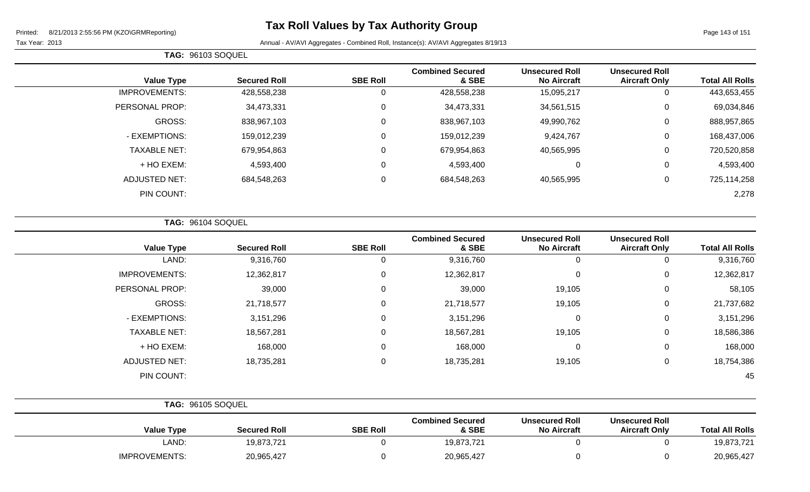Page 143 of 151

 $\overline{\phantom{0}}$ 

Tax Year: 2013 **Annual - AV/AVI Aggregates - Combined Roll**, Instance(s): AV/AVI Aggregates 8/19/13

|  | <b>TAG: 96103 SOQUEL</b> |
|--|--------------------------|
|--|--------------------------|

| <b>Value Type</b>    | <b>Secured Roll</b> | <b>SBE Roll</b> | <b>Combined Secured</b><br>& SBE | <b>Unsecured Roll</b><br><b>No Aircraft</b> | <b>Unsecured Roll</b><br><b>Aircraft Only</b> | <b>Total All Rolls</b> |
|----------------------|---------------------|-----------------|----------------------------------|---------------------------------------------|-----------------------------------------------|------------------------|
| <b>IMPROVEMENTS:</b> | 428,558,238         | 0               | 428,558,238                      | 15,095,217                                  | 0                                             | 443,653,455            |
| PERSONAL PROP:       | 34,473,331          | 0               | 34,473,331                       | 34,561,515                                  | 0                                             | 69,034,846             |
| GROSS:               | 838,967,103         | 0               | 838,967,103                      | 49,990,762                                  | 0                                             | 888,957,865            |
| - EXEMPTIONS:        | 159,012,239         | 0               | 159,012,239                      | 9,424,767                                   | 0                                             | 168,437,006            |
| <b>TAXABLE NET:</b>  | 679,954,863         | 0               | 679,954,863                      | 40,565,995                                  | 0                                             | 720,520,858            |
| + HO EXEM:           | 4,593,400           | 0               | 4,593,400                        | 0                                           | 0                                             | 4,593,400              |
| <b>ADJUSTED NET:</b> | 684,548,263         | 0               | 684,548,263                      | 40,565,995                                  | 0                                             | 725,114,258            |
| PIN COUNT:           |                     |                 |                                  |                                             |                                               | 2,278                  |

**TAG:** 96104 SOQUEL

| <b>Value Type</b>    | <b>Secured Roll</b> | <b>SBE Roll</b> | <b>Combined Secured</b><br>& SBE | <b>Unsecured Roll</b><br><b>No Aircraft</b> | <b>Unsecured Roll</b><br><b>Aircraft Only</b> | <b>Total All Rolls</b> |
|----------------------|---------------------|-----------------|----------------------------------|---------------------------------------------|-----------------------------------------------|------------------------|
| LAND:                | 9,316,760           | 0               | 9,316,760                        | 0                                           | 0                                             | 9,316,760              |
| <b>IMPROVEMENTS:</b> | 12,362,817          | 0               | 12,362,817                       | 0                                           | 0                                             | 12,362,817             |
| PERSONAL PROP:       | 39,000              | 0               | 39,000                           | 19,105                                      | 0                                             | 58,105                 |
| GROSS:               | 21,718,577          | 0               | 21,718,577                       | 19,105                                      | 0                                             | 21,737,682             |
| - EXEMPTIONS:        | 3,151,296           | 0               | 3,151,296                        | 0                                           | 0                                             | 3,151,296              |
| <b>TAXABLE NET:</b>  | 18,567,281          | 0               | 18,567,281                       | 19,105                                      | 0                                             | 18,586,386             |
| + HO EXEM:           | 168,000             | 0               | 168,000                          | 0                                           | 0                                             | 168,000                |
| <b>ADJUSTED NET:</b> | 18,735,281          | $\mathbf 0$     | 18,735,281                       | 19,105                                      | 0                                             | 18,754,386             |
| PIN COUNT:           |                     |                 |                                  |                                             |                                               | 45                     |

| <b>TAG: 96105 SOQUEL</b> |                     |                 |                                  |                                             |                                               |                        |
|--------------------------|---------------------|-----------------|----------------------------------|---------------------------------------------|-----------------------------------------------|------------------------|
| <b>Value Type</b>        | <b>Secured Roll</b> | <b>SBE Roll</b> | <b>Combined Secured</b><br>& SBE | <b>Unsecured Roll</b><br><b>No Aircraft</b> | <b>Unsecured Roll</b><br><b>Aircraft Only</b> | <b>Total All Rolls</b> |
| LAND:                    | 19,873,721          |                 | 19,873,721                       |                                             |                                               | 19,873,721             |
| <b>IMPROVEMENTS:</b>     | 20,965,427          |                 | 20,965,427                       |                                             |                                               | 20,965,427             |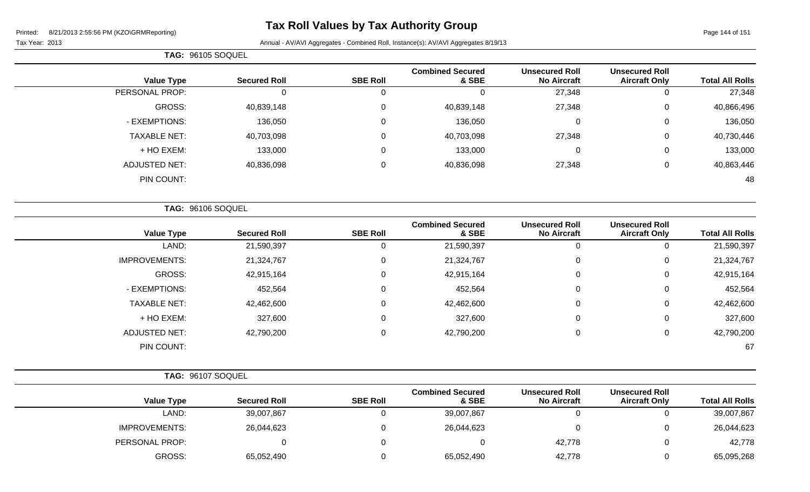**TAG:** 96105 SOQUEL

# **Tax Roll Values by Tax Authority Group**

| <b>Total All Rolls</b> | <b>Unsecured Roll</b><br><b>Aircraft Only</b> | <b>Unsecured Roll</b><br><b>No Aircraft</b> | <b>Combined Secured</b><br>& SBE            | <b>SBE Roll</b> | <b>Secured Roll</b> | <b>Value Type</b>    |
|------------------------|-----------------------------------------------|---------------------------------------------|---------------------------------------------|-----------------|---------------------|----------------------|
| 27,348                 | $\mathbf 0$                                   | 27,348                                      | $\Omega$                                    | $\mathbf 0$     | $\mathbf 0$         | PERSONAL PROP:       |
| 40,866,496             | $\Omega$                                      | 27,348                                      | 40,839,148                                  | $\Omega$        | 40,839,148          | GROSS:               |
| 136,050                | 0                                             | 0                                           | 136,050                                     | 0               | 136,050             | - EXEMPTIONS:        |
| 40,730,446             | 0                                             | 27,348                                      | 40,703,098                                  | 0               | 40,703,098          | <b>TAXABLE NET:</b>  |
| 133,000                | 0                                             | $\mathbf 0$                                 | 133,000                                     | 0               | 133,000             | + HO EXEM:           |
| 40,863,446             | $\pmb{0}$                                     | 27,348                                      | 40,836,098                                  | 0               | 40,836,098          | <b>ADJUSTED NET:</b> |
| 48                     |                                               |                                             |                                             |                 |                     | PIN COUNT:           |
|                        |                                               |                                             |                                             |                 |                     | TAG: 96106 SOQUEL    |
| <b>Total All Rolls</b> | <b>Unsecured Roll</b><br><b>Aircraft Only</b> | <b>Unsecured Roll</b><br><b>No Aircraft</b> | <b>Combined Secured</b><br>& SBE            | <b>SBE Roll</b> | <b>Secured Roll</b> | <b>Value Type</b>    |
| 21,590,397             | $\mathsf 0$                                   | $\mathbf 0$                                 | 21,590,397                                  | $\mathbf 0$     | 21,590,397          | LAND:                |
| 21,324,767             | 0                                             | $\pmb{0}$                                   | 21,324,767                                  | 0               | 21,324,767          | <b>IMPROVEMENTS:</b> |
| 42,915,164             | 0                                             | 0                                           | 42,915,164                                  | 0               | 42,915,164          | <b>GROSS:</b>        |
| 452,564                | 0                                             | 0                                           | 452,564                                     | 0               | 452,564             | - EXEMPTIONS:        |
| 42,462,600             | 0                                             | $\mathbf 0$                                 | 42,462,600                                  | $\Omega$        | 42,462,600          | <b>TAXABLE NET:</b>  |
| 327,600                | 0                                             | 0                                           | 327,600                                     | 0               | 327,600             | + HO EXEM:           |
| 42,790,200             | $\mathbf 0$                                   | 0                                           | 42,790,200                                  | 0               | 42,790,200          | <b>ADJUSTED NET:</b> |
| 67                     |                                               |                                             |                                             |                 |                     | PIN COUNT:           |
|                        |                                               |                                             |                                             |                 |                     | TAG: 96107 SOQUEL    |
| <b>Total All Rolls</b> | <b>Unsecured Roll</b><br>Aircraft Only        | <b>Unsecured Roll</b><br>No Aircraft        | <b>Combined Secured</b><br><b>&amp; SRF</b> | <b>SRE Roll</b> | <b>Secured Roll</b> | Value Tyne           |

|                        | Unsecured Roll       | <b>Unsecured Roll</b> | <b>Combined Secured</b> |                 |                     |                      |  |
|------------------------|----------------------|-----------------------|-------------------------|-----------------|---------------------|----------------------|--|
| <b>Total All Rolls</b> | <b>Aircraft Only</b> | <b>No Aircraft</b>    | & SBE                   | <b>SBE Roll</b> | <b>Secured Roll</b> | <b>Value Type</b>    |  |
| 39,007,867             |                      |                       | 39,007,867              |                 | 39,007,867          | LAND:                |  |
| 26,044,623             |                      |                       | 26,044,623              |                 | 26,044,623          | <b>IMPROVEMENTS:</b> |  |
| 42,778                 |                      | 42,778                |                         |                 |                     | PERSONAL PROP:       |  |
| 65,095,268             |                      | 42,778                | 65,052,490              |                 | 65,052,490          | GROSS:               |  |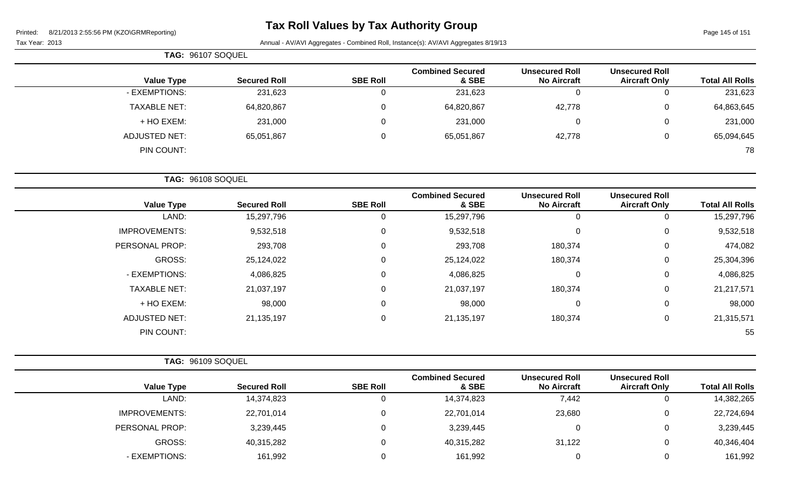## **Tax Roll Values by Tax Authority Group**

Page 145 of 151

| TAG: 96107 SOQUEL   |                     |                 |                                  |                                             |                                               |                        |
|---------------------|---------------------|-----------------|----------------------------------|---------------------------------------------|-----------------------------------------------|------------------------|
| <b>Value Type</b>   | <b>Secured Roll</b> | <b>SBE Roll</b> | <b>Combined Secured</b><br>& SBE | <b>Unsecured Roll</b><br><b>No Aircraft</b> | <b>Unsecured Roll</b><br><b>Aircraft Only</b> | <b>Total All Rolls</b> |
| - EXEMPTIONS:       | 231,623             | U               | 231,623                          |                                             | 0                                             | 231,623                |
| <b>TAXABLE NET:</b> | 64,820,867          | 0               | 64,820,867                       | 42,778                                      | $\mathbf 0$                                   | 64,863,645             |
| + HO EXEM:          | 231,000             | 0               | 231,000                          | $\Omega$                                    | $\mathbf 0$                                   | 231,000                |
| ADJUSTED NET:       | 65,051,867          | 0               | 65,051,867                       | 42,778                                      | $\mathbf 0$                                   | 65,094,645             |
| PIN COUNT:          |                     |                 |                                  |                                             |                                               | 78                     |
| TAG: 96108 SOQUEL   |                     |                 |                                  |                                             |                                               |                        |

| <b>Secured Roll</b> | <b>SBE Roll</b> | <b>Combined Secured</b><br>& SBE | <b>Unsecured Roll</b><br><b>No Aircraft</b> | <b>Unsecured Roll</b><br><b>Aircraft Only</b> | <b>Total All Rolls</b> |
|---------------------|-----------------|----------------------------------|---------------------------------------------|-----------------------------------------------|------------------------|
| 15,297,796          | 0               | 15,297,796                       | 0                                           | 0                                             | 15,297,796             |
| 9,532,518           | $\mathbf{0}$    | 9,532,518                        | $\overline{0}$                              | 0                                             | 9,532,518              |
| 293,708             | $\mathbf{0}$    | 293,708                          | 180,374                                     | 0                                             | 474,082                |
| 25,124,022          | 0               | 25,124,022                       | 180,374                                     | 0                                             | 25,304,396             |
| 4,086,825           | $\mathbf{0}$    | 4,086,825                        | $\overline{0}$                              | 0                                             | 4,086,825              |
| 21,037,197          | $\mathbf{0}$    | 21,037,197                       | 180,374                                     | 0                                             | 21,217,571             |
| 98,000              | 0               | 98,000                           | $\mathbf 0$                                 | 0                                             | 98,000                 |
| 21, 135, 197        | $\mathbf 0$     | 21, 135, 197                     | 180,374                                     | 0                                             | 21,315,571             |
|                     |                 |                                  |                                             |                                               | 55                     |
|                     |                 |                                  |                                             |                                               |                        |

| <b>TAG: 96109 SOQUEL</b> |                     |                 |                                  |                                             |                                               |                        |
|--------------------------|---------------------|-----------------|----------------------------------|---------------------------------------------|-----------------------------------------------|------------------------|
| <b>Value Type</b>        | <b>Secured Roll</b> | <b>SBE Roll</b> | <b>Combined Secured</b><br>& SBE | <b>Unsecured Roll</b><br><b>No Aircraft</b> | <b>Unsecured Roll</b><br><b>Aircraft Only</b> | <b>Total All Rolls</b> |
| LAND:                    | 14,374,823          | 0               | 14,374,823                       | 7,442                                       | ν                                             | 14,382,265             |
| <b>IMPROVEMENTS:</b>     | 22,701,014          | 0               | 22,701,014                       | 23,680                                      | U                                             | 22,724,694             |
| PERSONAL PROP:           | 3,239,445           | 0               | 3,239,445                        |                                             | υ                                             | 3,239,445              |
| GROSS:                   | 40,315,282          | 0               | 40,315,282                       | 31,122                                      | U                                             | 40,346,404             |
| - EXEMPTIONS:            | 161,992             |                 | 161,992                          |                                             |                                               | 161,992                |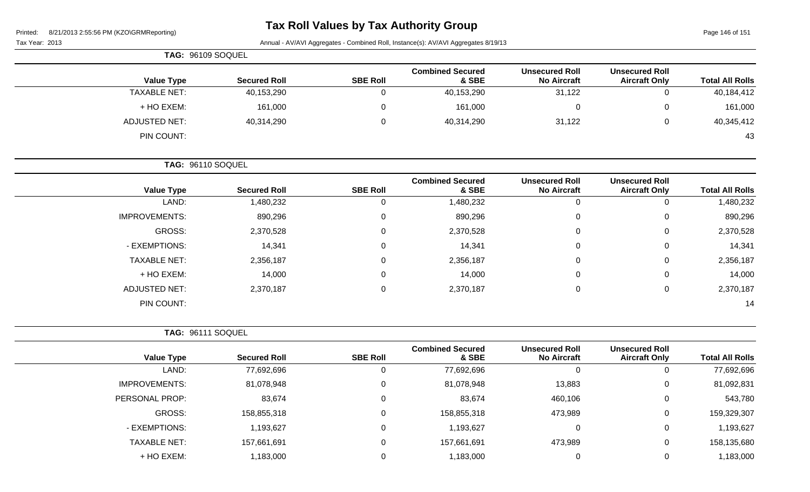Page 146 of 151

|                        |                                               |                                             | Annual - AV/AVI Aggregates - Combined Roll, Instance(s): AV/AVI Aggregates 8/19/13 |                 |                     | Tax Year: 2013       |
|------------------------|-----------------------------------------------|---------------------------------------------|------------------------------------------------------------------------------------|-----------------|---------------------|----------------------|
|                        |                                               |                                             |                                                                                    |                 |                     | TAG: 96109 SOQUEL    |
| <b>Total All Rolls</b> | <b>Unsecured Roll</b><br><b>Aircraft Only</b> | <b>Unsecured Roll</b><br><b>No Aircraft</b> | <b>Combined Secured</b><br>& SBE                                                   | <b>SBE Roll</b> | <b>Secured Roll</b> | <b>Value Type</b>    |
| 40,184,412             | $\mathbf 0$                                   | 31,122                                      | 40,153,290                                                                         | 0               | 40,153,290          | <b>TAXABLE NET:</b>  |
| 161,000                | 0                                             | 0                                           | 161,000                                                                            | 0               | 161,000             | + HO EXEM:           |
| 40,345,412             | 0                                             | 31,122                                      | 40,314,290                                                                         | 0               | 40,314,290          | <b>ADJUSTED NET:</b> |
| 43                     |                                               |                                             |                                                                                    |                 |                     | PIN COUNT:           |
|                        |                                               |                                             |                                                                                    |                 |                     | TAG: 96110 SOQUEL    |
| <b>Total All Rolls</b> | <b>Unsecured Roll</b><br><b>Aircraft Only</b> | <b>Unsecured Roll</b><br><b>No Aircraft</b> | <b>Combined Secured</b><br>& SBE                                                   | <b>SBE Roll</b> | <b>Secured Roll</b> | <b>Value Type</b>    |
| 1,480,232              | $\mathbf 0$                                   | 0                                           | 1,480,232                                                                          | $\mathbf 0$     | 1,480,232           | LAND:                |
| 890,296                | 0                                             | 0                                           | 890,296                                                                            | 0               | 890,296             | <b>IMPROVEMENTS:</b> |
| 2,370,528              | 0                                             | 0                                           | 2,370,528                                                                          | 0               | 2,370,528           | <b>GROSS:</b>        |
| 14,341                 | 0                                             | 0                                           | 14,341                                                                             | 0               | 14,341              | - EXEMPTIONS:        |
| 2,356,187              | 0                                             | 0                                           | 2,356,187                                                                          | 0               | 2,356,187           | <b>TAXABLE NET:</b>  |
| 14,000                 | 0                                             | 0                                           | 14,000                                                                             | 0               | 14,000              | + HO EXEM:           |
| 2,370,187              | 0                                             | 0                                           | 2,370,187                                                                          | 0               | 2,370,187           | <b>ADJUSTED NET:</b> |
| 14                     |                                               |                                             |                                                                                    |                 |                     | PIN COUNT:           |
|                        |                                               |                                             |                                                                                    |                 |                     | TAG: 96111 SOQUEL    |
| <b>Total All Rolls</b> | <b>Unsecured Roll</b><br><b>Aircraft Only</b> | <b>Unsecured Roll</b><br><b>No Aircraft</b> | <b>Combined Secured</b><br>& SBE                                                   | <b>SBE Roll</b> | <b>Secured Roll</b> | <b>Value Type</b>    |
| 77,692,696             | $\mathbf 0$                                   | 0                                           | 77,692,696                                                                         | $\mathbf 0$     | 77,692,696          | LAND:                |
| 81,092,831             | 0                                             | 13,883                                      | 81,078,948                                                                         | 0               | 81,078,948          | <b>IMPROVEMENTS:</b> |
| 543,780                | 0                                             | 460,106                                     | 83,674                                                                             | 0               | 83,674              | PERSONAL PROP:       |
| 159,329,307            | 0                                             | 473,989                                     | 158,855,318                                                                        | 0               | 158,855,318         | GROSS:               |
| 1,193,627              | 0                                             | 0                                           | 1,193,627                                                                          | 0               | 1,193,627           | - EXEMPTIONS:        |
| 158,135,680            | 0                                             | 473,989                                     | 157,661,691                                                                        | 0               | 157,661,691         | <b>TAXABLE NET:</b>  |
| 1,183,000              | 0                                             | 0                                           | 1,183,000                                                                          | 0               | 1,183,000           | + HO EXEM:           |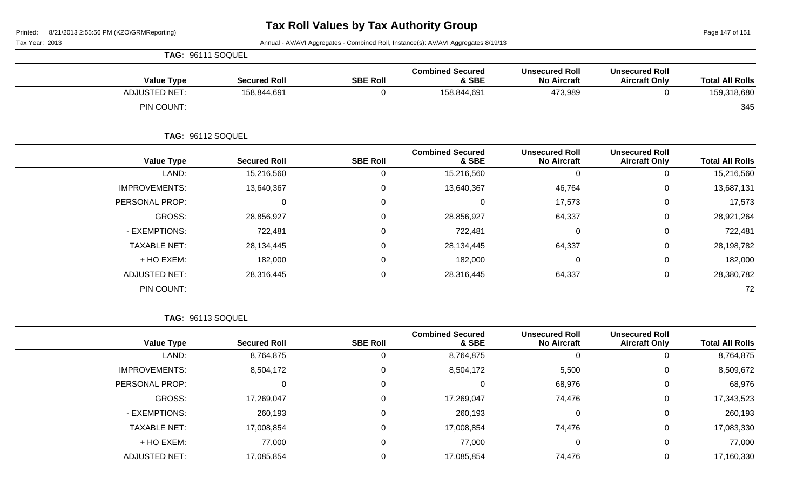Page 147 of 151

Tax Year: 2013 **Annual - AV/AVI Aggregates - Combined Roll**, Instance(s): AV/AVI Aggregates 8/19/13

|                            |                                               |                                             |                                            |                 |                      | TAG: 96111 SOQUEL        |
|----------------------------|-----------------------------------------------|---------------------------------------------|--------------------------------------------|-----------------|----------------------|--------------------------|
| <b>Total All Rolls</b>     | <b>Unsecured Roll</b><br><b>Aircraft Only</b> | <b>Unsecured Roll</b><br><b>No Aircraft</b> | <b>Combined Secured</b><br>& SBE           | <b>SBE Roll</b> | <b>Secured Roll</b>  | <b>Value Type</b>        |
| 159,318,680                |                                               | 473,989                                     | 158,844,691                                | U               | 158,844,691          | <b>ADJUSTED NET:</b>     |
| 345                        |                                               |                                             |                                            |                 |                      | PIN COUNT:               |
|                            |                                               |                                             |                                            |                 |                      | <b>TAG: 96112 SOQUEL</b> |
| $T - 1 - 1$ All $D - II -$ | <b>Unsecured Roll</b><br>Aluguate Ouler       | <b>Unsecured Roll</b><br>Nia Alugusti       | <b>Combined Secured</b><br>$^{\circ}$ cpp. | CDE DAIL        | <b>Contract Dall</b> | $\mathbf{V}$ -Lie Tump   |

| <b>Value Type</b>    | <b>Secured Roll</b> | <b>SBE Roll</b> | & SBE      | <b>No Aircraft</b> | <b>Aircraft Only</b> | <b>Total All Rolls</b> |
|----------------------|---------------------|-----------------|------------|--------------------|----------------------|------------------------|
| LAND:                | 15,216,560          | υ               | 15,216,560 |                    | 0                    | 15,216,560             |
| <b>IMPROVEMENTS:</b> | 13,640,367          | 0               | 13,640,367 | 46,764             | 0                    | 13,687,131             |
| PERSONAL PROP:       | 0                   | 0               | υ          | 17,573             | 0                    | 17,573                 |
| GROSS:               | 28,856,927          | 0               | 28,856,927 | 64,337             | 0                    | 28,921,264             |
| - EXEMPTIONS:        | 722,481             | 0               | 722,481    | $\Omega$           | 0                    | 722,481                |
| <b>TAXABLE NET:</b>  | 28,134,445          | 0               | 28,134,445 | 64,337             | 0                    | 28,198,782             |
| + HO EXEM:           | 182,000             | 0               | 182,000    |                    | 0                    | 182,000                |
| ADJUSTED NET:        | 28,316,445          | 0               | 28,316,445 | 64,337             | 0                    | 28,380,782             |
| PIN COUNT:           |                     |                 |            |                    |                      | 72                     |

**TAG:** 96113 SOQUEL

|                      |                     |                 | <b>Combined Secured</b> | <b>Unsecured Roll</b> | <b>Unsecured Roll</b> |                        |
|----------------------|---------------------|-----------------|-------------------------|-----------------------|-----------------------|------------------------|
| <b>Value Type</b>    | <b>Secured Roll</b> | <b>SBE Roll</b> | & SBE                   | <b>No Aircraft</b>    | <b>Aircraft Only</b>  | <b>Total All Rolls</b> |
| LAND:                | 8,764,875           | 0               | 8,764,875               | 0                     |                       | 8,764,875              |
| <b>IMPROVEMENTS:</b> | 8,504,172           | 0               | 8,504,172               | 5,500                 | 0                     | 8,509,672              |
| PERSONAL PROP:       |                     | 0               | $\Omega$                | 68,976                | $\mathbf 0$           | 68,976                 |
| GROSS:               | 17,269,047          | $\mathbf 0$     | 17,269,047              | 74,476                | $\mathbf 0$           | 17,343,523             |
| - EXEMPTIONS:        | 260,193             | 0               | 260,193                 | 0                     | $\mathbf 0$           | 260,193                |
| <b>TAXABLE NET:</b>  | 17,008,854          | 0               | 17,008,854              | 74,476                | $\mathbf 0$           | 17,083,330             |
| + HO EXEM:           | 77,000              | 0               | 77,000                  | 0                     | 0                     | 77,000                 |
| <b>ADJUSTED NET:</b> | 17,085,854          | 0               | 17,085,854              | 74,476                | $\Omega$              | 17,160,330             |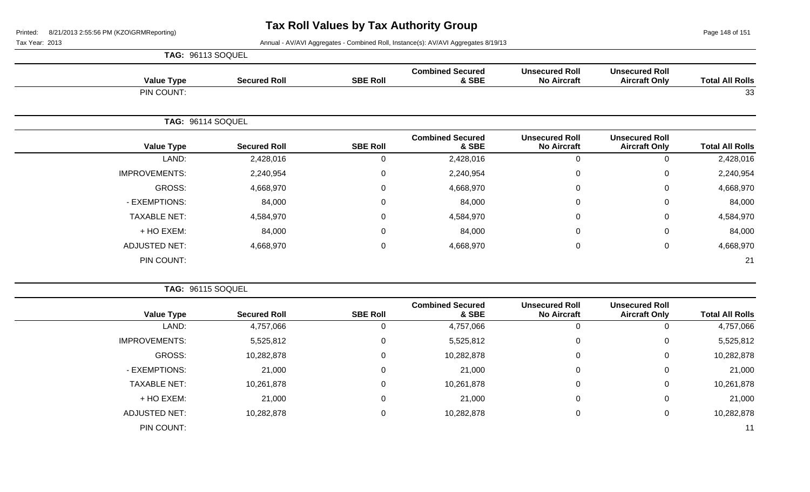Page 148 of 151

|  |  | <b>TAG: 96113 SOQUEL</b> |  |
|--|--|--------------------------|--|
|--|--|--------------------------|--|

| <b>Value Type</b>    | <b>Secured Roll</b> | <b>SBE Roll</b> | <b>Combined Secured</b><br>& SBE | <b>Unsecured Roll</b><br><b>No Aircraft</b> | <b>Unsecured Roll</b><br><b>Aircraft Only</b> | <b>Total All Rolls</b> |
|----------------------|---------------------|-----------------|----------------------------------|---------------------------------------------|-----------------------------------------------|------------------------|
| PIN COUNT:           |                     |                 |                                  |                                             |                                               | 33                     |
|                      | TAG: 96114 SOQUEL   |                 |                                  |                                             |                                               |                        |
| <b>Value Type</b>    | <b>Secured Roll</b> | <b>SBE Roll</b> | <b>Combined Secured</b><br>& SBE | <b>Unsecured Roll</b><br><b>No Aircraft</b> | <b>Unsecured Roll</b><br><b>Aircraft Only</b> | <b>Total All Rolls</b> |
| LAND:                | 2,428,016           | 0               | 2,428,016                        | 0                                           | $\Omega$                                      | 2,428,016              |
| <b>IMPROVEMENTS:</b> | 2,240,954           | 0               | 2,240,954                        | $\mathbf 0$                                 | $\Omega$                                      | 2,240,954              |
| GROSS:               | 4,668,970           | 0               | 4,668,970                        | $\pmb{0}$                                   | 0                                             | 4,668,970              |
| - EXEMPTIONS:        | 84,000              | 0               | 84,000                           | $\mathbf 0$                                 | $\mathbf 0$                                   | 84,000                 |
| <b>TAXABLE NET:</b>  | 4,584,970           | 0               | 4,584,970                        | $\mathbf 0$                                 | 0                                             | 4,584,970              |
| + HO EXEM:           | 84,000              | 0               | 84,000                           | 0                                           | 0                                             | 84,000                 |
| <b>ADJUSTED NET:</b> | 4,668,970           | 0               | 4,668,970                        | $\mathbf 0$                                 | 0                                             | 4,668,970              |
| PIN COUNT:           |                     |                 |                                  |                                             |                                               | 21                     |

|                        |                                               |                                             |                                  |                 |                     | TAG: 96115 SOQUEL    |
|------------------------|-----------------------------------------------|---------------------------------------------|----------------------------------|-----------------|---------------------|----------------------|
| <b>Total All Rolls</b> | <b>Unsecured Roll</b><br><b>Aircraft Only</b> | <b>Unsecured Roll</b><br><b>No Aircraft</b> | <b>Combined Secured</b><br>& SBE | <b>SBE Roll</b> | <b>Secured Roll</b> | <b>Value Type</b>    |
| 4,757,066              | $\overline{0}$                                | 0                                           | 4,757,066                        | 0               | 4,757,066           | LAND:                |
| 5,525,812              | $\mathbf 0$                                   | 0                                           | 5,525,812                        | 0               | 5,525,812           | <b>IMPROVEMENTS:</b> |
| 10,282,878             | 0                                             | $\mathbf 0$                                 | 10,282,878                       | 0               | 10,282,878          | GROSS:               |
| 21,000                 | 0                                             | $\mathbf 0$                                 | 21,000                           | 0               | 21,000              | - EXEMPTIONS:        |
| 10,261,878             | 0                                             | 0                                           | 10,261,878                       | 0               | 10,261,878          | <b>TAXABLE NET:</b>  |
| 21,000                 | 0                                             | 0                                           | 21,000                           | 0               | 21,000              | + HO EXEM:           |
| 10,282,878             | $\mathbf 0$                                   | $\mathbf 0$                                 | 10,282,878                       | 0               | 10,282,878          | <b>ADJUSTED NET:</b> |
| 11                     |                                               |                                             |                                  |                 |                     | PIN COUNT:           |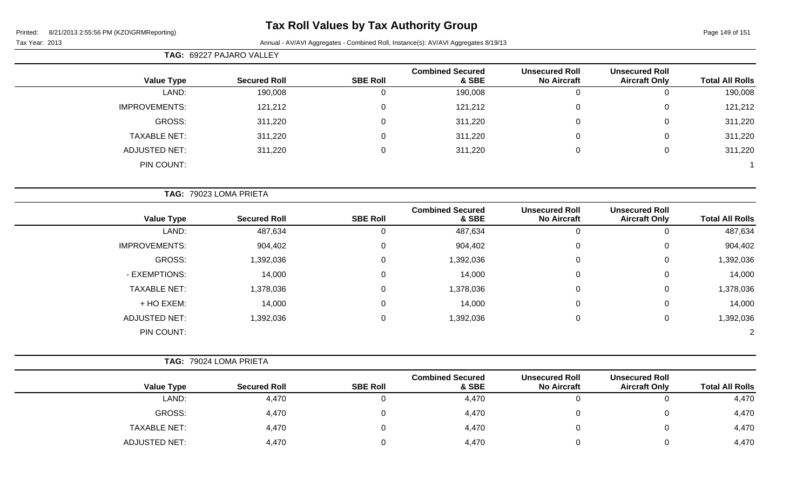## **Tax Roll Values by Tax Authority Group**

| Fax Year: 2013 |  |
|----------------|--|

|                      | TAG: 69227 PAJARO VALLEY |                 |                                  |                                             |                                               |                        |
|----------------------|--------------------------|-----------------|----------------------------------|---------------------------------------------|-----------------------------------------------|------------------------|
| <b>Value Type</b>    | <b>Secured Roll</b>      | <b>SBE Roll</b> | <b>Combined Secured</b><br>& SBE | <b>Unsecured Roll</b><br><b>No Aircraft</b> | <b>Unsecured Roll</b><br><b>Aircraft Only</b> | <b>Total All Rolls</b> |
| LAND:                | 190,008                  |                 | 190,008                          | O                                           |                                               | 190,008                |
| <b>IMPROVEMENTS:</b> | 121,212                  |                 | 121,212                          | $\mathbf 0$                                 | 0                                             | 121,212                |
| GROSS:               | 311,220                  | $\Omega$        | 311,220                          | $\mathbf 0$                                 | 0                                             | 311,220                |
| <b>TAXABLE NET:</b>  | 311,220                  |                 | 311,220                          | 0                                           | 0                                             | 311,220                |
| <b>ADJUSTED NET:</b> | 311,220                  |                 | 311,220                          | 0                                           | 0                                             | 311,220                |
| PIN COUNT:           |                          |                 |                                  |                                             |                                               |                        |

|                      | TAG: 79023 LOMA PRIETA |                 |                                  |                                             |                                               |                        |
|----------------------|------------------------|-----------------|----------------------------------|---------------------------------------------|-----------------------------------------------|------------------------|
| <b>Value Type</b>    | <b>Secured Roll</b>    | <b>SBE Roll</b> | <b>Combined Secured</b><br>& SBE | <b>Unsecured Roll</b><br><b>No Aircraft</b> | <b>Unsecured Roll</b><br><b>Aircraft Only</b> | <b>Total All Rolls</b> |
| LAND:                | 487,634                |                 | 487,634                          | U                                           |                                               | 487,634                |
| <b>IMPROVEMENTS:</b> | 904,402                | $\Omega$        | 904,402                          | 0                                           | 0                                             | 904,402                |
| GROSS:               | 1,392,036              | $\Omega$        | 1,392,036                        | $\mathbf 0$                                 | 0                                             | 1,392,036              |
| - EXEMPTIONS:        | 14,000                 | $\Omega$        | 14,000                           | $\mathbf 0$                                 | $\Omega$                                      | 14,000                 |
| <b>TAXABLE NET:</b>  | 1,378,036              |                 | 1,378,036                        | $\mathbf 0$                                 | $\Omega$                                      | 1,378,036              |
| + HO EXEM:           | 14,000                 | 0               | 14,000                           | $\boldsymbol{0}$                            | $\mathbf 0$                                   | 14,000                 |
| <b>ADJUSTED NET:</b> | 1,392,036              | $\Omega$        | 1,392,036                        | $\boldsymbol{0}$                            | 0                                             | 1,392,036              |
| PIN COUNT:           |                        |                 |                                  |                                             |                                               | $\overline{2}$         |

|                      | TAG: 79024 LOMA PRIETA |                 |                                  |                                             |                                               |                        |
|----------------------|------------------------|-----------------|----------------------------------|---------------------------------------------|-----------------------------------------------|------------------------|
| <b>Value Type</b>    | <b>Secured Roll</b>    | <b>SBE Roll</b> | <b>Combined Secured</b><br>& SBE | <b>Unsecured Roll</b><br><b>No Aircraft</b> | <b>Unsecured Roll</b><br><b>Aircraft Only</b> | <b>Total All Rolls</b> |
| LAND:                | 4,470                  |                 | 4,470                            |                                             |                                               | 4,470                  |
| GROSS:               | 4,470                  |                 | 4,470                            |                                             |                                               | 4,470                  |
| <b>TAXABLE NET:</b>  | 4,470                  | U               | 4,470                            |                                             |                                               | 4,470                  |
| <b>ADJUSTED NET:</b> | 4,470                  |                 | 4,470                            |                                             |                                               | 4,470                  |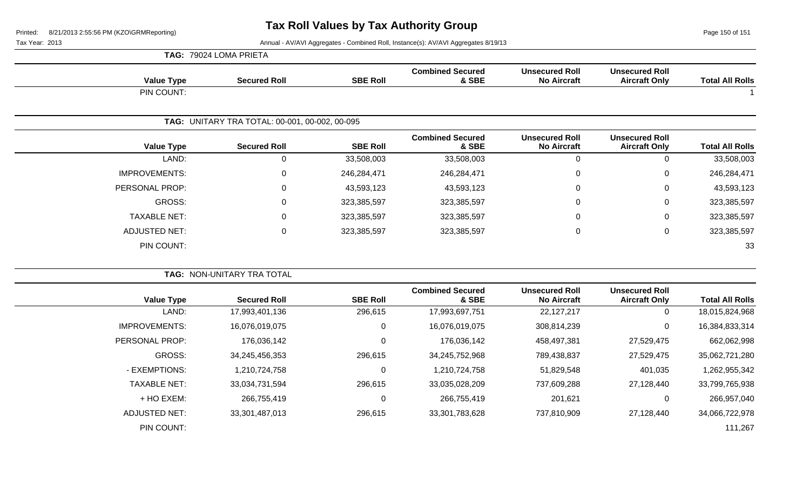Page 150 of 151

|                        |                                               |                                             |                                  |                 | TAG: 79024 LOMA PRIETA                         |                      |
|------------------------|-----------------------------------------------|---------------------------------------------|----------------------------------|-----------------|------------------------------------------------|----------------------|
| <b>Total All Rolls</b> | <b>Unsecured Roll</b><br><b>Aircraft Only</b> | <b>Unsecured Roll</b><br><b>No Aircraft</b> | <b>Combined Secured</b><br>& SBE | <b>SBE Roll</b> | <b>Secured Roll</b>                            | <b>Value Type</b>    |
|                        |                                               |                                             |                                  |                 |                                                | PIN COUNT:           |
|                        |                                               |                                             |                                  |                 | TAG: UNITARY TRA TOTAL: 00-001, 00-002, 00-095 |                      |
| <b>Total All Rolls</b> | <b>Unsecured Roll</b><br><b>Aircraft Only</b> | <b>Unsecured Roll</b><br><b>No Aircraft</b> | <b>Combined Secured</b><br>& SBE | <b>SBE Roll</b> | <b>Secured Roll</b>                            | <b>Value Type</b>    |
| 33,508,003             | $\mathbf 0$                                   | $\mathbf 0$                                 | 33,508,003                       | 33,508,003      | $\mathbf 0$                                    | LAND:                |
| 246,284,471            | 0                                             | $\mathbf 0$                                 | 246,284,471                      | 246,284,471     | $\mathbf 0$                                    | <b>IMPROVEMENTS:</b> |
| 43,593,123             | 0                                             | $\mathbf 0$                                 | 43,593,123                       | 43,593,123      | 0                                              | PERSONAL PROP:       |
| 323,385,597            | 0                                             | $\mathbf 0$                                 | 323,385,597                      | 323,385,597     | $\mathbf 0$                                    | GROSS:               |
| 323,385,597            | 0                                             | $\mathbf 0$                                 | 323,385,597                      | 323,385,597     | $\mathbf 0$                                    | <b>TAXABLE NET:</b>  |
| 323,385,597            | 0                                             | $\mathbf 0$                                 | 323,385,597                      | 323,385,597     | 0                                              | <b>ADJUSTED NET:</b> |
| 33                     |                                               |                                             |                                  |                 |                                                | PIN COUNT:           |
|                        |                                               |                                             |                                  |                 | TAG: NON-UNITARY TRA TOTAL                     |                      |
| <b>Total All Rolls</b> | <b>Unsecured Roll</b><br><b>Aircraft Only</b> | <b>Unsecured Roll</b><br><b>No Aircraft</b> | <b>Combined Secured</b><br>& SBE | <b>SBE Roll</b> | <b>Secured Roll</b>                            | <b>Value Type</b>    |
| 18,015,824,968         | $\mathbf 0$                                   | 22, 127, 217                                | 17,993,697,751                   | 296,615         | 17,993,401,136                                 | LAND:                |
| 16,384,833,314         | $\mathbf 0$                                   | 308,814,239                                 | 16,076,019,075                   | $\mathbf 0$     | 16,076,019,075                                 | <b>IMPROVEMENTS:</b> |
| 662,062,998            | 27,529,475                                    | 458,497,381                                 | 176,036,142                      | $\Omega$        | 176,036,142                                    | PERSONAL PROP:       |
| 35,062,721,280         | 27,529,475                                    | 789,438,837                                 | 34,245,752,968                   | 296,615         | 34,245,456,353                                 | GROSS:               |
| 1,262,955,342          | 401,035                                       | 51,829,548                                  | 1,210,724,758                    | 0               | 1,210,724,758                                  | - EXEMPTIONS:        |
| 33,799,765,938         | 27,128,440                                    | 737,609,288                                 | 33,035,028,209                   | 296,615         | 33,034,731,594                                 | <b>TAXABLE NET:</b>  |
| 266,957,040            | $\mathbf 0$                                   | 201,621                                     | 266,755,419                      | 0               | 266,755,419                                    | + HO EXEM:           |
| 34,066,722,978         | 27,128,440                                    | 737,810,909                                 | 33,301,783,628                   | 296,615         | 33,301,487,013                                 | <b>ADJUSTED NET:</b> |
| 111,267                |                                               |                                             |                                  |                 |                                                | PIN COUNT:           |